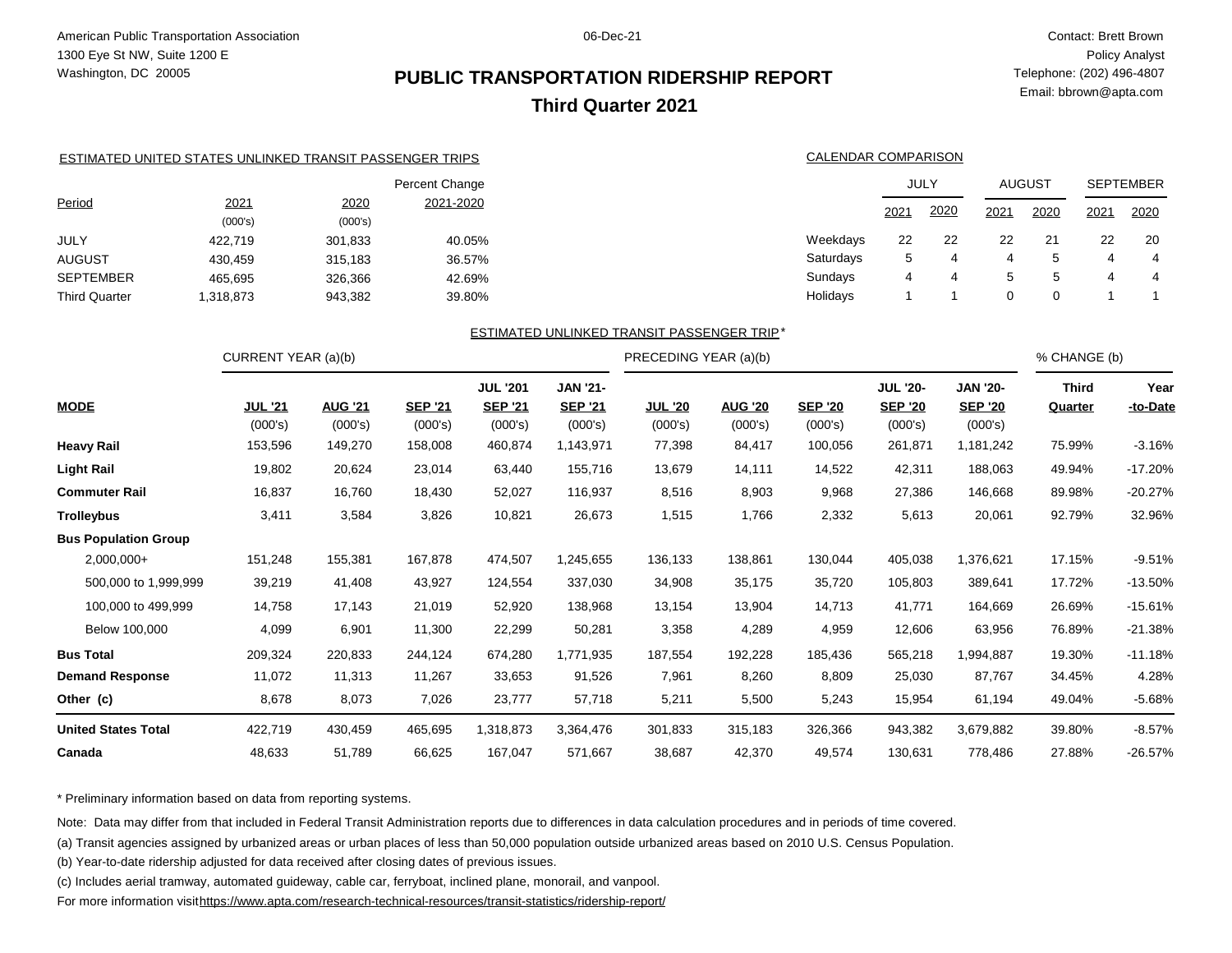## **PUBLIC TRANSPORTATION RIDERSHIP REPORT Third Quarter 2021**

 Contact: Brett Brown Policy Analyst Telephone: (202) 496-4807 Email: bbrown@apta.com

|                      |                                                          |         | <b>JUL '201</b> | <b>JAN '21-</b> |                                            |                     | <b>JUL '20-</b> |      | <b>JAN '20-</b> |               | <b>Third</b> | Year             |
|----------------------|----------------------------------------------------------|---------|-----------------|-----------------|--------------------------------------------|---------------------|-----------------|------|-----------------|---------------|--------------|------------------|
|                      | CURRENT YEAR (a)(b)                                      |         |                 |                 | PRECEDING YEAR (a)(b)                      |                     |                 |      |                 |               | % CHANGE (b) |                  |
|                      |                                                          |         |                 |                 | ESTIMATED UNLINKED TRANSIT PASSENGER TRIP* |                     |                 |      |                 |               |              |                  |
| <b>Third Quarter</b> | 1,318,873                                                | 943,382 | 39.80%          |                 |                                            | Holidays            |                 |      | $\Omega$        | 0             |              |                  |
| <b>SEPTEMBER</b>     | 465,695                                                  | 326,366 | 42.69%          |                 |                                            | Sundays             | 4               | 4    | 5               | 5             | 4            | 4                |
| <b>AUGUST</b>        | 430,459                                                  | 315,183 | 36.57%          |                 |                                            | Saturdays           | 5               | 4    | 4               | 5             | 4            | 4                |
| JULY                 | 422,719                                                  | 301,833 | 40.05%          |                 |                                            | Weekdays            | 22              | 22   | 22              | 21            | 22           | 20               |
|                      | (000's)                                                  | (000's) |                 |                 |                                            |                     |                 |      |                 |               |              |                  |
| Period               | 2021                                                     | 2020    | 2021-2020       |                 |                                            |                     | 2021            | 2020 | 2021            | 2020          | 2021         | 2020             |
|                      |                                                          |         | Percent Change  |                 |                                            |                     |                 | JULY |                 | <b>AUGUST</b> |              | <b>SEPTEMBER</b> |
|                      | ESTIMATED UNITED STATES UNLINKED TRANSIT PASSENGER TRIPS |         |                 |                 |                                            | CALENDAR COMPARISON |                 |      |                 |               |              |                  |
|                      |                                                          |         |                 |                 |                                            |                     |                 |      |                 |               |              |                  |

| <b>MODE</b>                 | <b>JUL '21</b><br>(000's) | <b>AUG '21</b><br>(000's) | <b>SEP '21</b><br>(000's) | <b>SEP '21</b><br>(000's) | <b>SEP '21</b><br>(000's) | <b>JUL '20</b><br>(000's) | <b>AUG '20</b><br>(000's) | <b>SEP '20</b><br>(000's) | <b>SEP '20</b><br>(000's) | <b>SEP '20</b><br>(000's) | Quarter | -to-Date  |
|-----------------------------|---------------------------|---------------------------|---------------------------|---------------------------|---------------------------|---------------------------|---------------------------|---------------------------|---------------------------|---------------------------|---------|-----------|
| <b>Heavy Rail</b>           | 153,596                   | 149,270                   | 158,008                   | 460,874                   | 1,143,971                 | 77,398                    | 84,417                    | 100,056                   | 261,871                   | 1,181,242                 | 75.99%  | $-3.16%$  |
| <b>Light Rail</b>           | 19,802                    | 20,624                    | 23,014                    | 63,440                    | 155,716                   | 13,679                    | 14,111                    | 14,522                    | 42,311                    | 188,063                   | 49.94%  | $-17.20%$ |
| <b>Commuter Rail</b>        | 16,837                    | 16,760                    | 18,430                    | 52,027                    | 116,937                   | 8,516                     | 8,903                     | 9,968                     | 27,386                    | 146,668                   | 89.98%  | -20.27%   |
| <b>Trolleybus</b>           | 3,411                     | 3,584                     | 3,826                     | 10,821                    | 26,673                    | 1,515                     | 1,766                     | 2,332                     | 5,613                     | 20,061                    | 92.79%  | 32.96%    |
| <b>Bus Population Group</b> |                           |                           |                           |                           |                           |                           |                           |                           |                           |                           |         |           |
| $2,000,000+$                | 151,248                   | 155,381                   | 167,878                   | 474,507                   | 1,245,655                 | 136,133                   | 138,861                   | 130,044                   | 405,038                   | 1,376,621                 | 17.15%  | $-9.51%$  |
| 500,000 to 1,999,999        | 39,219                    | 41,408                    | 43,927                    | 124,554                   | 337,030                   | 34,908                    | 35,175                    | 35,720                    | 105,803                   | 389,641                   | 17.72%  | -13.50%   |
| 100,000 to 499,999          | 14,758                    | 17,143                    | 21,019                    | 52,920                    | 138,968                   | 13,154                    | 13,904                    | 14,713                    | 41,771                    | 164,669                   | 26.69%  | $-15.61%$ |
| Below 100,000               | 4,099                     | 6,901                     | 11,300                    | 22,299                    | 50,281                    | 3,358                     | 4,289                     | 4,959                     | 12,606                    | 63,956                    | 76.89%  | -21.38%   |
| <b>Bus Total</b>            | 209,324                   | 220,833                   | 244,124                   | 674,280                   | 1,771,935                 | 187,554                   | 192,228                   | 185,436                   | 565,218                   | 1,994,887                 | 19.30%  | $-11.18%$ |
| <b>Demand Response</b>      | 11,072                    | 11,313                    | 11,267                    | 33,653                    | 91,526                    | 7,961                     | 8,260                     | 8,809                     | 25,030                    | 87,767                    | 34.45%  | 4.28%     |
| Other (c)                   | 8,678                     | 8,073                     | 7,026                     | 23,777                    | 57,718                    | 5,211                     | 5,500                     | 5,243                     | 15,954                    | 61,194                    | 49.04%  | $-5.68%$  |
| <b>United States Total</b>  | 422,719                   | 430,459                   | 465,695                   | 1,318,873                 | 3,364,476                 | 301,833                   | 315,183                   | 326,366                   | 943,382                   | 3,679,882                 | 39.80%  | $-8.57%$  |
| Canada                      | 48,633                    | 51,789                    | 66,625                    | 167,047                   | 571,667                   | 38,687                    | 42,370                    | 49,574                    | 130,631                   | 778,486                   | 27.88%  | -26.57%   |

\* Preliminary information based on data from reporting systems.

Note: Data may differ from that included in Federal Transit Administration reports due to differences in data calculation procedures and in periods of time covered.

(a) Transit agencies assigned by urbanized areas or urban places of less than 50,000 population outside urbanized areas based on 2010 U.S. Census Population.

(b) Year-to-date ridership adjusted for data received after closing dates of previous issues.

(c) Includes aerial tramway, automated guideway, cable car, ferryboat, inclined plane, monorail, and vanpool.

For more information visit<https://www.apta.com/research-technical-resources/transit-statistics/ridership-report/>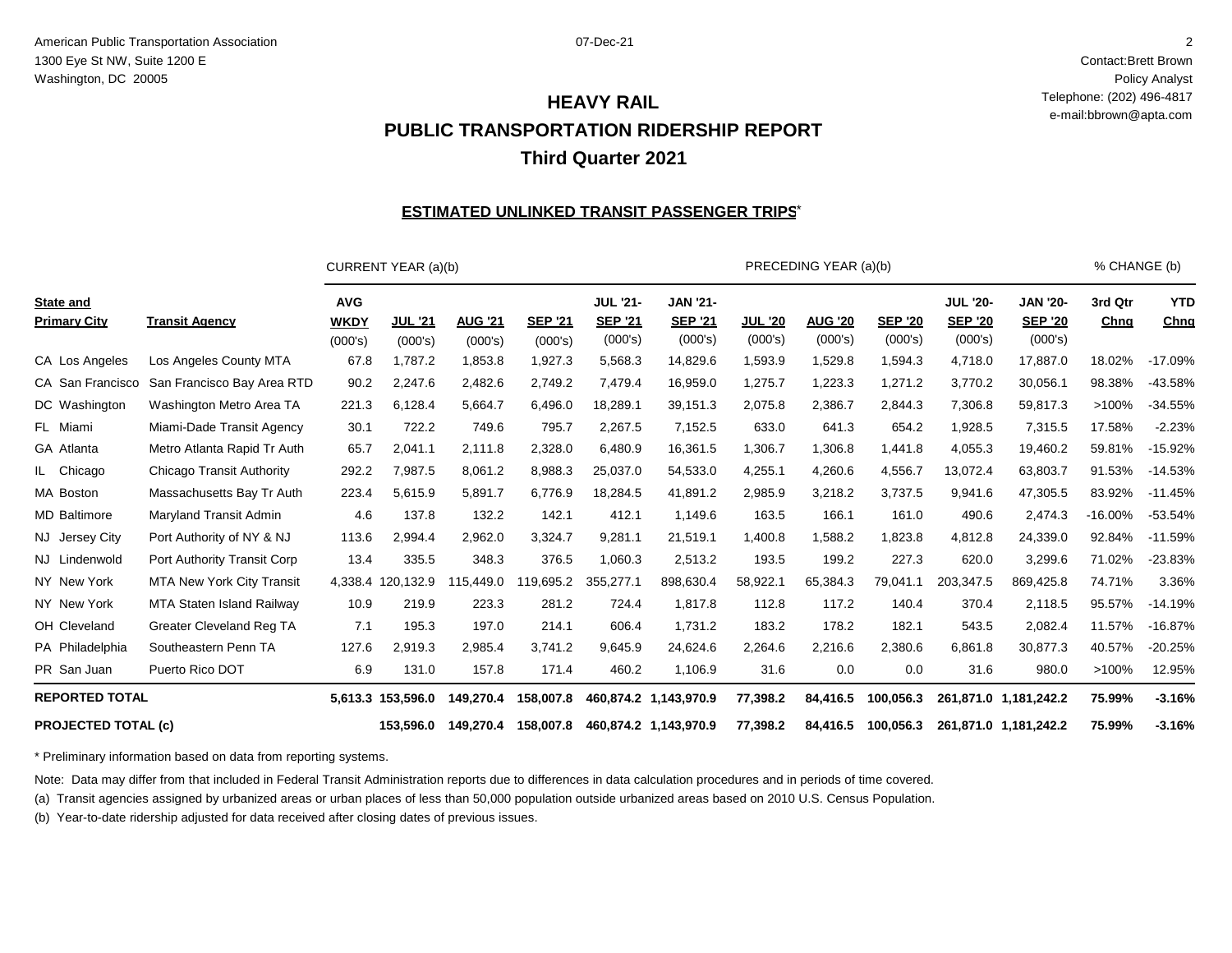Contact:Brett Brown Policy Analyst Telephone: (202) 496-4817 e-mail:bbrown@apta.com

## **PUBLIC TRANSPORTATION RIDERSHIP REPORT Third Quarter 2021 HEAVY RAIL**

#### <u>ESTIMATED UNLINKED TRANSIT PASSENGER TRIPS $^{\star}$ </u>

|                                         |                                  |                                      | CURRENT YEAR (a)(b)       |                           |                           |                                              |                                              |                           | PRECEDING YEAR (a)(b)     |                           |                                              |                                              | % CHANGE (b)    |                    |
|-----------------------------------------|----------------------------------|--------------------------------------|---------------------------|---------------------------|---------------------------|----------------------------------------------|----------------------------------------------|---------------------------|---------------------------|---------------------------|----------------------------------------------|----------------------------------------------|-----------------|--------------------|
| <b>State and</b><br><b>Primary City</b> | <b>Transit Agency</b>            | <b>AVG</b><br><b>WKDY</b><br>(000's) | <b>JUL '21</b><br>(000's) | <b>AUG '21</b><br>(000's) | <b>SEP '21</b><br>(000's) | <b>JUL '21-</b><br><b>SEP '21</b><br>(000's) | <b>JAN '21-</b><br><b>SEP '21</b><br>(000's) | <b>JUL '20</b><br>(000's) | <b>AUG '20</b><br>(000's) | <b>SEP '20</b><br>(000's) | <b>JUL '20-</b><br><b>SEP '20</b><br>(000's) | <b>JAN '20-</b><br><b>SEP '20</b><br>(000's) | 3rd Qtr<br>Chng | <b>YTD</b><br>Chng |
| CA Los Angeles                          | Los Angeles County MTA           | 67.8                                 | 1,787.2                   | 1,853.8                   | 1,927.3                   | 5,568.3                                      | 14,829.6                                     | 1,593.9                   | 1,529.8                   | 1,594.3                   | 4,718.0                                      | 17,887.0                                     | 18.02%          | $-17.09%$          |
| CA San Francisco                        | San Francisco Bay Area RTD       | 90.2                                 | 2,247.6                   | 2,482.6                   | 2,749.2                   | 7,479.4                                      | 16,959.0                                     | 1,275.7                   | 1,223.3                   | 1,271.2                   | 3,770.2                                      | 30,056.1                                     | 98.38%          | $-43.58%$          |
| DC Washington                           | Washington Metro Area TA         | 221.3                                | 6,128.4                   | 5,664.7                   | 6,496.0                   | 18,289.1                                     | 39,151.3                                     | 2,075.8                   | 2,386.7                   | 2,844.3                   | 7,306.8                                      | 59,817.3                                     | >100%           | $-34.55%$          |
| FL Miami                                | Miami-Dade Transit Agency        | 30.1                                 | 722.2                     | 749.6                     | 795.7                     | 2,267.5                                      | 7,152.5                                      | 633.0                     | 641.3                     | 654.2                     | 1,928.5                                      | 7,315.5                                      | 17.58%          | $-2.23%$           |
| GA Atlanta                              | Metro Atlanta Rapid Tr Auth      | 65.7                                 | 2,041.1                   | 2,111.8                   | 2,328.0                   | 6,480.9                                      | 16,361.5                                     | 1,306.7                   | 1,306.8                   | 1,441.8                   | 4,055.3                                      | 19,460.2                                     | 59.81%          | $-15.92%$          |
| IL Chicago                              | Chicago Transit Authority        | 292.2                                | 7,987.5                   | 8,061.2                   | 8,988.3                   | 25,037.0                                     | 54,533.0                                     | 4,255.1                   | 4,260.6                   | 4,556.7                   | 13,072.4                                     | 63,803.7                                     | 91.53%          | $-14.53%$          |
| MA Boston                               | Massachusetts Bay Tr Auth        | 223.4                                | 5,615.9                   | 5,891.7                   | 6,776.9                   | 18,284.5                                     | 41,891.2                                     | 2,985.9                   | 3,218.2                   | 3,737.5                   | 9,941.6                                      | 47,305.5                                     | 83.92%          | $-11.45%$          |
| <b>MD Baltimore</b>                     | Maryland Transit Admin           | 4.6                                  | 137.8                     | 132.2                     | 142.1                     | 412.1                                        | 1,149.6                                      | 163.5                     | 166.1                     | 161.0                     | 490.6                                        | 2,474.3                                      | $-16.00\%$      | $-53.54%$          |
| NJ Jersey City                          | Port Authority of NY & NJ        | 113.6                                | 2,994.4                   | 2,962.0                   | 3,324.7                   | 9,281.1                                      | 21,519.1                                     | 1,400.8                   | 1,588.2                   | 1,823.8                   | 4,812.8                                      | 24,339.0                                     | 92.84%          | $-11.59%$          |
| NJ Lindenwold                           | Port Authority Transit Corp      | 13.4                                 | 335.5                     | 348.3                     | 376.5                     | 1,060.3                                      | 2,513.2                                      | 193.5                     | 199.2                     | 227.3                     | 620.0                                        | 3,299.6                                      | 71.02%          | $-23.83%$          |
| NY New York                             | <b>MTA New York City Transit</b> | 4,338.4                              | 120,132.9                 | 115,449.0                 | 119,695.2                 | 355,277.1                                    | 898,630.4                                    | 58,922.1                  | 65,384.3                  | 79,041.1                  | 203,347.5                                    | 869,425.8                                    | 74.71%          | 3.36%              |
| NY New York                             | MTA Staten Island Railway        | 10.9                                 | 219.9                     | 223.3                     | 281.2                     | 724.4                                        | 1,817.8                                      | 112.8                     | 117.2                     | 140.4                     | 370.4                                        | 2,118.5                                      | 95.57%          | $-14.19%$          |
| OH Cleveland                            | <b>Greater Cleveland Reg TA</b>  | 7.1                                  | 195.3                     | 197.0                     | 214.1                     | 606.4                                        | 1,731.2                                      | 183.2                     | 178.2                     | 182.1                     | 543.5                                        | 2,082.4                                      | 11.57%          | $-16.87%$          |
| PA Philadelphia                         | Southeastern Penn TA             | 127.6                                | 2,919.3                   | 2,985.4                   | 3,741.2                   | 9,645.9                                      | 24,624.6                                     | 2,264.6                   | 2,216.6                   | 2,380.6                   | 6,861.8                                      | 30,877.3                                     | 40.57%          | $-20.25%$          |
| PR San Juan                             | Puerto Rico DOT                  | 6.9                                  | 131.0                     | 157.8                     | 171.4                     | 460.2                                        | 1,106.9                                      | 31.6                      | 0.0                       | 0.0                       | 31.6                                         | 980.0                                        | >100%           | 12.95%             |
| <b>REPORTED TOTAL</b>                   |                                  |                                      | 5,613.3 153,596.0         | 149,270.4                 | 158,007.8                 |                                              | 460,874.2 1,143,970.9                        | 77,398.2                  | 84,416.5                  | 100,056.3                 |                                              | 261,871.0 1,181,242.2                        | 75.99%          | $-3.16%$           |
| <b>PROJECTED TOTAL (c)</b>              |                                  |                                      | 153.596.0                 | 149,270.4                 | 158,007.8                 |                                              | 460,874.2 1,143,970.9                        | 77,398.2                  | 84,416.5                  | 100,056.3                 |                                              | 261,871.0 1,181,242.2                        | 75.99%          | $-3.16%$           |

\* Preliminary information based on data from reporting systems.

Note: Data may differ from that included in Federal Transit Administration reports due to differences in data calculation procedures and in periods of time covered.

(a) Transit agencies assigned by urbanized areas or urban places of less than 50,000 population outside urbanized areas based on 2010 U.S. Census Population.

(b) Year-to-date ridership adjusted for data received after closing dates of previous issues.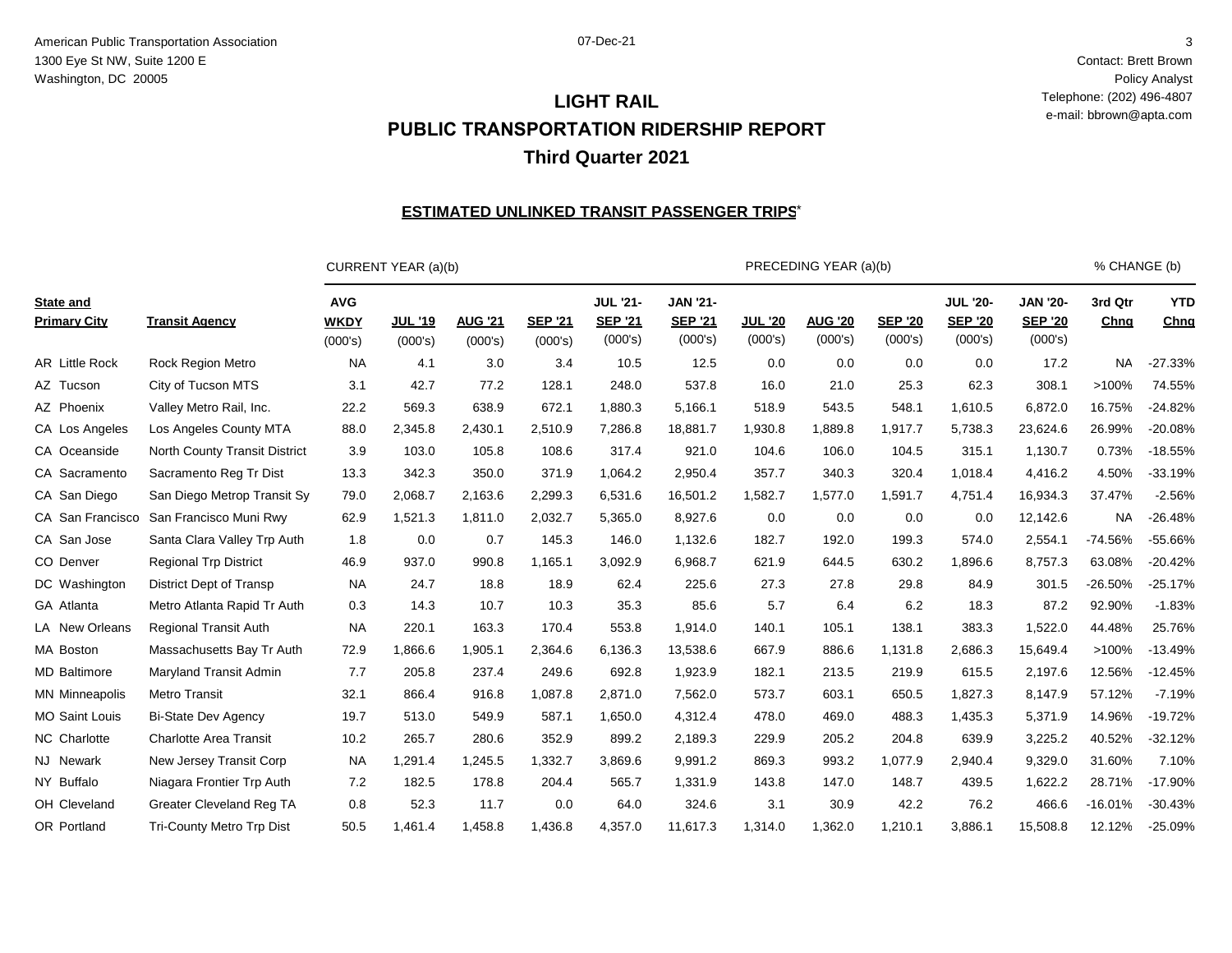Contact: Brett Brown Policy Analyst Telephone: (202) 496-4807 e-mail: bbrown@apta.com

## **LIGHT RAIL PUBLIC TRANSPORTATION RIDERSHIP REPORT Third Quarter 2021**

#### <u>ESTIMATED UNLINKED TRANSIT PASSENGER TRIPS $^{\star}$ </u>

|                                         |                                  |                                      | CURRENT YEAR (a)(b)       |                           |                           |                                              |                                              |                           | PRECEDING YEAR (a)(b)     |                           |                                              |                                              | % CHANGE (b)    |                    |
|-----------------------------------------|----------------------------------|--------------------------------------|---------------------------|---------------------------|---------------------------|----------------------------------------------|----------------------------------------------|---------------------------|---------------------------|---------------------------|----------------------------------------------|----------------------------------------------|-----------------|--------------------|
| <b>State and</b><br><b>Primary City</b> | <b>Transit Agency</b>            | <b>AVG</b><br><b>WKDY</b><br>(000's) | <b>JUL '19</b><br>(000's) | <b>AUG '21</b><br>(000's) | <b>SEP '21</b><br>(000's) | <b>JUL '21-</b><br><b>SEP '21</b><br>(000's) | <b>JAN '21-</b><br><b>SEP '21</b><br>(000's) | <b>JUL '20</b><br>(000's) | <b>AUG '20</b><br>(000's) | <b>SEP '20</b><br>(000's) | <b>JUL '20-</b><br><b>SEP '20</b><br>(000's) | <b>JAN '20-</b><br><b>SEP '20</b><br>(000's) | 3rd Qtr<br>Chng | <b>YTD</b><br>Chng |
| AR Little Rock                          | <b>Rock Region Metro</b>         | <b>NA</b>                            | 4.1                       | 3.0                       | 3.4                       | 10.5                                         | 12.5                                         | 0.0                       | 0.0                       | 0.0                       | 0.0                                          | 17.2                                         | NA.             | $-27.33%$          |
| AZ Tucson                               | City of Tucson MTS               | 3.1                                  | 42.7                      | 77.2                      | 128.1                     | 248.0                                        | 537.8                                        | 16.0                      | 21.0                      | 25.3                      | 62.3                                         | 308.1                                        | >100%           | 74.55%             |
| AZ Phoenix                              | Valley Metro Rail, Inc.          | 22.2                                 | 569.3                     | 638.9                     | 672.1                     | 1.880.3                                      | 5,166.1                                      | 518.9                     | 543.5                     | 548.1                     | 1.610.5                                      | 6,872.0                                      | 16.75%          | $-24.82%$          |
| CA Los Angeles                          | Los Angeles County MTA           | 88.0                                 | 2,345.8                   | 2,430.1                   | 2,510.9                   | 7,286.8                                      | 18,881.7                                     | 1,930.8                   | 1,889.8                   | 1,917.7                   | 5,738.3                                      | 23,624.6                                     | 26.99%          | $-20.08%$          |
| CA Oceanside                            | North County Transit District    | 3.9                                  | 103.0                     | 105.8                     | 108.6                     | 317.4                                        | 921.0                                        | 104.6                     | 106.0                     | 104.5                     | 315.1                                        | 1,130.7                                      | 0.73%           | $-18.55%$          |
| CA Sacramento                           | Sacramento Reg Tr Dist           | 13.3                                 | 342.3                     | 350.0                     | 371.9                     | 1,064.2                                      | 2,950.4                                      | 357.7                     | 340.3                     | 320.4                     | 1,018.4                                      | 4,416.2                                      | 4.50%           | $-33.19%$          |
| CA San Diego                            | San Diego Metrop Transit Sy      | 79.0                                 | 2,068.7                   | 2,163.6                   | 2,299.3                   | 6,531.6                                      | 16,501.2                                     | 1,582.7                   | 1,577.0                   | 1,591.7                   | 4,751.4                                      | 16,934.3                                     | 37.47%          | $-2.56%$           |
| CA San Francisco                        | San Francisco Muni Rwy           | 62.9                                 | 1,521.3                   | 1,811.0                   | 2,032.7                   | 5,365.0                                      | 8,927.6                                      | 0.0                       | 0.0                       | 0.0                       | 0.0                                          | 12,142.6                                     | <b>NA</b>       | $-26.48%$          |
| CA San Jose                             | Santa Clara Valley Trp Auth      | 1.8                                  | 0.0                       | 0.7                       | 145.3                     | 146.0                                        | 1,132.6                                      | 182.7                     | 192.0                     | 199.3                     | 574.0                                        | 2,554.1                                      | $-74.56%$       | $-55.66%$          |
| CO Denver                               | <b>Regional Trp District</b>     | 46.9                                 | 937.0                     | 990.8                     | 1,165.1                   | 3,092.9                                      | 6,968.7                                      | 621.9                     | 644.5                     | 630.2                     | 1,896.6                                      | 8,757.3                                      | 63.08%          | $-20.42%$          |
| DC Washington                           | District Dept of Transp          | <b>NA</b>                            | 24.7                      | 18.8                      | 18.9                      | 62.4                                         | 225.6                                        | 27.3                      | 27.8                      | 29.8                      | 84.9                                         | 301.5                                        | $-26.50%$       | $-25.17%$          |
| GA Atlanta                              | Metro Atlanta Rapid Tr Auth      | 0.3                                  | 14.3                      | 10.7                      | 10.3                      | 35.3                                         | 85.6                                         | 5.7                       | 6.4                       | 6.2                       | 18.3                                         | 87.2                                         | 92.90%          | $-1.83%$           |
| LA New Orleans                          | <b>Regional Transit Auth</b>     | <b>NA</b>                            | 220.1                     | 163.3                     | 170.4                     | 553.8                                        | 1,914.0                                      | 140.1                     | 105.1                     | 138.1                     | 383.3                                        | 1,522.0                                      | 44.48%          | 25.76%             |
| MA Boston                               | Massachusetts Bay Tr Auth        | 72.9                                 | 1,866.6                   | 1,905.1                   | 2,364.6                   | 6,136.3                                      | 13,538.6                                     | 667.9                     | 886.6                     | 1,131.8                   | 2,686.3                                      | 15,649.4                                     | >100%           | $-13.49%$          |
| <b>MD Baltimore</b>                     | Maryland Transit Admin           | 7.7                                  | 205.8                     | 237.4                     | 249.6                     | 692.8                                        | 1,923.9                                      | 182.1                     | 213.5                     | 219.9                     | 615.5                                        | 2,197.6                                      | 12.56%          | $-12.45%$          |
| <b>MN Minneapolis</b>                   | <b>Metro Transit</b>             | 32.1                                 | 866.4                     | 916.8                     | 1,087.8                   | 2,871.0                                      | 7,562.0                                      | 573.7                     | 603.1                     | 650.5                     | 1,827.3                                      | 8,147.9                                      | 57.12%          | $-7.19%$           |
| <b>MO Saint Louis</b>                   | <b>Bi-State Dev Agency</b>       | 19.7                                 | 513.0                     | 549.9                     | 587.1                     | 1,650.0                                      | 4,312.4                                      | 478.0                     | 469.0                     | 488.3                     | 1,435.3                                      | 5,371.9                                      | 14.96%          | $-19.72%$          |
| NC Charlotte                            | <b>Charlotte Area Transit</b>    | 10.2                                 | 265.7                     | 280.6                     | 352.9                     | 899.2                                        | 2,189.3                                      | 229.9                     | 205.2                     | 204.8                     | 639.9                                        | 3,225.2                                      | 40.52%          | $-32.12%$          |
| NJ Newark                               | New Jersey Transit Corp          | <b>NA</b>                            | 1,291.4                   | 1,245.5                   | 1,332.7                   | 3,869.6                                      | 9,991.2                                      | 869.3                     | 993.2                     | 1,077.9                   | 2,940.4                                      | 9,329.0                                      | 31.60%          | 7.10%              |
| NY Buffalo                              | Niagara Frontier Trp Auth        | 7.2                                  | 182.5                     | 178.8                     | 204.4                     | 565.7                                        | 1,331.9                                      | 143.8                     | 147.0                     | 148.7                     | 439.5                                        | 1,622.2                                      | 28.71%          | $-17.90%$          |
| OH Cleveland                            | <b>Greater Cleveland Reg TA</b>  | 0.8                                  | 52.3                      | 11.7                      | 0.0                       | 64.0                                         | 324.6                                        | 3.1                       | 30.9                      | 42.2                      | 76.2                                         | 466.6                                        | $-16.01%$       | $-30.43%$          |
| OR Portland                             | <b>Tri-County Metro Trp Dist</b> | 50.5                                 | 1.461.4                   | 1,458.8                   | 1,436.8                   | 4.357.0                                      | 11.617.3                                     | 1,314.0                   | 1,362.0                   | 1.210.1                   | 3,886.1                                      | 15.508.8                                     | 12.12%          | $-25.09%$          |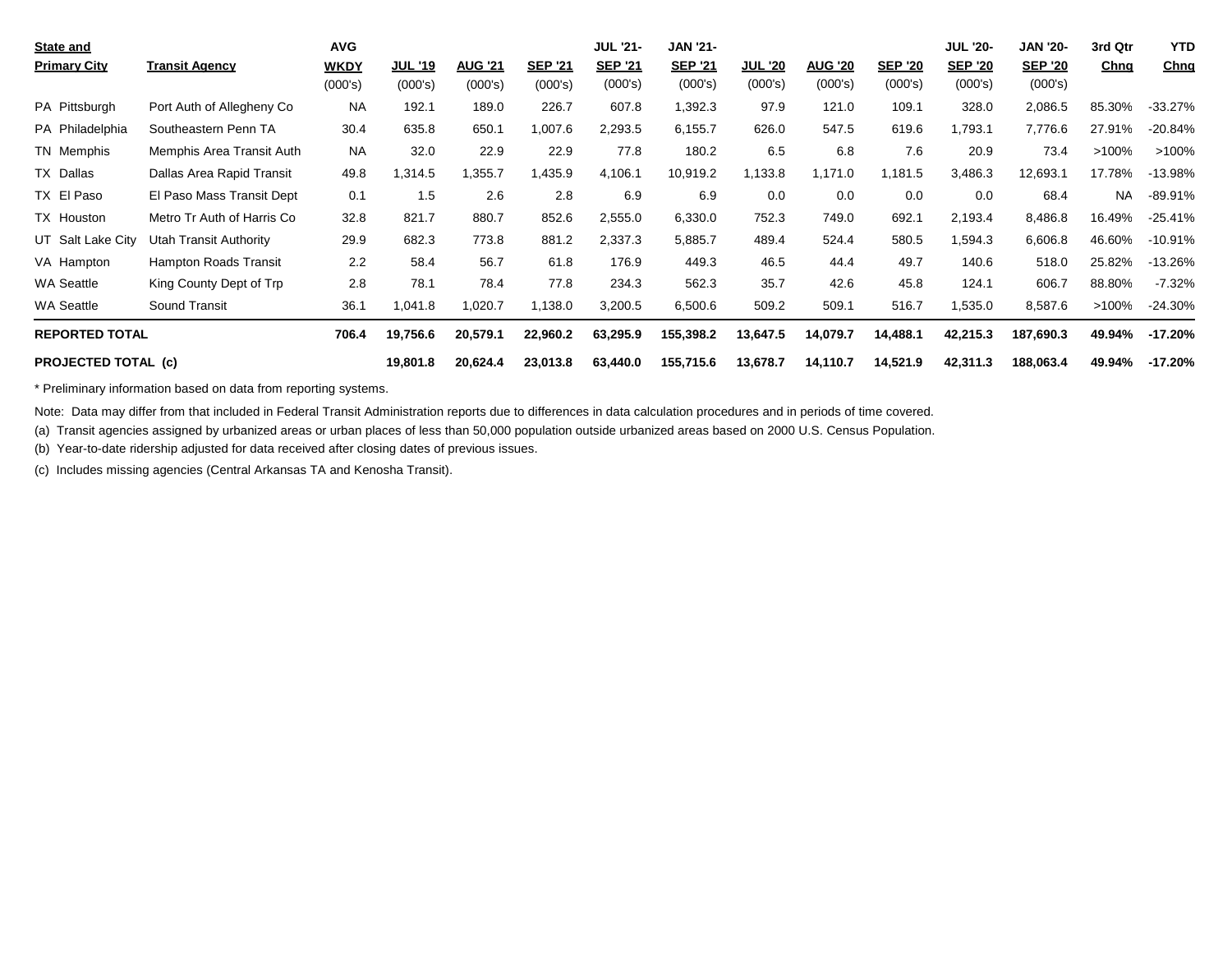| <b>State and</b>           |                            | <b>AVG</b> |                |                |                | <b>JUL '21-</b> | <b>JAN '21-</b> |                |                |                | <b>JUL '20-</b> | <b>JAN '20-</b> | 3rd Qtr   | <b>YTD</b> |
|----------------------------|----------------------------|------------|----------------|----------------|----------------|-----------------|-----------------|----------------|----------------|----------------|-----------------|-----------------|-----------|------------|
| <b>Primary City</b>        | <b>Transit Agency</b>      | WKDY       | <u>JUL '19</u> | <b>AUG '21</b> | <b>SEP '21</b> | <b>SEP '21</b>  | <b>SEP '21</b>  | <b>JUL '20</b> | <b>AUG '20</b> | <b>SEP '20</b> | <b>SEP '20</b>  | <b>SEP '20</b>  | Chng      | Chng       |
|                            |                            | (000's)    | (000's)        | (000's)        | (000's)        | (000's)         | (000's)         | (000's)        | (000's)        | (000's)        | (000's)         | (000's)         |           |            |
| PA Pittsburgh              | Port Auth of Allegheny Co  | NA.        | 192.1          | 189.0          | 226.7          | 607.8           | 1,392.3         | 97.9           | 121.0          | 109.1          | 328.0           | 2,086.5         | 85.30%    | $-33.27\%$ |
| PA Philadelphia            | Southeastern Penn TA       | 30.4       | 635.8          | 650.1          | 1,007.6        | 2,293.5         | 6,155.7         | 626.0          | 547.5          | 619.6          | 1,793.1         | 7,776.6         | 27.91%    | $-20.84%$  |
| TN Memphis                 | Memphis Area Transit Auth  | <b>NA</b>  | 32.0           | 22.9           | 22.9           | 77.8            | 180.2           | 6.5            | 6.8            | 7.6            | 20.9            | 73.4            | $>100\%$  | $>100\%$   |
| TX Dallas                  | Dallas Area Rapid Transit  | 49.8       | 1,314.5        | 1,355.7        | 1,435.9        | 4,106.1         | 10,919.2        | 1,133.8        | 1,171.0        | .181.5         | 3,486.3         | 12,693.1        | 17.78%    | $-13.98%$  |
| TX El Paso                 | El Paso Mass Transit Dept  | 0.1        | 1.5            | 2.6            | 2.8            | 6.9             | 6.9             | 0.0            | 0.0            | 0.0            | 0.0             | 68.4            | <b>NA</b> | -89.91%    |
| TX Houston                 | Metro Tr Auth of Harris Co | 32.8       | 821.7          | 880.7          | 852.6          | 2,555.0         | 6,330.0         | 752.3          | 749.0          | 692.1          | 2,193.4         | 8,486.8         | 16.49%    | $-25.41%$  |
| UT Salt Lake City          | Utah Transit Authority     | 29.9       | 682.3          | 773.8          | 881.2          | 2,337.3         | 5,885.7         | 489.4          | 524.4          | 580.5          | 1,594.3         | 6,606.8         | 46.60%    | $-10.91\%$ |
| VA Hampton                 | Hampton Roads Transit      | 2.2        | 58.4           | 56.7           | 61.8           | 176.9           | 449.3           | 46.5           | 44.4           | 49.7           | 140.6           | 518.0           | 25.82%    | $-13.26%$  |
| <b>WA Seattle</b>          | King County Dept of Trp    | 2.8        | 78.1           | 78.4           | 77.8           | 234.3           | 562.3           | 35.7           | 42.6           | 45.8           | 124.1           | 606.7           | 88.80%    | $-7.32\%$  |
| <b>WA Seattle</b>          | Sound Transit              | 36.1       | 1,041.8        | 1,020.7        | 1,138.0        | 3,200.5         | 6,500.6         | 509.2          | 509.1          | 516.7          | 1,535.0         | 8,587.6         | $>100\%$  | $-24.30\%$ |
| <b>REPORTED TOTAL</b>      |                            | 706.4      | 19,756.6       | 20,579.1       | 22,960.2       | 63,295.9        | 155,398.2       | 13,647.5       | 14,079.7       | 14,488.1       | 42,215.3        | 187,690.3       | 49.94%    | $-17.20%$  |
| <b>PROJECTED TOTAL (c)</b> |                            |            | 19,801.8       | 20,624.4       | 23,013.8       | 63,440.0        | 155,715.6       | 13,678.7       | 14,110.7       | 14,521.9       | 42,311.3        | 188,063.4       | 49.94%    | -17.20%    |

\* Preliminary information based on data from reporting systems.

Note: Data may differ from that included in Federal Transit Administration reports due to differences in data calculation procedures and in periods of time covered.

(a) Transit agencies assigned by urbanized areas or urban places of less than 50,000 population outside urbanized areas based on 2000 U.S. Census Population.

(b) Year-to-date ridership adjusted for data received after closing dates of previous issues.

(c) Includes missing agencies (Central Arkansas TA and Kenosha Transit).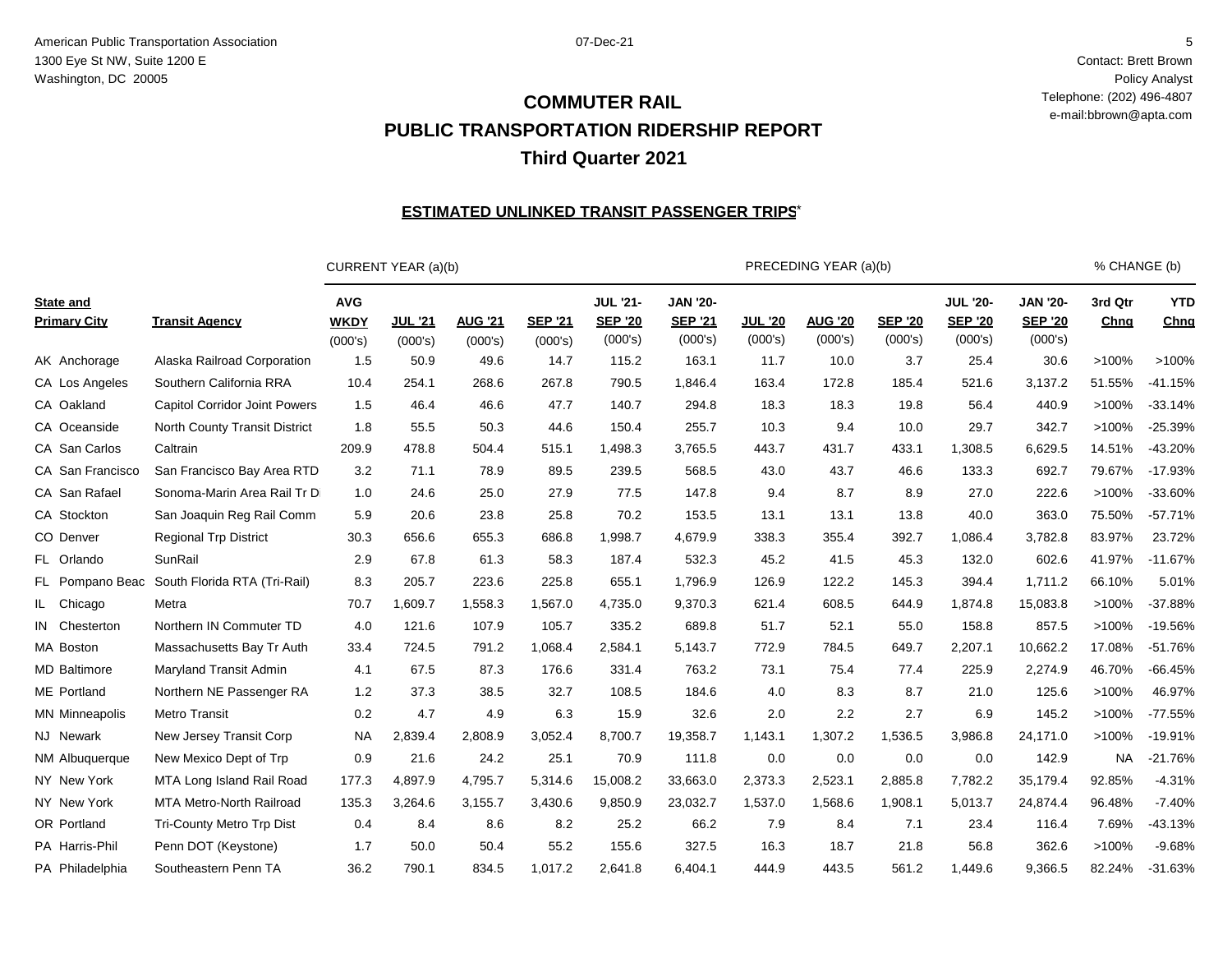Contact: Brett Brown Policy Analyst Telephone: (202) 496-4807 e-mail:bbrown@apta.com

# **PUBLIC TRANSPORTATION RIDERSHIP REPORT Third Quarter 2021 COMMUTER RAIL**

#### <u>ESTIMATED UNLINKED TRANSIT PASSENGER TRIPS $^{\star}$ </u>

|                                         |                                      |                                      | CURRENT YEAR (a)(b)       |                           |                           |                                              |                                              |                           | PRECEDING YEAR (a)(b)     |                           |                                              |                                              | % CHANGE (b)    |                    |
|-----------------------------------------|--------------------------------------|--------------------------------------|---------------------------|---------------------------|---------------------------|----------------------------------------------|----------------------------------------------|---------------------------|---------------------------|---------------------------|----------------------------------------------|----------------------------------------------|-----------------|--------------------|
| <b>State and</b><br><b>Primary City</b> | <b>Transit Agency</b>                | <b>AVG</b><br><b>WKDY</b><br>(000's) | <b>JUL '21</b><br>(000's) | <b>AUG '21</b><br>(000's) | <b>SEP '21</b><br>(000's) | <b>JUL '21-</b><br><b>SEP '20</b><br>(000's) | <b>JAN '20-</b><br><b>SEP '21</b><br>(000's) | <b>JUL '20</b><br>(000's) | <b>AUG '20</b><br>(000's) | <b>SEP '20</b><br>(000's) | <b>JUL '20-</b><br><b>SEP '20</b><br>(000's) | <b>JAN '20-</b><br><b>SEP '20</b><br>(000's) | 3rd Qtr<br>Chng | <b>YTD</b><br>Chng |
| AK Anchorage                            | Alaska Railroad Corporation          | 1.5                                  | 50.9                      | 49.6                      | 14.7                      | 115.2                                        | 163.1                                        | 11.7                      | 10.0                      | 3.7                       | 25.4                                         | 30.6                                         | >100%           | >100%              |
| CA Los Angeles                          | Southern California RRA              | 10.4                                 | 254.1                     | 268.6                     | 267.8                     | 790.5                                        | 1,846.4                                      | 163.4                     | 172.8                     | 185.4                     | 521.6                                        | 3,137.2                                      | 51.55%          | $-41.15%$          |
| CA Oakland                              | <b>Capitol Corridor Joint Powers</b> | 1.5                                  | 46.4                      | 46.6                      | 47.7                      | 140.7                                        | 294.8                                        | 18.3                      | 18.3                      | 19.8                      | 56.4                                         | 440.9                                        | >100%           | $-33.14%$          |
| CA Oceanside                            | North County Transit District        | 1.8                                  | 55.5                      | 50.3                      | 44.6                      | 150.4                                        | 255.7                                        | 10.3                      | 9.4                       | 10.0                      | 29.7                                         | 342.7                                        | >100%           | $-25.39%$          |
| CA San Carlos                           | Caltrain                             | 209.9                                | 478.8                     | 504.4                     | 515.1                     | 1,498.3                                      | 3,765.5                                      | 443.7                     | 431.7                     | 433.1                     | 1,308.5                                      | 6,629.5                                      | 14.51%          | $-43.20%$          |
| CA San Francisco                        | San Francisco Bay Area RTD           | 3.2                                  | 71.1                      | 78.9                      | 89.5                      | 239.5                                        | 568.5                                        | 43.0                      | 43.7                      | 46.6                      | 133.3                                        | 692.7                                        | 79.67%          | $-17.93%$          |
| CA San Rafael                           | Sonoma-Marin Area Rail Tr Di         | 1.0                                  | 24.6                      | 25.0                      | 27.9                      | 77.5                                         | 147.8                                        | 9.4                       | 8.7                       | 8.9                       | 27.0                                         | 222.6                                        | >100%           | $-33.60%$          |
| CA Stockton                             | San Joaquin Reg Rail Comm            | 5.9                                  | 20.6                      | 23.8                      | 25.8                      | 70.2                                         | 153.5                                        | 13.1                      | 13.1                      | 13.8                      | 40.0                                         | 363.0                                        | 75.50%          | $-57.71%$          |
| CO Denver                               | <b>Regional Trp District</b>         | 30.3                                 | 656.6                     | 655.3                     | 686.8                     | 1,998.7                                      | 4,679.9                                      | 338.3                     | 355.4                     | 392.7                     | 1,086.4                                      | 3,782.8                                      | 83.97%          | 23.72%             |
| FL Orlando                              | SunRail                              | 2.9                                  | 67.8                      | 61.3                      | 58.3                      | 187.4                                        | 532.3                                        | 45.2                      | 41.5                      | 45.3                      | 132.0                                        | 602.6                                        | 41.97%          | $-11.67%$          |
| FL Pompano Beac                         | South Florida RTA (Tri-Rail)         | 8.3                                  | 205.7                     | 223.6                     | 225.8                     | 655.1                                        | 1,796.9                                      | 126.9                     | 122.2                     | 145.3                     | 394.4                                        | 1,711.2                                      | 66.10%          | 5.01%              |
| IL Chicago                              | Metra                                | 70.7                                 | 1,609.7                   | 1,558.3                   | 1,567.0                   | 4,735.0                                      | 9,370.3                                      | 621.4                     | 608.5                     | 644.9                     | 1,874.8                                      | 15,083.8                                     | >100%           | $-37.88%$          |
| IN Chesterton                           | Northern IN Commuter TD              | 4.0                                  | 121.6                     | 107.9                     | 105.7                     | 335.2                                        | 689.8                                        | 51.7                      | 52.1                      | 55.0                      | 158.8                                        | 857.5                                        | >100%           | $-19.56%$          |
| MA Boston                               | Massachusetts Bay Tr Auth            | 33.4                                 | 724.5                     | 791.2                     | 1,068.4                   | 2,584.1                                      | 5,143.7                                      | 772.9                     | 784.5                     | 649.7                     | 2,207.1                                      | 10,662.2                                     | 17.08%          | $-51.76%$          |
| <b>MD</b> Baltimore                     | Maryland Transit Admin               | 4.1                                  | 67.5                      | 87.3                      | 176.6                     | 331.4                                        | 763.2                                        | 73.1                      | 75.4                      | 77.4                      | 225.9                                        | 2,274.9                                      | 46.70%          | $-66.45%$          |
| ME Portland                             | Northern NE Passenger RA             | 1.2                                  | 37.3                      | 38.5                      | 32.7                      | 108.5                                        | 184.6                                        | 4.0                       | 8.3                       | 8.7                       | 21.0                                         | 125.6                                        | >100%           | 46.97%             |
| <b>MN Minneapolis</b>                   | <b>Metro Transit</b>                 | 0.2                                  | 4.7                       | 4.9                       | 6.3                       | 15.9                                         | 32.6                                         | 2.0                       | 2.2                       | 2.7                       | 6.9                                          | 145.2                                        | >100%           | $-77.55%$          |
| NJ Newark                               | New Jersey Transit Corp              | <b>NA</b>                            | 2,839.4                   | 2,808.9                   | 3,052.4                   | 8,700.7                                      | 19,358.7                                     | 1,143.1                   | 1,307.2                   | 1,536.5                   | 3,986.8                                      | 24,171.0                                     | >100%           | $-19.91%$          |
| NM Albuquerque                          | New Mexico Dept of Trp               | 0.9                                  | 21.6                      | 24.2                      | 25.1                      | 70.9                                         | 111.8                                        | 0.0                       | 0.0                       | 0.0                       | 0.0                                          | 142.9                                        | <b>NA</b>       | $-21.76%$          |
| NY New York                             | MTA Long Island Rail Road            | 177.3                                | 4,897.9                   | 4,795.7                   | 5,314.6                   | 15,008.2                                     | 33,663.0                                     | 2,373.3                   | 2,523.1                   | 2,885.8                   | 7,782.2                                      | 35,179.4                                     | 92.85%          | $-4.31%$           |
| NY New York                             | MTA Metro-North Railroad             | 135.3                                | 3,264.6                   | 3,155.7                   | 3,430.6                   | 9,850.9                                      | 23,032.7                                     | 1,537.0                   | 1,568.6                   | 1,908.1                   | 5,013.7                                      | 24,874.4                                     | 96.48%          | $-7.40%$           |
| OR Portland                             | <b>Tri-County Metro Trp Dist</b>     | 0.4                                  | 8.4                       | 8.6                       | 8.2                       | 25.2                                         | 66.2                                         | 7.9                       | 8.4                       | 7.1                       | 23.4                                         | 116.4                                        | 7.69%           | $-43.13%$          |
| PA Harris-Phil                          | Penn DOT (Keystone)                  | 1.7                                  | 50.0                      | 50.4                      | 55.2                      | 155.6                                        | 327.5                                        | 16.3                      | 18.7                      | 21.8                      | 56.8                                         | 362.6                                        | >100%           | $-9.68%$           |
| PA Philadelphia                         | Southeastern Penn TA                 | 36.2                                 | 790.1                     | 834.5                     | 1,017.2                   | 2,641.8                                      | 6.404.1                                      | 444.9                     | 443.5                     | 561.2                     | 1,449.6                                      | 9,366.5                                      | 82.24%          | $-31.63%$          |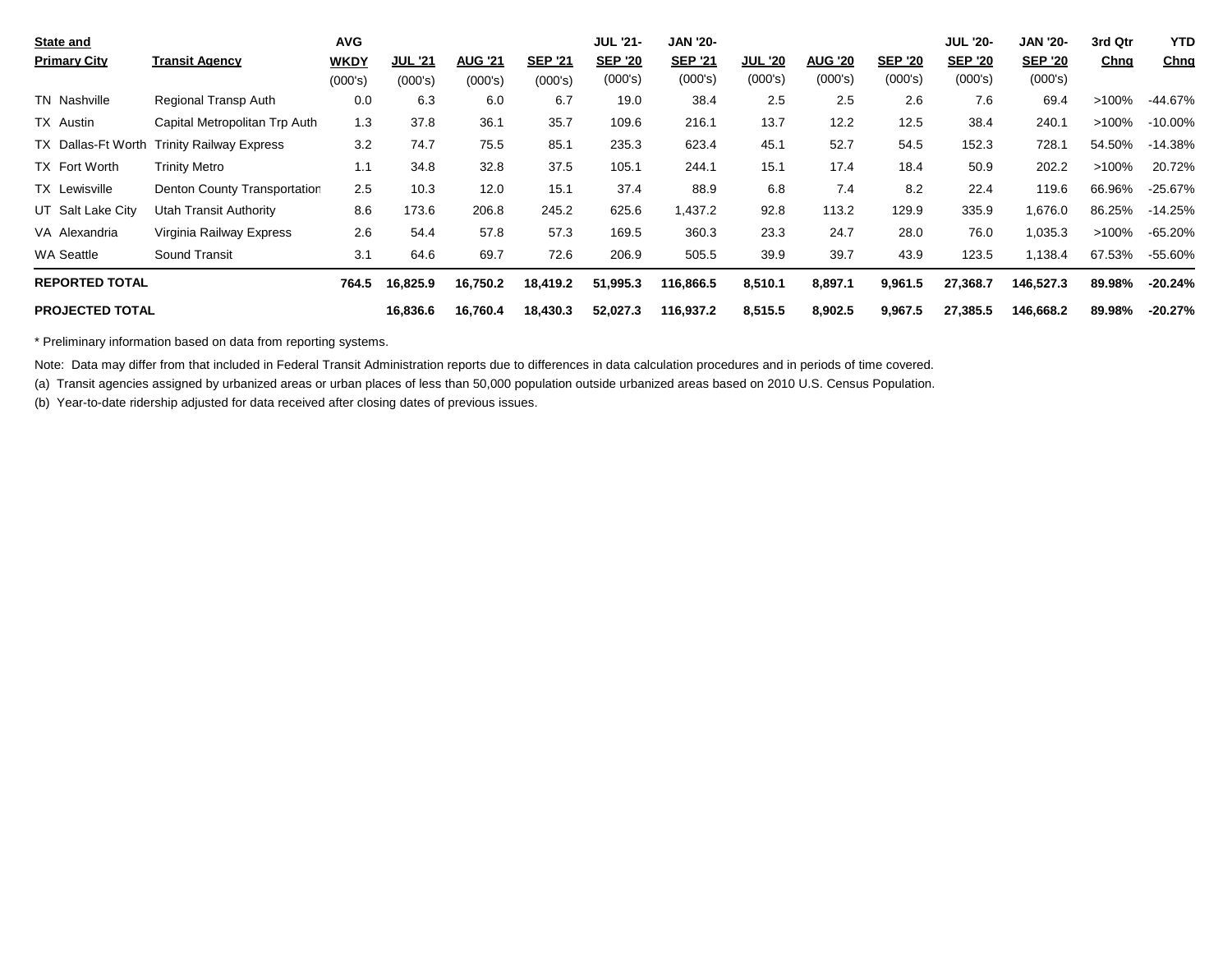| <b>State and</b>       |                                            | <b>AVG</b>  |                |                |                | <b>JUL '21-</b> | <b>JAN '20-</b> |                |                |                | <b>JUL '20-</b> | <b>JAN '20-</b> | 3rd Qtr     | <b>YTD</b> |
|------------------------|--------------------------------------------|-------------|----------------|----------------|----------------|-----------------|-----------------|----------------|----------------|----------------|-----------------|-----------------|-------------|------------|
| <b>Primary City</b>    | <b>Transit Agency</b>                      | <b>WKDY</b> | <b>JUL '21</b> | <b>AUG '21</b> | <b>SEP '21</b> | <b>SEP '20</b>  | <b>SEP '21</b>  | <b>JUL '20</b> | <b>AUG '20</b> | <b>SEP '20</b> | <b>SEP '20</b>  | <b>SEP '20</b>  | <u>Chng</u> | Chng       |
|                        |                                            | (000's)     | (000's)        | (000's)        | (000's)        | (000's)         | (000's)         | (000's)        | (000's)        | (000's)        | (000's)         | (000's)         |             |            |
| TN Nashville           | Regional Transp Auth                       | 0.0         | 6.3            | 6.0            | 6.7            | 19.0            | 38.4            | 2.5            | 2.5            | 2.6            | 7.6             | 69.4            | >100%       | $-44.67%$  |
| TX Austin              | Capital Metropolitan Trp Auth              | 1.3         | 37.8           | 36.1           | 35.7           | 109.6           | 216.1           | 13.7           | 12.2           | 12.5           | 38.4            | 240.1           | >100%       | $-10.00\%$ |
|                        | TX Dallas-Ft Worth Trinity Railway Express | 3.2         | 74.7           | 75.5           | 85.1           | 235.3           | 623.4           | 45.1           | 52.7           | 54.5           | 152.3           | 728.1           | 54.50%      | $-14.38%$  |
| TX Fort Worth          | <b>Trinity Metro</b>                       | 1.1         | 34.8           | 32.8           | 37.5           | 105.1           | 244.1           | 15.1           | 17.4           | 18.4           | 50.9            | 202.2           | $>100\%$    | 20.72%     |
| TX Lewisville          | Denton County Transportation               | 2.5         | 10.3           | 12.0           | 15.1           | 37.4            | 88.9            | 6.8            | 7.4            | 8.2            | 22.4            | 119.6           | 66.96%      | $-25.67%$  |
| UT Salt Lake City      | Utah Transit Authority                     | 8.6         | 173.6          | 206.8          | 245.2          | 625.6           | 1,437.2         | 92.8           | 113.2          | 129.9          | 335.9           | 1,676.0         | 86.25%      | $-14.25%$  |
| VA Alexandria          | Virginia Railway Express                   | 2.6         | 54.4           | 57.8           | 57.3           | 169.5           | 360.3           | 23.3           | 24.7           | 28.0           | 76.0            | 1,035.3         | >100%       | -65.20%    |
| <b>WA Seattle</b>      | Sound Transit                              | 3.1         | 64.6           | 69.7           | 72.6           | 206.9           | 505.5           | 39.9           | 39.7           | 43.9           | 123.5           | 1,138.4         | 67.53%      | -55.60%    |
| <b>REPORTED TOTAL</b>  |                                            | 764.5       | 16,825.9       | 16,750.2       | 18,419.2       | 51,995.3        | 116.866.5       | 8,510.1        | 8,897.1        | 9,961.5        | 27,368.7        | 146,527.3       | 89.98%      | $-20.24%$  |
| <b>PROJECTED TOTAL</b> |                                            |             | 16,836.6       | 16,760.4       | 18,430.3       | 52,027.3        | 116,937.2       | 8,515.5        | 8,902.5        | 9,967.5        | 27,385.5        | 146,668.2       | 89.98%      | $-20.27%$  |

\* Preliminary information based on data from reporting systems.

Note: Data may differ from that included in Federal Transit Administration reports due to differences in data calculation procedures and in periods of time covered.

(a) Transit agencies assigned by urbanized areas or urban places of less than 50,000 population outside urbanized areas based on 2010 U.S. Census Population.

(b) Year-to-date ridership adjusted for data received after closing dates of previous issues.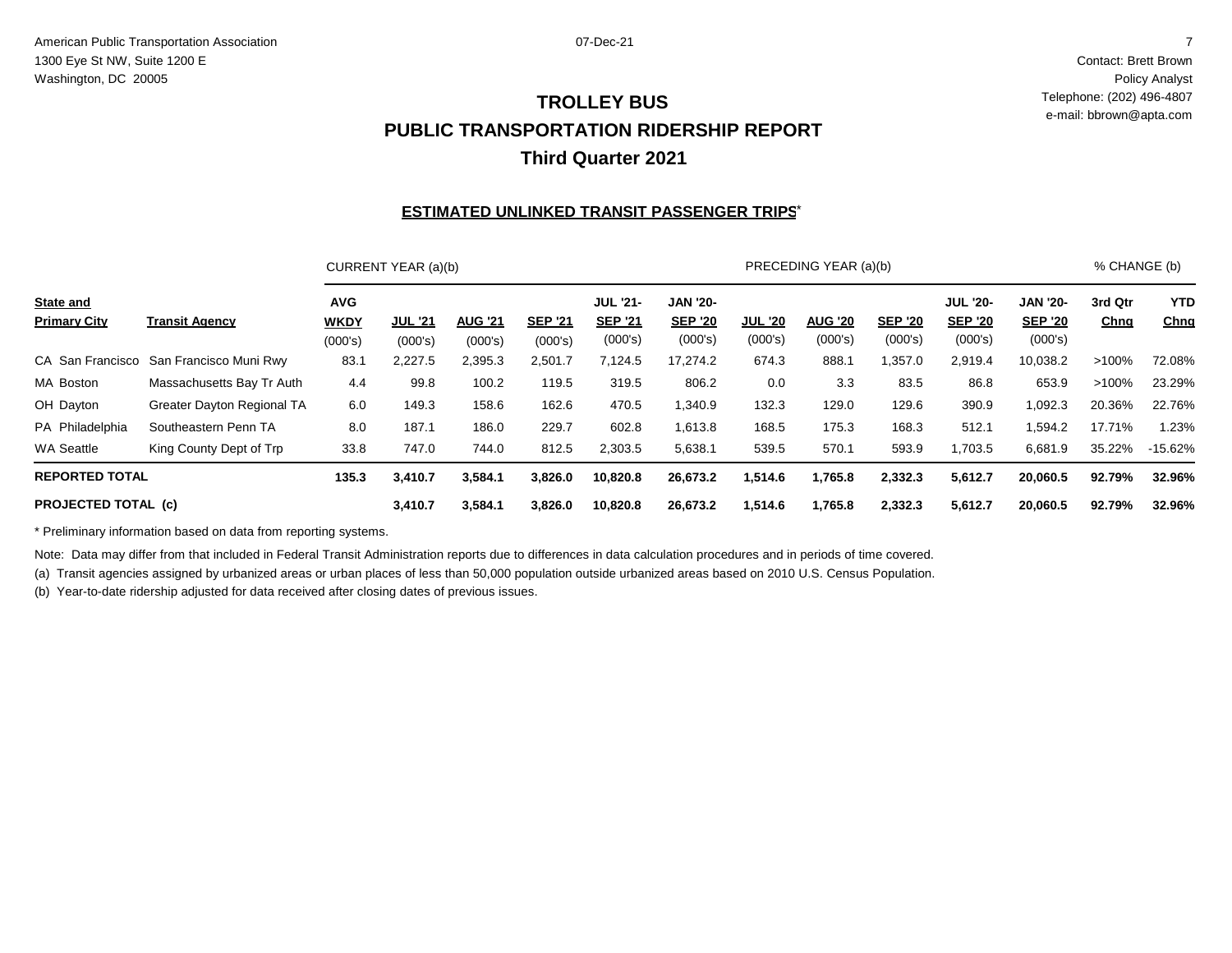Contact: Brett Brown Policy Analyst Telephone: (202) 496-4807 e-mail: bbrown@apta.com

## **PUBLIC TRANSPORTATION RIDERSHIP REPORT Third Quarter 2021 TROLLEY BUS**

#### <u>ESTIMATED UNLINKED TRANSIT PASSENGER TRIPS $^{\star}$ </u>

|                                         |                                         |                                      | CURRENT YEAR (a)(b)       |                           |                           |                                              |                                              |                           | PRECEDING YEAR (a)(b)     |                           |                                              |                                              | % CHANGE (b)           |                           |
|-----------------------------------------|-----------------------------------------|--------------------------------------|---------------------------|---------------------------|---------------------------|----------------------------------------------|----------------------------------------------|---------------------------|---------------------------|---------------------------|----------------------------------------------|----------------------------------------------|------------------------|---------------------------|
| <b>State and</b><br><b>Primary City</b> | <b>Transit Agency</b>                   | <b>AVG</b><br><b>WKDY</b><br>(000's) | <b>JUL '21</b><br>(000's) | <b>AUG '21</b><br>(000's) | <b>SEP '21</b><br>(000's) | <b>JUL '21-</b><br><b>SEP '21</b><br>(000's) | <b>JAN '20-</b><br><b>SEP '20</b><br>(000's) | <b>JUL '20</b><br>(000's) | <b>AUG '20</b><br>(000's) | <b>SEP '20</b><br>(000's) | <b>JUL '20-</b><br><b>SEP '20</b><br>(000's) | <b>JAN '20-</b><br><b>SEP '20</b><br>(000's) | 3rd Qtr<br><b>Chng</b> | <b>YTD</b><br><b>Chng</b> |
|                                         | CA San Francisco San Francisco Muni Rwy | 83.1                                 | 2,227.5                   | 2,395.3                   | 2,501.7                   | 7,124.5                                      | 17,274.2                                     | 674.3                     | 888.1                     | ,357.0                    | 2,919.4                                      | 10,038.2                                     | $>100\%$               | 72.08%                    |
| MA Boston                               | Massachusetts Bay Tr Auth               | 4.4                                  | 99.8                      | 100.2                     | 119.5                     | 319.5                                        | 806.2                                        | 0.0                       | 3.3                       | 83.5                      | 86.8                                         | 653.9                                        | >100%                  | 23.29%                    |
| OH Dayton                               | <b>Greater Dayton Regional TA</b>       | 6.0                                  | 149.3                     | 158.6                     | 162.6                     | 470.5                                        | 1,340.9                                      | 132.3                     | 129.0                     | 129.6                     | 390.9                                        | 1,092.3                                      | 20.36%                 | 22.76%                    |
| PA Philadelphia                         | Southeastern Penn TA                    | 8.0                                  | 187.1                     | 186.0                     | 229.7                     | 602.8                                        | 1,613.8                                      | 168.5                     | 175.3                     | 168.3                     | 512.1                                        | 1,594.2                                      | 17.71%                 | 1.23%                     |
| <b>WA Seattle</b>                       | King County Dept of Trp                 | 33.8                                 | 747.0                     | 744.0                     | 812.5                     | 2,303.5                                      | 5,638.1                                      | 539.5                     | 570.1                     | 593.9                     | 1,703.5                                      | 6,681.9                                      | 35.22%                 | -15.62%                   |
| <b>REPORTED TOTAL</b>                   |                                         | 135.3                                | 3,410.7                   | 3,584.1                   | 3,826.0                   | 10,820.8                                     | 26,673.2                                     | 1,514.6                   | 1,765.8                   | 2,332.3                   | 5,612.7                                      | 20,060.5                                     | 92.79%                 | 32.96%                    |
| <b>PROJECTED TOTAL (c)</b>              |                                         |                                      | 3,410.7                   | 3,584.1                   | 3,826.0                   | 10,820.8                                     | 26,673.2                                     | 1,514.6                   | 1,765.8                   | 2,332.3                   | 5,612.7                                      | 20,060.5                                     | 92.79%                 | 32.96%                    |

\* Preliminary information based on data from reporting systems.

Note: Data may differ from that included in Federal Transit Administration reports due to differences in data calculation procedures and in periods of time covered.

(a) Transit agencies assigned by urbanized areas or urban places of less than 50,000 population outside urbanized areas based on 2010 U.S. Census Population.

(b) Year-to-date ridership adjusted for data received after closing dates of previous issues.

7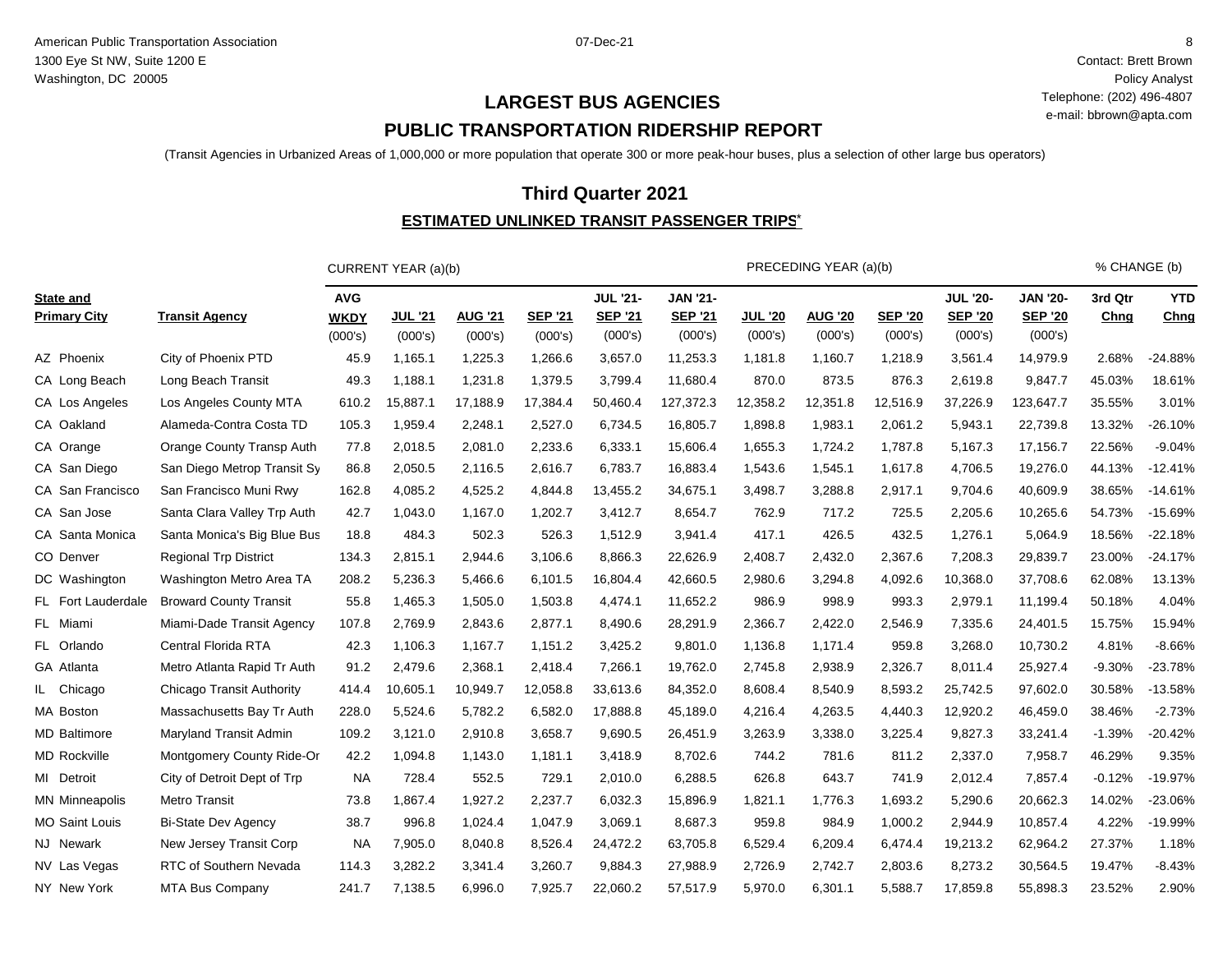Contact: Brett Brown Policy Analyst Telephone: (202) 496-4807 e-mail: bbrown@apta.com

# **PUBLIC TRANSPORTATION RIDERSHIP REPORT LARGEST BUS AGENCIES**

(Transit Agencies in Urbanized Areas of 1,000,000 or more population that operate 300 or more peak-hour buses, plus a selection of other large bus operators)

## **Third Quarter 2021**

#### <u>ESTIMATED UNLINKED TRANSIT PASSENGER TRIPS $^{\star}$ </u>

|                                         |                                  |                                      | CURRENT YEAR (a)(b)       |                           |                           |                                              |                                              |                           | PRECEDING YEAR (a)(b)     |                           |                                              |                                              | % CHANGE (b)    |                    |
|-----------------------------------------|----------------------------------|--------------------------------------|---------------------------|---------------------------|---------------------------|----------------------------------------------|----------------------------------------------|---------------------------|---------------------------|---------------------------|----------------------------------------------|----------------------------------------------|-----------------|--------------------|
| <b>State and</b><br><b>Primary City</b> | <b>Transit Agency</b>            | <b>AVG</b><br><b>WKDY</b><br>(000's) | <b>JUL '21</b><br>(000's) | <b>AUG '21</b><br>(000's) | <b>SEP '21</b><br>(000's) | <b>JUL '21-</b><br><b>SEP '21</b><br>(000's) | <b>JAN '21-</b><br><b>SEP '21</b><br>(000's) | <b>JUL '20</b><br>(000's) | <b>AUG '20</b><br>(000's) | <b>SEP '20</b><br>(000's) | <b>JUL '20-</b><br><b>SEP '20</b><br>(000's) | <b>JAN '20-</b><br><b>SEP '20</b><br>(000's) | 3rd Qtr<br>Chng | <b>YTD</b><br>Chng |
| AZ Phoenix                              | City of Phoenix PTD              | 45.9                                 | 1,165.1                   | 1,225.3                   | 1,266.6                   | 3,657.0                                      | 11,253.3                                     | 1,181.8                   | 1,160.7                   | 1,218.9                   | 3,561.4                                      | 14,979.9                                     | 2.68%           | $-24.88%$          |
| CA Long Beach                           | Long Beach Transit               | 49.3                                 | 1,188.1                   | 1,231.8                   | 1,379.5                   | 3,799.4                                      | 11,680.4                                     | 870.0                     | 873.5                     | 876.3                     | 2,619.8                                      | 9,847.7                                      | 45.03%          | 18.61%             |
| CA Los Angeles                          | Los Angeles County MTA           | 610.2                                | 15,887.1                  | 17,188.9                  | 17,384.4                  | 50,460.4                                     | 127,372.3                                    | 12,358.2                  | 12,351.8                  | 12,516.9                  | 37,226.9                                     | 123,647.7                                    | 35.55%          | 3.01%              |
| CA Oakland                              | Alameda-Contra Costa TD          | 105.3                                | 1,959.4                   | 2,248.1                   | 2,527.0                   | 6,734.5                                      | 16,805.7                                     | 1,898.8                   | 1,983.1                   | 2,061.2                   | 5,943.1                                      | 22,739.8                                     | 13.32%          | -26.10%            |
| CA Orange                               | Orange County Transp Auth        | 77.8                                 | 2,018.5                   | 2,081.0                   | 2,233.6                   | 6,333.1                                      | 15,606.4                                     | 1,655.3                   | 1,724.2                   | 1,787.8                   | 5,167.3                                      | 17,156.7                                     | 22.56%          | $-9.04%$           |
| CA San Diego                            | San Diego Metrop Transit Sy      | 86.8                                 | 2,050.5                   | 2,116.5                   | 2,616.7                   | 6,783.7                                      | 16,883.4                                     | 1,543.6                   | 1,545.1                   | 1,617.8                   | 4,706.5                                      | 19,276.0                                     | 44.13%          | $-12.41%$          |
| CA San Francisco                        | San Francisco Muni Rwy           | 162.8                                | 4,085.2                   | 4,525.2                   | 4,844.8                   | 13,455.2                                     | 34,675.1                                     | 3,498.7                   | 3,288.8                   | 2,917.1                   | 9,704.6                                      | 40,609.9                                     | 38.65%          | $-14.61%$          |
| CA San Jose                             | Santa Clara Valley Trp Auth      | 42.7                                 | 1,043.0                   | 1,167.0                   | 1,202.7                   | 3,412.7                                      | 8,654.7                                      | 762.9                     | 717.2                     | 725.5                     | 2,205.6                                      | 10,265.6                                     | 54.73%          | $-15.69%$          |
| CA Santa Monica                         | Santa Monica's Big Blue Bus      | 18.8                                 | 484.3                     | 502.3                     | 526.3                     | 1,512.9                                      | 3,941.4                                      | 417.1                     | 426.5                     | 432.5                     | 1,276.1                                      | 5,064.9                                      | 18.56%          | $-22.18%$          |
| CO Denver                               | <b>Regional Trp District</b>     | 134.3                                | 2,815.1                   | 2,944.6                   | 3,106.6                   | 8,866.3                                      | 22,626.9                                     | 2,408.7                   | 2,432.0                   | 2,367.6                   | 7,208.3                                      | 29,839.7                                     | 23.00%          | $-24.17%$          |
| DC Washington                           | Washington Metro Area TA         | 208.2                                | 5,236.3                   | 5,466.6                   | 6,101.5                   | 16,804.4                                     | 42,660.5                                     | 2,980.6                   | 3,294.8                   | 4,092.6                   | 10,368.0                                     | 37,708.6                                     | 62.08%          | 13.13%             |
| FL Fort Lauderdale                      | <b>Broward County Transit</b>    | 55.8                                 | 1,465.3                   | 1,505.0                   | 1,503.8                   | 4,474.1                                      | 11,652.2                                     | 986.9                     | 998.9                     | 993.3                     | 2,979.1                                      | 11,199.4                                     | 50.18%          | 4.04%              |
| FL Miami                                | Miami-Dade Transit Agency        | 107.8                                | 2,769.9                   | 2,843.6                   | 2,877.1                   | 8,490.6                                      | 28,291.9                                     | 2,366.7                   | 2,422.0                   | 2,546.9                   | 7,335.6                                      | 24,401.5                                     | 15.75%          | 15.94%             |
| FL Orlando                              | Central Florida RTA              | 42.3                                 | 1,106.3                   | 1,167.7                   | 1,151.2                   | 3,425.2                                      | 9,801.0                                      | 1,136.8                   | 1,171.4                   | 959.8                     | 3,268.0                                      | 10,730.2                                     | 4.81%           | $-8.66%$           |
| GA Atlanta                              | Metro Atlanta Rapid Tr Auth      | 91.2                                 | 2,479.6                   | 2,368.1                   | 2,418.4                   | 7,266.1                                      | 19,762.0                                     | 2,745.8                   | 2,938.9                   | 2,326.7                   | 8,011.4                                      | 25,927.4                                     | $-9.30%$        | $-23.78%$          |
| IL Chicago                              | <b>Chicago Transit Authority</b> | 414.4                                | 10,605.1                  | 10,949.7                  | 12,058.8                  | 33,613.6                                     | 84,352.0                                     | 8,608.4                   | 8,540.9                   | 8,593.2                   | 25,742.5                                     | 97,602.0                                     | 30.58%          | $-13.58%$          |
| MA Boston                               | Massachusetts Bay Tr Auth        | 228.0                                | 5,524.6                   | 5,782.2                   | 6,582.0                   | 17,888.8                                     | 45,189.0                                     | 4,216.4                   | 4,263.5                   | 4,440.3                   | 12,920.2                                     | 46,459.0                                     | 38.46%          | $-2.73%$           |
| <b>MD</b> Baltimore                     | Maryland Transit Admin           | 109.2                                | 3,121.0                   | 2,910.8                   | 3,658.7                   | 9,690.5                                      | 26,451.9                                     | 3,263.9                   | 3,338.0                   | 3,225.4                   | 9,827.3                                      | 33,241.4                                     | $-1.39%$        | $-20.42%$          |
| <b>MD</b> Rockville                     | Montgomery County Ride-Or        | 42.2                                 | 1,094.8                   | 1,143.0                   | 1,181.1                   | 3,418.9                                      | 8,702.6                                      | 744.2                     | 781.6                     | 811.2                     | 2,337.0                                      | 7,958.7                                      | 46.29%          | 9.35%              |
| MI Detroit                              | City of Detroit Dept of Trp      | <b>NA</b>                            | 728.4                     | 552.5                     | 729.1                     | 2,010.0                                      | 6,288.5                                      | 626.8                     | 643.7                     | 741.9                     | 2,012.4                                      | 7,857.4                                      | $-0.12%$        | $-19.97%$          |
| <b>MN Minneapolis</b>                   | <b>Metro Transit</b>             | 73.8                                 | 1,867.4                   | 1,927.2                   | 2,237.7                   | 6,032.3                                      | 15,896.9                                     | 1,821.1                   | 1,776.3                   | 1,693.2                   | 5,290.6                                      | 20,662.3                                     | 14.02%          | $-23.06%$          |
| MO Saint Louis                          | <b>Bi-State Dev Agency</b>       | 38.7                                 | 996.8                     | 1,024.4                   | 1,047.9                   | 3,069.1                                      | 8,687.3                                      | 959.8                     | 984.9                     | 1,000.2                   | 2,944.9                                      | 10,857.4                                     | 4.22%           | -19.99%            |
| NJ Newark                               | New Jersey Transit Corp          | <b>NA</b>                            | 7,905.0                   | 8,040.8                   | 8,526.4                   | 24,472.2                                     | 63,705.8                                     | 6,529.4                   | 6,209.4                   | 6,474.4                   | 19,213.2                                     | 62,964.2                                     | 27.37%          | 1.18%              |
| NV Las Vegas                            | RTC of Southern Nevada           | 114.3                                | 3,282.2                   | 3,341.4                   | 3,260.7                   | 9,884.3                                      | 27,988.9                                     | 2,726.9                   | 2,742.7                   | 2,803.6                   | 8,273.2                                      | 30,564.5                                     | 19.47%          | $-8.43%$           |
| NY New York                             | <b>MTA Bus Company</b>           | 241.7                                | 7,138.5                   | 6,996.0                   | 7,925.7                   | 22,060.2                                     | 57,517.9                                     | 5,970.0                   | 6,301.1                   | 5,588.7                   | 17,859.8                                     | 55,898.3                                     | 23.52%          | 2.90%              |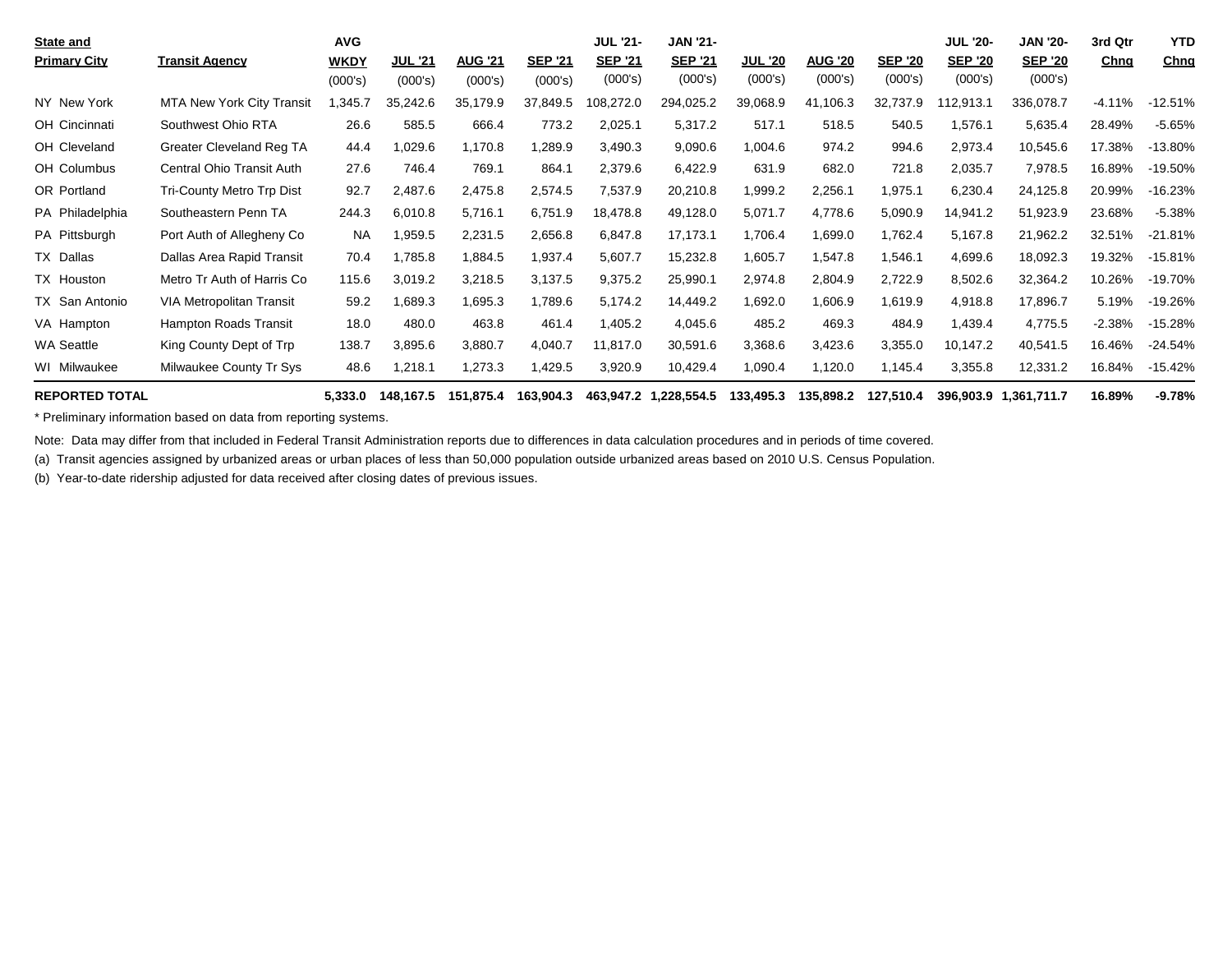| State and             |                                  | <b>AVG</b>  |                |                |                | <b>JUL '21-</b> | <b>JAN '21-</b>                   |                |                |                | <b>JUL '20-</b> | <b>JAN '20-</b>       | 3rd Qtr     | <b>YTD</b>  |
|-----------------------|----------------------------------|-------------|----------------|----------------|----------------|-----------------|-----------------------------------|----------------|----------------|----------------|-----------------|-----------------------|-------------|-------------|
| <b>Primary City</b>   | <b>Transit Agency</b>            | <b>WKDY</b> | <b>JUL '21</b> | <b>AUG '21</b> | <b>SEP '21</b> | <b>SEP '21</b>  | <b>SEP '21</b>                    | <u>JUL '20</u> | <b>AUG '20</b> | <b>SEP '20</b> | <b>SEP '20</b>  | <b>SEP '20</b>        | <u>Chng</u> | <u>Chng</u> |
|                       |                                  | (000's)     | (000's)        | (000's)        | (000's)        | (000's)         | (000's)                           | (000's)        | (000's)        | (000's)        | (000's)         | (000's)               |             |             |
| NY New York           | <b>MTA New York City Transit</b> | ,345.7      | 35,242.6       | 35,179.9       | 37,849.5       | 108,272.0       | 294,025.2                         | 39,068.9       | 41,106.3       | 32,737.9       | 12,913.1        | 336,078.7             | $-4.11%$    | $-12.51%$   |
| OH Cincinnati         | Southwest Ohio RTA               | 26.6        | 585.5          | 666.4          | 773.2          | 2,025.1         | 5,317.2                           | 517.1          | 518.5          | 540.5          | 1,576.1         | 5,635.4               | 28.49%      | $-5.65%$    |
| OH Cleveland          | Greater Cleveland Reg TA         | 44.4        | 1,029.6        | 1,170.8        | 1,289.9        | 3,490.3         | 9,090.6                           | 1,004.6        | 974.2          | 994.6          | 2,973.4         | 10,545.6              | 17.38%      | $-13.80%$   |
| OH Columbus           | Central Ohio Transit Auth        | 27.6        | 746.4          | 769.1          | 864.1          | 2,379.6         | 6,422.9                           | 631.9          | 682.0          | 721.8          | 2,035.7         | 7,978.5               | 16.89%      | $-19.50%$   |
| OR Portland           | Tri-County Metro Trp Dist        | 92.7        | 2,487.6        | 2,475.8        | 2,574.5        | 7,537.9         | 20,210.8                          | 1,999.2        | 2,256.1        | 1,975.1        | 6,230.4         | 24,125.8              | 20.99%      | $-16.23%$   |
| PA Philadelphia       | Southeastern Penn TA             | 244.3       | 6,010.8        | 5,716.1        | 6,751.9        | 18,478.8        | 49,128.0                          | 5,071.7        | 4,778.6        | 5,090.9        | 14,941.2        | 51,923.9              | 23.68%      | $-5.38%$    |
| PA Pittsburgh         | Port Auth of Allegheny Co        | <b>NA</b>   | 1,959.5        | 2,231.5        | 2,656.8        | 6,847.8         | 17,173.1                          | 1,706.4        | 1,699.0        | 1,762.4        | 5,167.8         | 21,962.2              | 32.51%      | $-21.81%$   |
| TX Dallas             | Dallas Area Rapid Transit        | 70.4        | 1,785.8        | 1,884.5        | 1,937.4        | 5,607.7         | 15,232.8                          | 1,605.7        | 1,547.8        | 1,546.1        | 4,699.6         | 18,092.3              | 19.32%      | $-15.81%$   |
| TX Houston            | Metro Tr Auth of Harris Co       | 115.6       | 3,019.2        | 3,218.5        | 3,137.5        | 9,375.2         | 25,990.1                          | 2,974.8        | 2,804.9        | 2,722.9        | 8,502.6         | 32,364.2              | 10.26%      | $-19.70%$   |
| TX San Antonio        | <b>VIA Metropolitan Transit</b>  | 59.2        | 1,689.3        | 1,695.3        | 1,789.6        | 5,174.2         | 14,449.2                          | 1,692.0        | 1,606.9        | 1,619.9        | 4,918.8         | 17,896.7              | 5.19%       | -19.26%     |
| VA Hampton            | Hampton Roads Transit            | 18.0        | 480.0          | 463.8          | 461.4          | 1,405.2         | 4,045.6                           | 485.2          | 469.3          | 484.9          | 1,439.4         | 4,775.5               | -2.38%      | $-15.28%$   |
| <b>WA Seattle</b>     | King County Dept of Trp          | 138.7       | 3,895.6        | 3,880.7        | 4,040.7        | 11,817.0        | 30,591.6                          | 3,368.6        | 3,423.6        | 3,355.0        | 10,147.2        | 40,541.5              | 16.46%      | $-24.54%$   |
| WI Milwaukee          | Milwaukee County Tr Sys          | 48.6        | 1,218.1        | 1,273.3        | 1,429.5        | 3,920.9         | 10,429.4                          | 1,090.4        | 1,120.0        | 1,145.4        | 3,355.8         | 12,331.2              | 16.84%      | $-15.42%$   |
| <b>DEDODTED TOTAL</b> |                                  | E 222 A     | 4404C7F        | 4 E 4 0 7 E A  | 10200012       |                 | $AC2$ $0.47$ $2$ $A$ $220$ $EFAE$ | 122 JOE 2      | 125.000.2      | 197 E10 A      |                 | 200 002 0 1 201 711 7 | 10.000/     | 0.700/      |

8.89% REPORTED TOTAL TOTAL 16.89% 9.78% 6.97% 6.92% 6.92% 6.92% 6.92% 6.92% 6.92% 6.92% 6.92% 6.92% 6.92% 6.93% 6.93% 6.92% 6.93% 6.93% 6.93% 6.93% 6.93% 6.93% 6.93% 6.93% 6.93% 6.93% 6.93% 6.93% 6.93% 6.93% 6.93% 6.93% 6.

\* Preliminary information based on data from reporting systems.

Note: Data may differ from that included in Federal Transit Administration reports due to differences in data calculation procedures and in periods of time covered.

(a) Transit agencies assigned by urbanized areas or urban places of less than 50,000 population outside urbanized areas based on 2010 U.S. Census Population.

(b) Year-to-date ridership adjusted for data received after closing dates of previous issues.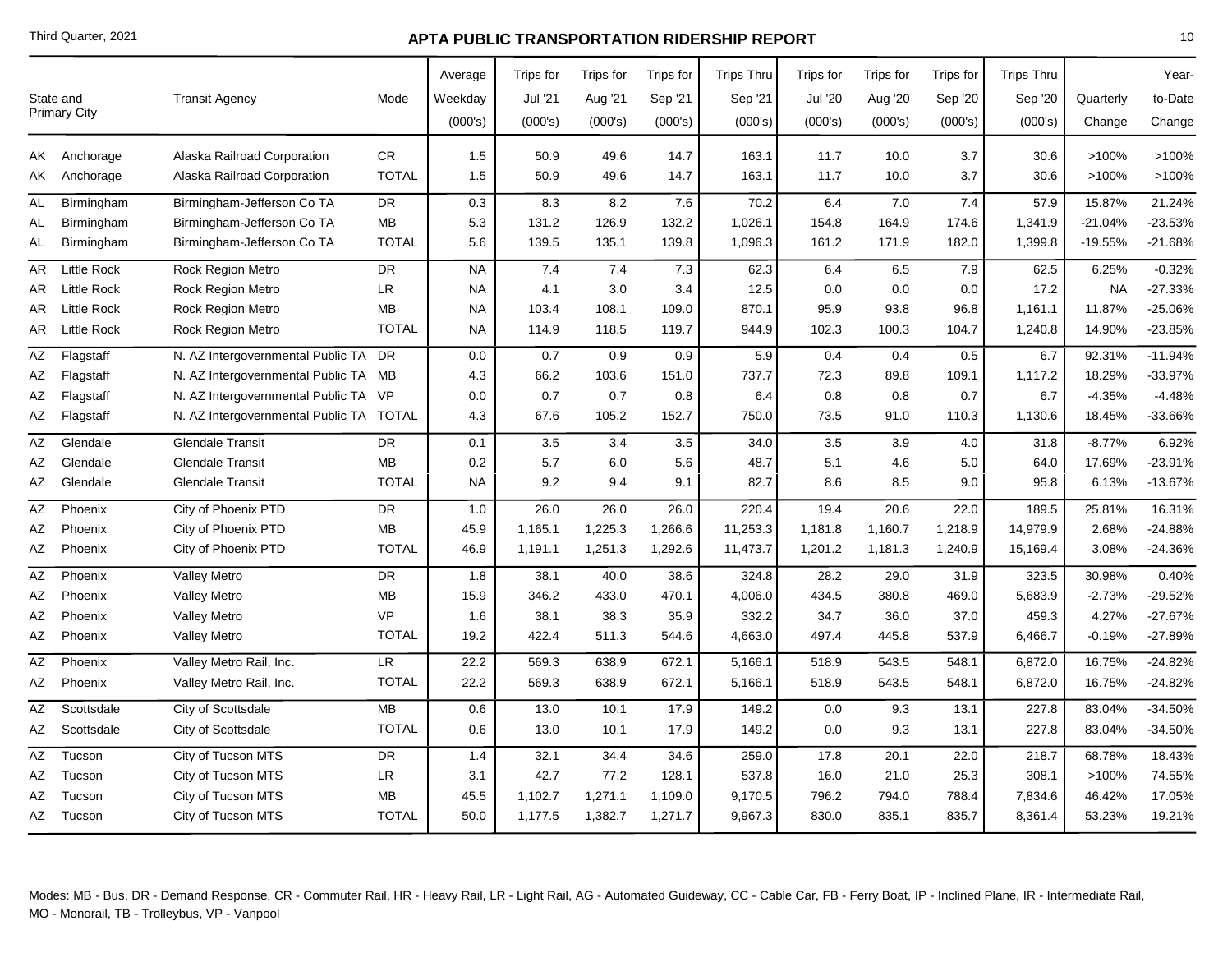|    | State and<br><b>Primary City</b> | <b>Transit Agency</b>                   | Mode         | Average<br>Weekday | Trips for<br>Jul '21 | Trips for<br>Aug '21 | Trips for<br>Sep '21 | <b>Trips Thru</b><br>Sep '21 | Trips for<br><b>Jul '20</b> | <b>Trips</b> for<br>Aug '20 | Trips for<br>Sep '20 | <b>Trips Thru</b><br>Sep '20 | Quarterly | Year-<br>to-Date |
|----|----------------------------------|-----------------------------------------|--------------|--------------------|----------------------|----------------------|----------------------|------------------------------|-----------------------------|-----------------------------|----------------------|------------------------------|-----------|------------------|
|    |                                  |                                         |              | (000's)            | (000's)              | (000's)              | (000's)              | (000's)                      | (000's)                     | (000's)                     | (000's)              | (000's)                      | Change    | Change           |
|    | AK Anchorage                     | Alaska Railroad Corporation             | <b>CR</b>    | 1.5                | 50.9                 | 49.6                 | 14.7                 | 163.1                        | 11.7                        | 10.0                        | 3.7                  | 30.6                         | >100%     | >100%            |
|    | AK Anchorage                     | Alaska Railroad Corporation             | <b>TOTAL</b> | 1.5                | 50.9                 | 49.6                 | 14.7                 | 163.1                        | 11.7                        | 10.0                        | 3.7                  | 30.6                         | >100%     | >100%            |
| AL | Birmingham                       | Birmingham-Jefferson Co TA              | <b>DR</b>    | 0.3                | 8.3                  | 8.2                  | 7.6                  | 70.2                         | 6.4                         | 7.0                         | 7.4                  | 57.9                         | 15.87%    | 21.24%           |
| AL | Birmingham                       | Birmingham-Jefferson Co TA              | MB           | 5.3                | 131.2                | 126.9                | 132.2                | 1,026.1                      | 154.8                       | 164.9                       | 174.6                | 1,341.9                      | -21.04%   | -23.53%          |
| AL | Birmingham                       | Birmingham-Jefferson Co TA              | <b>TOTAL</b> | 5.6                | 139.5                | 135.1                | 139.8                | 1,096.3                      | 161.2                       | 171.9                       | 182.0                | 1,399.8                      | $-19.55%$ | $-21.68%$        |
| AR | <b>Little Rock</b>               | <b>Rock Region Metro</b>                | <b>DR</b>    | <b>NA</b>          | 7.4                  | 7.4                  | 7.3                  | 62.3                         | 6.4                         | 6.5                         | 7.9                  | 62.5                         | 6.25%     | $-0.32%$         |
| AR | <b>Little Rock</b>               | <b>Rock Region Metro</b>                | <b>LR</b>    | <b>NA</b>          | 4.1                  | 3.0                  | 3.4                  | 12.5                         | 0.0                         | 0.0                         | 0.0                  | 17.2                         | <b>NA</b> | $-27.33%$        |
| AR | <b>Little Rock</b>               | <b>Rock Region Metro</b>                | MВ           | <b>NA</b>          | 103.4                | 108.1                | 109.0                | 870.1                        | 95.9                        | 93.8                        | 96.8                 | 1,161.1                      | 11.87%    | -25.06%          |
| AR | <b>Little Rock</b>               | <b>Rock Region Metro</b>                | <b>TOTAL</b> | <b>NA</b>          | 114.9                | 118.5                | 119.7                | 944.9                        | 102.3                       | 100.3                       | 104.7                | 1,240.8                      | 14.90%    | $-23.85%$        |
| AZ | Flagstaff                        | N. AZ Intergovernmental Public TA DR    |              | 0.0                | 0.7                  | 0.9                  | 0.9                  | 5.9                          | 0.4                         | 0.4                         | 0.5                  | 6.7                          | 92.31%    | $-11.94%$        |
| ΑZ | Flagstaff                        | N. AZ Intergovernmental Public TA MB    |              | 4.3                | 66.2                 | 103.6                | 151.0                | 737.7                        | 72.3                        | 89.8                        | 109.1                | 1,117.2                      | 18.29%    | -33.97%          |
| AΖ | Flagstaff                        | N. AZ Intergovernmental Public TA VP    |              | 0.0                | 0.7                  | 0.7                  | 0.8                  | 6.4                          | 0.8                         | 0.8                         | 0.7                  | 6.7                          | $-4.35%$  | $-4.48%$         |
| AΖ | Flagstaff                        | N. AZ Intergovernmental Public TA TOTAL |              | 4.3                | 67.6                 | 105.2                | 152.7                | 750.0                        | 73.5                        | 91.0                        | 110.3                | 1,130.6                      | 18.45%    | -33.66%          |
| ΑZ | Glendale                         | <b>Glendale Transit</b>                 | <b>DR</b>    | 0.1                | 3.5                  | 3.4                  | 3.5                  | 34.0                         | 3.5                         | 3.9                         | 4.0                  | 31.8                         | $-8.77%$  | 6.92%            |
| AΖ | Glendale                         | <b>Glendale Transit</b>                 | MВ           | 0.2                | 5.7                  | 6.0                  | 5.6                  | 48.7                         | 5.1                         | 4.6                         | 5.0                  | 64.0                         | 17.69%    | $-23.91%$        |
| ΑZ | Glendale                         | <b>Glendale Transit</b>                 | <b>TOTAL</b> | <b>NA</b>          | 9.2                  | 9.4                  | 9.1                  | 82.7                         | 8.6                         | 8.5                         | 9.0                  | 95.8                         | 6.13%     | $-13.67%$        |
| ΑZ | Phoenix                          | City of Phoenix PTD                     | <b>DR</b>    | 1.0                | 26.0                 | 26.0                 | 26.0                 | 220.4                        | 19.4                        | 20.6                        | 22.0                 | 189.5                        | 25.81%    | 16.31%           |
| ΑZ | Phoenix                          | City of Phoenix PTD                     | <b>MB</b>    | 45.9               | 1,165.1              | 1,225.3              | 1,266.6              | 11,253.3                     | 1,181.8                     | 1,160.7                     | 1,218.9              | 14,979.9                     | 2.68%     | $-24.88%$        |
| AΖ | Phoenix                          | City of Phoenix PTD                     | <b>TOTAL</b> | 46.9               | 1,191.1              | 1,251.3              | 1,292.6              | 11,473.7                     | 1,201.2                     | 1,181.3                     | 1,240.9              | 15,169.4                     | 3.08%     | $-24.36%$        |
| ΑZ | Phoenix                          | <b>Valley Metro</b>                     | <b>DR</b>    | 1.8                | 38.1                 | 40.0                 | 38.6                 | 324.8                        | 28.2                        | 29.0                        | 31.9                 | 323.5                        | 30.98%    | 0.40%            |
| AΖ | Phoenix                          | <b>Valley Metro</b>                     | <b>MB</b>    | 15.9               | 346.2                | 433.0                | 470.1                | 4,006.0                      | 434.5                       | 380.8                       | 469.0                | 5,683.9                      | $-2.73%$  | $-29.52%$        |
| ΑZ | Phoenix                          | <b>Valley Metro</b>                     | <b>VP</b>    | 1.6                | 38.1                 | 38.3                 | 35.9                 | 332.2                        | 34.7                        | 36.0                        | 37.0                 | 459.3                        | 4.27%     | $-27.67%$        |
| AZ | Phoenix                          | <b>Valley Metro</b>                     | <b>TOTAL</b> | 19.2               | 422.4                | 511.3                | 544.6                | 4,663.0                      | 497.4                       | 445.8                       | 537.9                | 6,466.7                      | $-0.19%$  | $-27.89%$        |
| ΑZ | Phoenix                          | Valley Metro Rail, Inc.                 | LR           | 22.2               | 569.3                | 638.9                | 672.1                | 5,166.1                      | 518.9                       | 543.5                       | 548.1                | 6,872.0                      | 16.75%    | $-24.82%$        |
| AZ | Phoenix                          | Valley Metro Rail, Inc.                 | <b>TOTAL</b> | 22.2               | 569.3                | 638.9                | 672.1                | 5,166.1                      | 518.9                       | 543.5                       | 548.1                | 6,872.0                      | 16.75%    | $-24.82%$        |
| AΖ | Scottsdale                       | City of Scottsdale                      | МB           | 0.6                | 13.0                 | 10.1                 | 17.9                 | 149.2                        | 0.0                         | 9.3                         | 13.1                 | 227.8                        | 83.04%    | $-34.50%$        |
| AZ | Scottsdale                       | City of Scottsdale                      | <b>TOTAL</b> | 0.6                | 13.0                 | 10.1                 | 17.9                 | 149.2                        | 0.0                         | 9.3                         | 13.1                 | 227.8                        | 83.04%    | $-34.50%$        |
| AΖ | Tucson                           | City of Tucson MTS                      | <b>DR</b>    | 1.4                | 32.1                 | 34.4                 | 34.6                 | 259.0                        | 17.8                        | 20.1                        | 22.0                 | 218.7                        | 68.78%    | 18.43%           |
| ΑZ | Tucson                           | City of Tucson MTS                      | LR           | 3.1                | 42.7                 | 77.2                 | 128.1                | 537.8                        | 16.0                        | 21.0                        | 25.3                 | 308.1                        | >100%     | 74.55%           |
| AΖ | Tucson                           | City of Tucson MTS                      | MВ           | 45.5               | 1,102.7              | 1,271.1              | 1,109.0              | 9,170.5                      | 796.2                       | 794.0                       | 788.4                | 7,834.6                      | 46.42%    | 17.05%           |
| AZ | Tucson                           | City of Tucson MTS                      | <b>TOTAL</b> | 50.0               | 1,177.5              | 1,382.7              | 1,271.7              | 9,967.3                      | 830.0                       | 835.1                       | 835.7                | 8,361.4                      | 53.23%    | 19.21%           |
|    |                                  |                                         |              |                    |                      |                      |                      |                              |                             |                             |                      |                              |           |                  |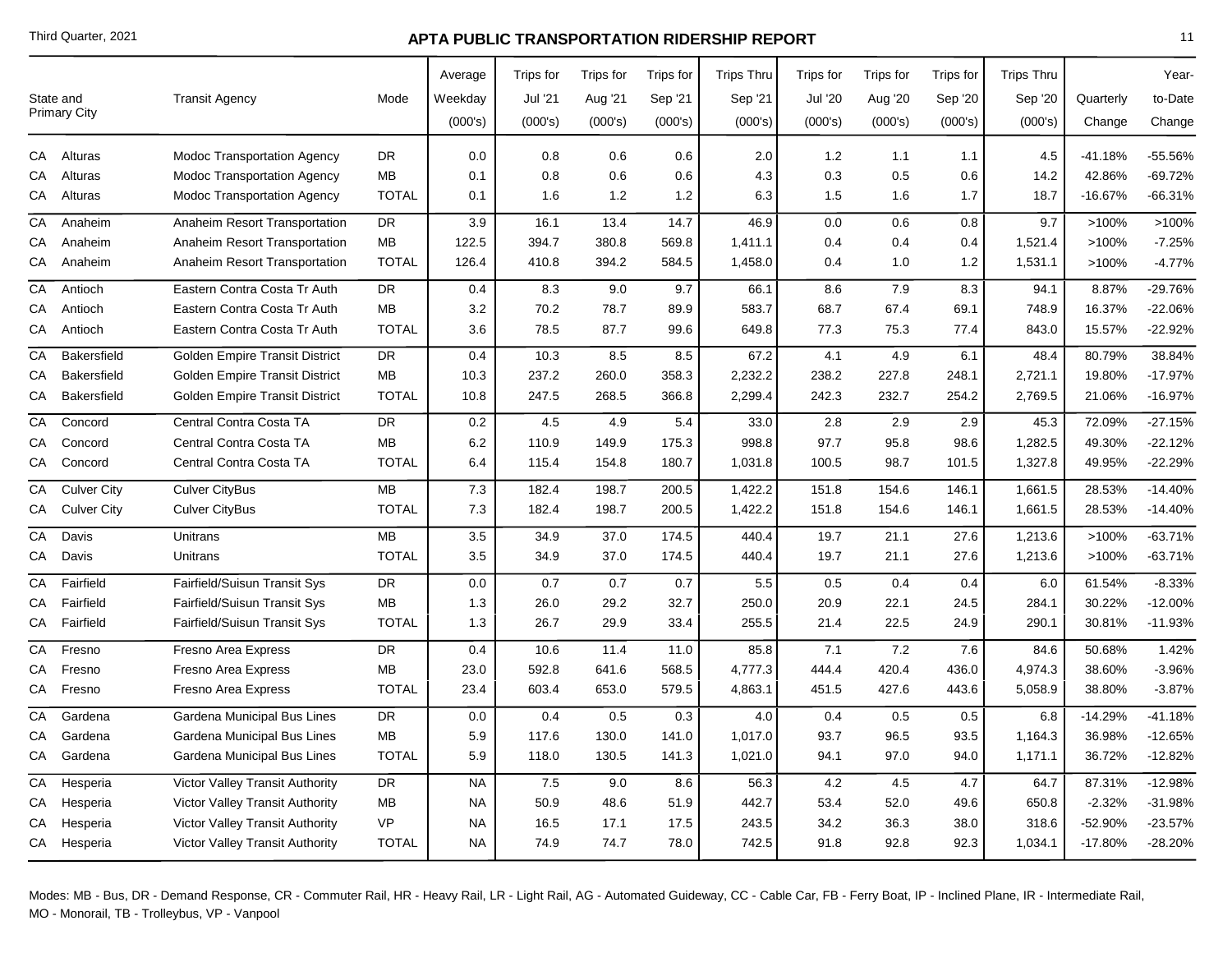|    | State and<br>Primary City | <b>Transit Agency</b>                  | Mode         | Average<br>Weekday | Trips for<br>Jul '21 | Trips for<br>Aug '21 | Trips for<br>Sep '21 | <b>Trips Thru</b><br>Sep '21 | Trips for<br>Jul '20 | <b>Trips</b> for<br>Aug '20 | Trips for<br>Sep '20 | <b>Trips Thru</b><br>Sep '20 | Quarterly | Year-<br>to-Date |
|----|---------------------------|----------------------------------------|--------------|--------------------|----------------------|----------------------|----------------------|------------------------------|----------------------|-----------------------------|----------------------|------------------------------|-----------|------------------|
|    |                           |                                        |              | (000's)            | (000's)              | (000's)              | (000's)              | (000's)                      | (000's)              | (000's)                     | (000's)              | (000's)                      | Change    | Change           |
| СA | Alturas                   | <b>Modoc Transportation Agency</b>     | <b>DR</b>    | 0.0                | 0.8                  | 0.6                  | 0.6                  | 2.0                          | 1.2                  | 1.1                         | 1.1                  | 4.5                          | $-41.18%$ | -55.56%          |
| СA | Alturas                   | Modoc Transportation Agency            | MB           | 0.1                | 0.8                  | 0.6                  | 0.6                  | 4.3                          | 0.3                  | 0.5                         | 0.6                  | 14.2                         | 42.86%    | -69.72%          |
| СA | Alturas                   | <b>Modoc Transportation Agency</b>     | <b>TOTAL</b> | 0.1                | 1.6                  | 1.2                  | 1.2                  | 6.3                          | 1.5                  | 1.6                         | 1.7                  | 18.7                         | $-16.67%$ | -66.31%          |
| СA | Anaheim                   | Anaheim Resort Transportation          | DR           | 3.9                | 16.1                 | 13.4                 | 14.7                 | 46.9                         | 0.0                  | 0.6                         | 0.8                  | 9.7                          | >100%     | >100%            |
| СA | Anaheim                   | Anaheim Resort Transportation          | MB           | 122.5              | 394.7                | 380.8                | 569.8                | 1,411.1                      | 0.4                  | 0.4                         | 0.4                  | 1,521.4                      | >100%     | $-7.25%$         |
| СA | Anaheim                   | Anaheim Resort Transportation          | <b>TOTAL</b> | 126.4              | 410.8                | 394.2                | 584.5                | 1,458.0                      | 0.4                  | 1.0                         | 1.2                  | 1,531.1                      | >100%     | $-4.77%$         |
| CA | Antioch                   | Eastern Contra Costa Tr Auth           | DR.          | 0.4                | 8.3                  | 9.0                  | 9.7                  | 66.1                         | 8.6                  | 7.9                         | 8.3                  | 94.1                         | 8.87%     | -29.76%          |
| СA | Antioch                   | Eastern Contra Costa Tr Auth           | MB           | 3.2                | 70.2                 | 78.7                 | 89.9                 | 583.7                        | 68.7                 | 67.4                        | 69.1                 | 748.9                        | 16.37%    | -22.06%          |
| СA | Antioch                   | Eastern Contra Costa Tr Auth           | <b>TOTAL</b> | 3.6                | 78.5                 | 87.7                 | 99.6                 | 649.8                        | 77.3                 | 75.3                        | 77.4                 | 843.0                        | 15.57%    | $-22.92%$        |
| CA | <b>Bakersfield</b>        | Golden Empire Transit District         | DR           | 0.4                | 10.3                 | 8.5                  | 8.5                  | 67.2                         | 4.1                  | 4.9                         | 6.1                  | 48.4                         | 80.79%    | 38.84%           |
| CА | <b>Bakersfield</b>        | <b>Golden Empire Transit District</b>  | <b>MB</b>    | 10.3               | 237.2                | 260.0                | 358.3                | 2,232.2                      | 238.2                | 227.8                       | 248.1                | 2,721.1                      | 19.80%    | $-17.97%$        |
| СA | <b>Bakersfield</b>        | Golden Empire Transit District         | <b>TOTAL</b> | 10.8               | 247.5                | 268.5                | 366.8                | 2,299.4                      | 242.3                | 232.7                       | 254.2                | 2,769.5                      | 21.06%    | $-16.97%$        |
| CA | Concord                   | Central Contra Costa TA                | <b>DR</b>    | 0.2                | 4.5                  | 4.9                  | 5.4                  | 33.0                         | 2.8                  | 2.9                         | 2.9                  | 45.3                         | 72.09%    | $-27.15%$        |
| СA | Concord                   | Central Contra Costa TA                | <b>MB</b>    | 6.2                | 110.9                | 149.9                | 175.3                | 998.8                        | 97.7                 | 95.8                        | 98.6                 | 1,282.5                      | 49.30%    | $-22.12%$        |
| CA | Concord                   | Central Contra Costa TA                | <b>TOTAL</b> | 6.4                | 115.4                | 154.8                | 180.7                | 1,031.8                      | 100.5                | 98.7                        | 101.5                | 1,327.8                      | 49.95%    | -22.29%          |
| СA | <b>Culver City</b>        | <b>Culver CityBus</b>                  | MB           | 7.3                | 182.4                | 198.7                | 200.5                | 1,422.2                      | 151.8                | 154.6                       | 146.1                | 1,661.5                      | 28.53%    | $-14.40%$        |
| СA | <b>Culver City</b>        | <b>Culver CityBus</b>                  | <b>TOTAL</b> | 7.3                | 182.4                | 198.7                | 200.5                | 1,422.2                      | 151.8                | 154.6                       | 146.1                | 1,661.5                      | 28.53%    | $-14.40%$        |
| CA | Davis                     | Unitrans                               | <b>MB</b>    | 3.5                | 34.9                 | 37.0                 | 174.5                | 440.4                        | 19.7                 | 21.1                        | 27.6                 | 1,213.6                      | >100%     | $-63.71%$        |
| СA | Davis                     | Unitrans                               | <b>TOTAL</b> | 3.5                | 34.9                 | 37.0                 | 174.5                | 440.4                        | 19.7                 | 21.1                        | 27.6                 | 1,213.6                      | >100%     | $-63.71%$        |
| CA | Fairfield                 | Fairfield/Suisun Transit Sys           | DR           | 0.0                | 0.7                  | 0.7                  | 0.7                  | 5.5                          | 0.5                  | 0.4                         | 0.4                  | 6.0                          | 61.54%    | $-8.33%$         |
| СA | Fairfield                 | Fairfield/Suisun Transit Sys           | MB           | 1.3                | 26.0                 | 29.2                 | 32.7                 | 250.0                        | 20.9                 | 22.1                        | 24.5                 | 284.1                        | 30.22%    | -12.00%          |
| СA | Fairfield                 | Fairfield/Suisun Transit Sys           | <b>TOTAL</b> | 1.3                | 26.7                 | 29.9                 | 33.4                 | 255.5                        | 21.4                 | 22.5                        | 24.9                 | 290.1                        | 30.81%    | -11.93%          |
| CA | Fresno                    | Fresno Area Express                    | <b>DR</b>    | 0.4                | 10.6                 | 11.4                 | 11.0                 | 85.8                         | 7.1                  | 7.2                         | 7.6                  | 84.6                         | 50.68%    | 1.42%            |
| СA | Fresno                    | Fresno Area Express                    | MB           | 23.0               | 592.8                | 641.6                | 568.5                | 4,777.3                      | 444.4                | 420.4                       | 436.0                | 4,974.3                      | 38.60%    | $-3.96%$         |
| СA | Fresno                    | Fresno Area Express                    | <b>TOTAL</b> | 23.4               | 603.4                | 653.0                | 579.5                | 4,863.1                      | 451.5                | 427.6                       | 443.6                | 5,058.9                      | 38.80%    | $-3.87%$         |
| CA | Gardena                   | Gardena Municipal Bus Lines            | DR           | 0.0                | 0.4                  | 0.5                  | 0.3                  | 4.0                          | 0.4                  | 0.5                         | 0.5                  | 6.8                          | $-14.29%$ | $-41.18%$        |
| СA | Gardena                   | Gardena Municipal Bus Lines            | MB           | $5.9\,$            | 117.6                | 130.0                | 141.0                | 1,017.0                      | 93.7                 | 96.5                        | 93.5                 | 1,164.3                      | 36.98%    | $-12.65%$        |
| CA | Gardena                   | Gardena Municipal Bus Lines            | <b>TOTAL</b> | 5.9                | 118.0                | 130.5                | 141.3                | 1,021.0                      | 94.1                 | 97.0                        | 94.0                 | 1,171.1                      | 36.72%    | $-12.82%$        |
| СA | Hesperia                  | Victor Valley Transit Authority        | DR           | <b>NA</b>          | 7.5                  | 9.0                  | 8.6                  | 56.3                         | 4.2                  | 4.5                         | 4.7                  | 64.7                         | 87.31%    | $-12.98%$        |
| СA | Hesperia                  | Victor Valley Transit Authority        | MB           | <b>NA</b>          | 50.9                 | 48.6                 | 51.9                 | 442.7                        | 53.4                 | 52.0                        | 49.6                 | 650.8                        | $-2.32%$  | $-31.98%$        |
| CА | Hesperia                  | <b>Victor Valley Transit Authority</b> | <b>VP</b>    | <b>NA</b>          | 16.5                 | 17.1                 | 17.5                 | 243.5                        | 34.2                 | 36.3                        | 38.0                 | 318.6                        | $-52.90%$ | $-23.57%$        |
| CA | Hesperia                  | Victor Valley Transit Authority        | <b>TOTAL</b> | <b>NA</b>          | 74.9                 | 74.7                 | 78.0                 | 742.5                        | 91.8                 | 92.8                        | 92.3                 | 1,034.1                      | $-17.80%$ | $-28.20%$        |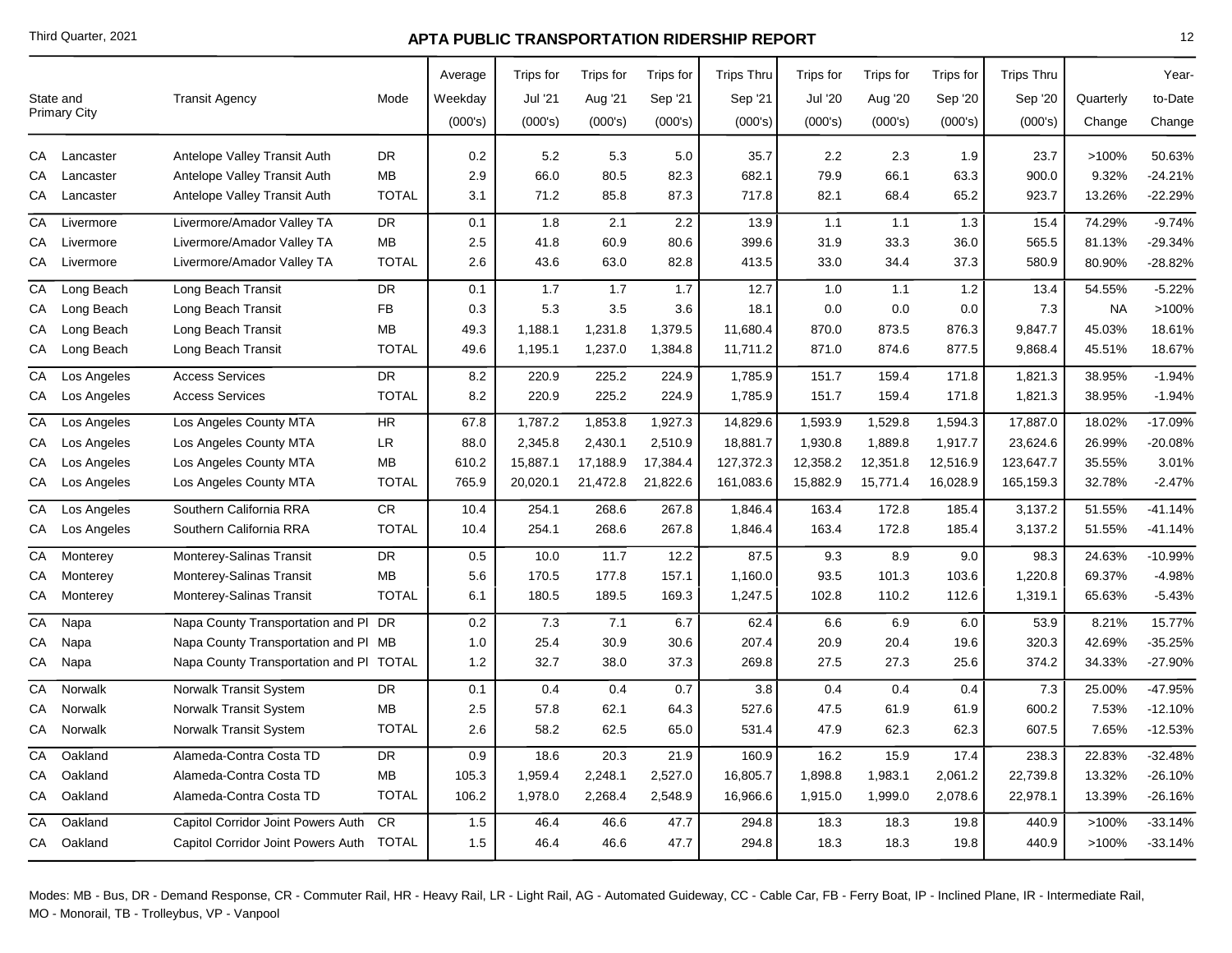|    | State and<br>Primary City | <b>Transit Agency</b>                   | Mode         | Average<br>Weekday<br>(000's) | Trips for<br>Jul '21<br>(000's) | Trips for<br>Aug '21<br>(000's) | Trips for<br>Sep '21<br>(000's) | <b>Trips Thru</b><br>Sep '21<br>(000's) | Trips for<br>Jul '20<br>(000's) | <b>Trips</b> for<br>Aug '20<br>(000's) | Trips for<br>Sep '20<br>(000's) | <b>Trips Thru</b><br>Sep '20<br>(000's) | Quarterly<br>Change | Year-<br>to-Date<br>Change |
|----|---------------------------|-----------------------------------------|--------------|-------------------------------|---------------------------------|---------------------------------|---------------------------------|-----------------------------------------|---------------------------------|----------------------------------------|---------------------------------|-----------------------------------------|---------------------|----------------------------|
| СA | Lancaster                 | Antelope Valley Transit Auth            | <b>DR</b>    | 0.2                           | 5.2                             | 5.3                             | 5.0                             | 35.7                                    | 2.2                             | 2.3                                    | 1.9                             | 23.7                                    | >100%               | 50.63%                     |
| СA | Lancaster                 | Antelope Valley Transit Auth            | MB           | 2.9                           | 66.0                            | 80.5                            | 82.3                            | 682.1                                   | 79.9                            | 66.1                                   | 63.3                            | 900.0                                   | 9.32%               | -24.21%                    |
| СA | Lancaster                 | Antelope Valley Transit Auth            | <b>TOTAL</b> | 3.1                           | 71.2                            | 85.8                            | 87.3                            | 717.8                                   | 82.1                            | 68.4                                   | 65.2                            | 923.7                                   | 13.26%              | -22.29%                    |
| СA | Livermore                 | Livermore/Amador Valley TA              | DR           | 0.1                           | 1.8                             | 2.1                             | 2.2                             | 13.9                                    | 1.1                             | 1.1                                    | 1.3                             | 15.4                                    | 74.29%              | $-9.74%$                   |
| СA | Livermore                 | Livermore/Amador Valley TA              | MB           | 2.5                           | 41.8                            | 60.9                            | 80.6                            | 399.6                                   | 31.9                            | 33.3                                   | 36.0                            | 565.5                                   | 81.13%              | $-29.34%$                  |
| СA | Livermore                 | Livermore/Amador Valley TA              | <b>TOTAL</b> | 2.6                           | 43.6                            | 63.0                            | 82.8                            | 413.5                                   | 33.0                            | 34.4                                   | 37.3                            | 580.9                                   | 80.90%              | -28.82%                    |
| CA | Long Beach                | Long Beach Transit                      | DR.          | 0.1                           | 1.7                             | 1.7                             | 1.7                             | 12.7                                    | 1.0                             | 1.1                                    | 1.2                             | 13.4                                    | 54.55%              | $-5.22%$                   |
| СA | Long Beach                | Long Beach Transit                      | <b>FB</b>    | 0.3                           | 5.3                             | 3.5                             | 3.6                             | 18.1                                    | 0.0                             | 0.0                                    | 0.0                             | 7.3                                     | <b>NA</b>           | >100%                      |
| СA | Long Beach                | Long Beach Transit                      | MВ           | 49.3                          | 1,188.1                         | 1,231.8                         | 1,379.5                         | 11,680.4                                | 870.0                           | 873.5                                  | 876.3                           | 9,847.7                                 | 45.03%              | 18.61%                     |
| СA | Long Beach                | Long Beach Transit                      | <b>TOTAL</b> | 49.6                          | 1,195.1                         | 1,237.0                         | 1,384.8                         | 11,711.2                                | 871.0                           | 874.6                                  | 877.5                           | 9,868.4                                 | 45.51%              | 18.67%                     |
| СA | Los Angeles               | <b>Access Services</b>                  | <b>DR</b>    | 8.2                           | 220.9                           | 225.2                           | 224.9                           | 1,785.9                                 | 151.7                           | 159.4                                  | 171.8                           | 1,821.3                                 | 38.95%              | $-1.94%$                   |
| CA | Los Angeles               | <b>Access Services</b>                  | <b>TOTAL</b> | 8.2                           | 220.9                           | 225.2                           | 224.9                           | 1,785.9                                 | 151.7                           | 159.4                                  | 171.8                           | 1,821.3                                 | 38.95%              | $-1.94%$                   |
| CA | Los Angeles               | Los Angeles County MTA                  | HR.          | 67.8                          | 1,787.2                         | 1,853.8                         | 1,927.3                         | 14,829.6                                | 1,593.9                         | 1,529.8                                | 1,594.3                         | 17,887.0                                | 18.02%              | -17.09%                    |
| СA | Los Angeles               | Los Angeles County MTA                  | LR           | 88.0                          | 2,345.8                         | 2,430.1                         | 2,510.9                         | 18,881.7                                | 1,930.8                         | 1,889.8                                | 1,917.7                         | 23,624.6                                | 26.99%              | -20.08%                    |
| СA | Los Angeles               | Los Angeles County MTA                  | MВ           | 610.2                         | 15,887.1                        | 17,188.9                        | 17,384.4                        | 127,372.3                               | 12,358.2                        | 12,351.8                               | 12,516.9                        | 123,647.7                               | 35.55%              | 3.01%                      |
| CA | Los Angeles               | Los Angeles County MTA                  | <b>TOTAL</b> | 765.9                         | 20,020.1                        | 21,472.8                        | 21,822.6                        | 161,083.6                               | 15,882.9                        | 15,771.4                               | 16,028.9                        | 165,159.3                               | 32.78%              | $-2.47%$                   |
| СA | Los Angeles               | Southern California RRA                 | CR           | 10.4                          | 254.1                           | 268.6                           | 267.8                           | 1,846.4                                 | 163.4                           | 172.8                                  | 185.4                           | 3,137.2                                 | 51.55%              | $-41.14%$                  |
| СA | Los Angeles               | Southern California RRA                 | <b>TOTAL</b> | 10.4                          | 254.1                           | 268.6                           | 267.8                           | 1,846.4                                 | 163.4                           | 172.8                                  | 185.4                           | 3,137.2                                 | 51.55%              | $-41.14%$                  |
| CA | Monterey                  | Monterey-Salinas Transit                | <b>DR</b>    | 0.5                           | 10.0                            | 11.7                            | 12.2                            | 87.5                                    | 9.3                             | 8.9                                    | 9.0                             | 98.3                                    | 24.63%              | -10.99%                    |
| СA | Monterey                  | Monterey-Salinas Transit                | <b>MB</b>    | 5.6                           | 170.5                           | 177.8                           | 157.1                           | 1,160.0                                 | 93.5                            | 101.3                                  | 103.6                           | 1,220.8                                 | 69.37%              | $-4.98%$                   |
| СA | Monterey                  | Monterey-Salinas Transit                | <b>TOTAL</b> | 6.1                           | 180.5                           | 189.5                           | 169.3                           | 1,247.5                                 | 102.8                           | 110.2                                  | 112.6                           | 1,319.1                                 | 65.63%              | $-5.43%$                   |
| CA | Napa                      | Napa County Transportation and PI DR    |              | 0.2                           | 7.3                             | 7.1                             | 6.7                             | 62.4                                    | 6.6                             | 6.9                                    | 6.0                             | 53.9                                    | 8.21%               | 15.77%                     |
| CА | Napa                      | Napa County Transportation and PI MB    |              | 1.0                           | 25.4                            | 30.9                            | 30.6                            | 207.4                                   | 20.9                            | 20.4                                   | 19.6                            | 320.3                                   | 42.69%              | $-35.25%$                  |
| СA | Napa                      | Napa County Transportation and PI TOTAL |              | 1.2                           | 32.7                            | 38.0                            | 37.3                            | 269.8                                   | 27.5                            | 27.3                                   | 25.6                            | 374.2                                   | 34.33%              | -27.90%                    |
| CA | Norwalk                   | <b>Norwalk Transit System</b>           | <b>DR</b>    | 0.1                           | 0.4                             | 0.4                             | 0.7                             | 3.8                                     | 0.4                             | 0.4                                    | 0.4                             | 7.3                                     | 25.00%              | -47.95%                    |
| СA | Norwalk                   | Norwalk Transit System                  | <b>MB</b>    | 2.5                           | 57.8                            | 62.1                            | 64.3                            | 527.6                                   | 47.5                            | 61.9                                   | 61.9                            | 600.2                                   | 7.53%               | $-12.10%$                  |
| СA | Norwalk                   | Norwalk Transit System                  | <b>TOTAL</b> | 2.6                           | 58.2                            | 62.5                            | 65.0                            | 531.4                                   | 47.9                            | 62.3                                   | 62.3                            | 607.5                                   | 7.65%               | $-12.53%$                  |
| CA | Oakland                   | Alameda-Contra Costa TD                 | <b>DR</b>    | 0.9                           | 18.6                            | 20.3                            | 21.9                            | 160.9                                   | 16.2                            | 15.9                                   | 17.4                            | 238.3                                   | 22.83%              | $-32.48%$                  |
| СA | Oakland                   | Alameda-Contra Costa TD                 | <b>MB</b>    | 105.3                         | 1,959.4                         | 2,248.1                         | 2,527.0                         | 16,805.7                                | 1,898.8                         | 1,983.1                                | 2,061.2                         | 22,739.8                                | 13.32%              | $-26.10%$                  |
| СA | Oakland                   | Alameda-Contra Costa TD                 | <b>TOTAL</b> | 106.2                         | 1,978.0                         | 2,268.4                         | 2,548.9                         | 16,966.6                                | 1,915.0                         | 1,999.0                                | 2,078.6                         | 22,978.1                                | 13.39%              | $-26.16%$                  |
| СA | Oakland                   | Capitol Corridor Joint Powers Auth      | <b>CR</b>    | 1.5                           | 46.4                            | 46.6                            | 47.7                            | 294.8                                   | 18.3                            | 18.3                                   | 19.8                            | 440.9                                   | >100%               | $-33.14%$                  |
|    | CA Oakland                | Capitol Corridor Joint Powers Auth      | TOTAL        | 1.5                           | 46.4                            | 46.6                            | 47.7                            | 294.8                                   | 18.3                            | 18.3                                   | 19.8                            | 440.9                                   | >100%               | $-33.14%$                  |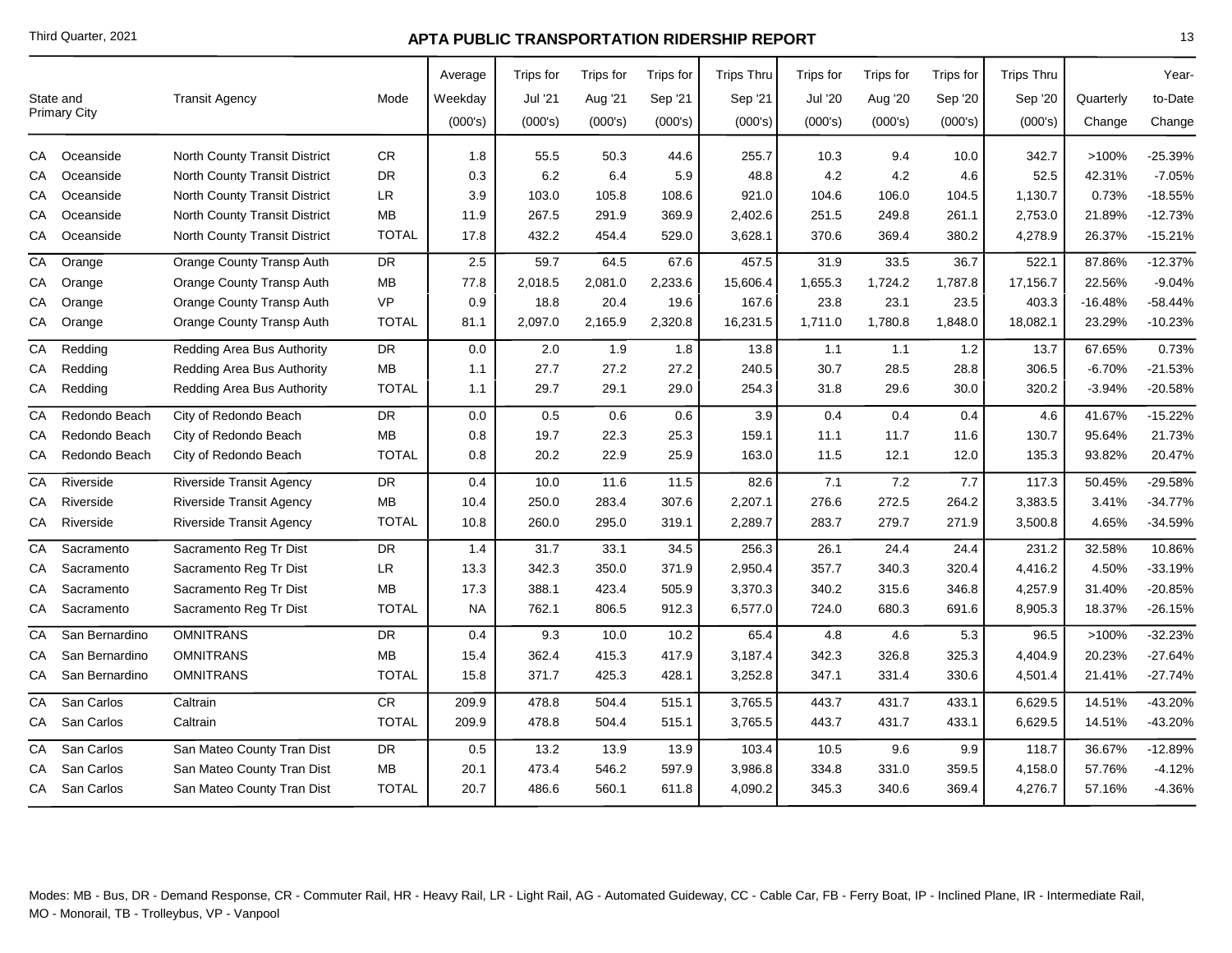|    |                     |                                      |              | Average | Trips for | Trips for | Trips for | <b>Trips Thru</b> | Trips for      | <b>Trips</b> for | Trips for | <b>Trips Thru</b> |           | Year-     |
|----|---------------------|--------------------------------------|--------------|---------|-----------|-----------|-----------|-------------------|----------------|------------------|-----------|-------------------|-----------|-----------|
|    | State and           | <b>Transit Agency</b>                | Mode         | Weekday | Jul '21   | Aug '21   | Sep '21   | Sep '21           | <b>Jul '20</b> | Aug '20          | Sep '20   | Sep '20           | Quarterly | to-Date   |
|    | <b>Primary City</b> |                                      |              | (000's) | (000's)   | (000's)   | (000's)   | (000's)           | (000's)        | (000's)          | (000's)   | (000's)           | Change    | Change    |
| CA | Oceanside           | <b>North County Transit District</b> | CR.          | 1.8     | 55.5      | 50.3      | 44.6      | 255.7             | 10.3           | 9.4              | 10.0      | 342.7             | >100%     | -25.39%   |
| СA | Oceanside           | North County Transit District        | DR           | 0.3     | 6.2       | 6.4       | 5.9       | 48.8              | 4.2            | 4.2              | 4.6       | 52.5              | 42.31%    | $-7.05%$  |
| СA | Oceanside           | <b>North County Transit District</b> | LR           | 3.9     | 103.0     | 105.8     | 108.6     | 921.0             | 104.6          | 106.0            | 104.5     | 1,130.7           | 0.73%     | $-18.55%$ |
| СA | Oceanside           | North County Transit District        | MВ           | 11.9    | 267.5     | 291.9     | 369.9     | 2,402.6           | 251.5          | 249.8            | 261.1     | 2,753.0           | 21.89%    | $-12.73%$ |
| CA | Oceanside           | North County Transit District        | <b>TOTAL</b> | 17.8    | 432.2     | 454.4     | 529.0     | 3,628.1           | 370.6          | 369.4            | 380.2     | 4,278.9           | 26.37%    | $-15.21%$ |
| СA | Orange              | Orange County Transp Auth            | <b>DR</b>    | 2.5     | 59.7      | 64.5      | 67.6      | 457.5             | 31.9           | 33.5             | 36.7      | 522.1             | 87.86%    | $-12.37%$ |
| СA | Orange              | Orange County Transp Auth            | MB           | 77.8    | 2,018.5   | 2,081.0   | 2,233.6   | 15,606.4          | 1,655.3        | 1,724.2          | 1,787.8   | 17,156.7          | 22.56%    | $-9.04%$  |
| СA | Orange              | Orange County Transp Auth            | <b>VP</b>    | 0.9     | 18.8      | 20.4      | 19.6      | 167.6             | 23.8           | 23.1             | 23.5      | 403.3             | -16.48%   | $-58.44%$ |
| CA | Orange              | Orange County Transp Auth            | <b>TOTAL</b> | 81.1    | 2,097.0   | 2,165.9   | 2,320.8   | 16,231.5          | 1,711.0        | 1,780.8          | 1,848.0   | 18,082.1          | 23.29%    | $-10.23%$ |
| CA | Redding             | Redding Area Bus Authority           | DR           | 0.0     | 2.0       | 1.9       | 1.8       | 13.8              | 1.1            | 1.1              | 1.2       | 13.7              | 67.65%    | 0.73%     |
| СA | Redding             | Redding Area Bus Authority           | <b>MB</b>    | 1.1     | 27.7      | 27.2      | 27.2      | 240.5             | 30.7           | 28.5             | 28.8      | 306.5             | $-6.70%$  | $-21.53%$ |
| CA | Redding             | Redding Area Bus Authority           | <b>TOTAL</b> | 1.1     | 29.7      | 29.1      | 29.0      | 254.3             | 31.8           | 29.6             | 30.0      | 320.2             | $-3.94%$  | $-20.58%$ |
| CA | Redondo Beach       | City of Redondo Beach                | DR           | 0.0     | 0.5       | 0.6       | 0.6       | 3.9               | 0.4            | 0.4              | 0.4       | 4.6               | 41.67%    | $-15.22%$ |
| СA | Redondo Beach       | City of Redondo Beach                | <b>MB</b>    | 0.8     | 19.7      | 22.3      | 25.3      | 159.1             | 11.1           | 11.7             | 11.6      | 130.7             | 95.64%    | 21.73%    |
| СA | Redondo Beach       | City of Redondo Beach                | <b>TOTAL</b> | 0.8     | 20.2      | 22.9      | 25.9      | 163.0             | 11.5           | 12.1             | 12.0      | 135.3             | 93.82%    | 20.47%    |
| CA | Riverside           | <b>Riverside Transit Agency</b>      | <b>DR</b>    | 0.4     | 10.0      | 11.6      | 11.5      | 82.6              | 7.1            | 7.2              | 7.7       | 117.3             | 50.45%    | -29.58%   |
| CА | Riverside           | <b>Riverside Transit Agency</b>      | <b>MB</b>    | 10.4    | 250.0     | 283.4     | 307.6     | 2,207.1           | 276.6          | 272.5            | 264.2     | 3,383.5           | 3.41%     | $-34.77%$ |
| CA | Riverside           | <b>Riverside Transit Agency</b>      | <b>TOTAL</b> | 10.8    | 260.0     | 295.0     | 319.1     | 2,289.7           | 283.7          | 279.7            | 271.9     | 3,500.8           | 4.65%     | $-34.59%$ |
| СA | Sacramento          | Sacramento Reg Tr Dist               | <b>DR</b>    | 1.4     | 31.7      | 33.1      | 34.5      | 256.3             | 26.1           | 24.4             | 24.4      | 231.2             | 32.58%    | 10.86%    |
| СA | Sacramento          | Sacramento Reg Tr Dist               | LR           | 13.3    | 342.3     | 350.0     | 371.9     | 2,950.4           | 357.7          | 340.3            | 320.4     | 4,416.2           | 4.50%     | $-33.19%$ |
| CА | Sacramento          | Sacramento Reg Tr Dist               | MВ           | 17.3    | 388.1     | 423.4     | 505.9     | 3,370.3           | 340.2          | 315.6            | 346.8     | 4,257.9           | 31.40%    | $-20.85%$ |
| CA | Sacramento          | Sacramento Reg Tr Dist               | <b>TOTAL</b> | NA      | 762.1     | 806.5     | 912.3     | 6,577.0           | 724.0          | 680.3            | 691.6     | 8,905.3           | 18.37%    | $-26.15%$ |
| CA | San Bernardino      | <b>OMNITRANS</b>                     | <b>DR</b>    | 0.4     | 9.3       | 10.0      | 10.2      | 65.4              | 4.8            | 4.6              | 5.3       | 96.5              | >100%     | $-32.23%$ |
| СA | San Bernardino      | <b>OMNITRANS</b>                     | <b>MB</b>    | 15.4    | 362.4     | 415.3     | 417.9     | 3,187.4           | 342.3          | 326.8            | 325.3     | 4,404.9           | 20.23%    | $-27.64%$ |
| CA | San Bernardino      | <b>OMNITRANS</b>                     | <b>TOTAL</b> | 15.8    | 371.7     | 425.3     | 428.1     | 3,252.8           | 347.1          | 331.4            | 330.6     | 4,501.4           | 21.41%    | $-27.74%$ |
| CA | San Carlos          | Caltrain                             | ${\sf CR}$   | 209.9   | 478.8     | 504.4     | 515.1     | 3,765.5           | 443.7          | 431.7            | 433.1     | 6,629.5           | 14.51%    | $-43.20%$ |
| CA | San Carlos          | Caltrain                             | <b>TOTAL</b> | 209.9   | 478.8     | 504.4     | 515.1     | 3,765.5           | 443.7          | 431.7            | 433.1     | 6,629.5           | 14.51%    | -43.20%   |
| СA | San Carlos          | San Mateo County Tran Dist           | DR           | 0.5     | 13.2      | 13.9      | 13.9      | 103.4             | 10.5           | 9.6              | 9.9       | 118.7             | 36.67%    | -12.89%   |
| СA | San Carlos          | San Mateo County Tran Dist           | MB           | 20.1    | 473.4     | 546.2     | 597.9     | 3,986.8           | 334.8          | 331.0            | 359.5     | 4,158.0           | 57.76%    | $-4.12%$  |
| CA | San Carlos          | San Mateo County Tran Dist           | <b>TOTAL</b> | 20.7    | 486.6     | 560.1     | 611.8     | 4,090.2           | 345.3          | 340.6            | 369.4     | 4,276.7           | 57.16%    | $-4.36%$  |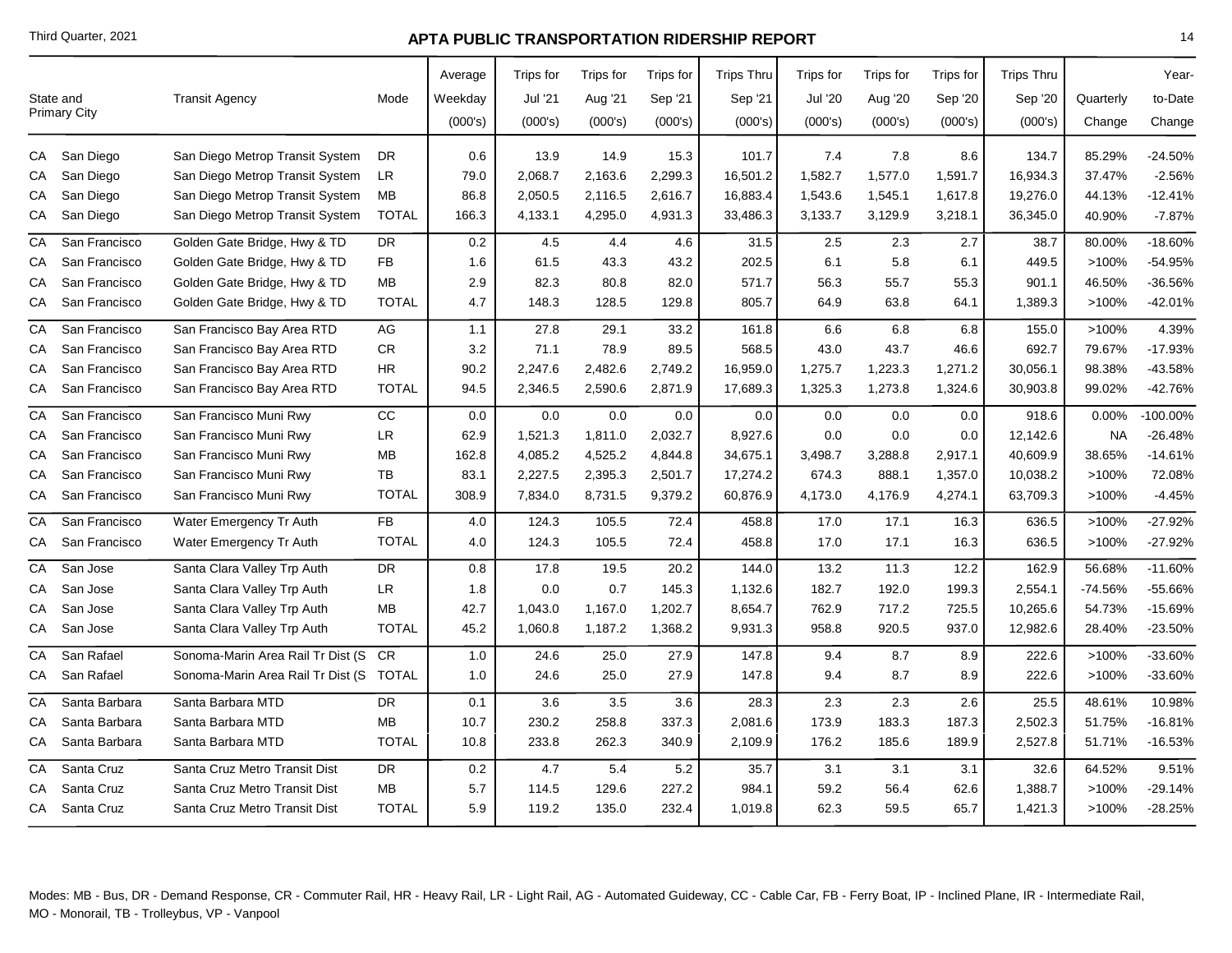|    | State and<br><b>Primary City</b> | <b>Transit Agency</b>             | Mode            | Average<br>Weekday<br>(000's) | Trips for<br>Jul '21<br>(000's) | Trips for<br>Aug '21<br>(000's) | Trips for<br>Sep '21<br>(000's) | <b>Trips Thru</b><br>Sep '21<br>(000's) | Trips for<br><b>Jul '20</b><br>(000's) | Trips for<br>Aug '20<br>(000's) | Trips for<br>Sep '20<br>(000's) | <b>Trips Thru</b><br>Sep '20<br>(000's) | Quarterly<br>Change | Year-<br>to-Date<br>Change |
|----|----------------------------------|-----------------------------------|-----------------|-------------------------------|---------------------------------|---------------------------------|---------------------------------|-----------------------------------------|----------------------------------------|---------------------------------|---------------------------------|-----------------------------------------|---------------------|----------------------------|
| CA | San Diego                        | San Diego Metrop Transit System   | <b>DR</b>       | 0.6                           | 13.9                            | 14.9                            | 15.3                            | 101.7                                   | 7.4                                    | 7.8                             | 8.6                             | 134.7                                   | 85.29%              | $-24.50%$                  |
| СA | San Diego                        | San Diego Metrop Transit System   | <b>LR</b>       | 79.0                          | 2,068.7                         | 2,163.6                         | 2,299.3                         | 16,501.2                                | 1,582.7                                | 1,577.0                         | 1,591.7                         | 16,934.3                                | 37.47%              | $-2.56%$                   |
| СA | San Diego                        | San Diego Metrop Transit System   | <b>MB</b>       | 86.8                          | 2,050.5                         | 2,116.5                         | 2,616.7                         | 16,883.4                                | 1,543.6                                | 1,545.1                         | 1,617.8                         | 19,276.0                                | 44.13%              | $-12.41%$                  |
| CA | San Diego                        | San Diego Metrop Transit System   | <b>TOTAL</b>    | 166.3                         | 4,133.1                         | 4,295.0                         | 4,931.3                         | 33,486.3                                | 3,133.7                                | 3,129.9                         | 3,218.1                         | 36,345.0                                | 40.90%              | $-7.87%$                   |
| CA | San Francisco                    | Golden Gate Bridge, Hwy & TD      | <b>DR</b>       | 0.2                           | 4.5                             | 4.4                             | 4.6                             | 31.5                                    | 2.5                                    | 2.3                             | 2.7                             | 38.7                                    | 80.00%              | $-18.60%$                  |
| СA | San Francisco                    | Golden Gate Bridge, Hwy & TD      | FB              | 1.6                           | 61.5                            | 43.3                            | 43.2                            | 202.5                                   | 6.1                                    | 5.8                             | 6.1                             | 449.5                                   | >100%               | -54.95%                    |
| СA | San Francisco                    | Golden Gate Bridge, Hwy & TD      | <b>MB</b>       | 2.9                           | 82.3                            | 80.8                            | 82.0                            | 571.7                                   | 56.3                                   | 55.7                            | 55.3                            | 901.1                                   | 46.50%              | -36.56%                    |
| СA | San Francisco                    | Golden Gate Bridge, Hwy & TD      | <b>TOTAL</b>    | 4.7                           | 148.3                           | 128.5                           | 129.8                           | 805.7                                   | 64.9                                   | 63.8                            | 64.1                            | 1,389.3                                 | >100%               | -42.01%                    |
| СA | San Francisco                    | San Francisco Bay Area RTD        | AG              | 1.1                           | 27.8                            | 29.1                            | 33.2                            | 161.8                                   | 6.6                                    | $6.8\,$                         | 6.8                             | 155.0                                   | >100%               | 4.39%                      |
| СA | San Francisco                    | San Francisco Bay Area RTD        | ${\sf CR}$      | 3.2                           | 71.1                            | 78.9                            | 89.5                            | 568.5                                   | 43.0                                   | 43.7                            | 46.6                            | 692.7                                   | 79.67%              | $-17.93%$                  |
| CА | San Francisco                    | San Francisco Bay Area RTD        | <b>HR</b>       | 90.2                          | 2,247.6                         | 2,482.6                         | 2,749.2                         | 16,959.0                                | 1,275.7                                | 1,223.3                         | 1,271.2                         | 30,056.1                                | 98.38%              | -43.58%                    |
| СA | San Francisco                    | San Francisco Bay Area RTD        | <b>TOTAL</b>    | 94.5                          | 2,346.5                         | 2,590.6                         | 2,871.9                         | 17,689.3                                | 1,325.3                                | 1,273.8                         | 1,324.6                         | 30,903.8                                | 99.02%              | $-42.76%$                  |
| CA | San Francisco                    | San Francisco Muni Rwy            | $\overline{cc}$ | 0.0                           | 0.0                             | 0.0                             | 0.0                             | 0.0                                     | 0.0                                    | 0.0                             | 0.0                             | 918.6                                   | 0.00%               | 100.00%                    |
| CА | San Francisco                    | San Francisco Muni Rwy            | LR              | 62.9                          | 1,521.3                         | 1,811.0                         | 2,032.7                         | 8,927.6                                 | 0.0                                    | 0.0                             | 0.0                             | 12,142.6                                | <b>NA</b>           | $-26.48%$                  |
| CА | San Francisco                    | San Francisco Muni Rwy            | MB              | 162.8                         | 4,085.2                         | 4,525.2                         | 4,844.8                         | 34,675.1                                | 3,498.7                                | 3,288.8                         | 2,917.1                         | 40,609.9                                | 38.65%              | $-14.61%$                  |
| СA | San Francisco                    | San Francisco Muni Rwy            | TB              | 83.1                          | 2,227.5                         | 2,395.3                         | 2,501.7                         | 17,274.2                                | 674.3                                  | 888.1                           | 1,357.0                         | 10,038.2                                | >100%               | 72.08%                     |
| CA | San Francisco                    | San Francisco Muni Rwy            | <b>TOTAL</b>    | 308.9                         | 7,834.0                         | 8,731.5                         | 9,379.2                         | 60,876.9                                | 4,173.0                                | 4,176.9                         | 4,274.1                         | 63,709.3                                | >100%               | $-4.45%$                   |
| СA | San Francisco                    | Water Emergency Tr Auth           | <b>FB</b>       | 4.0                           | 124.3                           | 105.5                           | 72.4                            | 458.8                                   | 17.0                                   | 17.1                            | 16.3                            | 636.5                                   | >100%               | $-27.92%$                  |
| СA | San Francisco                    | Water Emergency Tr Auth           | <b>TOTAL</b>    | 4.0                           | 124.3                           | 105.5                           | 72.4                            | 458.8                                   | 17.0                                   | 17.1                            | 16.3                            | 636.5                                   | >100%               | $-27.92%$                  |
| CA | San Jose                         | Santa Clara Valley Trp Auth       | <b>DR</b>       | 0.8                           | 17.8                            | 19.5                            | 20.2                            | 144.0                                   | 13.2                                   | 11.3                            | 12.2                            | 162.9                                   | 56.68%              | $-11.60%$                  |
| CА | San Jose                         | Santa Clara Valley Trp Auth       | LR              | 1.8                           | $0.0\,$                         | 0.7                             | 145.3                           | 1,132.6                                 | 182.7                                  | 192.0                           | 199.3                           | 2,554.1                                 | $-74.56%$           | -55.66%                    |
| СA | San Jose                         | Santa Clara Valley Trp Auth       | <b>MB</b>       | 42.7                          | 1,043.0                         | 1,167.0                         | 1,202.7                         | 8,654.7                                 | 762.9                                  | 717.2                           | 725.5                           | 10,265.6                                | 54.73%              | $-15.69%$                  |
| CA | San Jose                         | Santa Clara Valley Trp Auth       | <b>TOTAL</b>    | 45.2                          | 1,060.8                         | 1,187.2                         | 1,368.2                         | 9,931.3                                 | 958.8                                  | 920.5                           | 937.0                           | 12,982.6                                | 28.40%              | $-23.50%$                  |
| CA | San Rafael                       | Sonoma-Marin Area Rail Tr Dist (S | <b>CR</b>       | 1.0                           | 24.6                            | 25.0                            | 27.9                            | 147.8                                   | 9.4                                    | 8.7                             | 8.9                             | 222.6                                   | >100%               | -33.60%                    |
| CA | San Rafael                       | Sonoma-Marin Area Rail Tr Dist (S | <b>TOTAL</b>    | 1.0                           | 24.6                            | 25.0                            | 27.9                            | 147.8                                   | 9.4                                    | 8.7                             | 8.9                             | 222.6                                   | >100%               | -33.60%                    |
| СA | Santa Barbara                    | Santa Barbara MTD                 | <b>DR</b>       | 0.1                           | 3.6                             | 3.5                             | 3.6                             | 28.3                                    | 2.3                                    | 2.3                             | 2.6                             | 25.5                                    | 48.61%              | 10.98%                     |
| СA | Santa Barbara                    | Santa Barbara MTD                 | <b>MB</b>       | 10.7                          | 230.2                           | 258.8                           | 337.3                           | 2,081.6                                 | 173.9                                  | 183.3                           | 187.3                           | 2,502.3                                 | 51.75%              | $-16.81%$                  |
| CA | Santa Barbara                    | Santa Barbara MTD                 | <b>TOTAL</b>    | 10.8                          | 233.8                           | 262.3                           | 340.9                           | 2,109.9                                 | 176.2                                  | 185.6                           | 189.9                           | 2,527.8                                 | 51.71%              | $-16.53%$                  |
| СA | Santa Cruz                       | Santa Cruz Metro Transit Dist     | <b>DR</b>       | $0.2\,$                       | 4.7                             | 5.4                             | 5.2                             | 35.7                                    | 3.1                                    | 3.1                             | 3.1                             | 32.6                                    | 64.52%              | 9.51%                      |
| CА | Santa Cruz                       | Santa Cruz Metro Transit Dist     | MB              | 5.7                           | 114.5                           | 129.6                           | 227.2                           | 984.1                                   | 59.2                                   | 56.4                            | 62.6                            | 1,388.7                                 | >100%               | $-29.14%$                  |
|    | CA Santa Cruz                    | Santa Cruz Metro Transit Dist     | <b>TOTAL</b>    | 5.9                           | 119.2                           | 135.0                           | 232.4                           | 1,019.8                                 | 62.3                                   | 59.5                            | 65.7                            | 1,421.3                                 | >100%               | $-28.25%$                  |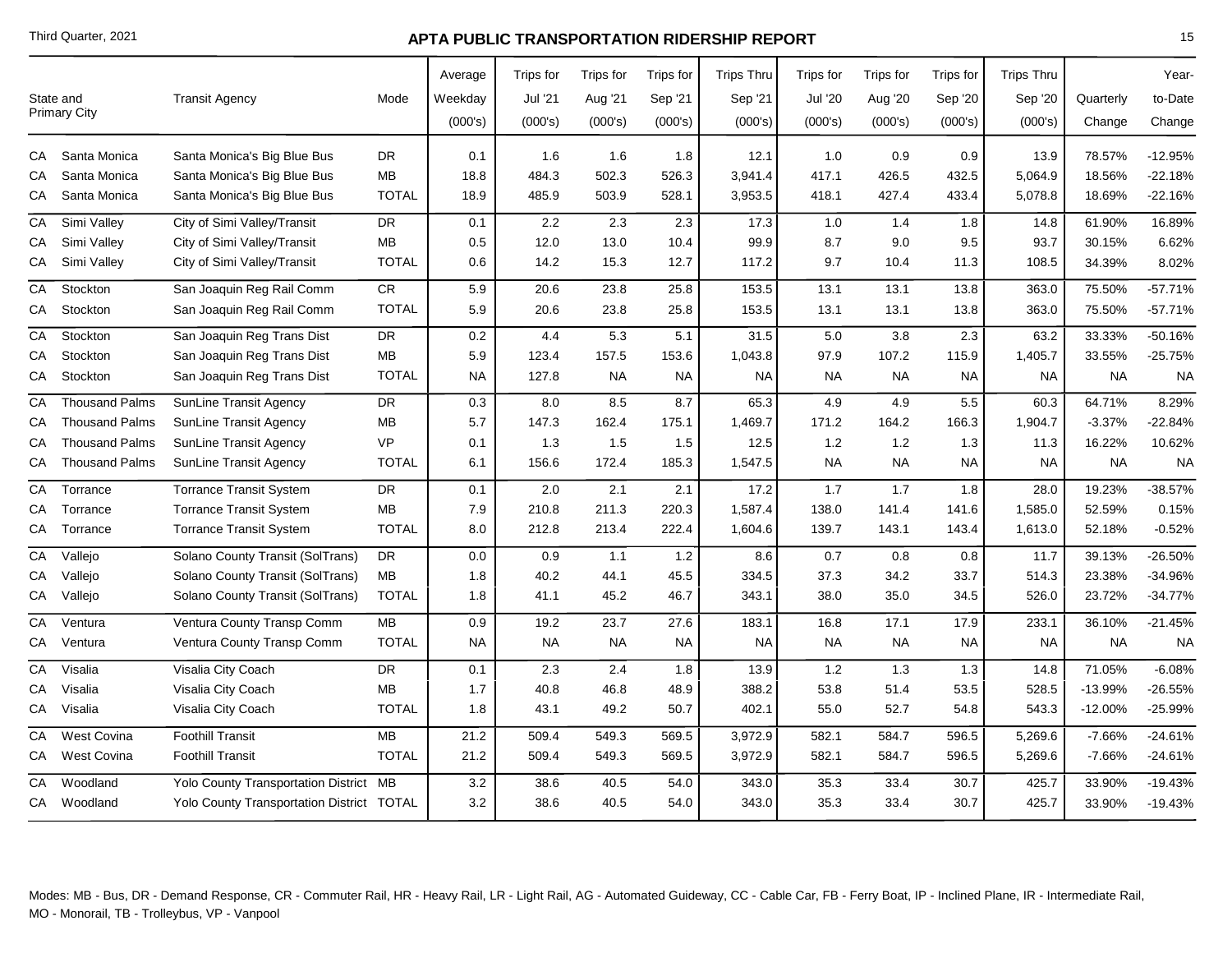|                 |                                  |                                           |              | Average   | Trips for | Trips for | Trips for | <b>Trips Thru</b> | Trips for      | <b>Trips</b> for | Trips for | <b>Trips Thru</b> |           | Year-     |
|-----------------|----------------------------------|-------------------------------------------|--------------|-----------|-----------|-----------|-----------|-------------------|----------------|------------------|-----------|-------------------|-----------|-----------|
|                 | State and<br><b>Primary City</b> | <b>Transit Agency</b>                     | Mode         | Weekday   | Jul '21   | Aug '21   | Sep '21   | Sep '21           | <b>Jul '20</b> | Aug '20          | Sep '20   | Sep '20           | Quarterly | to-Date   |
|                 |                                  |                                           |              | (000's)   | (000's)   | (000's)   | (000's)   | (000's)           | (000's)        | (000's)          | (000's)   | (000's)           | Change    | Change    |
|                 | CA Santa Monica                  | Santa Monica's Big Blue Bus               | DR           | 0.1       | 1.6       | 1.6       | 1.8       | 12.1              | 1.0            | 0.9              | 0.9       | 13.9              | 78.57%    | $-12.95%$ |
| СA              | Santa Monica                     | Santa Monica's Big Blue Bus               | MB           | 18.8      | 484.3     | 502.3     | 526.3     | 3,941.4           | 417.1          | 426.5            | 432.5     | 5,064.9           | 18.56%    | $-22.18%$ |
| CA              | Santa Monica                     | Santa Monica's Big Blue Bus               | <b>TOTAL</b> | 18.9      | 485.9     | 503.9     | 528.1     | 3,953.5           | 418.1          | 427.4            | 433.4     | 5,078.8           | 18.69%    | $-22.16%$ |
| СA              | Simi Valley                      | City of Simi Valley/Transit               | DR           | 0.1       | 2.2       | 2.3       | 2.3       | 17.3              | 1.0            | 1.4              | 1.8       | 14.8              | 61.90%    | 16.89%    |
| СA              | Simi Valley                      | City of Simi Valley/Transit               | MВ           | 0.5       | 12.0      | 13.0      | 10.4      | 99.9              | 8.7            | 9.0              | 9.5       | 93.7              | 30.15%    | 6.62%     |
| CA              | Simi Valley                      | City of Simi Valley/Transit               | <b>TOTAL</b> | 0.6       | 14.2      | 15.3      | 12.7      | 117.2             | 9.7            | 10.4             | 11.3      | 108.5             | 34.39%    | 8.02%     |
| CA              | Stockton                         | San Joaquin Reg Rail Comm                 | ${\sf CR}$   | 5.9       | 20.6      | 23.8      | 25.8      | 153.5             | 13.1           | 13.1             | 13.8      | 363.0             | 75.50%    | $-57.71%$ |
| СA              | Stockton                         | San Joaquin Reg Rail Comm                 | <b>TOTAL</b> | 5.9       | 20.6      | 23.8      | 25.8      | 153.5             | 13.1           | 13.1             | 13.8      | 363.0             | 75.50%    | $-57.71%$ |
| $\overline{CA}$ | Stockton                         | San Joaquin Reg Trans Dist                | <b>DR</b>    | 0.2       | 4.4       | 5.3       | 5.1       | 31.5              | 5.0            | 3.8              | 2.3       | 63.2              | 33.33%    | $-50.16%$ |
| СA              | Stockton                         | San Joaquin Reg Trans Dist                | <b>MB</b>    | 5.9       | 123.4     | 157.5     | 153.6     | 1,043.8           | 97.9           | 107.2            | 115.9     | 1,405.7           | 33.55%    | $-25.75%$ |
| CA              | Stockton                         | San Joaquin Reg Trans Dist                | <b>TOTAL</b> | <b>NA</b> | 127.8     | <b>NA</b> | <b>NA</b> | <b>NA</b>         | <b>NA</b>      | <b>NA</b>        | <b>NA</b> | <b>NA</b>         | <b>NA</b> | <b>NA</b> |
| CA              | <b>Thousand Palms</b>            | SunLine Transit Agency                    | DR.          | 0.3       | 8.0       | 8.5       | 8.7       | 65.3              | 4.9            | 4.9              | 5.5       | 60.3              | 64.71%    | 8.29%     |
| СA              | <b>Thousand Palms</b>            | SunLine Transit Agency                    | <b>MB</b>    | 5.7       | 147.3     | 162.4     | 175.1     | 1,469.7           | 171.2          | 164.2            | 166.3     | 1,904.7           | $-3.37%$  | $-22.84%$ |
| CА              | <b>Thousand Palms</b>            | <b>SunLine Transit Agency</b>             | <b>VP</b>    | 0.1       | 1.3       | 1.5       | 1.5       | 12.5              | 1.2            | 1.2              | 1.3       | 11.3              | 16.22%    | 10.62%    |
| СA              | <b>Thousand Palms</b>            | SunLine Transit Agency                    | <b>TOTAL</b> | 6.1       | 156.6     | 172.4     | 185.3     | 1,547.5           | <b>NA</b>      | <b>NA</b>        | <b>NA</b> | <b>NA</b>         | <b>NA</b> | <b>NA</b> |
| СA              | Torrance                         | <b>Torrance Transit System</b>            | <b>DR</b>    | 0.1       | 2.0       | 2.1       | 2.1       | 17.2              | 1.7            | 1.7              | 1.8       | 28.0              | 19.23%    | $-38.57%$ |
| СA              | Torrance                         | <b>Torrance Transit System</b>            | MB           | 7.9       | 210.8     | 211.3     | 220.3     | 1,587.4           | 138.0          | 141.4            | 141.6     | 1,585.0           | 52.59%    | 0.15%     |
| CA              | Torrance                         | <b>Torrance Transit System</b>            | <b>TOTAL</b> | 8.0       | 212.8     | 213.4     | 222.4     | 1,604.6           | 139.7          | 143.1            | 143.4     | 1,613.0           | 52.18%    | $-0.52%$  |
| СA              | Vallejo                          | Solano County Transit (SolTrans)          | DR           | 0.0       | 0.9       | 1.1       | $1.2$     | 8.6               | 0.7            | 0.8              | 0.8       | 11.7              | 39.13%    | $-26.50%$ |
| СA              | Vallejo                          | Solano County Transit (SolTrans)          | <b>MB</b>    | 1.8       | 40.2      | 44.1      | 45.5      | 334.5             | 37.3           | 34.2             | 33.7      | 514.3             | 23.38%    | -34.96%   |
| СA              | Vallejo                          | Solano County Transit (SolTrans)          | <b>TOTAL</b> | 1.8       | 41.1      | 45.2      | 46.7      | 343.1             | 38.0           | 35.0             | 34.5      | 526.0             | 23.72%    | $-34.77%$ |
| CA              | Ventura                          | Ventura County Transp Comm                | <b>MB</b>    | 0.9       | 19.2      | 23.7      | 27.6      | 183.1             | 16.8           | 17.1             | 17.9      | 233.1             | 36.10%    | $-21.45%$ |
| CA              | Ventura                          | Ventura County Transp Comm                | <b>TOTAL</b> | <b>NA</b> | <b>NA</b> | NA.       | NA.       | <b>NA</b>         | <b>NA</b>      | <b>NA</b>        | <b>NA</b> | <b>NA</b>         | <b>NA</b> | <b>NA</b> |
| $\overline{CA}$ | Visalia                          | Visalia City Coach                        | DR           | 0.1       | 2.3       | 2.4       | 1.8       | 13.9              | 1.2            | 1.3              | 1.3       | 14.8              | 71.05%    | $-6.08%$  |
| СA              | Visalia                          | Visalia City Coach                        | <b>MB</b>    | 1.7       | 40.8      | 46.8      | 48.9      | 388.2             | 53.8           | 51.4             | 53.5      | 528.5             | $-13.99%$ | $-26.55%$ |
| СA              | Visalia                          | Visalia City Coach                        | <b>TOTAL</b> | 1.8       | 43.1      | 49.2      | 50.7      | 402.1             | 55.0           | 52.7             | 54.8      | 543.3             | $-12.00%$ | -25.99%   |
| СA              | <b>West Covina</b>               | <b>Foothill Transit</b>                   | <b>MB</b>    | 21.2      | 509.4     | 549.3     | 569.5     | 3,972.9           | 582.1          | 584.7            | 596.5     | 5,269.6           | $-7.66%$  | $-24.61%$ |
| СA              | <b>West Covina</b>               | <b>Foothill Transit</b>                   | <b>TOTAL</b> | 21.2      | 509.4     | 549.3     | 569.5     | 3,972.9           | 582.1          | 584.7            | 596.5     | 5,269.6           | $-7.66%$  | $-24.61%$ |
| CA              | Woodland                         | Yolo County Transportation District MB    |              | 3.2       | 38.6      | 40.5      | 54.0      | 343.0             | 35.3           | 33.4             | 30.7      | 425.7             | 33.90%    | $-19.43%$ |
|                 | CA Woodland                      | Yolo County Transportation District TOTAL |              | 3.2       | 38.6      | 40.5      | 54.0      | 343.0             | 35.3           | 33.4             | 30.7      | 425.7             | 33.90%    | $-19.43%$ |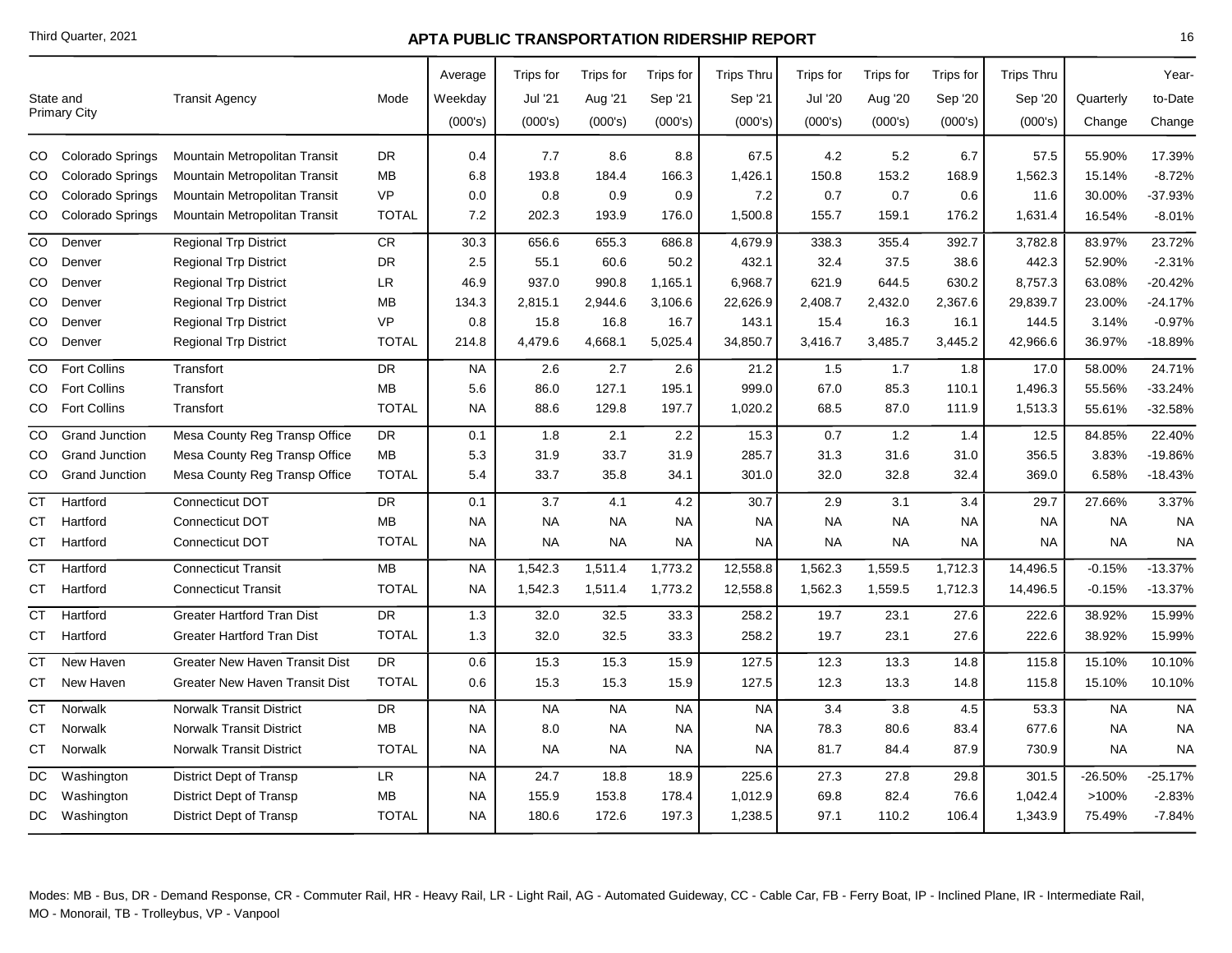|           | State and<br>Primary City | <b>Transit Agency</b>                 | Mode         | Average<br>Weekday<br>(000's) | Trips for<br>Jul '21<br>(000's) | Trips for<br>Aug '21<br>(000's) | Trips for<br>Sep '21<br>(000's) | <b>Trips Thru</b><br>Sep '21<br>(000's) | Trips for<br><b>Jul '20</b><br>(000's) | Trips for<br>Aug '20<br>(000's) | Trips for<br>Sep '20<br>(000's) | <b>Trips Thru</b><br>Sep '20<br>(000's) | Quarterly<br>Change | Year-<br>to-Date<br>Change |
|-----------|---------------------------|---------------------------------------|--------------|-------------------------------|---------------------------------|---------------------------------|---------------------------------|-----------------------------------------|----------------------------------------|---------------------------------|---------------------------------|-----------------------------------------|---------------------|----------------------------|
| CO        | Colorado Springs          | Mountain Metropolitan Transit         | DR           | 0.4                           | 7.7                             | 8.6                             | 8.8                             | 67.5                                    | 4.2                                    | 5.2                             | 6.7                             | 57.5                                    | 55.90%              | 17.39%                     |
| CO        | Colorado Springs          | Mountain Metropolitan Transit         | <b>MB</b>    | 6.8                           | 193.8                           | 184.4                           | 166.3                           | 1,426.1                                 | 150.8                                  | 153.2                           | 168.9                           | 1,562.3                                 | 15.14%              | $-8.72%$                   |
| CO        | Colorado Springs          | Mountain Metropolitan Transit         | <b>VP</b>    | 0.0                           | 0.8                             | 0.9                             | 0.9                             | 7.2                                     | 0.7                                    | 0.7                             | 0.6                             | 11.6                                    | 30.00%              | -37.93%                    |
| CO        | Colorado Springs          | Mountain Metropolitan Transit         | <b>TOTAL</b> | 7.2                           | 202.3                           | 193.9                           | 176.0                           | 1,500.8                                 | 155.7                                  | 159.1                           | 176.2                           | 1,631.4                                 | 16.54%              | $-8.01%$                   |
| CO        | Denver                    | <b>Regional Trp District</b>          | CR.          | 30.3                          | 656.6                           | 655.3                           | 686.8                           | 4,679.9                                 | 338.3                                  | 355.4                           | 392.7                           | 3,782.8                                 | 83.97%              | 23.72%                     |
| CO        | Denver                    | <b>Regional Trp District</b>          | <b>DR</b>    | 2.5                           | 55.1                            | 60.6                            | 50.2                            | 432.1                                   | 32.4                                   | 37.5                            | 38.6                            | 442.3                                   | 52.90%              | $-2.31%$                   |
| CO        | Denver                    | <b>Regional Trp District</b>          | <b>LR</b>    | 46.9                          | 937.0                           | 990.8                           | 1,165.1                         | 6,968.7                                 | 621.9                                  | 644.5                           | 630.2                           | 8,757.3                                 | 63.08%              | $-20.42%$                  |
| CO        | Denver                    | <b>Regional Trp District</b>          | ΜВ           | 134.3                         | 2,815.1                         | 2,944.6                         | 3,106.6                         | 22,626.9                                | 2,408.7                                | 2,432.0                         | 2,367.6                         | 29,839.7                                | 23.00%              | $-24.17%$                  |
| CO        | Denver                    | <b>Regional Trp District</b>          | <b>VP</b>    | 0.8                           | 15.8                            | 16.8                            | 16.7                            | 143.1                                   | 15.4                                   | 16.3                            | 16.1                            | 144.5                                   | 3.14%               | $-0.97%$                   |
| CO        | Denver                    | <b>Regional Trp District</b>          | <b>TOTAL</b> | 214.8                         | 4,479.6                         | 4,668.1                         | 5,025.4                         | 34,850.7                                | 3,416.7                                | 3,485.7                         | 3,445.2                         | 42,966.6                                | 36.97%              | $-18.89%$                  |
| CO.       | <b>Fort Collins</b>       | Transfort                             | <b>DR</b>    | <b>NA</b>                     | 2.6                             | 2.7                             | 2.6                             | 21.2                                    | 1.5                                    | 1.7                             | 1.8                             | 17.0                                    | 58.00%              | 24.71%                     |
| CO        | <b>Fort Collins</b>       | Transfort                             | MB           | 5.6                           | 86.0                            | 127.1                           | 195.1                           | 999.0                                   | 67.0                                   | 85.3                            | 110.1                           | 1,496.3                                 | 55.56%              | $-33.24%$                  |
| CO        | <b>Fort Collins</b>       | Transfort                             | <b>TOTAL</b> | <b>NA</b>                     | 88.6                            | 129.8                           | 197.7                           | 1,020.2                                 | 68.5                                   | 87.0                            | 111.9                           | 1,513.3                                 | 55.61%              | -32.58%                    |
| CO        | <b>Grand Junction</b>     | Mesa County Reg Transp Office         | DR           | 0.1                           | 1.8                             | 2.1                             | 2.2                             | 15.3                                    | 0.7                                    | 1.2                             | 1.4                             | 12.5                                    | 84.85%              | 22.40%                     |
| CO        | <b>Grand Junction</b>     | Mesa County Reg Transp Office         | MB           | 5.3                           | 31.9                            | 33.7                            | 31.9                            | 285.7                                   | 31.3                                   | 31.6                            | 31.0                            | 356.5                                   | 3.83%               | -19.86%                    |
| CO        | <b>Grand Junction</b>     | Mesa County Reg Transp Office         | <b>TOTAL</b> | 5.4                           | 33.7                            | 35.8                            | 34.1                            | 301.0                                   | 32.0                                   | 32.8                            | 32.4                            | 369.0                                   | 6.58%               | $-18.43%$                  |
| СT        | Hartford                  | Connecticut DOT                       | DR           | 0.1                           | 3.7                             | 4.1                             | 4.2                             | 30.7                                    | 2.9                                    | 3.1                             | 3.4                             | 29.7                                    | 27.66%              | 3.37%                      |
| СT        | Hartford                  | <b>Connecticut DOT</b>                | <b>MB</b>    | <b>NA</b>                     | <b>NA</b>                       | <b>NA</b>                       | NA                              | <b>NA</b>                               | <b>NA</b>                              | <b>NA</b>                       | <b>NA</b>                       | <b>NA</b>                               | <b>NA</b>           | <b>NA</b>                  |
| CТ        | Hartford                  | Connecticut DOT                       | <b>TOTAL</b> | <b>NA</b>                     | <b>NA</b>                       | <b>NA</b>                       | NA                              | NA                                      | <b>NA</b>                              | <b>NA</b>                       | <b>NA</b>                       | <b>NA</b>                               | <b>NA</b>           | <b>NA</b>                  |
| <b>CT</b> | Hartford                  | <b>Connecticut Transit</b>            | <b>MB</b>    | <b>NA</b>                     | 1,542.3                         | 1,511.4                         | 1,773.2                         | 12,558.8                                | 1,562.3                                | 1,559.5                         | 1,712.3                         | 14,496.5                                | $-0.15%$            | $-13.37%$                  |
| CТ        | Hartford                  | <b>Connecticut Transit</b>            | <b>TOTAL</b> | <b>NA</b>                     | 1,542.3                         | 1,511.4                         | 1,773.2                         | 12,558.8                                | 1,562.3                                | 1,559.5                         | 1,712.3                         | 14,496.5                                | $-0.15%$            | $-13.37%$                  |
| <b>CT</b> | Hartford                  | <b>Greater Hartford Tran Dist</b>     | <b>DR</b>    | 1.3                           | 32.0                            | 32.5                            | 33.3                            | 258.2                                   | 19.7                                   | 23.1                            | 27.6                            | 222.6                                   | 38.92%              | 15.99%                     |
| СT        | Hartford                  | <b>Greater Hartford Tran Dist</b>     | <b>TOTAL</b> | 1.3                           | 32.0                            | 32.5                            | 33.3                            | 258.2                                   | 19.7                                   | 23.1                            | 27.6                            | 222.6                                   | 38.92%              | 15.99%                     |
| СT        | New Haven                 | <b>Greater New Haven Transit Dist</b> | DR           | 0.6                           | 15.3                            | 15.3                            | 15.9                            | 127.5                                   | 12.3                                   | 13.3                            | 14.8                            | 115.8                                   | 15.10%              | 10.10%                     |
| CТ        | New Haven                 | Greater New Haven Transit Dist        | <b>TOTAL</b> | 0.6                           | 15.3                            | 15.3                            | 15.9                            | 127.5                                   | 12.3                                   | 13.3                            | 14.8                            | 115.8                                   | 15.10%              | 10.10%                     |
| СT        | Norwalk                   | <b>Norwalk Transit District</b>       | DR           | <b>NA</b>                     | <b>NA</b>                       | <b>NA</b>                       | <b>NA</b>                       | <b>NA</b>                               | 3.4                                    | 3.8                             | 4.5                             | 53.3                                    | <b>NA</b>           | <b>NA</b>                  |
| СT        | <b>Norwalk</b>            | <b>Norwalk Transit District</b>       | <b>MB</b>    | <b>NA</b>                     | 8.0                             | <b>NA</b>                       | NA                              | NA                                      | 78.3                                   | 80.6                            | 83.4                            | 677.6                                   | <b>NA</b>           | <b>NA</b>                  |
| CТ        | Norwalk                   | <b>Norwalk Transit District</b>       | <b>TOTAL</b> | <b>NA</b>                     | <b>NA</b>                       | <b>NA</b>                       | NA                              | NA                                      | 81.7                                   | 84.4                            | 87.9                            | 730.9                                   | <b>NA</b>           | <b>NA</b>                  |
| DC        | Washington                | District Dept of Transp               | LR.          | <b>NA</b>                     | 24.7                            | 18.8                            | 18.9                            | 225.6                                   | 27.3                                   | 27.8                            | 29.8                            | 301.5                                   | $-26.50%$           | $-25.17%$                  |
| DC        | Washington                | District Dept of Transp               | ΜВ           | <b>NA</b>                     | 155.9                           | 153.8                           | 178.4                           | 1,012.9                                 | 69.8                                   | 82.4                            | 76.6                            | 1,042.4                                 | >100%               | $-2.83%$                   |
|           | DC Washington             | <b>District Dept of Transp</b>        | <b>TOTAL</b> | <b>NA</b>                     | 180.6                           | 172.6                           | 197.3                           | 1,238.5                                 | 97.1                                   | 110.2                           | 106.4                           | 1,343.9                                 | 75.49%              | $-7.84%$                   |
|           |                           |                                       |              |                               |                                 |                                 |                                 |                                         |                                        |                                 |                                 |                                         |                     |                            |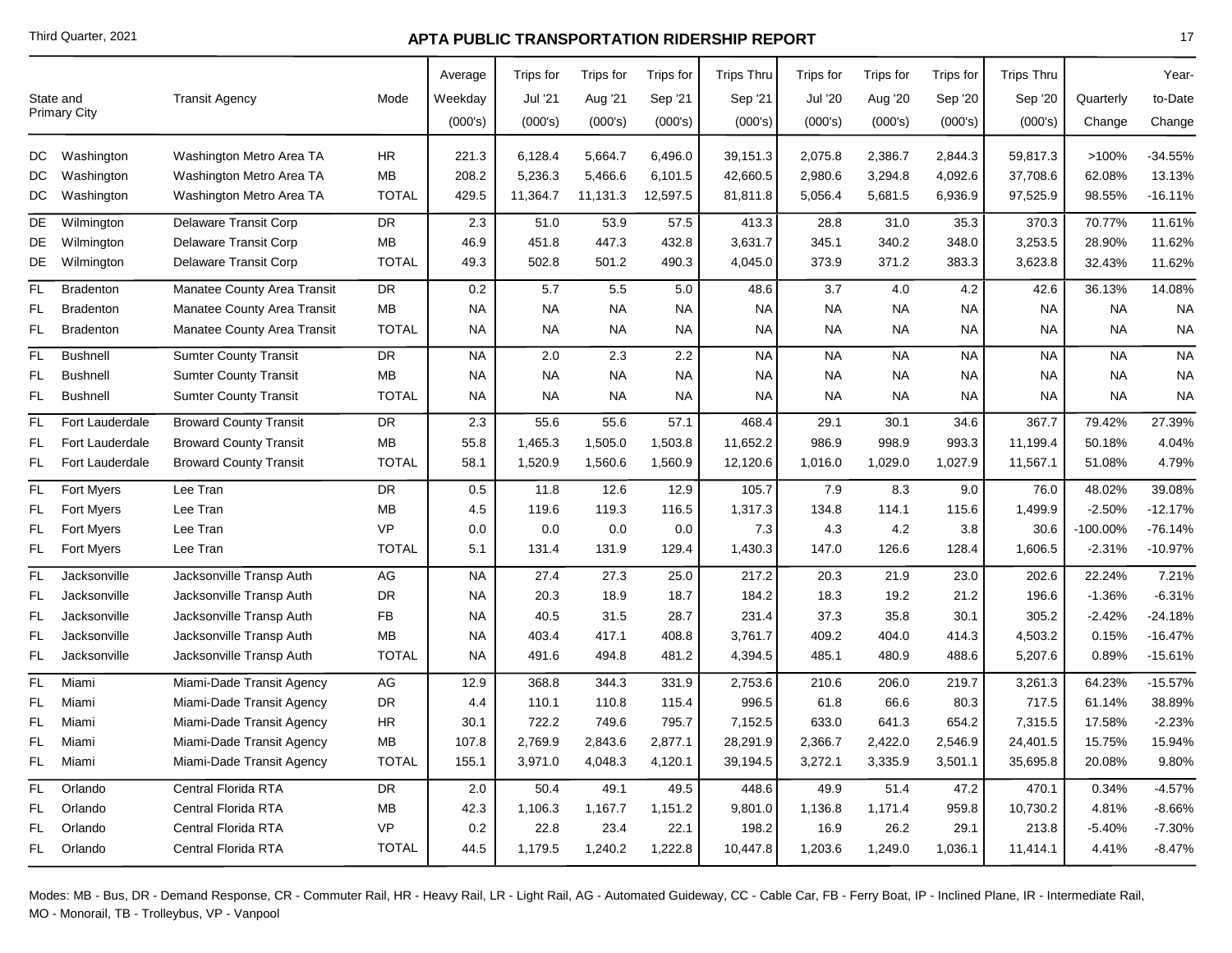|     | State and<br><b>Primary City</b> | <b>Transit Agency</b>         | Mode         | Average<br>Weekday<br>(000's) | Trips for<br>Jul '21<br>(000's) | Trips for<br>Aug '21<br>(000's) | Trips for<br>Sep '21<br>(000's) | <b>Trips Thru</b><br>Sep '21<br>(000's) | Trips for<br><b>Jul '20</b><br>(000's) | Trips for<br>Aug '20<br>(000's) | Trips for<br>Sep '20<br>(000's) | <b>Trips Thru</b><br>Sep '20<br>(000's) | Quarterly<br>Change | Year-<br>to-Date<br>Change |
|-----|----------------------------------|-------------------------------|--------------|-------------------------------|---------------------------------|---------------------------------|---------------------------------|-----------------------------------------|----------------------------------------|---------------------------------|---------------------------------|-----------------------------------------|---------------------|----------------------------|
| DC  | Washington                       | Washington Metro Area TA      | <b>HR</b>    | 221.3                         | 6,128.4                         | 5,664.7                         | 6,496.0                         | 39,151.3                                | 2,075.8                                | 2,386.7                         | 2,844.3                         | 59,817.3                                | >100%               | $-34.55%$                  |
| DC  | Washington                       | Washington Metro Area TA      | MB           | 208.2                         | 5,236.3                         | 5,466.6                         | 6,101.5                         | 42,660.5                                | 2,980.6                                | 3,294.8                         | 4,092.6                         | 37,708.6                                | 62.08%              | 13.13%                     |
| DC  | Washington                       | Washington Metro Area TA      | <b>TOTAL</b> | 429.5                         | 11,364.7                        | 11,131.3                        | 12,597.5                        | 81,811.8                                | 5,056.4                                | 5,681.5                         | 6,936.9                         | 97,525.9                                | 98.55%              | $-16.11%$                  |
| DE  | Wilmington                       | Delaware Transit Corp         | DR           | 2.3                           | 51.0                            | 53.9                            | 57.5                            | 413.3                                   | 28.8                                   | 31.0                            | 35.3                            | 370.3                                   | 70.77%              | 11.61%                     |
| DE  | Wilmington                       | Delaware Transit Corp         | <b>MB</b>    | 46.9                          | 451.8                           | 447.3                           | 432.8                           | 3,631.7                                 | 345.1                                  | 340.2                           | 348.0                           | 3,253.5                                 | 28.90%              | 11.62%                     |
| DE  | Wilmington                       | Delaware Transit Corp         | <b>TOTAL</b> | 49.3                          | 502.8                           | 501.2                           | 490.3                           | 4,045.0                                 | 373.9                                  | 371.2                           | 383.3                           | 3,623.8                                 | 32.43%              | 11.62%                     |
| FL. | <b>Bradenton</b>                 | Manatee County Area Transit   | <b>DR</b>    | 0.2                           | 5.7                             | 5.5                             | 5.0                             | 48.6                                    | 3.7                                    | 4.0                             | 4.2                             | 42.6                                    | 36.13%              | 14.08%                     |
| FL  | <b>Bradenton</b>                 | Manatee County Area Transit   | MB           | <b>NA</b>                     | <b>NA</b>                       | <b>NA</b>                       | <b>NA</b>                       | <b>NA</b>                               | <b>NA</b>                              | <b>NA</b>                       | <b>NA</b>                       | <b>NA</b>                               | <b>NA</b>           | <b>NA</b>                  |
| FL  | <b>Bradenton</b>                 | Manatee County Area Transit   | <b>TOTAL</b> | NA                            | <b>NA</b>                       | <b>NA</b>                       | NA                              | <b>NA</b>                               | <b>NA</b>                              | <b>NA</b>                       | <b>NA</b>                       | <b>NA</b>                               | <b>NA</b>           | <b>NA</b>                  |
| FL. | <b>Bushnell</b>                  | <b>Sumter County Transit</b>  | <b>DR</b>    | <b>NA</b>                     | 2.0                             | 2.3                             | 2.2                             | <b>NA</b>                               | <b>NA</b>                              | <b>NA</b>                       | <b>NA</b>                       | <b>NA</b>                               | <b>NA</b>           | <b>NA</b>                  |
| FL  | <b>Bushnell</b>                  | <b>Sumter County Transit</b>  | МB           | NA                            | <b>NA</b>                       | <b>NA</b>                       | NA                              | <b>NA</b>                               | <b>NA</b>                              | <b>NA</b>                       | NA                              | NA                                      | <b>NA</b>           | <b>NA</b>                  |
| FL  | <b>Bushnell</b>                  | <b>Sumter County Transit</b>  | <b>TOTAL</b> | <b>NA</b>                     | <b>NA</b>                       | <b>NA</b>                       | <b>NA</b>                       | <b>NA</b>                               | <b>NA</b>                              | <b>NA</b>                       | <b>NA</b>                       | <b>NA</b>                               | <b>NA</b>           | <b>NA</b>                  |
| FL. | Fort Lauderdale                  | <b>Broward County Transit</b> | <b>DR</b>    | 2.3                           | 55.6                            | 55.6                            | 57.1                            | 468.4                                   | 29.1                                   | 30.1                            | 34.6                            | 367.7                                   | 79.42%              | 27.39%                     |
| FL  | Fort Lauderdale                  | <b>Broward County Transit</b> | MB           | 55.8                          | 1,465.3                         | 1,505.0                         | 1,503.8                         | 11,652.2                                | 986.9                                  | 998.9                           | 993.3                           | 11,199.4                                | 50.18%              | 4.04%                      |
| FL. | Fort Lauderdale                  | <b>Broward County Transit</b> | <b>TOTAL</b> | 58.1                          | 1,520.9                         | 1,560.6                         | 1,560.9                         | 12,120.6                                | 1,016.0                                | 1,029.0                         | 1,027.9                         | 11,567.1                                | 51.08%              | 4.79%                      |
| FL  | Fort Myers                       | Lee Tran                      | <b>DR</b>    | 0.5                           | 11.8                            | 12.6                            | 12.9                            | 105.7                                   | 7.9                                    | 8.3                             | 9.0                             | 76.0                                    | 48.02%              | 39.08%                     |
| FL  | <b>Fort Myers</b>                | Lee Tran                      | MB           | 4.5                           | 119.6                           | 119.3                           | 116.5                           | 1,317.3                                 | 134.8                                  | 114.1                           | 115.6                           | 1,499.9                                 | $-2.50%$            | $-12.17%$                  |
| FL  | Fort Myers                       | Lee Tran                      | <b>VP</b>    | 0.0                           | 0.0                             | 0.0                             | 0.0                             | 7.3                                     | 4.3                                    | 4.2                             | 3.8                             | 30.6                                    | -100.00%            | $-76.14%$                  |
| FL. | <b>Fort Myers</b>                | Lee Tran                      | <b>TOTAL</b> | 5.1                           | 131.4                           | 131.9                           | 129.4                           | 1,430.3                                 | 147.0                                  | 126.6                           | 128.4                           | 1,606.5                                 | $-2.31%$            | $-10.97%$                  |
| FL  | Jacksonville                     | Jacksonville Transp Auth      | AG           | <b>NA</b>                     | 27.4                            | 27.3                            | 25.0                            | 217.2                                   | 20.3                                   | 21.9                            | 23.0                            | 202.6                                   | 22.24%              | 7.21%                      |
| FL  | Jacksonville                     | Jacksonville Transp Auth      | <b>DR</b>    | NA                            | 20.3                            | 18.9                            | 18.7                            | 184.2                                   | 18.3                                   | 19.2                            | 21.2                            | 196.6                                   | $-1.36%$            | $-6.31%$                   |
| FL  | Jacksonville                     | Jacksonville Transp Auth      | FB           | <b>NA</b>                     | 40.5                            | 31.5                            | 28.7                            | 231.4                                   | 37.3                                   | 35.8                            | 30.1                            | 305.2                                   | $-2.42%$            | $-24.18%$                  |
| FL  | Jacksonville                     | Jacksonville Transp Auth      | MВ           | <b>NA</b>                     | 403.4                           | 417.1                           | 408.8                           | 3,761.7                                 | 409.2                                  | 404.0                           | 414.3                           | 4,503.2                                 | 0.15%               | $-16.47%$                  |
| FL  | Jacksonville                     | Jacksonville Transp Auth      | <b>TOTAL</b> | NA.                           | 491.6                           | 494.8                           | 481.2                           | 4,394.5                                 | 485.1                                  | 480.9                           | 488.6                           | 5,207.6                                 | 0.89%               | $-15.61%$                  |
| FL. | Miami                            | Miami-Dade Transit Agency     | AG           | 12.9                          | 368.8                           | 344.3                           | 331.9                           | 2,753.6                                 | 210.6                                  | 206.0                           | 219.7                           | 3,261.3                                 | 64.23%              | $-15.57%$                  |
| FL  | Miami                            | Miami-Dade Transit Agency     | <b>DR</b>    | 4.4                           | 110.1                           | 110.8                           | 115.4                           | 996.5                                   | 61.8                                   | 66.6                            | 80.3                            | 717.5                                   | 61.14%              | 38.89%                     |
| FL  | Miami                            | Miami-Dade Transit Agency     | HR           | 30.1                          | 722.2                           | 749.6                           | 795.7                           | 7,152.5                                 | 633.0                                  | 641.3                           | 654.2                           | 7,315.5                                 | 17.58%              | $-2.23%$                   |
| FL  | Miami                            | Miami-Dade Transit Agency     | МB           | 107.8                         | 2,769.9                         | 2,843.6                         | 2,877.1                         | 28,291.9                                | 2,366.7                                | 2,422.0                         | 2,546.9                         | 24,401.5                                | 15.75%              | 15.94%                     |
| FL. | Miami                            | Miami-Dade Transit Agency     | <b>TOTAL</b> | 155.1                         | 3,971.0                         | 4,048.3                         | 4,120.1                         | 39,194.5                                | 3,272.1                                | 3,335.9                         | 3,501.1                         | 35,695.8                                | 20.08%              | 9.80%                      |
| FL  | Orlando                          | Central Florida RTA           | <b>DR</b>    | 2.0                           | 50.4                            | 49.1                            | 49.5                            | 448.6                                   | 49.9                                   | 51.4                            | 47.2                            | 470.1                                   | 0.34%               | $-4.57%$                   |
| FL  | Orlando                          | Central Florida RTA           | MВ           | 42.3                          | 1,106.3                         | 1,167.7                         | 1,151.2                         | 9,801.0                                 | 1,136.8                                | 1,171.4                         | 959.8                           | 10,730.2                                | 4.81%               | $-8.66%$                   |
| FL  | Orlando                          | Central Florida RTA           | <b>VP</b>    | 0.2                           | 22.8                            | 23.4                            | 22.1                            | 198.2                                   | 16.9                                   | 26.2                            | 29.1                            | 213.8                                   | $-5.40%$            | $-7.30%$                   |
| FL. | Orlando                          | Central Florida RTA           | <b>TOTAL</b> | 44.5                          | 1,179.5                         | 1,240.2                         | 1,222.8                         | 10,447.8                                | 1,203.6                                | 1,249.0                         | 1,036.1                         | 11,414.1                                | 4.41%               | $-8.47%$                   |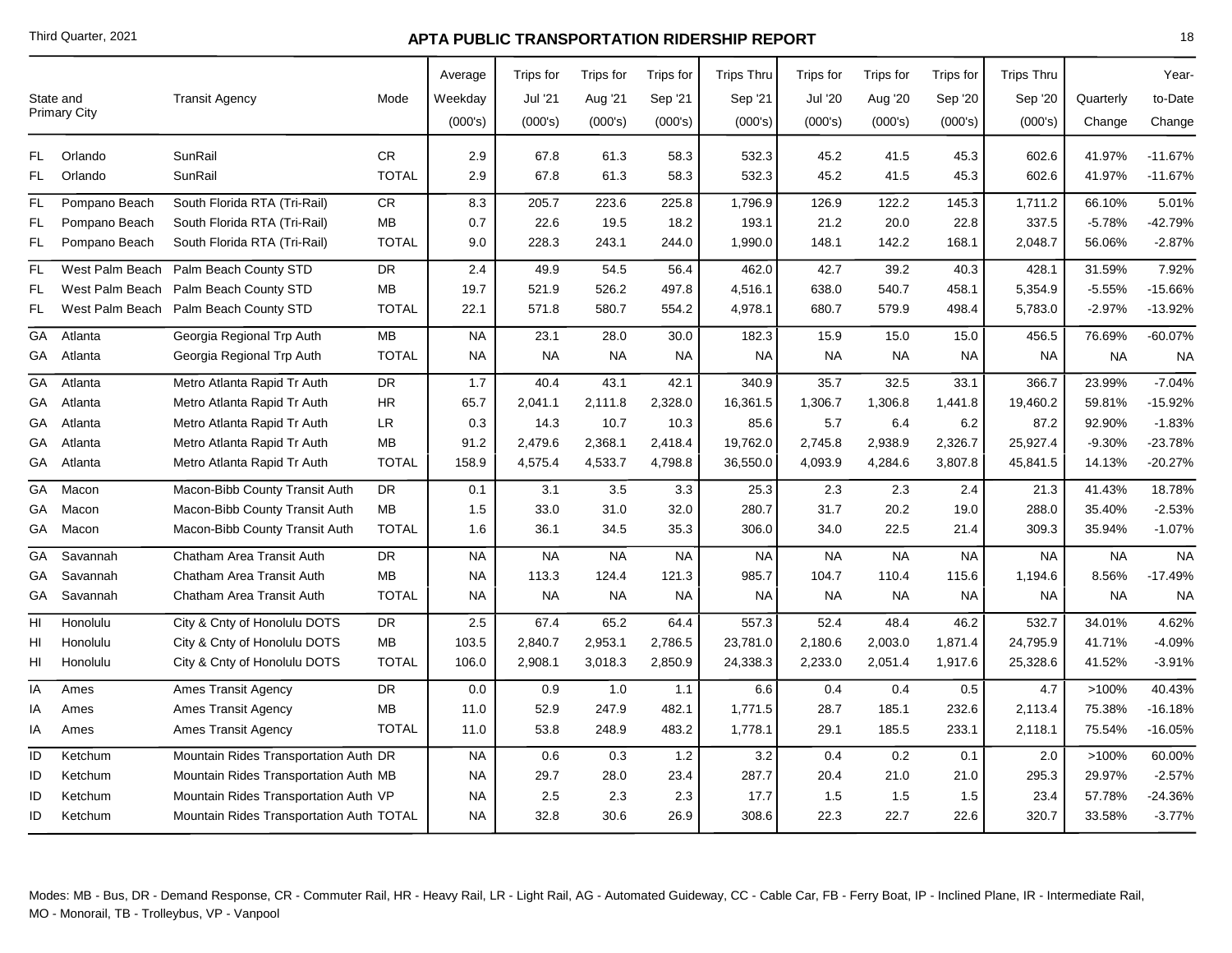|     |                     |                                          |              | Average   | Trips for | Trips for | Trips for | <b>Trips Thru</b> | <b>Trips for</b> | Trips for | Trips for | <b>Trips Thru</b> |           | Year-     |
|-----|---------------------|------------------------------------------|--------------|-----------|-----------|-----------|-----------|-------------------|------------------|-----------|-----------|-------------------|-----------|-----------|
|     | State and           | <b>Transit Agency</b>                    | Mode         | Weekday   | Jul '21   | Aug '21   | Sep '21   | Sep '21           | <b>Jul '20</b>   | Aug '20   | Sep '20   | Sep '20           | Quarterly | to-Date   |
|     | <b>Primary City</b> |                                          |              | (000's)   | (000's)   | (000's)   | (000's)   | (000's)           | (000's)          | (000's)   | (000's)   | (000's)           | Change    | Change    |
| FL. | Orlando             | SunRail                                  | CR           | 2.9       | 67.8      | 61.3      | 58.3      | 532.3             | 45.2             | 41.5      | 45.3      | 602.6             | 41.97%    | $-11.67%$ |
| FL  | Orlando             | SunRail                                  | <b>TOTAL</b> | 2.9       | 67.8      | 61.3      | 58.3      | 532.3             | 45.2             | 41.5      | 45.3      | 602.6             | 41.97%    | $-11.67%$ |
| FL  | Pompano Beach       | South Florida RTA (Tri-Rail)             | CR.          | 8.3       | 205.7     | 223.6     | 225.8     | 1,796.9           | 126.9            | 122.2     | 145.3     | 1,711.2           | 66.10%    | 5.01%     |
| FL  | Pompano Beach       | South Florida RTA (Tri-Rail)             | MB           | 0.7       | 22.6      | 19.5      | 18.2      | 193.1             | 21.2             | 20.0      | 22.8      | 337.5             | $-5.78%$  | -42.79%   |
| FL. | Pompano Beach       | South Florida RTA (Tri-Rail)             | <b>TOTAL</b> | 9.0       | 228.3     | 243.1     | 244.0     | 1,990.0           | 148.1            | 142.2     | 168.1     | 2,048.7           | 56.06%    | $-2.87%$  |
| FL. | West Palm Beach     | Palm Beach County STD                    | <b>DR</b>    | 2.4       | 49.9      | 54.5      | 56.4      | 462.0             | 42.7             | 39.2      | 40.3      | 428.1             | 31.59%    | 7.92%     |
| FL  | West Palm Beach     | Palm Beach County STD                    | <b>MB</b>    | 19.7      | 521.9     | 526.2     | 497.8     | 4,516.1           | 638.0            | 540.7     | 458.1     | 5,354.9           | $-5.55%$  | -15.66%   |
| FL  | West Palm Beach     | Palm Beach County STD                    | <b>TOTAL</b> | 22.1      | 571.8     | 580.7     | 554.2     | 4,978.1           | 680.7            | 579.9     | 498.4     | 5,783.0           | $-2.97%$  | -13.92%   |
| GA  | Atlanta             | Georgia Regional Trp Auth                | MB           | <b>NA</b> | 23.1      | 28.0      | 30.0      | 182.3             | 15.9             | 15.0      | 15.0      | 456.5             | 76.69%    | $-60.07%$ |
| GA  | Atlanta             | Georgia Regional Trp Auth                | <b>TOTAL</b> | <b>NA</b> | <b>NA</b> | <b>NA</b> | <b>NA</b> | <b>NA</b>         | <b>NA</b>        | <b>NA</b> | <b>NA</b> | <b>NA</b>         | <b>NA</b> | <b>NA</b> |
| GA  | Atlanta             | Metro Atlanta Rapid Tr Auth              | <b>DR</b>    | 1.7       | 40.4      | 43.1      | 42.1      | 340.9             | 35.7             | 32.5      | 33.1      | 366.7             | 23.99%    | $-7.04%$  |
| GА  | Atlanta             | Metro Atlanta Rapid Tr Auth              | <b>HR</b>    | 65.7      | 2,041.1   | 2,111.8   | 2,328.0   | 16,361.5          | 1,306.7          | 1,306.8   | 1,441.8   | 19,460.2          | 59.81%    | -15.92%   |
| GА  | Atlanta             | Metro Atlanta Rapid Tr Auth              | LR           | 0.3       | 14.3      | 10.7      | 10.3      | 85.6              | 5.7              | 6.4       | 6.2       | 87.2              | 92.90%    | $-1.83%$  |
| GА  | Atlanta             | Metro Atlanta Rapid Tr Auth              | <b>MB</b>    | 91.2      | 2,479.6   | 2,368.1   | 2,418.4   | 19,762.0          | 2,745.8          | 2,938.9   | 2,326.7   | 25,927.4          | $-9.30%$  | $-23.78%$ |
| GA  | Atlanta             | Metro Atlanta Rapid Tr Auth              | <b>TOTAL</b> | 158.9     | 4,575.4   | 4,533.7   | 4,798.8   | 36,550.0          | 4,093.9          | 4,284.6   | 3,807.8   | 45,841.5          | 14.13%    | $-20.27%$ |
| GA  | Macon               | Macon-Bibb County Transit Auth           | <b>DR</b>    | 0.1       | 3.1       | 3.5       | 3.3       | 25.3              | 2.3              | 2.3       | 2.4       | 21.3              | 41.43%    | 18.78%    |
| GA  | Macon               | Macon-Bibb County Transit Auth           | <b>MB</b>    | 1.5       | 33.0      | 31.0      | 32.0      | 280.7             | 31.7             | 20.2      | 19.0      | 288.0             | 35.40%    | $-2.53%$  |
| GA  | Macon               | Macon-Bibb County Transit Auth           | <b>TOTAL</b> | 1.6       | 36.1      | 34.5      | 35.3      | 306.0             | 34.0             | 22.5      | 21.4      | 309.3             | 35.94%    | $-1.07%$  |
| GA  | Savannah            | Chatham Area Transit Auth                | <b>DR</b>    | NA        | <b>NA</b> | <b>NA</b> | <b>NA</b> | <b>NA</b>         | <b>NA</b>        | <b>NA</b> | <b>NA</b> | <b>NA</b>         | <b>NA</b> | <b>NA</b> |
| GА  | Savannah            | Chatham Area Transit Auth                | MB           | <b>NA</b> | 113.3     | 124.4     | 121.3     | 985.7             | 104.7            | 110.4     | 115.6     | 1,194.6           | 8.56%     | $-17.49%$ |
| GА  | Savannah            | Chatham Area Transit Auth                | <b>TOTAL</b> | <b>NA</b> | <b>NA</b> | <b>NA</b> | <b>NA</b> | <b>NA</b>         | <b>NA</b>        | <b>NA</b> | <b>NA</b> | <b>NA</b>         | <b>NA</b> | <b>NA</b> |
| HI  | Honolulu            | City & Cnty of Honolulu DOTS             | DR           | 2.5       | 67.4      | 65.2      | 64.4      | 557.3             | 52.4             | 48.4      | 46.2      | 532.7             | 34.01%    | 4.62%     |
| HI  | Honolulu            | City & Cnty of Honolulu DOTS             | <b>MB</b>    | 103.5     | 2,840.7   | 2,953.1   | 2,786.5   | 23,781.0          | 2,180.6          | 2,003.0   | 1,871.4   | 24,795.9          | 41.71%    | 4.09%     |
| HI  | Honolulu            | City & Cnty of Honolulu DOTS             | <b>TOTAL</b> | 106.0     | 2,908.1   | 3,018.3   | 2,850.9   | 24,338.3          | 2,233.0          | 2,051.4   | 1,917.6   | 25,328.6          | 41.52%    | $-3.91%$  |
| IA  | Ames                | <b>Ames Transit Agency</b>               | <b>DR</b>    | 0.0       | 0.9       | 1.0       | 1.1       | 6.6               | 0.4              | 0.4       | 0.5       | 4.7               | >100%     | 40.43%    |
| ΙA  | Ames                | <b>Ames Transit Agency</b>               | MB           | 11.0      | 52.9      | 247.9     | 482.1     | 1,771.5           | 28.7             | 185.1     | 232.6     | 2,113.4           | 75.38%    | $-16.18%$ |
| ΙA  | Ames                | <b>Ames Transit Agency</b>               | <b>TOTAL</b> | 11.0      | 53.8      | 248.9     | 483.2     | 1,778.1           | 29.1             | 185.5     | 233.1     | 2,118.1           | 75.54%    | -16.05%   |
| ID  | Ketchum             | Mountain Rides Transportation Auth DR    |              | <b>NA</b> | 0.6       | 0.3       | 1.2       | 3.2               | 0.4              | 0.2       | 0.1       | 2.0               | >100%     | 60.00%    |
| ID  | Ketchum             | Mountain Rides Transportation Auth MB    |              | <b>NA</b> | 29.7      | 28.0      | 23.4      | 287.7             | 20.4             | 21.0      | 21.0      | 295.3             | 29.97%    | $-2.57%$  |
| ID  | Ketchum             | Mountain Rides Transportation Auth VP    |              | <b>NA</b> | 2.5       | $2.3$     | 2.3       | 17.7              | 1.5              | 1.5       | 1.5       | 23.4              | 57.78%    | $-24.36%$ |
| ID  | Ketchum             | Mountain Rides Transportation Auth TOTAL |              | <b>NA</b> | 32.8      | 30.6      | 26.9      | 308.6             | 22.3             | 22.7      | 22.6      | 320.7             | 33.58%    | $-3.77%$  |
|     |                     |                                          |              |           |           |           |           |                   |                  |           |           |                   |           |           |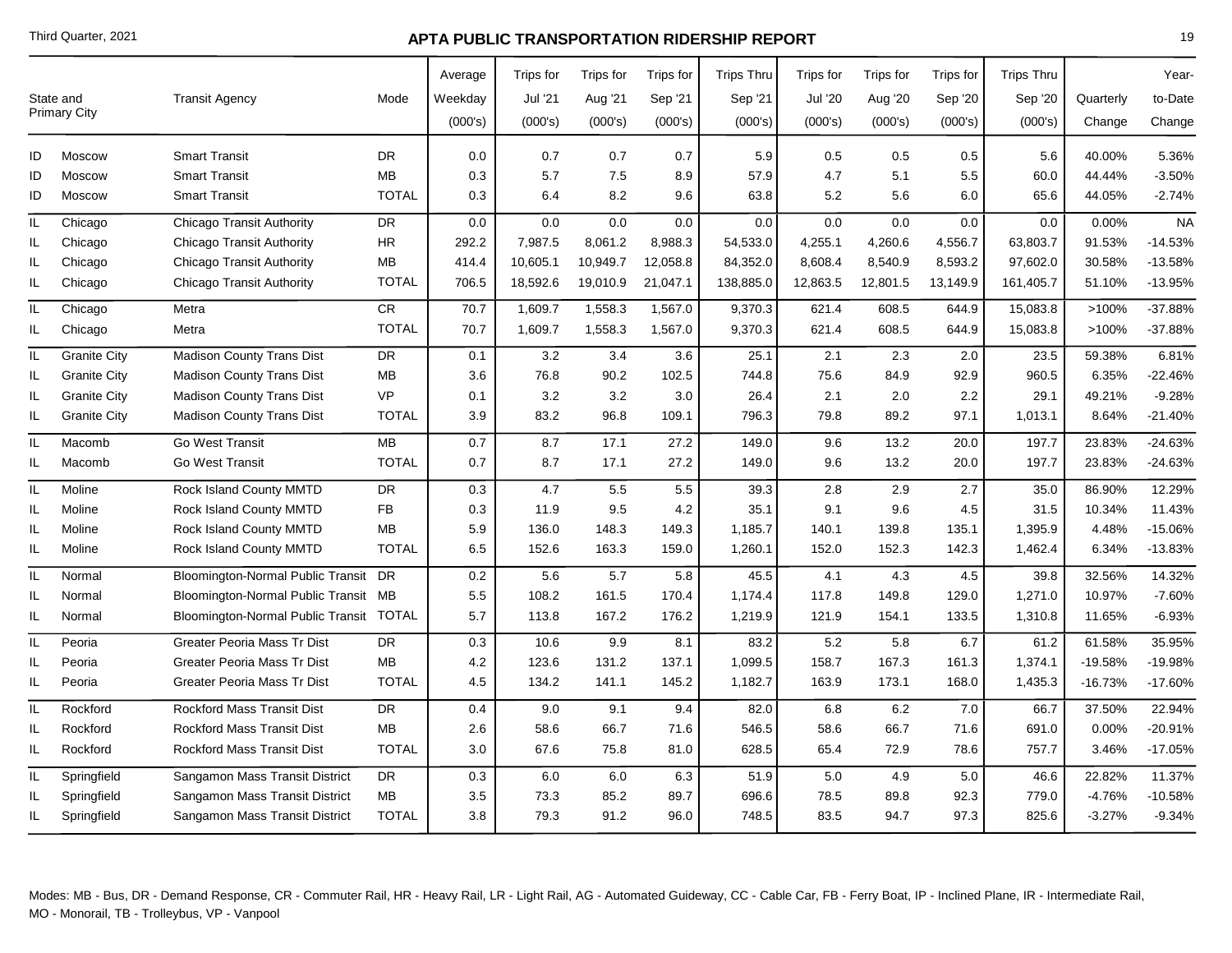|     | State and           | <b>Transit Agency</b>                   | Mode         | Average<br>Weekday | Trips for<br>Jul '21 | Trips for<br>Aug '21 | Trips for<br>Sep '21 | <b>Trips Thru</b><br>Sep '21 | Trips for<br>Jul '20 | Trips for<br>Aug '20 | Trips for<br>Sep '20 | <b>Trips Thru</b><br>Sep '20 | Quarterly | Year-<br>to-Date |
|-----|---------------------|-----------------------------------------|--------------|--------------------|----------------------|----------------------|----------------------|------------------------------|----------------------|----------------------|----------------------|------------------------------|-----------|------------------|
|     | <b>Primary City</b> |                                         |              | (000's)            | (000's)              | (000's)              | (000's)              | (000's)                      | (000's)              | (000's)              | (000's)              | (000's)                      | Change    | Change           |
| ID  | Moscow              | <b>Smart Transit</b>                    | <b>DR</b>    | 0.0                | 0.7                  | 0.7                  | 0.7                  | 5.9                          | 0.5                  | 0.5                  | 0.5                  | 5.6                          | 40.00%    | 5.36%            |
| ID  | Moscow              | <b>Smart Transit</b>                    | <b>MB</b>    | 0.3                | 5.7                  | 7.5                  | 8.9                  | 57.9                         | 4.7                  | 5.1                  | 5.5                  | 60.0                         | 44.44%    | $-3.50%$         |
| ID  | Moscow              | <b>Smart Transit</b>                    | <b>TOTAL</b> | 0.3                | 6.4                  | 8.2                  | 9.6                  | 63.8                         | 5.2                  | 5.6                  | 6.0                  | 65.6                         | 44.05%    | $-2.74%$         |
| IL  | Chicago             | <b>Chicago Transit Authority</b>        | <b>DR</b>    | 0.0                | 0.0                  | 0.0                  | 0.0                  | 0.0                          | 0.0                  | 0.0                  | 0.0                  | 0.0                          | 0.00%     | <b>NA</b>        |
| IL  | Chicago             | Chicago Transit Authority               | ${\sf HR}$   | 292.2              | 7,987.5              | 8,061.2              | 8,988.3              | 54,533.0                     | 4,255.1              | 4,260.6              | 4,556.7              | 63,803.7                     | 91.53%    | $-14.53%$        |
| IL  | Chicago             | Chicago Transit Authority               | <b>MB</b>    | 414.4              | 10,605.1             | 10,949.7             | 12,058.8             | 84,352.0                     | 8,608.4              | 8,540.9              | 8,593.2              | 97,602.0                     | 30.58%    | $-13.58%$        |
| IL. | Chicago             | <b>Chicago Transit Authority</b>        | <b>TOTAL</b> | 706.5              | 18,592.6             | 19,010.9             | 21,047.1             | 138,885.0                    | 12,863.5             | 12,801.5             | 13,149.9             | 161,405.7                    | 51.10%    | $-13.95%$        |
| IL. | Chicago             | Metra                                   | <b>CR</b>    | 70.7               | 1,609.7              | 1,558.3              | 1,567.0              | 9,370.3                      | 621.4                | 608.5                | 644.9                | 15,083.8                     | >100%     | -37.88%          |
| IL. | Chicago             | Metra                                   | <b>TOTAL</b> | 70.7               | 1,609.7              | 1,558.3              | 1,567.0              | 9,370.3                      | 621.4                | 608.5                | 644.9                | 15,083.8                     | >100%     | -37.88%          |
| IL  | <b>Granite City</b> | <b>Madison County Trans Dist</b>        | <b>DR</b>    | 0.1                | 3.2                  | 3.4                  | 3.6                  | 25.1                         | 2.1                  | 2.3                  | 2.0                  | 23.5                         | 59.38%    | 6.81%            |
| IL. | <b>Granite City</b> | <b>Madison County Trans Dist</b>        | <b>MB</b>    | 3.6                | 76.8                 | 90.2                 | 102.5                | 744.8                        | 75.6                 | 84.9                 | 92.9                 | 960.5                        | 6.35%     | $-22.46%$        |
| IL. | <b>Granite City</b> | <b>Madison County Trans Dist</b>        | <b>VP</b>    | 0.1                | 3.2                  | 3.2                  | 3.0                  | 26.4                         | 2.1                  | 2.0                  | 2.2                  | 29.1                         | 49.21%    | $-9.28%$         |
| IL. | <b>Granite City</b> | <b>Madison County Trans Dist</b>        | <b>TOTAL</b> | 3.9                | 83.2                 | 96.8                 | 109.1                | 796.3                        | 79.8                 | 89.2                 | 97.1                 | 1,013.1                      | 8.64%     | $-21.40%$        |
| IL  | Macomb              | Go West Transit                         | MB           | 0.7                | 8.7                  | 17.1                 | 27.2                 | 149.0                        | 9.6                  | 13.2                 | 20.0                 | 197.7                        | 23.83%    | $-24.63%$        |
| IL  | Macomb              | Go West Transit                         | <b>TOTAL</b> | 0.7                | 8.7                  | 17.1                 | 27.2                 | 149.0                        | 9.6                  | 13.2                 | 20.0                 | 197.7                        | 23.83%    | -24.63%          |
| IL  | Moline              | Rock Island County MMTD                 | <b>DR</b>    | 0.3                | 4.7                  | 5.5                  | 5.5                  | 39.3                         | 2.8                  | 2.9                  | 2.7                  | 35.0                         | 86.90%    | 12.29%           |
| IL  | Moline              | Rock Island County MMTD                 | <b>FB</b>    | 0.3                | 11.9                 | 9.5                  | 4.2                  | 35.1                         | 9.1                  | 9.6                  | 4.5                  | 31.5                         | 10.34%    | 11.43%           |
| IL  | Moline              | Rock Island County MMTD                 | <b>MB</b>    | 5.9                | 136.0                | 148.3                | 149.3                | 1,185.7                      | 140.1                | 139.8                | 135.1                | 1,395.9                      | 4.48%     | -15.06%          |
| IL. | Moline              | Rock Island County MMTD                 | <b>TOTAL</b> | 6.5                | 152.6                | 163.3                | 159.0                | 1,260.1                      | 152.0                | 152.3                | 142.3                | 1,462.4                      | 6.34%     | $-13.83%$        |
| IL. | Normal              | Bloomington-Normal Public Transit DR    |              | 0.2                | 5.6                  | 5.7                  | 5.8                  | 45.5                         | 4.1                  | 4.3                  | 4.5                  | 39.8                         | 32.56%    | 14.32%           |
| IL  | Normal              | Bloomington-Normal Public Transit MB    |              | 5.5                | 108.2                | 161.5                | 170.4                | 1,174.4                      | 117.8                | 149.8                | 129.0                | 1,271.0                      | 10.97%    | $-7.60%$         |
| IL. | Normal              | Bloomington-Normal Public Transit TOTAL |              | 5.7                | 113.8                | 167.2                | 176.2                | 1,219.9                      | 121.9                | 154.1                | 133.5                | 1,310.8                      | 11.65%    | $-6.93%$         |
| IL  | Peoria              | <b>Greater Peoria Mass Tr Dist</b>      | <b>DR</b>    | 0.3                | 10.6                 | 9.9                  | 8.1                  | 83.2                         | 5.2                  | 5.8                  | 6.7                  | 61.2                         | 61.58%    | 35.95%           |
| IL  | Peoria              | <b>Greater Peoria Mass Tr Dist</b>      | <b>MB</b>    | 4.2                | 123.6                | 131.2                | 137.1                | 1,099.5                      | 158.7                | 167.3                | 161.3                | 1,374.1                      | $-19.58%$ | -19.98%          |
| IL. | Peoria              | <b>Greater Peoria Mass Tr Dist</b>      | <b>TOTAL</b> | 4.5                | 134.2                | 141.1                | 145.2                | 1,182.7                      | 163.9                | 173.1                | 168.0                | 1,435.3                      | $-16.73%$ | -17.60%          |
| IL  | Rockford            | Rockford Mass Transit Dist              | DR           | 0.4                | 9.0                  | 9.1                  | 9.4                  | 82.0                         | 6.8                  | 6.2                  | 7.0                  | 66.7                         | 37.50%    | 22.94%           |
| IL. | Rockford            | <b>Rockford Mass Transit Dist</b>       | <b>MB</b>    | 2.6                | 58.6                 | 66.7                 | 71.6                 | 546.5                        | 58.6                 | 66.7                 | 71.6                 | 691.0                        | 0.00%     | $-20.91%$        |
| IL. | Rockford            | <b>Rockford Mass Transit Dist</b>       | <b>TOTAL</b> | 3.0                | 67.6                 | 75.8                 | 81.0                 | 628.5                        | 65.4                 | 72.9                 | 78.6                 | 757.7                        | 3.46%     | $-17.05%$        |
| IL. | Springfield         | Sangamon Mass Transit District          | <b>DR</b>    | 0.3                | 6.0                  | 6.0                  | 6.3                  | 51.9                         | $5.0\,$              | 4.9                  | 5.0                  | 46.6                         | 22.82%    | 11.37%           |
| IL  | Springfield         | Sangamon Mass Transit District          | MB           | $3.5\,$            | 73.3                 | 85.2                 | 89.7                 | 696.6                        | 78.5                 | 89.8                 | 92.3                 | 779.0                        | $-4.76%$  | $-10.58%$        |
| IL. | Springfield         | Sangamon Mass Transit District          | <b>TOTAL</b> | 3.8                | 79.3                 | 91.2                 | 96.0                 | 748.5                        | 83.5                 | 94.7                 | 97.3                 | 825.6                        | $-3.27%$  | $-9.34%$         |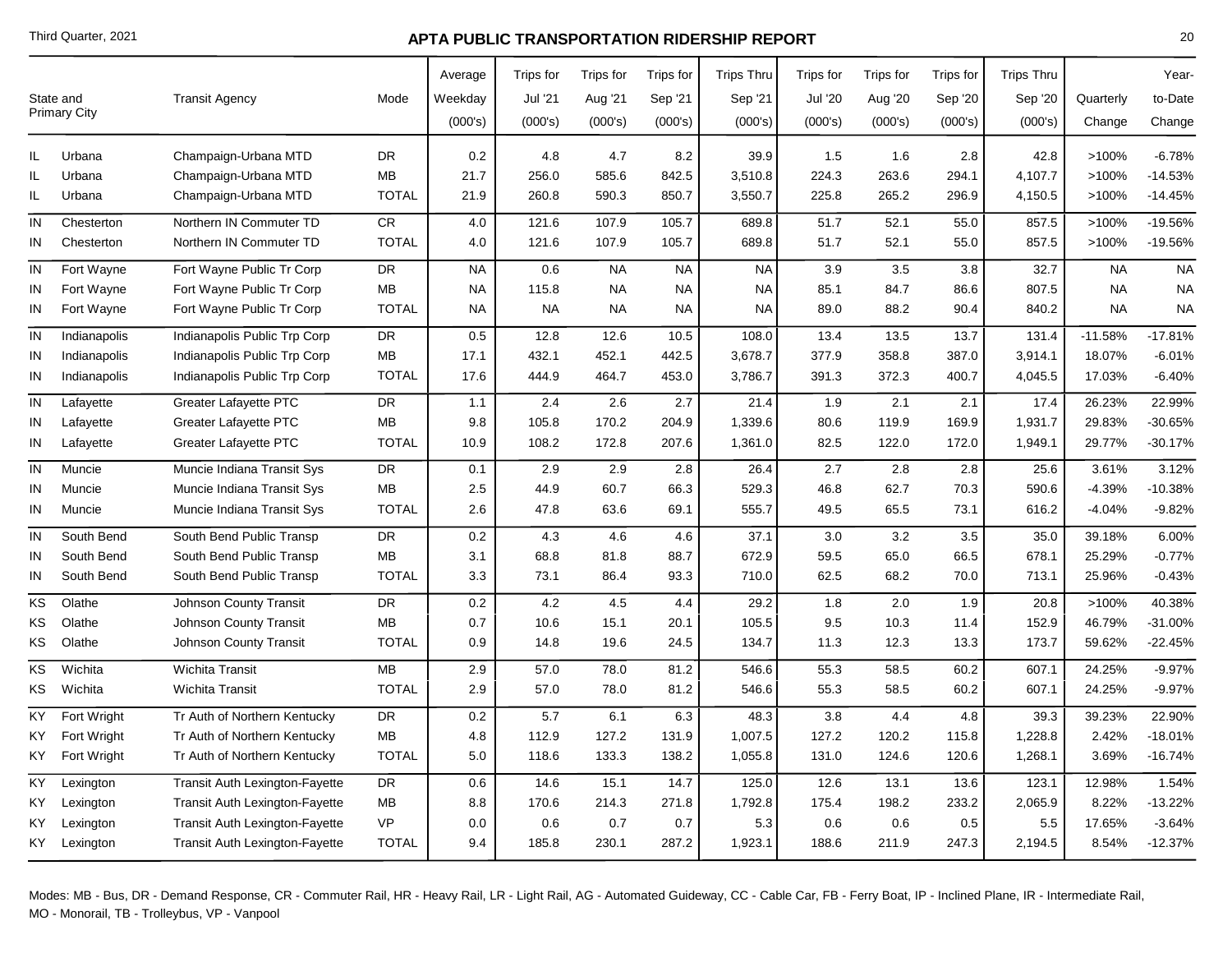|           | State and<br><b>Primary City</b> | <b>Transit Agency</b>                 | Mode         | Average<br>Weekday<br>(000's) | Trips for<br>Jul '21<br>(000's) | Trips for<br>Aug '21<br>(000's) | Trips for<br>Sep '21<br>(000's) | <b>Trips Thru</b><br>Sep '21<br>(000's) | <b>Trips for</b><br><b>Jul '20</b><br>(000's) | Trips for<br>Aug '20<br>(000's) | Trips for<br>Sep '20<br>(000's) | <b>Trips Thru</b><br>Sep '20<br>(000's) | Quarterly<br>Change | Year-<br>to-Date<br>Change |
|-----------|----------------------------------|---------------------------------------|--------------|-------------------------------|---------------------------------|---------------------------------|---------------------------------|-----------------------------------------|-----------------------------------------------|---------------------------------|---------------------------------|-----------------------------------------|---------------------|----------------------------|
| IL.       | Urbana                           | Champaign-Urbana MTD                  | <b>DR</b>    | 0.2                           | 4.8                             | 4.7                             | 8.2                             | 39.9                                    | 1.5                                           | 1.6                             | 2.8                             | 42.8                                    | >100%               | $-6.78%$                   |
| IL.       | Urbana                           | Champaign-Urbana MTD                  | MВ           | 21.7                          | 256.0                           | 585.6                           | 842.5                           | 3,510.8                                 | 224.3                                         | 263.6                           | 294.1                           | 4,107.7                                 | >100%               | $-14.53%$                  |
| IL.       | Urbana                           | Champaign-Urbana MTD                  | <b>TOTAL</b> | 21.9                          | 260.8                           | 590.3                           | 850.7                           | 3,550.7                                 | 225.8                                         | 265.2                           | 296.9                           | 4,150.5                                 | >100%               | $-14.45%$                  |
| IN        | Chesterton                       | Northern IN Commuter TD               | <b>CR</b>    | 4.0                           | 121.6                           | 107.9                           | 105.7                           | 689.8                                   | 51.7                                          | 52.1                            | 55.0                            | 857.5                                   | >100%               | -19.56%                    |
| IN        | Chesterton                       | Northern IN Commuter TD               | <b>TOTAL</b> | 4.0                           | 121.6                           | 107.9                           | 105.7                           | 689.8                                   | 51.7                                          | 52.1                            | 55.0                            | 857.5                                   | >100%               | -19.56%                    |
| IN        | Fort Wayne                       | Fort Wayne Public Tr Corp             | DR           | <b>NA</b>                     | 0.6                             | <b>NA</b>                       | <b>NA</b>                       | <b>NA</b>                               | 3.9                                           | 3.5                             | 3.8                             | 32.7                                    | <b>NA</b>           | <b>NA</b>                  |
| IN        | Fort Wayne                       | Fort Wayne Public Tr Corp             | <b>MB</b>    | <b>NA</b>                     | 115.8                           | <b>NA</b>                       | <b>NA</b>                       | <b>NA</b>                               | 85.1                                          | 84.7                            | 86.6                            | 807.5                                   | <b>NA</b>           | <b>NA</b>                  |
| IN        | Fort Wayne                       | Fort Wayne Public Tr Corp             | <b>TOTAL</b> | <b>NA</b>                     | <b>NA</b>                       | <b>NA</b>                       | <b>NA</b>                       | <b>NA</b>                               | 89.0                                          | 88.2                            | 90.4                            | 840.2                                   | <b>NA</b>           | <b>NA</b>                  |
| IN        | Indianapolis                     | Indianapolis Public Trp Corp          | DR           | 0.5                           | 12.8                            | 12.6                            | 10.5                            | 108.0                                   | 13.4                                          | 13.5                            | 13.7                            | 131.4                                   | $-11.58%$           | $-17.81%$                  |
| IN        | Indianapolis                     | Indianapolis Public Trp Corp          | MB           | 17.1                          | 432.1                           | 452.1                           | 442.5                           | 3,678.7                                 | 377.9                                         | 358.8                           | 387.0                           | 3,914.1                                 | 18.07%              | $-6.01%$                   |
| IN        | Indianapolis                     | Indianapolis Public Trp Corp          | <b>TOTAL</b> | 17.6                          | 444.9                           | 464.7                           | 453.0                           | 3,786.7                                 | 391.3                                         | 372.3                           | 400.7                           | 4,045.5                                 | 17.03%              | $-6.40%$                   |
| IN        | Lafayette                        | Greater Lafayette PTC                 | <b>DR</b>    | 1.1                           | 2.4                             | 2.6                             | 2.7                             | 21.4                                    | 1.9                                           | 2.1                             | 2.1                             | 17.4                                    | 26.23%              | 22.99%                     |
| ΙN        | Lafayette                        | <b>Greater Lafayette PTC</b>          | MB           | 9.8                           | 105.8                           | 170.2                           | 204.9                           | 1,339.6                                 | 80.6                                          | 119.9                           | 169.9                           | 1,931.7                                 | 29.83%              | -30.65%                    |
| ΙN        | Lafayette                        | <b>Greater Lafayette PTC</b>          | <b>TOTAL</b> | 10.9                          | 108.2                           | 172.8                           | 207.6                           | 1,361.0                                 | 82.5                                          | 122.0                           | 172.0                           | 1,949.1                                 | 29.77%              | $-30.17%$                  |
| IN        | Muncie                           | Muncie Indiana Transit Sys            | DR           | 0.1                           | 2.9                             | 2.9                             | 2.8                             | 26.4                                    | 2.7                                           | 2.8                             | 2.8                             | 25.6                                    | 3.61%               | 3.12%                      |
| IN        | Muncie                           | Muncie Indiana Transit Sys            | MB           | 2.5                           | 44.9                            | 60.7                            | 66.3                            | 529.3                                   | 46.8                                          | 62.7                            | 70.3                            | 590.6                                   | $-4.39%$            | $-10.38%$                  |
| ΙN        | Muncie                           | Muncie Indiana Transit Sys            | <b>TOTAL</b> | 2.6                           | 47.8                            | 63.6                            | 69.1                            | 555.7                                   | 49.5                                          | 65.5                            | 73.1                            | 616.2                                   | $-4.04%$            | $-9.82%$                   |
| IN        | South Bend                       | South Bend Public Transp              | DR           | 0.2                           | 4.3                             | 4.6                             | 4.6                             | 37.1                                    | 3.0                                           | 3.2                             | 3.5                             | 35.0                                    | 39.18%              | 6.00%                      |
| ΙN        | South Bend                       | South Bend Public Transp              | MB           | 3.1                           | 68.8                            | 81.8                            | 88.7                            | 672.9                                   | 59.5                                          | 65.0                            | 66.5                            | 678.1                                   | 25.29%              | $-0.77%$                   |
| IN        | South Bend                       | South Bend Public Transp              | <b>TOTAL</b> | 3.3                           | 73.1                            | 86.4                            | 93.3                            | 710.0                                   | 62.5                                          | 68.2                            | 70.0                            | 713.1                                   | 25.96%              | $-0.43%$                   |
| ΚS        | Olathe                           | <b>Johnson County Transit</b>         | <b>DR</b>    | 0.2                           | 4.2                             | 4.5                             | 4.4                             | 29.2                                    | 1.8                                           | 2.0                             | 1.9                             | 20.8                                    | >100%               | 40.38%                     |
| ΚS        | Olathe                           | Johnson County Transit                | <b>MB</b>    | 0.7                           | 10.6                            | 15.1                            | 20.1                            | 105.5                                   | 9.5                                           | 10.3                            | 11.4                            | 152.9                                   | 46.79%              | -31.00%                    |
| ΚS        | Olathe                           | <b>Johnson County Transit</b>         | <b>TOTAL</b> | 0.9                           | 14.8                            | 19.6                            | 24.5                            | 134.7                                   | 11.3                                          | 12.3                            | 13.3                            | 173.7                                   | 59.62%              | $-22.45%$                  |
| ΚS        | Wichita                          | Wichita Transit                       | MB           | 2.9                           | 57.0                            | 78.0                            | 81.2                            | 546.6                                   | 55.3                                          | 58.5                            | 60.2                            | 607.1                                   | 24.25%              | $-9.97%$                   |
| ΚS        | Wichita                          | <b>Wichita Transit</b>                | <b>TOTAL</b> | 2.9                           | 57.0                            | 78.0                            | 81.2                            | 546.6                                   | 55.3                                          | 58.5                            | 60.2                            | 607.1                                   | 24.25%              | $-9.97%$                   |
| <b>KY</b> | Fort Wright                      | Tr Auth of Northern Kentucky          | DR           | 0.2                           | 5.7                             | 6.1                             | 6.3                             | 48.3                                    | 3.8                                           | 4.4                             | 4.8                             | 39.3                                    | 39.23%              | 22.90%                     |
| ΚY        | Fort Wright                      | Tr Auth of Northern Kentucky          | <b>MB</b>    | 4.8                           | 112.9                           | 127.2                           | 131.9                           | 1,007.5                                 | 127.2                                         | 120.2                           | 115.8                           | 1,228.8                                 | 2.42%               | $-18.01%$                  |
| KY.       | Fort Wright                      | Tr Auth of Northern Kentucky          | <b>TOTAL</b> | 5.0                           | 118.6                           | 133.3                           | 138.2                           | 1,055.8                                 | 131.0                                         | 124.6                           | 120.6                           | 1,268.1                                 | 3.69%               | $-16.74%$                  |
| ΚY        | Lexington                        | <b>Transit Auth Lexington-Fayette</b> | DR           | 0.6                           | 14.6                            | 15.1                            | 14.7                            | 125.0                                   | 12.6                                          | 13.1                            | 13.6                            | 123.1                                   | 12.98%              | 1.54%                      |
| ΚY        | Lexington                        | Transit Auth Lexington-Fayette        | MB           | 8.8                           | 170.6                           | 214.3                           | 271.8                           | 1,792.8                                 | 175.4                                         | 198.2                           | 233.2                           | 2,065.9                                 | 8.22%               | $-13.22%$                  |
| ΚY        | Lexington                        | <b>Transit Auth Lexington-Fayette</b> | VP           | 0.0                           | 0.6                             | 0.7                             | 0.7                             | 5.3                                     | 0.6                                           | 0.6                             | 0.5                             | 5.5                                     | 17.65%              | $-3.64%$                   |
| KY I      | Lexington                        | <b>Transit Auth Lexington-Fayette</b> | <b>TOTAL</b> | 9.4                           | 185.8                           | 230.1                           | 287.2                           | 1,923.1                                 | 188.6                                         | 211.9                           | 247.3                           | 2,194.5                                 | 8.54%               | $-12.37%$                  |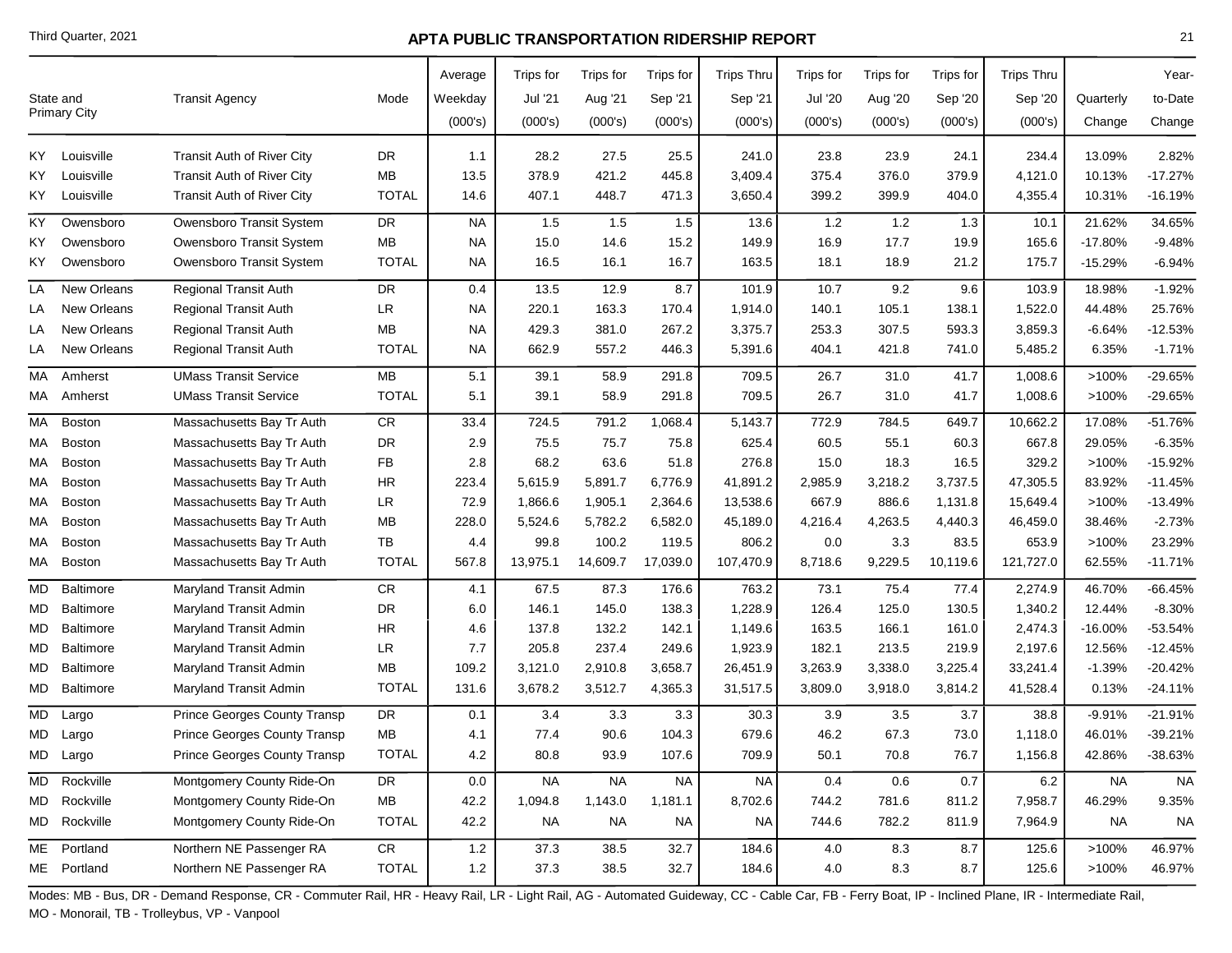|                  | State and<br><b>Primary City</b>        | <b>Transit Agency</b>                                                                                                  | Mode                                            | Average<br>Weekday<br>(000's) | Trips for<br>Jul '21<br>(000's) | Trips for<br>Aug '21<br>(000's) | Trips for<br>Sep '21<br>(000's)  | <b>Trips Thru</b><br>Sep '21<br>(000's) | Trips for<br><b>Jul '20</b><br>(000's) | Trips for<br>Aug '20<br>(000's) | Trips for<br>Sep '20<br>(000's) | <b>Trips Thru</b><br>Sep '20<br>(000's) | Quarterly<br>Change                   | Year-<br>to-Date<br>Change                       |
|------------------|-----------------------------------------|------------------------------------------------------------------------------------------------------------------------|-------------------------------------------------|-------------------------------|---------------------------------|---------------------------------|----------------------------------|-----------------------------------------|----------------------------------------|---------------------------------|---------------------------------|-----------------------------------------|---------------------------------------|--------------------------------------------------|
| KY.              | Louisville                              | <b>Transit Auth of River City</b>                                                                                      | DR                                              | 1.1                           | 28.2                            | 27.5                            | 25.5                             | 241.0                                   | 23.8                                   | 23.9                            | 24.1                            | 234.4                                   | 13.09%                                | 2.82%                                            |
| KY.              | Louisville                              | <b>Transit Auth of River City</b>                                                                                      | <b>MB</b>                                       | 13.5                          | 378.9                           | 421.2                           | 445.8                            | 3,409.4                                 | 375.4                                  | 376.0                           | 379.9                           | 4,121.0                                 | 10.13%                                | $-17.27%$                                        |
| KY.              | Louisville                              | <b>Transit Auth of River City</b>                                                                                      | <b>TOTAL</b>                                    | 14.6                          | 407.1                           | 448.7                           | 471.3                            | 3,650.4                                 | 399.2                                  | 399.9                           | 404.0                           | 4,355.4                                 | 10.31%                                | $-16.19%$                                        |
| KY               | Owensboro                               | Owensboro Transit System                                                                                               | <b>DR</b>                                       | <b>NA</b>                     | 1.5                             | 1.5                             | 1.5                              | 13.6                                    | 1.2                                    | 1.2                             | 1.3                             | 10.1                                    | 21.62%                                | 34.65%                                           |
| ΚY               | Owensboro                               | Owensboro Transit System                                                                                               | <b>MB</b>                                       | <b>NA</b>                     | 15.0                            | 14.6                            | 15.2                             | 149.9                                   | 16.9                                   | 17.7                            | 19.9                            | 165.6                                   | $-17.80%$                             | $-9.48%$                                         |
| KY.              | Owensboro                               | Owensboro Transit System                                                                                               | <b>TOTAL</b>                                    | NA.                           | 16.5                            | 16.1                            | 16.7                             | 163.5                                   | 18.1                                   | 18.9                            | 21.2                            | 175.7                                   | $-15.29%$                             | $-6.94%$                                         |
| LA               | <b>New Orleans</b>                      | <b>Regional Transit Auth</b>                                                                                           | <b>DR</b>                                       | 0.4                           | 13.5                            | 12.9                            | 8.7                              | 101.9                                   | 10.7                                   | 9.2                             | 9.6                             | 103.9                                   | 18.98%                                | $-1.92%$                                         |
| LA               | New Orleans                             | <b>Regional Transit Auth</b>                                                                                           | <b>LR</b>                                       | <b>NA</b>                     | 220.1                           | 163.3                           | 170.4                            | 1,914.0                                 | 140.1                                  | 105.1                           | 138.1                           | 1,522.0                                 | 44.48%                                | 25.76%                                           |
| LA               | <b>New Orleans</b>                      | <b>Regional Transit Auth</b>                                                                                           | <b>MB</b>                                       | <b>NA</b>                     | 429.3                           | 381.0                           | 267.2                            | 3,375.7                                 | 253.3                                  | 307.5                           | 593.3                           | 3,859.3                                 | $-6.64%$                              | $-12.53%$                                        |
| LA               | <b>New Orleans</b>                      | <b>Regional Transit Auth</b>                                                                                           | <b>TOTAL</b>                                    | NA.                           | 662.9                           | 557.2                           | 446.3                            | 5,391.6                                 | 404.1                                  | 421.8                           | 741.0                           | 5,485.2                                 | 6.35%                                 | $-1.71%$                                         |
| МA               | Amherst                                 | <b>UMass Transit Service</b>                                                                                           | <b>MB</b>                                       | 5.1                           | 39.1                            | 58.9                            | 291.8                            | 709.5                                   | 26.7                                   | 31.0                            | 41.7                            | 1,008.6                                 | >100%                                 | -29.65%                                          |
| МA               | Amherst                                 | <b>UMass Transit Service</b>                                                                                           | <b>TOTAL</b>                                    | 5.1                           | 39.1                            | 58.9                            | 291.8                            | 709.5                                   | 26.7                                   | 31.0                            | 41.7                            | 1,008.6                                 | >100%                                 | -29.65%                                          |
| МA               | Boston                                  | Massachusetts Bay Tr Auth                                                                                              | <b>CR</b>                                       | 33.4                          | 724.5                           | 791.2                           | 1,068.4                          | 5,143.7                                 | 772.9                                  | 784.5                           | 649.7                           | 10,662.2                                | 17.08%                                | $-51.76%$                                        |
| МA               | Boston                                  | Massachusetts Bay Tr Auth                                                                                              | DR                                              | 2.9                           | 75.5                            | 75.7                            | 75.8                             | 625.4                                   | 60.5                                   | 55.1                            | 60.3                            | 667.8                                   | 29.05%                                | $-6.35%$                                         |
| МA               | Boston                                  | Massachusetts Bay Tr Auth                                                                                              | FB                                              | 2.8                           | 68.2                            | 63.6                            | 51.8                             | 276.8                                   | 15.0                                   | 18.3                            | 16.5                            | 329.2                                   | >100%                                 | $-15.92%$                                        |
| МA               | <b>Boston</b>                           | Massachusetts Bay Tr Auth                                                                                              | <b>HR</b>                                       | 223.4                         | 5,615.9                         | 5,891.7                         | 6,776.9                          | 41,891.2                                | 2,985.9                                | 3,218.2                         | 3,737.5                         | 47,305.5                                | 83.92%                                | $-11.45%$                                        |
| МA               | Boston                                  | Massachusetts Bay Tr Auth                                                                                              | LR                                              | 72.9                          | 1,866.6                         | 1,905.1                         | 2,364.6                          | 13,538.6                                | 667.9                                  | 886.6                           | 1,131.8                         | 15,649.4                                | >100%                                 | $-13.49%$                                        |
| МA               | <b>Boston</b>                           | Massachusetts Bay Tr Auth                                                                                              | ΜВ                                              | 228.0                         | 5,524.6                         | 5,782.2                         | 6,582.0                          | 45,189.0                                | 4,216.4                                | 4,263.5                         | 4,440.3                         | 46,459.0                                | 38.46%                                | $-2.73%$                                         |
| МA               | <b>Boston</b>                           | Massachusetts Bay Tr Auth                                                                                              | TB                                              | 4.4                           | 99.8                            | 100.2                           | 119.5                            | 806.2                                   | 0.0                                    | 3.3                             | 83.5                            | 653.9                                   | >100%                                 | 23.29%                                           |
| МA               | <b>Boston</b>                           | Massachusetts Bay Tr Auth                                                                                              | <b>TOTAL</b>                                    | 567.8                         | 13,975.1                        | 14,609.7                        | 17,039.0                         | 107,470.9                               | 8,718.6                                | 9,229.5                         | 10,119.6                        | 121,727.0                               | 62.55%                                | $-11.71%$                                        |
| МD               | Baltimore                               | Maryland Transit Admin                                                                                                 | ${\sf CR}$                                      | 4.1                           | 67.5                            | 87.3                            | 176.6                            | 763.2                                   | 73.1                                   | 75.4                            | 77.4                            | 2,274.9                                 | 46.70%                                | $-66.45%$                                        |
| МD               | Baltimore                               | Maryland Transit Admin                                                                                                 | <b>DR</b>                                       | 6.0                           | 146.1                           | 145.0                           | 138.3                            | 1,228.9                                 | 126.4                                  | 125.0                           | 130.5                           | 1,340.2                                 | 12.44%                                | $-8.30%$                                         |
| МD               | Baltimore                               | Maryland Transit Admin                                                                                                 | <b>HR</b>                                       | 4.6                           | 137.8                           | 132.2                           | 142.1                            | 1,149.6                                 | 163.5                                  | 166.1                           | 161.0                           | 2,474.3                                 | $-16.00%$                             | $-53.54%$                                        |
| MD               | <b>Baltimore</b>                        | Maryland Transit Admin                                                                                                 | LR                                              | 7.7                           | 205.8                           | 237.4                           | 249.6                            | 1,923.9                                 | 182.1                                  | 213.5                           | 219.9                           | 2,197.6                                 | 12.56%                                | $-12.45%$                                        |
| MD               | <b>Baltimore</b>                        | Maryland Transit Admin                                                                                                 | ΜВ                                              | 109.2                         | 3,121.0                         | 2,910.8                         | 3,658.7                          | 26,451.9                                | 3,263.9                                | 3,338.0                         | 3,225.4                         | 33,241.4                                | $-1.39%$                              | $-20.42%$                                        |
| MD.<br>MD<br>MD. | Baltimore<br>Largo<br>Largo<br>MD Largo | Maryland Transit Admin<br>Prince Georges County Transp<br>Prince Georges County Transp<br>Prince Georges County Transp | <b>TOTAL</b><br>DR<br><b>MB</b><br><b>TOTAL</b> | 131.6<br>0.1<br>4.1<br>4.2    | 3,678.2<br>3.4<br>77.4<br>80.8  | 3,512.7<br>3.3<br>90.6<br>93.9  | 4,365.3<br>3.3<br>104.3<br>107.6 | 31,517.5<br>30.3<br>679.6<br>709.9      | 3,809.0<br>3.9<br>46.2<br>50.1         | 3,918.0<br>3.5<br>67.3<br>70.8  | 3,814.2<br>3.7<br>73.0<br>76.7  | 41,528.4<br>38.8<br>1,118.0<br>1,156.8  | 0.13%<br>$-9.91%$<br>46.01%<br>42.86% | $-24.11%$<br>$-21.91%$<br>$-39.21%$<br>$-38.63%$ |
| MD               | Rockville                               | Montgomery County Ride-On                                                                                              | DR                                              | $0.0\,$                       | <b>NA</b>                       | <b>NA</b>                       | <b>NA</b>                        | <b>NA</b>                               | 0.4                                    | 0.6                             | 0.7                             | $6.2\,$                                 | <b>NA</b>                             | <b>NA</b>                                        |
|                  | MD Rockville                            | Montgomery County Ride-On                                                                                              | ${\sf MB}$                                      | 42.2                          | 1,094.8                         | 1,143.0                         | 1,181.1                          | 8,702.6                                 | 744.2                                  | 781.6                           | 811.2                           | 7,958.7                                 | 46.29%                                | 9.35%                                            |
|                  | MD Rockville                            | Montgomery County Ride-On                                                                                              | <b>TOTAL</b>                                    | 42.2                          | <b>NA</b>                       | <b>NA</b>                       | NA                               | NA                                      | 744.6                                  | 782.2                           | 811.9                           | 7,964.9                                 | <b>NA</b>                             | <b>NA</b>                                        |
|                  | ME Portland                             | Northern NE Passenger RA                                                                                               | ${\sf CR}$                                      | 1.2                           | 37.3                            | 38.5                            | 32.7                             | 184.6                                   | 4.0                                    | 8.3                             | 8.7                             | 125.6                                   | >100%                                 | 46.97%                                           |
|                  | ME Portland                             | Northern NE Passenger RA                                                                                               | <b>TOTAL</b>                                    | $1.2$                         | 37.3                            | 38.5                            | 32.7                             | 184.6                                   | 4.0                                    | 8.3                             | 8.7                             | 125.6                                   | >100%                                 | 46.97%                                           |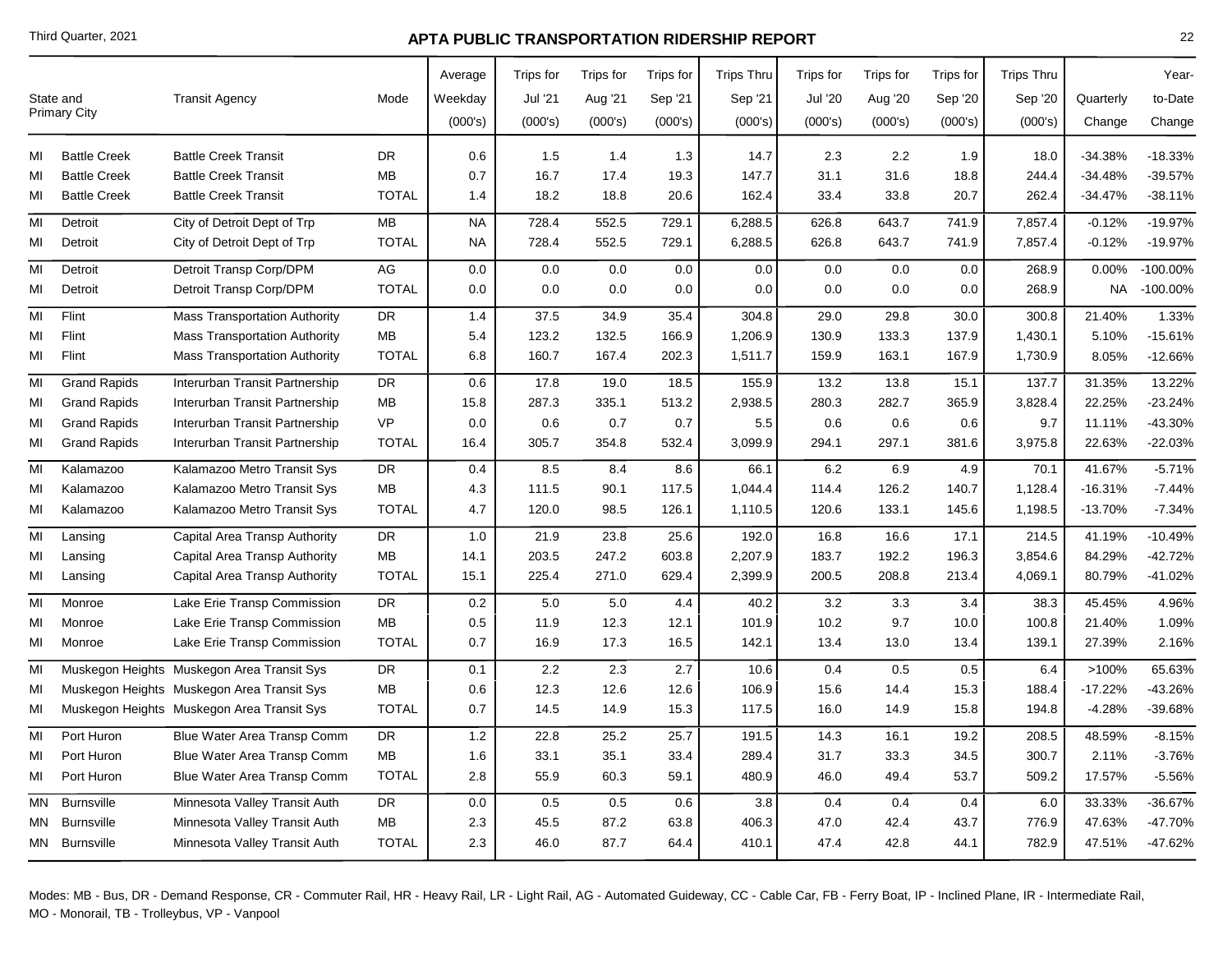|    | State and           | <b>Transit Agency</b>                      | Mode         | Average<br>Weekday | Trips for<br>Jul '21 | Trips for<br>Aug '21 | Trips for<br>Sep '21 | <b>Trips Thru</b><br>Sep '21 | Trips for<br><b>Jul '20</b> | Trips for<br>Aug '20 | Trips for<br>Sep '20 | <b>Trips Thru</b><br>Sep '20 | Quarterly | Year-<br>to-Date |
|----|---------------------|--------------------------------------------|--------------|--------------------|----------------------|----------------------|----------------------|------------------------------|-----------------------------|----------------------|----------------------|------------------------------|-----------|------------------|
|    | <b>Primary City</b> |                                            |              | (000's)            | (000's)              | (000's)              | (000's)              | (000's)                      | (000's)                     | (000's)              | (000's)              | (000's)                      | Change    | Change           |
| МΙ | <b>Battle Creek</b> | <b>Battle Creek Transit</b>                | DR.          | 0.6                | 1.5                  | 1.4                  | 1.3                  | 14.7                         | 2.3                         | 2.2                  | 1.9                  | 18.0                         | $-34.38%$ | $-18.33%$        |
| MI | <b>Battle Creek</b> | <b>Battle Creek Transit</b>                | MB           | 0.7                | 16.7                 | 17.4                 | 19.3                 | 147.7                        | 31.1                        | 31.6                 | 18.8                 | 244.4                        | $-34.48%$ | -39.57%          |
| MI | <b>Battle Creek</b> | <b>Battle Creek Transit</b>                | <b>TOTAL</b> | 1.4                | 18.2                 | 18.8                 | 20.6                 | 162.4                        | 33.4                        | 33.8                 | 20.7                 | 262.4                        | $-34.47%$ | $-38.11%$        |
| MI | Detroit             | City of Detroit Dept of Trp                | MB           | <b>NA</b>          | 728.4                | 552.5                | 729.1                | 6,288.5                      | 626.8                       | 643.7                | 741.9                | 7,857.4                      | $-0.12%$  | $-19.97%$        |
| MI | Detroit             | City of Detroit Dept of Trp                | <b>TOTAL</b> | <b>NA</b>          | 728.4                | 552.5                | 729.1                | 6,288.5                      | 626.8                       | 643.7                | 741.9                | 7,857.4                      | $-0.12%$  | $-19.97%$        |
| MI | Detroit             | Detroit Transp Corp/DPM                    | AG           | 0.0                | 0.0                  | 0.0                  | 0.0                  | 0.0                          | 0.0                         | 0.0                  | 0.0                  | 268.9                        | 0.00%     | $-100.00\%$      |
| MI | Detroit             | Detroit Transp Corp/DPM                    | <b>TOTAL</b> | 0.0                | 0.0                  | 0.0                  | 0.0                  | 0.0                          | 0.0                         | 0.0                  | 0.0                  | 268.9                        | NA        | $-100.00\%$      |
| MI | Flint               | <b>Mass Transportation Authority</b>       | <b>DR</b>    | 1.4                | 37.5                 | 34.9                 | 35.4                 | 304.8                        | 29.0                        | 29.8                 | 30.0                 | 300.8                        | 21.40%    | 1.33%            |
| MI | Flint               | <b>Mass Transportation Authority</b>       | MB           | 5.4                | 123.2                | 132.5                | 166.9                | 1,206.9                      | 130.9                       | 133.3                | 137.9                | 1,430.1                      | 5.10%     | $-15.61%$        |
| MI | Flint               | <b>Mass Transportation Authority</b>       | <b>TOTAL</b> | 6.8                | 160.7                | 167.4                | 202.3                | 1,511.7                      | 159.9                       | 163.1                | 167.9                | 1,730.9                      | 8.05%     | $-12.66%$        |
| MI | <b>Grand Rapids</b> | Interurban Transit Partnership             | DR           | 0.6                | 17.8                 | 19.0                 | 18.5                 | 155.9                        | 13.2                        | 13.8                 | 15.1                 | 137.7                        | 31.35%    | 13.22%           |
| ΜI | <b>Grand Rapids</b> | Interurban Transit Partnership             | MВ           | 15.8               | 287.3                | 335.1                | 513.2                | 2,938.5                      | 280.3                       | 282.7                | 365.9                | 3,828.4                      | 22.25%    | $-23.24%$        |
| мі | <b>Grand Rapids</b> | Interurban Transit Partnership             | <b>VP</b>    | 0.0                | 0.6                  | 0.7                  | 0.7                  | 5.5                          | 0.6                         | 0.6                  | 0.6                  | 9.7                          | 11.11%    | -43.30%          |
| ΜI | <b>Grand Rapids</b> | Interurban Transit Partnership             | <b>TOTAL</b> | 16.4               | 305.7                | 354.8                | 532.4                | 3,099.9                      | 294.1                       | 297.1                | 381.6                | 3,975.8                      | 22.63%    | $-22.03%$        |
| MI | Kalamazoo           | Kalamazoo Metro Transit Sys                | <b>DR</b>    | 0.4                | 8.5                  | 8.4                  | 8.6                  | 66.1                         | 6.2                         | 6.9                  | 4.9                  | 70.1                         | 41.67%    | $-5.71%$         |
| МІ | Kalamazoo           | Kalamazoo Metro Transit Sys                | MB           | 4.3                | 111.5                | 90.1                 | 117.5                | 1,044.4                      | 114.4                       | 126.2                | 140.7                | 1,128.4                      | $-16.31%$ | $-7.44%$         |
| MI | Kalamazoo           | Kalamazoo Metro Transit Sys                | <b>TOTAL</b> | 4.7                | 120.0                | 98.5                 | 126.1                | 1,110.5                      | 120.6                       | 133.1                | 145.6                | 1,198.5                      | $-13.70%$ | $-7.34%$         |
| MI | Lansing             | Capital Area Transp Authority              | <b>DR</b>    | 1.0                | 21.9                 | 23.8                 | 25.6                 | 192.0                        | 16.8                        | 16.6                 | 17.1                 | 214.5                        | 41.19%    | $-10.49%$        |
| МΙ | Lansing             | Capital Area Transp Authority              | <b>MB</b>    | 14.1               | 203.5                | 247.2                | 603.8                | 2,207.9                      | 183.7                       | 192.2                | 196.3                | 3,854.6                      | 84.29%    | $-42.72%$        |
| ΜI | Lansing             | Capital Area Transp Authority              | <b>TOTAL</b> | 15.1               | 225.4                | 271.0                | 629.4                | 2,399.9                      | 200.5                       | 208.8                | 213.4                | 4,069.1                      | 80.79%    | -41.02%          |
| MI | Monroe              | Lake Erie Transp Commission                | <b>DR</b>    | $0.2\,$            | 5.0                  | 5.0                  | 4.4                  | 40.2                         | 3.2                         | 3.3                  | 3.4                  | 38.3                         | 45.45%    | 4.96%            |
| MI | Monroe              | Lake Erie Transp Commission                | MB           | 0.5                | 11.9                 | 12.3                 | 12.1                 | 101.9                        | 10.2                        | 9.7                  | 10.0                 | 100.8                        | 21.40%    | 1.09%            |
| MI | Monroe              | Lake Erie Transp Commission                | <b>TOTAL</b> | 0.7                | 16.9                 | 17.3                 | 16.5                 | 142.1                        | 13.4                        | 13.0                 | 13.4                 | 139.1                        | 27.39%    | 2.16%            |
| MI |                     | Muskegon Heights Muskegon Area Transit Sys | <b>DR</b>    | 0.1                | 2.2                  | 2.3                  | 2.7                  | 10.6                         | 0.4                         | 0.5                  | 0.5                  | 6.4                          | >100%     | 65.63%           |
| MI |                     | Muskegon Heights Muskegon Area Transit Sys | <b>MB</b>    | 0.6                | 12.3                 | 12.6                 | 12.6                 | 106.9                        | 15.6                        | 14.4                 | 15.3                 | 188.4                        | $-17.22%$ | -43.26%          |
| ΜI |                     | Muskegon Heights Muskegon Area Transit Sys | <b>TOTAL</b> | 0.7                | 14.5                 | 14.9                 | 15.3                 | 117.5                        | 16.0                        | 14.9                 | 15.8                 | 194.8                        | $-4.28%$  | -39.68%          |
| МΙ | Port Huron          | Blue Water Area Transp Comm                | DR           | 1.2                | 22.8                 | 25.2                 | 25.7                 | 191.5                        | 14.3                        | 16.1                 | 19.2                 | 208.5                        | 48.59%    | $-8.15%$         |
| MI | Port Huron          | Blue Water Area Transp Comm                | MB           | 1.6                | 33.1                 | 35.1                 | 33.4                 | 289.4                        | 31.7                        | 33.3                 | 34.5                 | 300.7                        | 2.11%     | $-3.76%$         |
| MI | Port Huron          | Blue Water Area Transp Comm                | <b>TOTAL</b> | 2.8                | 55.9                 | 60.3                 | 59.1                 | 480.9                        | 46.0                        | 49.4                 | 53.7                 | 509.2                        | 17.57%    | $-5.56%$         |
| МN | Burnsville          | Minnesota Valley Transit Auth              | DR           | 0.0                | 0.5                  | $0.5\,$              | 0.6                  | 3.8                          | 0.4                         | 0.4                  | 0.4                  | 6.0                          | 33.33%    | $-36.67%$        |
| MΝ | <b>Burnsville</b>   | Minnesota Valley Transit Auth              | MB           | 2.3                | 45.5                 | 87.2                 | 63.8                 | 406.3                        | 47.0                        | 42.4                 | 43.7                 | 776.9                        | 47.63%    | $-47.70%$        |
|    | MN Burnsville       | Minnesota Valley Transit Auth              | <b>TOTAL</b> | 2.3                | 46.0                 | 87.7                 | 64.4                 | 410.1                        | 47.4                        | 42.8                 | 44.1                 | 782.9                        | 47.51%    | -47.62%          |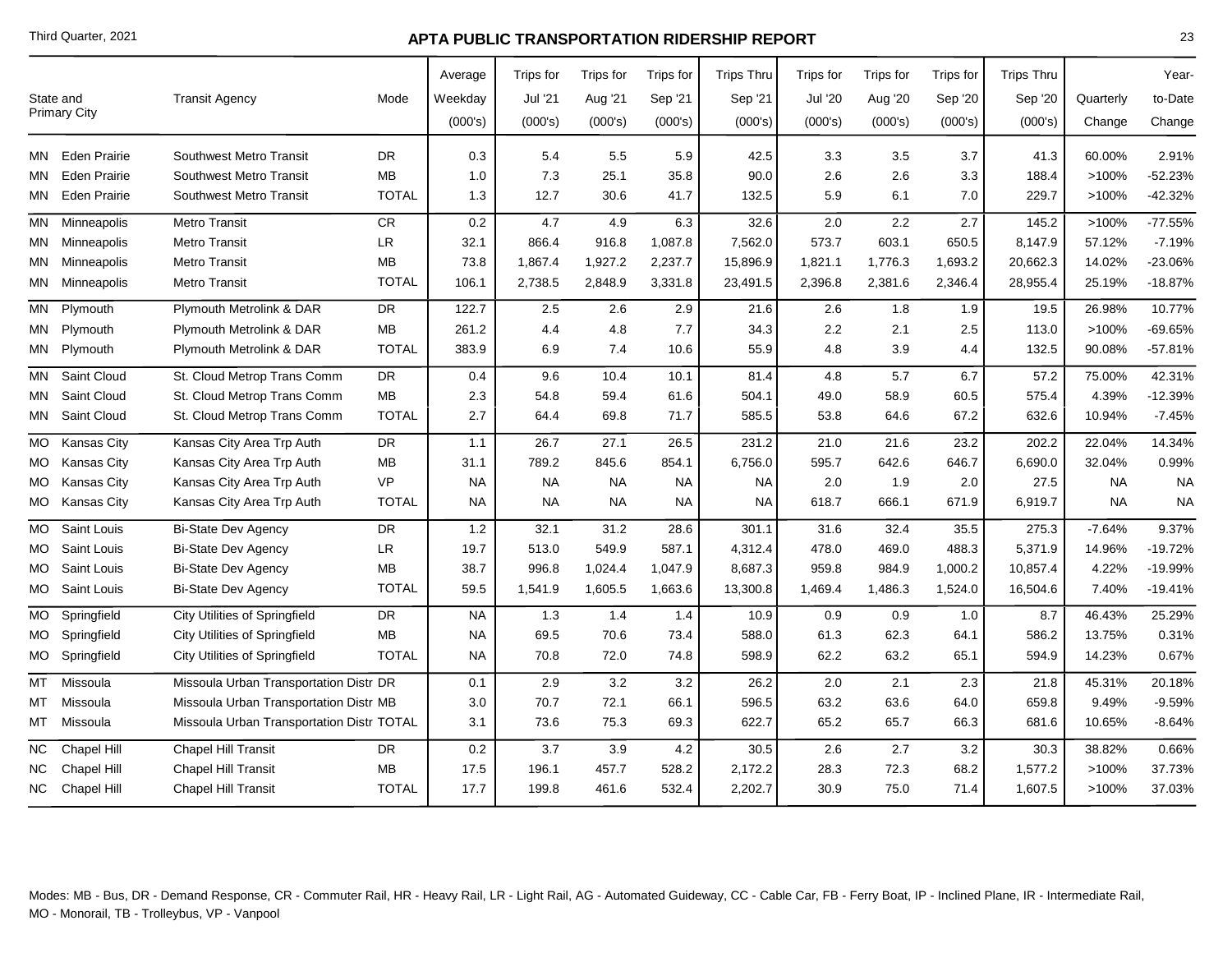|           |                     |                                           |              | Average   | Trips for | Trips for | Trips for | <b>Trips Thru</b> | Trips for      | Trips for | Trips for | <b>Trips Thru</b> |           | Year-     |
|-----------|---------------------|-------------------------------------------|--------------|-----------|-----------|-----------|-----------|-------------------|----------------|-----------|-----------|-------------------|-----------|-----------|
| State and |                     | <b>Transit Agency</b>                     | Mode         | Weekday   | Jul '21   | Aug '21   | Sep '21   | Sep '21           | <b>Jul '20</b> | Aug '20   | Sep '20   | Sep '20           | Quarterly | to-Date   |
|           | <b>Primary City</b> |                                           |              | (000's)   | (000's)   | (000's)   | (000's)   | (000's)           | (000's)        | (000's)   | (000's)   | (000's)           | Change    | Change    |
|           |                     |                                           |              |           |           |           |           |                   |                |           |           |                   |           |           |
| MN        | Eden Prairie        | Southwest Metro Transit                   | DR           | 0.3       | 5.4       | 5.5       | 5.9       | 42.5              | 3.3            | 3.5       | 3.7       | 41.3              | 60.00%    | 2.91%     |
| MΝ        | <b>Eden Prairie</b> | Southwest Metro Transit                   | <b>MB</b>    | 1.0       | 7.3       | 25.1      | 35.8      | 90.0              | 2.6            | 2.6       | 3.3       | 188.4             | >100%     | $-52.23%$ |
| MN        | <b>Eden Prairie</b> | Southwest Metro Transit                   | <b>TOTAL</b> | 1.3       | 12.7      | 30.6      | 41.7      | 132.5             | 5.9            | 6.1       | 7.0       | 229.7             | >100%     | $-42.32%$ |
|           | MN Minneapolis      | Metro Transit                             | ${\sf CR}$   | 0.2       | 4.7       | 4.9       | 6.3       | 32.6              | 2.0            | 2.2       | 2.7       | 145.2             | >100%     | $-77.55%$ |
|           | MN Minneapolis      | <b>Metro Transit</b>                      | <b>LR</b>    | 32.1      | 866.4     | 916.8     | 1,087.8   | 7,562.0           | 573.7          | 603.1     | 650.5     | 8,147.9           | 57.12%    | $-7.19%$  |
|           | MN Minneapolis      | <b>Metro Transit</b>                      | MВ           | 73.8      | 1,867.4   | 1,927.2   | 2,237.7   | 15,896.9          | 1,821.1        | 1,776.3   | 1,693.2   | 20,662.3          | 14.02%    | -23.06%   |
|           | MN Minneapolis      | <b>Metro Transit</b>                      | <b>TOTAL</b> | 106.1     | 2,738.5   | 2,848.9   | 3,331.8   | 23,491.5          | 2,396.8        | 2,381.6   | 2,346.4   | 28,955.4          | 25.19%    | $-18.87%$ |
| MN        | Plymouth            | Plymouth Metrolink & DAR                  | <b>DR</b>    | 122.7     | 2.5       | 2.6       | 2.9       | 21.6              | 2.6            | 1.8       | 1.9       | 19.5              | 26.98%    | 10.77%    |
| МN        | Plymouth            | Plymouth Metrolink & DAR                  | <b>MB</b>    | 261.2     | 4.4       | 4.8       | 7.7       | 34.3              | 2.2            | 2.1       | 2.5       | 113.0             | >100%     | $-69.65%$ |
|           | MN Plymouth         | Plymouth Metrolink & DAR                  | <b>TOTAL</b> | 383.9     | 6.9       | 7.4       | 10.6      | 55.9              | 4.8            | 3.9       | 4.4       | 132.5             | 90.08%    | $-57.81%$ |
| MN        | Saint Cloud         | St. Cloud Metrop Trans Comm               | DR           | 0.4       | 9.6       | 10.4      | 10.1      | 81.4              | 4.8            | 5.7       | 6.7       | 57.2              | 75.00%    | 42.31%    |
| MN        | Saint Cloud         | St. Cloud Metrop Trans Comm               | <b>MB</b>    | 2.3       | 54.8      | 59.4      | 61.6      | 504.1             | 49.0           | 58.9      | 60.5      | 575.4             | 4.39%     | $-12.39%$ |
| MN        | <b>Saint Cloud</b>  | St. Cloud Metrop Trans Comm               | <b>TOTAL</b> | 2.7       | 64.4      | 69.8      | 71.7      | 585.5             | 53.8           | 64.6      | 67.2      | 632.6             | 10.94%    | $-7.45%$  |
| МO        | Kansas City         | Kansas City Area Trp Auth                 | DR           | 1.1       | 26.7      | 27.1      | 26.5      | 231.2             | 21.0           | 21.6      | 23.2      | 202.2             | 22.04%    | 14.34%    |
|           | MO Kansas City      | Kansas City Area Trp Auth                 | <b>MB</b>    | 31.1      | 789.2     | 845.6     | 854.1     | 6,756.0           | 595.7          | 642.6     | 646.7     | 6,690.0           | 32.04%    | 0.99%     |
| MO        | Kansas City         | Kansas City Area Trp Auth                 | <b>VP</b>    | <b>NA</b> | <b>NA</b> | <b>NA</b> | <b>NA</b> | <b>NA</b>         | 2.0            | 1.9       | 2.0       | 27.5              | <b>NA</b> | <b>NA</b> |
|           | MO Kansas City      | Kansas City Area Trp Auth                 | <b>TOTAL</b> | <b>NA</b> | <b>NA</b> | <b>NA</b> | <b>NA</b> | <b>NA</b>         | 618.7          | 666.1     | 671.9     | 6,919.7           | <b>NA</b> | <b>NA</b> |
| <b>MO</b> | Saint Louis         | <b>Bi-State Dev Agency</b>                | <b>DR</b>    | 1.2       | 32.1      | 31.2      | 28.6      | 301.1             | 31.6           | 32.4      | 35.5      | 275.3             | $-7.64%$  | 9.37%     |
| MO.       | Saint Louis         | <b>Bi-State Dev Agency</b>                | LR           | 19.7      | 513.0     | 549.9     | 587.1     | 4,312.4           | 478.0          | 469.0     | 488.3     | 5,371.9           | 14.96%    | $-19.72%$ |
| MO.       | Saint Louis         | <b>Bi-State Dev Agency</b>                | <b>MB</b>    | 38.7      | 996.8     | 1,024.4   | 1,047.9   | 8,687.3           | 959.8          | 984.9     | 1,000.2   | 10,857.4          | 4.22%     | -19.99%   |
| MO.       | Saint Louis         | <b>Bi-State Dev Agency</b>                | <b>TOTAL</b> | 59.5      | 1,541.9   | 1,605.5   | 1,663.6   | 13,300.8          | 1,469.4        | 1,486.3   | 1,524.0   | 16,504.6          | 7.40%     | $-19.41%$ |
| МO        | Springfield         | City Utilities of Springfield             | DR           | <b>NA</b> | 1.3       | 1.4       | 1.4       | 10.9              | 0.9            | 0.9       | 1.0       | 8.7               | 46.43%    | 25.29%    |
| MO l      | Springfield         | <b>City Utilities of Springfield</b>      | <b>MB</b>    | <b>NA</b> | 69.5      | 70.6      | 73.4      | 588.0             | 61.3           | 62.3      | 64.1      | 586.2             | 13.75%    | 0.31%     |
| MO        | Springfield         | City Utilities of Springfield             | <b>TOTAL</b> | <b>NA</b> | 70.8      | 72.0      | 74.8      | 598.9             | 62.2           | 63.2      | 65.1      | 594.9             | 14.23%    | 0.67%     |
| МT        | Missoula            | Missoula Urban Transportation Distr DR    |              | 0.1       | 2.9       | 3.2       | 3.2       | 26.2              | 2.0            | 2.1       | 2.3       | 21.8              | 45.31%    | 20.18%    |
| МT        | Missoula            | Missoula Urban Transportation Distr MB    |              | 3.0       | 70.7      | 72.1      | 66.1      | 596.5             | 63.2           | 63.6      | 64.0      | 659.8             | 9.49%     | $-9.59%$  |
| MT        | Missoula            | Missoula Urban Transportation Distr TOTAL |              | 3.1       | 73.6      | 75.3      | 69.3      | 622.7             | 65.2           | 65.7      | 66.3      | 681.6             | 10.65%    | $-8.64%$  |
| $NC$      | Chapel Hill         | Chapel Hill Transit                       | DR           | $0.2\,$   | 3.7       | 3.9       | 4.2       | 30.5              | 2.6            | 2.7       | 3.2       | 30.3              | 38.82%    | 0.66%     |
| ΝC        | Chapel Hill         | Chapel Hill Transit                       | <b>MB</b>    | 17.5      | 196.1     | 457.7     | 528.2     | 2,172.2           | 28.3           | 72.3      | 68.2      | 1,577.2           | >100%     | 37.73%    |
|           | NC Chapel Hill      | Chapel Hill Transit                       | <b>TOTAL</b> | 17.7      | 199.8     | 461.6     | 532.4     | 2,202.7           | 30.9           | 75.0      | 71.4      | 1,607.5           | >100%     | 37.03%    |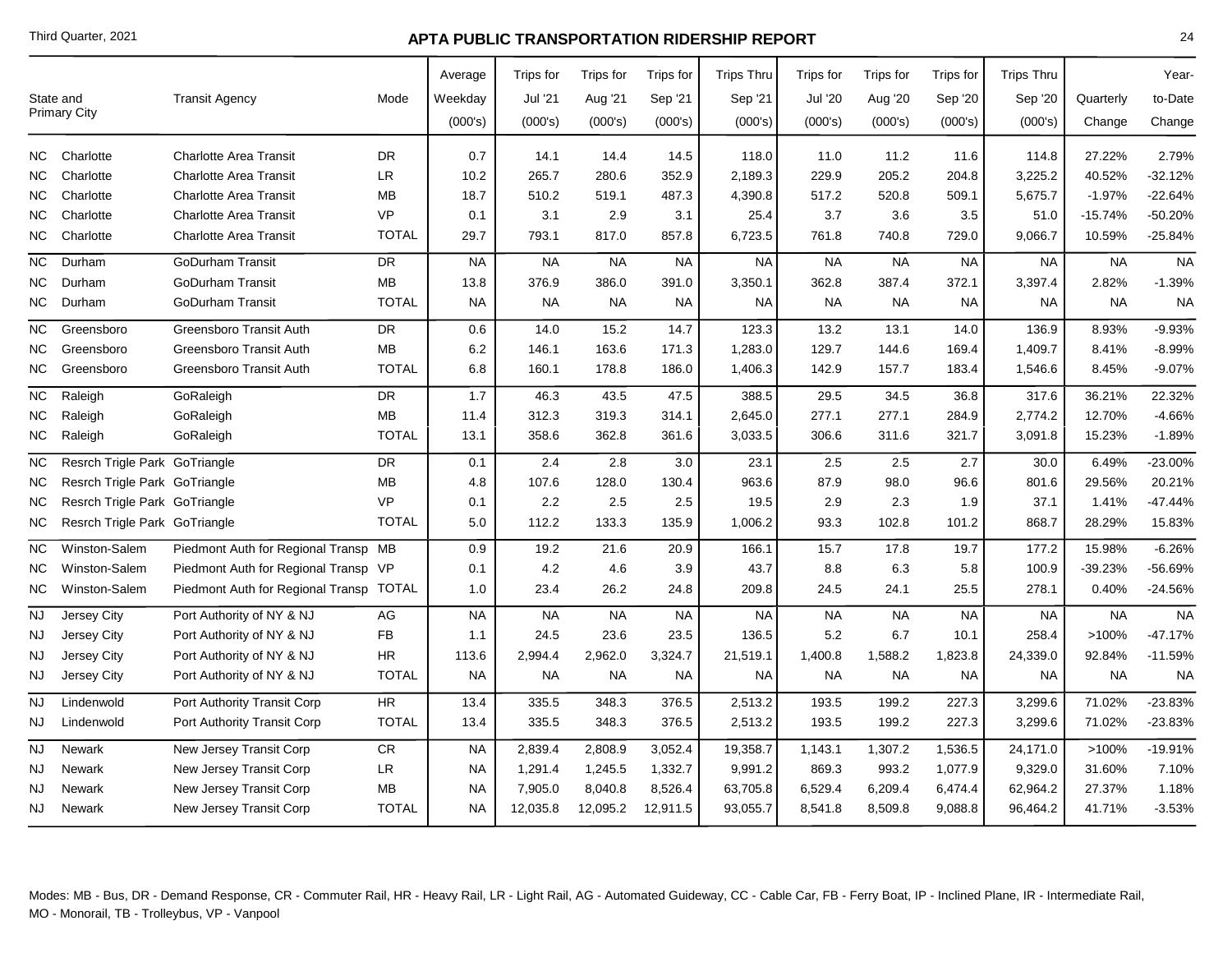|                 |                               |                                         |              | Average   | Trips for | Trips for | Trips for | <b>Trips Thru</b> | <b>Trips for</b> | Trips for | Trips for | <b>Trips Thru</b> |           | Year-     |
|-----------------|-------------------------------|-----------------------------------------|--------------|-----------|-----------|-----------|-----------|-------------------|------------------|-----------|-----------|-------------------|-----------|-----------|
|                 | State and                     | <b>Transit Agency</b>                   | Mode         | Weekday   | Jul '21   | Aug '21   | Sep '21   | Sep '21           | <b>Jul '20</b>   | Aug '20   | Sep '20   | Sep '20           | Quarterly | to-Date   |
|                 | <b>Primary City</b>           |                                         |              | (000's)   | (000's)   | (000's)   | (000's)   | (000's)           | (000's)          | (000's)   | (000's)   | (000's)           | Change    | Change    |
| NC              | Charlotte                     | <b>Charlotte Area Transit</b>           | DR           | 0.7       | 14.1      | 14.4      | 14.5      | 118.0             | 11.0             | 11.2      | 11.6      | 114.8             | 27.22%    | 2.79%     |
| NC.             | Charlotte                     | <b>Charlotte Area Transit</b>           | <b>LR</b>    | 10.2      | 265.7     | 280.6     | 352.9     | 2,189.3           | 229.9            | 205.2     | 204.8     | 3,225.2           | 40.52%    | $-32.12%$ |
| ΝC              | Charlotte                     | <b>Charlotte Area Transit</b>           | <b>MB</b>    | 18.7      | 510.2     | 519.1     | 487.3     | 4,390.8           | 517.2            | 520.8     | 509.1     | 5,675.7           | $-1.97%$  | $-22.64%$ |
| NC.             | Charlotte                     | <b>Charlotte Area Transit</b>           | <b>VP</b>    | 0.1       | 3.1       | 2.9       | 3.1       | 25.4              | 3.7              | 3.6       | 3.5       | 51.0              | $-15.74%$ | $-50.20%$ |
| NC.             | Charlotte                     | <b>Charlotte Area Transit</b>           | <b>TOTAL</b> | 29.7      | 793.1     | 817.0     | 857.8     | 6,723.5           | 761.8            | 740.8     | 729.0     | 9,066.7           | 10.59%    | $-25.84%$ |
| $NC$            | Durham                        | <b>GoDurham Transit</b>                 | <b>DR</b>    | <b>NA</b> | <b>NA</b> | <b>NA</b> | <b>NA</b> | <b>NA</b>         | <b>NA</b>        | <b>NA</b> | <b>NA</b> | <b>NA</b>         | <b>NA</b> | <b>NA</b> |
| ΝC              | Durham                        | <b>GoDurham Transit</b>                 | <b>MB</b>    | 13.8      | 376.9     | 386.0     | 391.0     | 3,350.1           | 362.8            | 387.4     | 372.1     | 3,397.4           | 2.82%     | $-1.39%$  |
| NC.             | Durham                        | <b>GoDurham Transit</b>                 | <b>TOTAL</b> | <b>NA</b> | <b>NA</b> | <b>NA</b> | <b>NA</b> | <b>NA</b>         | <b>NA</b>        | <b>NA</b> | <b>NA</b> | <b>NA</b>         | <b>NA</b> | <b>NA</b> |
| NC.             | Greensboro                    | Greensboro Transit Auth                 | <b>DR</b>    | 0.6       | 14.0      | 15.2      | 14.7      | 123.3             | 13.2             | 13.1      | 14.0      | 136.9             | 8.93%     | $-9.93%$  |
| ΝC              | Greensboro                    | Greensboro Transit Auth                 | <b>MB</b>    | 6.2       | 146.1     | 163.6     | 171.3     | 1,283.0           | 129.7            | 144.6     | 169.4     | 1,409.7           | 8.41%     | $-8.99%$  |
| NC.             | Greensboro                    | Greensboro Transit Auth                 | <b>TOTAL</b> | 6.8       | 160.1     | 178.8     | 186.0     | 1,406.3           | 142.9            | 157.7     | 183.4     | 1,546.6           | 8.45%     | $-9.07%$  |
| NC.             | Raleigh                       | GoRaleigh                               | <b>DR</b>    | 1.7       | 46.3      | 43.5      | 47.5      | 388.5             | 29.5             | 34.5      | 36.8      | 317.6             | 36.21%    | 22.32%    |
| ΝC              | Raleigh                       | GoRaleigh                               | MB           | 11.4      | 312.3     | 319.3     | 314.1     | 2,645.0           | 277.1            | 277.1     | 284.9     | 2,774.2           | 12.70%    | $-4.66%$  |
| ΝC              | Raleigh                       | GoRaleigh                               | <b>TOTAL</b> | 13.1      | 358.6     | 362.8     | 361.6     | 3,033.5           | 306.6            | 311.6     | 321.7     | 3,091.8           | 15.23%    | $-1.89%$  |
| NC              | Resrch Trigle Park GoTriangle |                                         | <b>DR</b>    | 0.1       | 2.4       | 2.8       | 3.0       | 23.1              | 2.5              | 2.5       | 2.7       | 30.0              | 6.49%     | -23.00%   |
| NС              | Resrch Trigle Park GoTriangle |                                         | MB           | 4.8       | 107.6     | 128.0     | 130.4     | 963.6             | 87.9             | 98.0      | 96.6      | 801.6             | 29.56%    | 20.21%    |
| ΝC              | Resrch Trigle Park GoTriangle |                                         | <b>VP</b>    | 0.1       | 2.2       | 2.5       | 2.5       | 19.5              | 2.9              | 2.3       | 1.9       | 37.1              | 1.41%     | -47.44%   |
| NC.             | Resrch Trigle Park GoTriangle |                                         | <b>TOTAL</b> | 5.0       | 112.2     | 133.3     | 135.9     | 1,006.2           | 93.3             | 102.8     | 101.2     | 868.7             | 28.29%    | 15.83%    |
| NC.             | Winston-Salem                 | Piedmont Auth for Regional Transp MB    |              | 0.9       | 19.2      | 21.6      | 20.9      | 166.1             | 15.7             | 17.8      | 19.7      | 177.2             | 15.98%    | $-6.26%$  |
| NC.             | Winston-Salem                 | Piedmont Auth for Regional Transp VP    |              | 0.1       | 4.2       | 4.6       | 3.9       | 43.7              | 8.8              | 6.3       | 5.8       | 100.9             | -39.23%   | -56.69%   |
| NC.             | Winston-Salem                 | Piedmont Auth for Regional Transp TOTAL |              | 1.0       | 23.4      | 26.2      | 24.8      | 209.8             | 24.5             | 24.1      | 25.5      | 278.1             | 0.40%     | $-24.56%$ |
| $\overline{NJ}$ | Jersey City                   | Port Authority of NY & NJ               | AG           | <b>NA</b> | <b>NA</b> | <b>NA</b> | <b>NA</b> | <b>NA</b>         | <b>NA</b>        | <b>NA</b> | <b>NA</b> | <b>NA</b>         | <b>NA</b> | <b>NA</b> |
| NJ              | Jersey City                   | Port Authority of NY & NJ               | FB           | 1.1       | 24.5      | 23.6      | 23.5      | 136.5             | 5.2              | 6.7       | 10.1      | 258.4             | >100%     | $-47.17%$ |
| NJ              | Jersey City                   | Port Authority of NY & NJ               | <b>HR</b>    | 113.6     | 2,994.4   | 2,962.0   | 3,324.7   | 21,519.1          | 1,400.8          | 1,588.2   | 1,823.8   | 24,339.0          | 92.84%    | $-11.59%$ |
| NJ              | Jersey City                   | Port Authority of NY & NJ               | <b>TOTAL</b> | <b>NA</b> | <b>NA</b> | <b>NA</b> | <b>NA</b> | <b>NA</b>         | <b>NA</b>        | <b>NA</b> | <b>NA</b> | <b>NA</b>         | <b>NA</b> | <b>NA</b> |
| <b>NJ</b>       | Lindenwold                    | Port Authority Transit Corp             | HR           | 13.4      | 335.5     | 348.3     | 376.5     | 2,513.2           | 193.5            | 199.2     | 227.3     | 3,299.6           | 71.02%    | $-23.83%$ |
| NJ              | Lindenwold                    | Port Authority Transit Corp             | <b>TOTAL</b> | 13.4      | 335.5     | 348.3     | 376.5     | 2,513.2           | 193.5            | 199.2     | 227.3     | 3,299.6           | 71.02%    | $-23.83%$ |
| <b>NJ</b>       | <b>Newark</b>                 | New Jersey Transit Corp                 | ${\sf CR}$   | <b>NA</b> | 2,839.4   | 2,808.9   | 3,052.4   | 19,358.7          | 1,143.1          | 1,307.2   | 1,536.5   | 24,171.0          | >100%     | $-19.91%$ |
| <b>NJ</b>       | Newark                        | New Jersey Transit Corp                 | ${\sf LR}$   | <b>NA</b> | 1,291.4   | 1,245.5   | 1,332.7   | 9,991.2           | 869.3            | 993.2     | 1,077.9   | 9,329.0           | 31.60%    | 7.10%     |
| NJ              | Newark                        | New Jersey Transit Corp                 | <b>MB</b>    | <b>NA</b> | 7,905.0   | 8,040.8   | 8,526.4   | 63,705.8          | 6,529.4          | 6,209.4   | 6,474.4   | 62,964.2          | 27.37%    | 1.18%     |
| NJ              | Newark                        | New Jersey Transit Corp                 | <b>TOTAL</b> | <b>NA</b> | 12,035.8  | 12,095.2  | 12,911.5  | 93,055.7          | 8,541.8          | 8,509.8   | 9,088.8   | 96,464.2          | 41.71%    | $-3.53%$  |
|                 |                               |                                         |              |           |           |           |           |                   |                  |           |           |                   |           |           |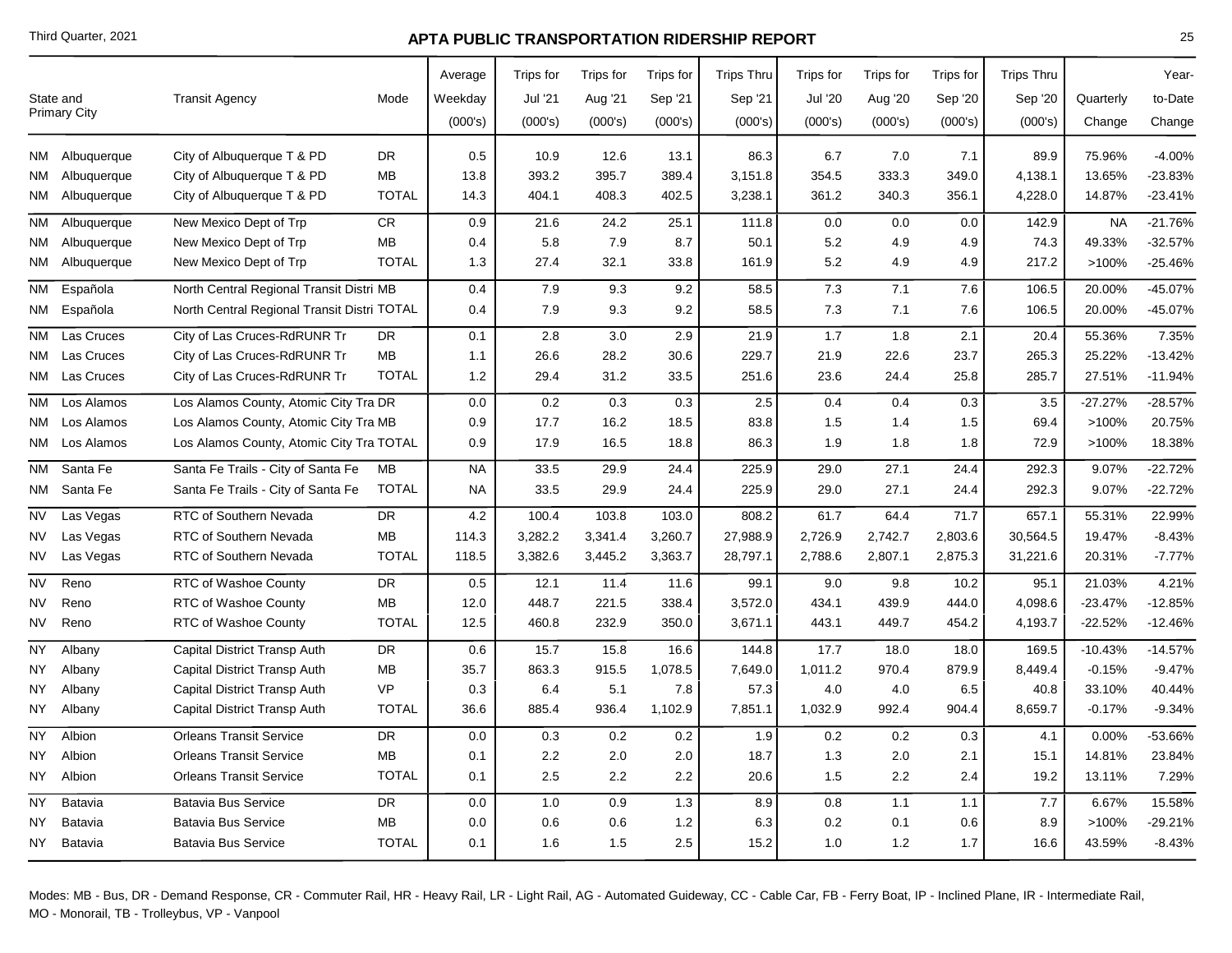| DR.<br>0.5<br>10.9<br>12.6<br>86.3<br>6.7<br>7.0<br>7.1<br>89.9<br>75.96%<br>City of Albuquerque T & PD<br>13.1<br>NM Albuquerque<br>395.7<br>MВ<br>13.8<br>393.2<br>389.4<br>3,151.8<br>354.5<br>333.3<br>349.0<br>4,138.1<br>13.65%<br>NM Albuquerque<br>City of Albuquerque T & PD<br>340.3<br>NM Albuquerque<br>City of Albuquerque T & PD<br><b>TOTAL</b><br>14.3<br>404.1<br>408.3<br>402.5<br>3,238.1<br>361.2<br>356.1<br>4,228.0<br>14.87%<br>CR<br>0.9<br>21.6<br>24.2<br>25.1<br>0.0<br>142.9<br><b>NA</b><br>NM<br>Albuquerque<br>New Mexico Dept of Trp<br>111.8<br>0.0<br>0.0<br>8.7<br>$5.2\,$<br>MВ<br>0.4<br>5.8<br>7.9<br>50.1<br>74.3<br>49.33%<br>Albuquerque<br>New Mexico Dept of Trp<br>4.9<br>4.9<br>NM<br>27.4<br>32.1<br>$5.2\,$<br>>100%<br>New Mexico Dept of Trp<br><b>TOTAL</b><br>1.3<br>33.8<br>161.9<br>4.9<br>4.9<br>217.2<br>NM Albuquerque<br>North Central Regional Transit Distri MB<br>20.00%<br>NM Española<br>0.4<br>7.9<br>9.3<br>9.2<br>58.5<br>7.3<br>7.1<br>7.6<br>106.5<br>7.3<br>7.1<br>20.00%<br>NM Española<br>North Central Regional Transit Distri TOTAL<br>7.9<br>9.3<br>9.2<br>58.5<br>7.6<br>106.5<br>0.4<br>Las Cruces<br>City of Las Cruces-RdRUNR Tr<br>3.0<br>2.9<br>21.9<br>1.7<br>1.8<br>55.36%<br>DR<br>0.1<br>2.8<br>2.1<br>20.4<br>NM.<br>NM Las Cruces<br>City of Las Cruces-RdRUNR Tr<br>MB<br>26.6<br>28.2<br>30.6<br>229.7<br>21.9<br>22.6<br>23.7<br>265.3<br>25.22%<br>1.1<br>NM Las Cruces<br>City of Las Cruces-RdRUNR Tr<br><b>TOTAL</b><br>1.2<br>29.4<br>31.2<br>33.5<br>23.6<br>25.8<br>285.7<br>27.51%<br>251.6<br>24.4<br>Los Alamos County, Atomic City Tra DR<br>0.2<br>0.3<br>2.5<br>-27.27%<br>NM.<br>Los Alamos<br>0.0<br>0.3<br>0.4<br>0.4<br>0.3<br>3.5<br>>100%<br>NM Los Alamos<br>Los Alamos County, Atomic City Tra MB<br>0.9<br>17.7<br>16.2<br>18.5<br>83.8<br>1.5<br>1.4<br>1.5<br>69.4<br>Los Alamos County, Atomic City Tra TOTAL<br>0.9<br>17.9<br>1.9<br>1.8<br>72.9<br>>100%<br>NM Los Alamos<br>16.5<br>18.8<br>86.3<br>1.8<br><b>NM</b><br>Santa Fe<br>Santa Fe Trails - City of Santa Fe<br>МB<br><b>NA</b><br>33.5<br>29.9<br>225.9<br>29.0<br>27.1<br>9.07%<br>24.4<br>24.4<br>292.3<br>292.3<br>9.07%<br>Santa Fe<br>Santa Fe Trails - City of Santa Fe<br><b>TOTAL</b><br><b>NA</b><br>33.5<br>29.9<br>24.4<br>225.9<br>29.0<br>27.1<br>24.4<br>NM<br>RTC of Southern Nevada<br><b>DR</b><br>4.2<br>103.8<br>64.4<br>71.7<br>55.31%<br>NV<br>Las Vegas<br>100.4<br>103.0<br>808.2<br>61.7<br>657.1<br>RTC of Southern Nevada<br><b>MB</b><br>114.3<br>3,282.2<br>3,341.4<br>3,260.7<br>27,988.9<br>2,726.9<br>2,742.7<br>2,803.6<br>30,564.5<br>19.47%<br>Las Vegas<br>NV<br><b>TOTAL</b><br>2,807.1<br>NV<br>Las Vegas<br>RTC of Southern Nevada<br>118.5<br>3,382.6<br>3,445.2<br>3,363.7<br>28,797.1<br>2,788.6<br>2,875.3<br>31,221.6<br>20.31%<br>21.03%<br>Reno<br>RTC of Washoe County<br>DR<br>0.5<br>12.1<br>11.4<br>99.1<br>9.0<br>9.8<br>10.2<br>NV<br>11.6<br>95.1<br>448.7<br>338.4<br>434.1<br>439.9<br>-23.47%<br>NV<br>Reno<br><b>RTC of Washoe County</b><br>MB<br>12.0<br>221.5<br>3,572.0<br>444.0<br>4,098.6<br><b>TOTAL</b><br>232.9<br>$-22.52%$<br>NV<br>Reno<br>RTC of Washoe County<br>12.5<br>460.8<br>350.0<br>3,671.1<br>443.1<br>449.7<br>454.2<br>4,193.7<br>NY<br>DR<br>0.6<br>15.7<br>15.8<br>16.6<br>144.8<br>17.7<br>18.0<br>$-10.43%$<br>Albany<br>Capital District Transp Auth<br>18.0<br>169.5<br>MВ<br>35.7<br>863.3<br>915.5<br>1,078.5<br>7,649.0<br>1,011.2<br>970.4<br>879.9<br>8,449.4<br>$-0.15%$<br>NY<br>Albany<br>Capital District Transp Auth<br><b>VP</b><br>5.1<br>4.0<br>Albany<br>Capital District Transp Auth<br>0.3<br>6.4<br>7.8<br>57.3<br>4.0<br>6.5<br>40.8<br>33.10%<br>NY.<br><b>TOTAL</b><br>936.4<br>1,102.9<br>1,032.9<br>992.4<br>$-0.17%$<br>NY<br>Albany<br>Capital District Transp Auth<br>36.6<br>885.4<br>7,851.1<br>904.4<br>8,659.7<br><b>NY</b><br>Albion<br><b>Orleans Transit Service</b><br><b>DR</b><br>0.3<br>0.2<br>$0.2\,$<br>1.9<br>0.2<br>0.2<br>0.00%<br>0.0<br>0.3<br>4.1<br>2.2<br><b>Orleans Transit Service</b><br>MВ<br>2.0<br>2.0<br>18.7<br>1.3<br>2.0<br>2.1<br>14.81%<br>NY<br>Albion<br>0.1<br>15.1<br>NY<br>Albion<br><b>Orleans Transit Service</b><br><b>TOTAL</b><br>2.5<br>2.2<br>2.2<br>20.6<br>1.5<br>2.2<br>19.2<br>13.11%<br>0.1<br>2.4<br><b>NY</b><br>Batavia<br><b>Batavia Bus Service</b><br>DR<br>0.0<br>1.0<br>0.9<br>1.3<br>8.9<br>0.8<br>1.1<br>1.1<br>7.7<br>6.67%<br>MB<br>0.0<br>0.6<br>0.6<br>1.2<br>0.2<br>0.1<br>>100%<br>NΥ<br>Batavia<br><b>Batavia Bus Service</b><br>6.3<br>0.6<br>8.9<br><b>TOTAL</b><br><b>Batavia Bus Service</b><br>1.6<br>1.5<br>2.5<br>15.2<br>1.0<br>1.2<br>1.7<br>16.6<br>43.59%<br>NY Batavia<br>0.1 | State and<br><b>Primary City</b> | <b>Transit Agency</b> | Mode | Average<br>Weekday<br>(000's) | Trips for<br>Jul '21<br>(000's) | Trips for<br>Aug '21<br>(000's) | Trips for<br>Sep '21<br>(000's) | <b>Trips Thru</b><br>Sep '21<br>(000's) | Trips for<br><b>Jul '20</b><br>(000's) | Trips for<br>Aug '20<br>(000's) | Trips for<br>Sep '20<br>(000's) | <b>Trips Thru</b><br>Sep '20<br>(000's) | Quarterly<br>Change | Year-<br>to-Date<br>Change |
|-------------------------------------------------------------------------------------------------------------------------------------------------------------------------------------------------------------------------------------------------------------------------------------------------------------------------------------------------------------------------------------------------------------------------------------------------------------------------------------------------------------------------------------------------------------------------------------------------------------------------------------------------------------------------------------------------------------------------------------------------------------------------------------------------------------------------------------------------------------------------------------------------------------------------------------------------------------------------------------------------------------------------------------------------------------------------------------------------------------------------------------------------------------------------------------------------------------------------------------------------------------------------------------------------------------------------------------------------------------------------------------------------------------------------------------------------------------------------------------------------------------------------------------------------------------------------------------------------------------------------------------------------------------------------------------------------------------------------------------------------------------------------------------------------------------------------------------------------------------------------------------------------------------------------------------------------------------------------------------------------------------------------------------------------------------------------------------------------------------------------------------------------------------------------------------------------------------------------------------------------------------------------------------------------------------------------------------------------------------------------------------------------------------------------------------------------------------------------------------------------------------------------------------------------------------------------------------------------------------------------------------------------------------------------------------------------------------------------------------------------------------------------------------------------------------------------------------------------------------------------------------------------------------------------------------------------------------------------------------------------------------------------------------------------------------------------------------------------------------------------------------------------------------------------------------------------------------------------------------------------------------------------------------------------------------------------------------------------------------------------------------------------------------------------------------------------------------------------------------------------------------------------------------------------------------------------------------------------------------------------------------------------------------------------------------------------------------------------------------------------------------------------------------------------------------------------------------------------------------------------------------------------------------------------------------------------------------------------------------------------------------------------------------------------------------------------------------------------------------------------------------------------------------------------------------------------------------------------------------------------------------------------------------------------------------------------------------------------------------------------------------------------------------------------------------------------------------------------------------------------------------------------------------------------------------------------------------------------------------------------------------------------------------------------------------------------------------------------------------------------------------|----------------------------------|-----------------------|------|-------------------------------|---------------------------------|---------------------------------|---------------------------------|-----------------------------------------|----------------------------------------|---------------------------------|---------------------------------|-----------------------------------------|---------------------|----------------------------|
|                                                                                                                                                                                                                                                                                                                                                                                                                                                                                                                                                                                                                                                                                                                                                                                                                                                                                                                                                                                                                                                                                                                                                                                                                                                                                                                                                                                                                                                                                                                                                                                                                                                                                                                                                                                                                                                                                                                                                                                                                                                                                                                                                                                                                                                                                                                                                                                                                                                                                                                                                                                                                                                                                                                                                                                                                                                                                                                                                                                                                                                                                                                                                                                                                                                                                                                                                                                                                                                                                                                                                                                                                                                                                                                                                                                                                                                                                                                                                                                                                                                                                                                                                                                                                                                                                                                                                                                                                                                                                                                                                                                                                                                                                                                                                             |                                  |                       |      |                               |                                 |                                 |                                 |                                         |                                        |                                 |                                 |                                         |                     | $-4.00%$                   |
|                                                                                                                                                                                                                                                                                                                                                                                                                                                                                                                                                                                                                                                                                                                                                                                                                                                                                                                                                                                                                                                                                                                                                                                                                                                                                                                                                                                                                                                                                                                                                                                                                                                                                                                                                                                                                                                                                                                                                                                                                                                                                                                                                                                                                                                                                                                                                                                                                                                                                                                                                                                                                                                                                                                                                                                                                                                                                                                                                                                                                                                                                                                                                                                                                                                                                                                                                                                                                                                                                                                                                                                                                                                                                                                                                                                                                                                                                                                                                                                                                                                                                                                                                                                                                                                                                                                                                                                                                                                                                                                                                                                                                                                                                                                                                             |                                  |                       |      |                               |                                 |                                 |                                 |                                         |                                        |                                 |                                 |                                         |                     | -23.83%                    |
|                                                                                                                                                                                                                                                                                                                                                                                                                                                                                                                                                                                                                                                                                                                                                                                                                                                                                                                                                                                                                                                                                                                                                                                                                                                                                                                                                                                                                                                                                                                                                                                                                                                                                                                                                                                                                                                                                                                                                                                                                                                                                                                                                                                                                                                                                                                                                                                                                                                                                                                                                                                                                                                                                                                                                                                                                                                                                                                                                                                                                                                                                                                                                                                                                                                                                                                                                                                                                                                                                                                                                                                                                                                                                                                                                                                                                                                                                                                                                                                                                                                                                                                                                                                                                                                                                                                                                                                                                                                                                                                                                                                                                                                                                                                                                             |                                  |                       |      |                               |                                 |                                 |                                 |                                         |                                        |                                 |                                 |                                         |                     | $-23.41%$                  |
|                                                                                                                                                                                                                                                                                                                                                                                                                                                                                                                                                                                                                                                                                                                                                                                                                                                                                                                                                                                                                                                                                                                                                                                                                                                                                                                                                                                                                                                                                                                                                                                                                                                                                                                                                                                                                                                                                                                                                                                                                                                                                                                                                                                                                                                                                                                                                                                                                                                                                                                                                                                                                                                                                                                                                                                                                                                                                                                                                                                                                                                                                                                                                                                                                                                                                                                                                                                                                                                                                                                                                                                                                                                                                                                                                                                                                                                                                                                                                                                                                                                                                                                                                                                                                                                                                                                                                                                                                                                                                                                                                                                                                                                                                                                                                             |                                  |                       |      |                               |                                 |                                 |                                 |                                         |                                        |                                 |                                 |                                         |                     | $-21.76%$                  |
|                                                                                                                                                                                                                                                                                                                                                                                                                                                                                                                                                                                                                                                                                                                                                                                                                                                                                                                                                                                                                                                                                                                                                                                                                                                                                                                                                                                                                                                                                                                                                                                                                                                                                                                                                                                                                                                                                                                                                                                                                                                                                                                                                                                                                                                                                                                                                                                                                                                                                                                                                                                                                                                                                                                                                                                                                                                                                                                                                                                                                                                                                                                                                                                                                                                                                                                                                                                                                                                                                                                                                                                                                                                                                                                                                                                                                                                                                                                                                                                                                                                                                                                                                                                                                                                                                                                                                                                                                                                                                                                                                                                                                                                                                                                                                             |                                  |                       |      |                               |                                 |                                 |                                 |                                         |                                        |                                 |                                 |                                         |                     | $-32.57%$                  |
|                                                                                                                                                                                                                                                                                                                                                                                                                                                                                                                                                                                                                                                                                                                                                                                                                                                                                                                                                                                                                                                                                                                                                                                                                                                                                                                                                                                                                                                                                                                                                                                                                                                                                                                                                                                                                                                                                                                                                                                                                                                                                                                                                                                                                                                                                                                                                                                                                                                                                                                                                                                                                                                                                                                                                                                                                                                                                                                                                                                                                                                                                                                                                                                                                                                                                                                                                                                                                                                                                                                                                                                                                                                                                                                                                                                                                                                                                                                                                                                                                                                                                                                                                                                                                                                                                                                                                                                                                                                                                                                                                                                                                                                                                                                                                             |                                  |                       |      |                               |                                 |                                 |                                 |                                         |                                        |                                 |                                 |                                         |                     | $-25.46%$                  |
|                                                                                                                                                                                                                                                                                                                                                                                                                                                                                                                                                                                                                                                                                                                                                                                                                                                                                                                                                                                                                                                                                                                                                                                                                                                                                                                                                                                                                                                                                                                                                                                                                                                                                                                                                                                                                                                                                                                                                                                                                                                                                                                                                                                                                                                                                                                                                                                                                                                                                                                                                                                                                                                                                                                                                                                                                                                                                                                                                                                                                                                                                                                                                                                                                                                                                                                                                                                                                                                                                                                                                                                                                                                                                                                                                                                                                                                                                                                                                                                                                                                                                                                                                                                                                                                                                                                                                                                                                                                                                                                                                                                                                                                                                                                                                             |                                  |                       |      |                               |                                 |                                 |                                 |                                         |                                        |                                 |                                 |                                         |                     | -45.07%                    |
|                                                                                                                                                                                                                                                                                                                                                                                                                                                                                                                                                                                                                                                                                                                                                                                                                                                                                                                                                                                                                                                                                                                                                                                                                                                                                                                                                                                                                                                                                                                                                                                                                                                                                                                                                                                                                                                                                                                                                                                                                                                                                                                                                                                                                                                                                                                                                                                                                                                                                                                                                                                                                                                                                                                                                                                                                                                                                                                                                                                                                                                                                                                                                                                                                                                                                                                                                                                                                                                                                                                                                                                                                                                                                                                                                                                                                                                                                                                                                                                                                                                                                                                                                                                                                                                                                                                                                                                                                                                                                                                                                                                                                                                                                                                                                             |                                  |                       |      |                               |                                 |                                 |                                 |                                         |                                        |                                 |                                 |                                         |                     | -45.07%                    |
|                                                                                                                                                                                                                                                                                                                                                                                                                                                                                                                                                                                                                                                                                                                                                                                                                                                                                                                                                                                                                                                                                                                                                                                                                                                                                                                                                                                                                                                                                                                                                                                                                                                                                                                                                                                                                                                                                                                                                                                                                                                                                                                                                                                                                                                                                                                                                                                                                                                                                                                                                                                                                                                                                                                                                                                                                                                                                                                                                                                                                                                                                                                                                                                                                                                                                                                                                                                                                                                                                                                                                                                                                                                                                                                                                                                                                                                                                                                                                                                                                                                                                                                                                                                                                                                                                                                                                                                                                                                                                                                                                                                                                                                                                                                                                             |                                  |                       |      |                               |                                 |                                 |                                 |                                         |                                        |                                 |                                 |                                         |                     | 7.35%                      |
|                                                                                                                                                                                                                                                                                                                                                                                                                                                                                                                                                                                                                                                                                                                                                                                                                                                                                                                                                                                                                                                                                                                                                                                                                                                                                                                                                                                                                                                                                                                                                                                                                                                                                                                                                                                                                                                                                                                                                                                                                                                                                                                                                                                                                                                                                                                                                                                                                                                                                                                                                                                                                                                                                                                                                                                                                                                                                                                                                                                                                                                                                                                                                                                                                                                                                                                                                                                                                                                                                                                                                                                                                                                                                                                                                                                                                                                                                                                                                                                                                                                                                                                                                                                                                                                                                                                                                                                                                                                                                                                                                                                                                                                                                                                                                             |                                  |                       |      |                               |                                 |                                 |                                 |                                         |                                        |                                 |                                 |                                         |                     | $-13.42%$                  |
|                                                                                                                                                                                                                                                                                                                                                                                                                                                                                                                                                                                                                                                                                                                                                                                                                                                                                                                                                                                                                                                                                                                                                                                                                                                                                                                                                                                                                                                                                                                                                                                                                                                                                                                                                                                                                                                                                                                                                                                                                                                                                                                                                                                                                                                                                                                                                                                                                                                                                                                                                                                                                                                                                                                                                                                                                                                                                                                                                                                                                                                                                                                                                                                                                                                                                                                                                                                                                                                                                                                                                                                                                                                                                                                                                                                                                                                                                                                                                                                                                                                                                                                                                                                                                                                                                                                                                                                                                                                                                                                                                                                                                                                                                                                                                             |                                  |                       |      |                               |                                 |                                 |                                 |                                         |                                        |                                 |                                 |                                         |                     | $-11.94%$                  |
|                                                                                                                                                                                                                                                                                                                                                                                                                                                                                                                                                                                                                                                                                                                                                                                                                                                                                                                                                                                                                                                                                                                                                                                                                                                                                                                                                                                                                                                                                                                                                                                                                                                                                                                                                                                                                                                                                                                                                                                                                                                                                                                                                                                                                                                                                                                                                                                                                                                                                                                                                                                                                                                                                                                                                                                                                                                                                                                                                                                                                                                                                                                                                                                                                                                                                                                                                                                                                                                                                                                                                                                                                                                                                                                                                                                                                                                                                                                                                                                                                                                                                                                                                                                                                                                                                                                                                                                                                                                                                                                                                                                                                                                                                                                                                             |                                  |                       |      |                               |                                 |                                 |                                 |                                         |                                        |                                 |                                 |                                         |                     | $-28.57%$                  |
|                                                                                                                                                                                                                                                                                                                                                                                                                                                                                                                                                                                                                                                                                                                                                                                                                                                                                                                                                                                                                                                                                                                                                                                                                                                                                                                                                                                                                                                                                                                                                                                                                                                                                                                                                                                                                                                                                                                                                                                                                                                                                                                                                                                                                                                                                                                                                                                                                                                                                                                                                                                                                                                                                                                                                                                                                                                                                                                                                                                                                                                                                                                                                                                                                                                                                                                                                                                                                                                                                                                                                                                                                                                                                                                                                                                                                                                                                                                                                                                                                                                                                                                                                                                                                                                                                                                                                                                                                                                                                                                                                                                                                                                                                                                                                             |                                  |                       |      |                               |                                 |                                 |                                 |                                         |                                        |                                 |                                 |                                         |                     | 20.75%                     |
|                                                                                                                                                                                                                                                                                                                                                                                                                                                                                                                                                                                                                                                                                                                                                                                                                                                                                                                                                                                                                                                                                                                                                                                                                                                                                                                                                                                                                                                                                                                                                                                                                                                                                                                                                                                                                                                                                                                                                                                                                                                                                                                                                                                                                                                                                                                                                                                                                                                                                                                                                                                                                                                                                                                                                                                                                                                                                                                                                                                                                                                                                                                                                                                                                                                                                                                                                                                                                                                                                                                                                                                                                                                                                                                                                                                                                                                                                                                                                                                                                                                                                                                                                                                                                                                                                                                                                                                                                                                                                                                                                                                                                                                                                                                                                             |                                  |                       |      |                               |                                 |                                 |                                 |                                         |                                        |                                 |                                 |                                         |                     | 18.38%                     |
|                                                                                                                                                                                                                                                                                                                                                                                                                                                                                                                                                                                                                                                                                                                                                                                                                                                                                                                                                                                                                                                                                                                                                                                                                                                                                                                                                                                                                                                                                                                                                                                                                                                                                                                                                                                                                                                                                                                                                                                                                                                                                                                                                                                                                                                                                                                                                                                                                                                                                                                                                                                                                                                                                                                                                                                                                                                                                                                                                                                                                                                                                                                                                                                                                                                                                                                                                                                                                                                                                                                                                                                                                                                                                                                                                                                                                                                                                                                                                                                                                                                                                                                                                                                                                                                                                                                                                                                                                                                                                                                                                                                                                                                                                                                                                             |                                  |                       |      |                               |                                 |                                 |                                 |                                         |                                        |                                 |                                 |                                         |                     | $-22.72%$                  |
|                                                                                                                                                                                                                                                                                                                                                                                                                                                                                                                                                                                                                                                                                                                                                                                                                                                                                                                                                                                                                                                                                                                                                                                                                                                                                                                                                                                                                                                                                                                                                                                                                                                                                                                                                                                                                                                                                                                                                                                                                                                                                                                                                                                                                                                                                                                                                                                                                                                                                                                                                                                                                                                                                                                                                                                                                                                                                                                                                                                                                                                                                                                                                                                                                                                                                                                                                                                                                                                                                                                                                                                                                                                                                                                                                                                                                                                                                                                                                                                                                                                                                                                                                                                                                                                                                                                                                                                                                                                                                                                                                                                                                                                                                                                                                             |                                  |                       |      |                               |                                 |                                 |                                 |                                         |                                        |                                 |                                 |                                         |                     | $-22.72%$                  |
|                                                                                                                                                                                                                                                                                                                                                                                                                                                                                                                                                                                                                                                                                                                                                                                                                                                                                                                                                                                                                                                                                                                                                                                                                                                                                                                                                                                                                                                                                                                                                                                                                                                                                                                                                                                                                                                                                                                                                                                                                                                                                                                                                                                                                                                                                                                                                                                                                                                                                                                                                                                                                                                                                                                                                                                                                                                                                                                                                                                                                                                                                                                                                                                                                                                                                                                                                                                                                                                                                                                                                                                                                                                                                                                                                                                                                                                                                                                                                                                                                                                                                                                                                                                                                                                                                                                                                                                                                                                                                                                                                                                                                                                                                                                                                             |                                  |                       |      |                               |                                 |                                 |                                 |                                         |                                        |                                 |                                 |                                         |                     | 22.99%                     |
|                                                                                                                                                                                                                                                                                                                                                                                                                                                                                                                                                                                                                                                                                                                                                                                                                                                                                                                                                                                                                                                                                                                                                                                                                                                                                                                                                                                                                                                                                                                                                                                                                                                                                                                                                                                                                                                                                                                                                                                                                                                                                                                                                                                                                                                                                                                                                                                                                                                                                                                                                                                                                                                                                                                                                                                                                                                                                                                                                                                                                                                                                                                                                                                                                                                                                                                                                                                                                                                                                                                                                                                                                                                                                                                                                                                                                                                                                                                                                                                                                                                                                                                                                                                                                                                                                                                                                                                                                                                                                                                                                                                                                                                                                                                                                             |                                  |                       |      |                               |                                 |                                 |                                 |                                         |                                        |                                 |                                 |                                         |                     | $-8.43%$                   |
|                                                                                                                                                                                                                                                                                                                                                                                                                                                                                                                                                                                                                                                                                                                                                                                                                                                                                                                                                                                                                                                                                                                                                                                                                                                                                                                                                                                                                                                                                                                                                                                                                                                                                                                                                                                                                                                                                                                                                                                                                                                                                                                                                                                                                                                                                                                                                                                                                                                                                                                                                                                                                                                                                                                                                                                                                                                                                                                                                                                                                                                                                                                                                                                                                                                                                                                                                                                                                                                                                                                                                                                                                                                                                                                                                                                                                                                                                                                                                                                                                                                                                                                                                                                                                                                                                                                                                                                                                                                                                                                                                                                                                                                                                                                                                             |                                  |                       |      |                               |                                 |                                 |                                 |                                         |                                        |                                 |                                 |                                         |                     | $-7.77%$                   |
|                                                                                                                                                                                                                                                                                                                                                                                                                                                                                                                                                                                                                                                                                                                                                                                                                                                                                                                                                                                                                                                                                                                                                                                                                                                                                                                                                                                                                                                                                                                                                                                                                                                                                                                                                                                                                                                                                                                                                                                                                                                                                                                                                                                                                                                                                                                                                                                                                                                                                                                                                                                                                                                                                                                                                                                                                                                                                                                                                                                                                                                                                                                                                                                                                                                                                                                                                                                                                                                                                                                                                                                                                                                                                                                                                                                                                                                                                                                                                                                                                                                                                                                                                                                                                                                                                                                                                                                                                                                                                                                                                                                                                                                                                                                                                             |                                  |                       |      |                               |                                 |                                 |                                 |                                         |                                        |                                 |                                 |                                         |                     | 4.21%                      |
|                                                                                                                                                                                                                                                                                                                                                                                                                                                                                                                                                                                                                                                                                                                                                                                                                                                                                                                                                                                                                                                                                                                                                                                                                                                                                                                                                                                                                                                                                                                                                                                                                                                                                                                                                                                                                                                                                                                                                                                                                                                                                                                                                                                                                                                                                                                                                                                                                                                                                                                                                                                                                                                                                                                                                                                                                                                                                                                                                                                                                                                                                                                                                                                                                                                                                                                                                                                                                                                                                                                                                                                                                                                                                                                                                                                                                                                                                                                                                                                                                                                                                                                                                                                                                                                                                                                                                                                                                                                                                                                                                                                                                                                                                                                                                             |                                  |                       |      |                               |                                 |                                 |                                 |                                         |                                        |                                 |                                 |                                         |                     | $-12.85%$                  |
|                                                                                                                                                                                                                                                                                                                                                                                                                                                                                                                                                                                                                                                                                                                                                                                                                                                                                                                                                                                                                                                                                                                                                                                                                                                                                                                                                                                                                                                                                                                                                                                                                                                                                                                                                                                                                                                                                                                                                                                                                                                                                                                                                                                                                                                                                                                                                                                                                                                                                                                                                                                                                                                                                                                                                                                                                                                                                                                                                                                                                                                                                                                                                                                                                                                                                                                                                                                                                                                                                                                                                                                                                                                                                                                                                                                                                                                                                                                                                                                                                                                                                                                                                                                                                                                                                                                                                                                                                                                                                                                                                                                                                                                                                                                                                             |                                  |                       |      |                               |                                 |                                 |                                 |                                         |                                        |                                 |                                 |                                         |                     | $-12.46%$                  |
|                                                                                                                                                                                                                                                                                                                                                                                                                                                                                                                                                                                                                                                                                                                                                                                                                                                                                                                                                                                                                                                                                                                                                                                                                                                                                                                                                                                                                                                                                                                                                                                                                                                                                                                                                                                                                                                                                                                                                                                                                                                                                                                                                                                                                                                                                                                                                                                                                                                                                                                                                                                                                                                                                                                                                                                                                                                                                                                                                                                                                                                                                                                                                                                                                                                                                                                                                                                                                                                                                                                                                                                                                                                                                                                                                                                                                                                                                                                                                                                                                                                                                                                                                                                                                                                                                                                                                                                                                                                                                                                                                                                                                                                                                                                                                             |                                  |                       |      |                               |                                 |                                 |                                 |                                         |                                        |                                 |                                 |                                         |                     | $-14.57%$                  |
|                                                                                                                                                                                                                                                                                                                                                                                                                                                                                                                                                                                                                                                                                                                                                                                                                                                                                                                                                                                                                                                                                                                                                                                                                                                                                                                                                                                                                                                                                                                                                                                                                                                                                                                                                                                                                                                                                                                                                                                                                                                                                                                                                                                                                                                                                                                                                                                                                                                                                                                                                                                                                                                                                                                                                                                                                                                                                                                                                                                                                                                                                                                                                                                                                                                                                                                                                                                                                                                                                                                                                                                                                                                                                                                                                                                                                                                                                                                                                                                                                                                                                                                                                                                                                                                                                                                                                                                                                                                                                                                                                                                                                                                                                                                                                             |                                  |                       |      |                               |                                 |                                 |                                 |                                         |                                        |                                 |                                 |                                         |                     | $-9.47%$                   |
|                                                                                                                                                                                                                                                                                                                                                                                                                                                                                                                                                                                                                                                                                                                                                                                                                                                                                                                                                                                                                                                                                                                                                                                                                                                                                                                                                                                                                                                                                                                                                                                                                                                                                                                                                                                                                                                                                                                                                                                                                                                                                                                                                                                                                                                                                                                                                                                                                                                                                                                                                                                                                                                                                                                                                                                                                                                                                                                                                                                                                                                                                                                                                                                                                                                                                                                                                                                                                                                                                                                                                                                                                                                                                                                                                                                                                                                                                                                                                                                                                                                                                                                                                                                                                                                                                                                                                                                                                                                                                                                                                                                                                                                                                                                                                             |                                  |                       |      |                               |                                 |                                 |                                 |                                         |                                        |                                 |                                 |                                         |                     | 40.44%                     |
|                                                                                                                                                                                                                                                                                                                                                                                                                                                                                                                                                                                                                                                                                                                                                                                                                                                                                                                                                                                                                                                                                                                                                                                                                                                                                                                                                                                                                                                                                                                                                                                                                                                                                                                                                                                                                                                                                                                                                                                                                                                                                                                                                                                                                                                                                                                                                                                                                                                                                                                                                                                                                                                                                                                                                                                                                                                                                                                                                                                                                                                                                                                                                                                                                                                                                                                                                                                                                                                                                                                                                                                                                                                                                                                                                                                                                                                                                                                                                                                                                                                                                                                                                                                                                                                                                                                                                                                                                                                                                                                                                                                                                                                                                                                                                             |                                  |                       |      |                               |                                 |                                 |                                 |                                         |                                        |                                 |                                 |                                         |                     | $-9.34%$                   |
|                                                                                                                                                                                                                                                                                                                                                                                                                                                                                                                                                                                                                                                                                                                                                                                                                                                                                                                                                                                                                                                                                                                                                                                                                                                                                                                                                                                                                                                                                                                                                                                                                                                                                                                                                                                                                                                                                                                                                                                                                                                                                                                                                                                                                                                                                                                                                                                                                                                                                                                                                                                                                                                                                                                                                                                                                                                                                                                                                                                                                                                                                                                                                                                                                                                                                                                                                                                                                                                                                                                                                                                                                                                                                                                                                                                                                                                                                                                                                                                                                                                                                                                                                                                                                                                                                                                                                                                                                                                                                                                                                                                                                                                                                                                                                             |                                  |                       |      |                               |                                 |                                 |                                 |                                         |                                        |                                 |                                 |                                         |                     | -53.66%                    |
|                                                                                                                                                                                                                                                                                                                                                                                                                                                                                                                                                                                                                                                                                                                                                                                                                                                                                                                                                                                                                                                                                                                                                                                                                                                                                                                                                                                                                                                                                                                                                                                                                                                                                                                                                                                                                                                                                                                                                                                                                                                                                                                                                                                                                                                                                                                                                                                                                                                                                                                                                                                                                                                                                                                                                                                                                                                                                                                                                                                                                                                                                                                                                                                                                                                                                                                                                                                                                                                                                                                                                                                                                                                                                                                                                                                                                                                                                                                                                                                                                                                                                                                                                                                                                                                                                                                                                                                                                                                                                                                                                                                                                                                                                                                                                             |                                  |                       |      |                               |                                 |                                 |                                 |                                         |                                        |                                 |                                 |                                         |                     | 23.84%                     |
|                                                                                                                                                                                                                                                                                                                                                                                                                                                                                                                                                                                                                                                                                                                                                                                                                                                                                                                                                                                                                                                                                                                                                                                                                                                                                                                                                                                                                                                                                                                                                                                                                                                                                                                                                                                                                                                                                                                                                                                                                                                                                                                                                                                                                                                                                                                                                                                                                                                                                                                                                                                                                                                                                                                                                                                                                                                                                                                                                                                                                                                                                                                                                                                                                                                                                                                                                                                                                                                                                                                                                                                                                                                                                                                                                                                                                                                                                                                                                                                                                                                                                                                                                                                                                                                                                                                                                                                                                                                                                                                                                                                                                                                                                                                                                             |                                  |                       |      |                               |                                 |                                 |                                 |                                         |                                        |                                 |                                 |                                         |                     | 7.29%                      |
|                                                                                                                                                                                                                                                                                                                                                                                                                                                                                                                                                                                                                                                                                                                                                                                                                                                                                                                                                                                                                                                                                                                                                                                                                                                                                                                                                                                                                                                                                                                                                                                                                                                                                                                                                                                                                                                                                                                                                                                                                                                                                                                                                                                                                                                                                                                                                                                                                                                                                                                                                                                                                                                                                                                                                                                                                                                                                                                                                                                                                                                                                                                                                                                                                                                                                                                                                                                                                                                                                                                                                                                                                                                                                                                                                                                                                                                                                                                                                                                                                                                                                                                                                                                                                                                                                                                                                                                                                                                                                                                                                                                                                                                                                                                                                             |                                  |                       |      |                               |                                 |                                 |                                 |                                         |                                        |                                 |                                 |                                         |                     | 15.58%                     |
|                                                                                                                                                                                                                                                                                                                                                                                                                                                                                                                                                                                                                                                                                                                                                                                                                                                                                                                                                                                                                                                                                                                                                                                                                                                                                                                                                                                                                                                                                                                                                                                                                                                                                                                                                                                                                                                                                                                                                                                                                                                                                                                                                                                                                                                                                                                                                                                                                                                                                                                                                                                                                                                                                                                                                                                                                                                                                                                                                                                                                                                                                                                                                                                                                                                                                                                                                                                                                                                                                                                                                                                                                                                                                                                                                                                                                                                                                                                                                                                                                                                                                                                                                                                                                                                                                                                                                                                                                                                                                                                                                                                                                                                                                                                                                             |                                  |                       |      |                               |                                 |                                 |                                 |                                         |                                        |                                 |                                 |                                         |                     | $-29.21%$                  |
|                                                                                                                                                                                                                                                                                                                                                                                                                                                                                                                                                                                                                                                                                                                                                                                                                                                                                                                                                                                                                                                                                                                                                                                                                                                                                                                                                                                                                                                                                                                                                                                                                                                                                                                                                                                                                                                                                                                                                                                                                                                                                                                                                                                                                                                                                                                                                                                                                                                                                                                                                                                                                                                                                                                                                                                                                                                                                                                                                                                                                                                                                                                                                                                                                                                                                                                                                                                                                                                                                                                                                                                                                                                                                                                                                                                                                                                                                                                                                                                                                                                                                                                                                                                                                                                                                                                                                                                                                                                                                                                                                                                                                                                                                                                                                             |                                  |                       |      |                               |                                 |                                 |                                 |                                         |                                        |                                 |                                 |                                         |                     | $-8.43%$                   |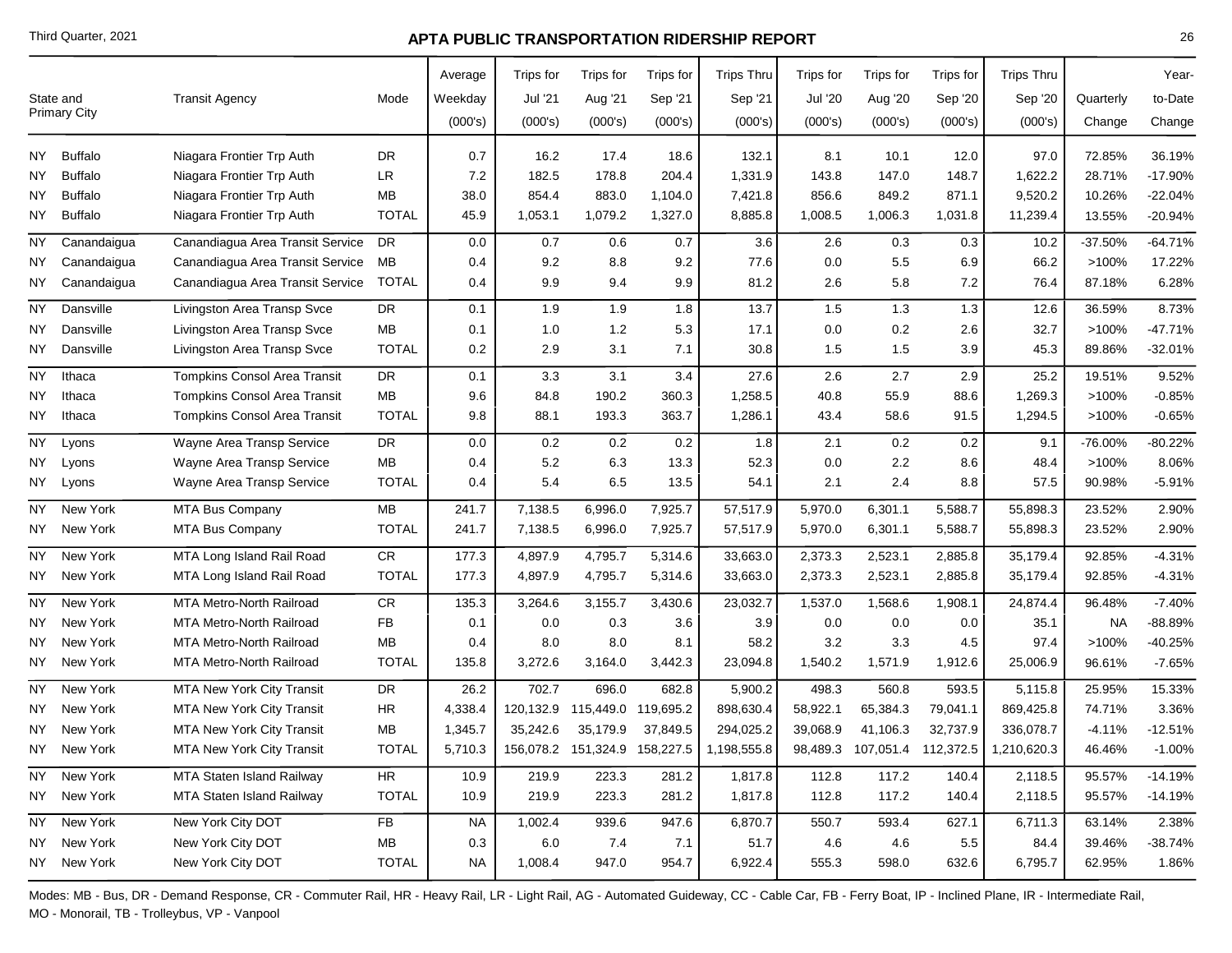|           | State and<br><b>Primary City</b> | <b>Transit Agency</b>               | Mode         | Average<br>Weekday<br>(000's) | Trips for<br>Jul '21<br>(000's) | Trips for<br>Aug '21<br>(000's) | Trips for<br>Sep '21<br>(000's) | <b>Trips Thru</b><br>Sep '21<br>(000's) | Trips for<br><b>Jul '20</b><br>(000's) | Trips for<br>Aug '20<br>(000's) | Trips for<br>Sep '20<br>(000's) | <b>Trips Thru</b><br>Sep '20<br>(000's) | Quarterly<br>Change | Year-<br>to-Date<br>Change |
|-----------|----------------------------------|-------------------------------------|--------------|-------------------------------|---------------------------------|---------------------------------|---------------------------------|-----------------------------------------|----------------------------------------|---------------------------------|---------------------------------|-----------------------------------------|---------------------|----------------------------|
| NY        | <b>Buffalo</b>                   | Niagara Frontier Trp Auth           | DR           | 0.7                           | 16.2                            | 17.4                            | 18.6                            | 132.1                                   | 8.1                                    | 10.1                            | 12.0                            | 97.0                                    | 72.85%              | 36.19%                     |
| NΥ        | <b>Buffalo</b>                   | Niagara Frontier Trp Auth           | LR           | 7.2                           | 182.5                           | 178.8                           | 204.4                           | 1,331.9                                 | 143.8                                  | 147.0                           | 148.7                           | 1,622.2                                 | 28.71%              | $-17.90%$                  |
| <b>NY</b> | <b>Buffalo</b>                   | Niagara Frontier Trp Auth           | MB           | 38.0                          | 854.4                           | 883.0                           | 1,104.0                         | 7,421.8                                 | 856.6                                  | 849.2                           | 871.1                           | 9,520.2                                 | 10.26%              | $-22.04%$                  |
| NY        | <b>Buffalo</b>                   | Niagara Frontier Trp Auth           | <b>TOTAL</b> | 45.9                          | 1,053.1                         | 1,079.2                         | 1,327.0                         | 8,885.8                                 | 1,008.5                                | 1,006.3                         | 1,031.8                         | 11,239.4                                | 13.55%              | $-20.94%$                  |
| <b>NY</b> | Canandaigua                      | Canandiagua Area Transit Service    | <b>DR</b>    | 0.0                           | 0.7                             | 0.6                             | 0.7                             | 3.6                                     | 2.6                                    | 0.3                             | 0.3                             | 10.2                                    | $-37.50%$           | $-64.71%$                  |
| NY        | Canandaigua                      | Canandiagua Area Transit Service    | MB           | 0.4                           | 9.2                             | 8.8                             | 9.2                             | 77.6                                    | 0.0                                    | 5.5                             | 6.9                             | 66.2                                    | >100%               | 17.22%                     |
| NY        | Canandaigua                      | Canandiagua Area Transit Service    | <b>TOTAL</b> | 0.4                           | 9.9                             | 9.4                             | 9.9                             | 81.2                                    | 2.6                                    | 5.8                             | 7.2                             | 76.4                                    | 87.18%              | 6.28%                      |
| <b>NY</b> | Dansville                        | Livingston Area Transp Svce         | <b>DR</b>    | 0.1                           | 1.9                             | 1.9                             | 1.8                             | 13.7                                    | 1.5                                    | 1.3                             | 1.3                             | 12.6                                    | 36.59%              | 8.73%                      |
| NY        | Dansville                        | Livingston Area Transp Svce         | <b>MB</b>    | 0.1                           | 1.0                             | 1.2                             | 5.3                             | 17.1                                    | 0.0                                    | 0.2                             | 2.6                             | 32.7                                    | >100%               | $-47.71%$                  |
| NΥ        | Dansville                        | Livingston Area Transp Svce         | <b>TOTAL</b> | 0.2                           | 2.9                             | 3.1                             | 7.1                             | 30.8                                    | 1.5                                    | 1.5                             | 3.9                             | 45.3                                    | 89.86%              | $-32.01%$                  |
| <b>NY</b> | Ithaca                           | <b>Tompkins Consol Area Transit</b> | <b>DR</b>    | 0.1                           | 3.3                             | 3.1                             | 3.4                             | 27.6                                    | 2.6                                    | 2.7                             | 2.9                             | 25.2                                    | 19.51%              | 9.52%                      |
| NΥ        | Ithaca                           | <b>Tompkins Consol Area Transit</b> | MB           | 9.6                           | 84.8                            | 190.2                           | 360.3                           | 1,258.5                                 | 40.8                                   | 55.9                            | 88.6                            | 1,269.3                                 | >100%               | $-0.85%$                   |
| <b>NY</b> | Ithaca                           | Tompkins Consol Area Transit        | <b>TOTAL</b> | 9.8                           | 88.1                            | 193.3                           | 363.7                           | 1,286.1                                 | 43.4                                   | 58.6                            | 91.5                            | 1,294.5                                 | >100%               | $-0.65%$                   |
| <b>NY</b> | Lyons                            | Wayne Area Transp Service           | DR           | 0.0                           | 0.2                             | 0.2                             | 0.2                             | 1.8                                     | 2.1                                    | 0.2                             | 0.2                             | 9.1                                     | $-76.00%$           | $-80.22%$                  |
| <b>NY</b> | Lyons                            | Wayne Area Transp Service           | MB           | 0.4                           | 5.2                             | 6.3                             | 13.3                            | 52.3                                    | 0.0                                    | 2.2                             | 8.6                             | 48.4                                    | >100%               | 8.06%                      |
| NY        | Lyons                            | Wayne Area Transp Service           | <b>TOTAL</b> | 0.4                           | 5.4                             | 6.5                             | 13.5                            | 54.1                                    | 2.1                                    | 2.4                             | 8.8                             | 57.5                                    | 90.98%              | $-5.91%$                   |
| <b>NY</b> | New York                         | MTA Bus Company                     | MB           | 241.7                         | 7,138.5                         | 6,996.0                         | 7,925.7                         | 57,517.9                                | 5,970.0                                | 6,301.1                         | 5,588.7                         | 55,898.3                                | 23.52%              | 2.90%                      |
| NY        | New York                         | <b>MTA Bus Company</b>              | <b>TOTAL</b> | 241.7                         | 7,138.5                         | 6,996.0                         | 7,925.7                         | 57,517.9                                | 5,970.0                                | 6,301.1                         | 5,588.7                         | 55,898.3                                | 23.52%              | 2.90%                      |
| NY        | New York                         | MTA Long Island Rail Road           | ${\sf CR}$   | 177.3                         | 4,897.9                         | 4,795.7                         | 5,314.6                         | 33,663.0                                | 2,373.3                                | 2,523.1                         | 2,885.8                         | 35,179.4                                | 92.85%              | $-4.31%$                   |
| NY.       | New York                         | MTA Long Island Rail Road           | <b>TOTAL</b> | 177.3                         | 4,897.9                         | 4,795.7                         | 5,314.6                         | 33,663.0                                | 2,373.3                                | 2,523.1                         | 2,885.8                         | 35,179.4                                | 92.85%              | $-4.31%$                   |
| ΝY        | New York                         | MTA Metro-North Railroad            | CR           | 135.3                         | 3,264.6                         | 3,155.7                         | 3,430.6                         | 23,032.7                                | 1,537.0                                | 1,568.6                         | 1,908.1                         | 24,874.4                                | 96.48%              | $-7.40%$                   |
| NY        | New York                         | <b>MTA Metro-North Railroad</b>     | <b>FB</b>    | 0.1                           | 0.0                             | 0.3                             | 3.6                             | 3.9                                     | 0.0                                    | 0.0                             | 0.0                             | 35.1                                    | NA                  | $-88.89%$                  |
| NY        | New York                         | MTA Metro-North Railroad            | MB           | 0.4                           | 8.0                             | 8.0                             | 8.1                             | 58.2                                    | 3.2                                    | 3.3                             | 4.5                             | 97.4                                    | >100%               | $-40.25%$                  |
| NY        | New York                         | <b>MTA Metro-North Railroad</b>     | <b>TOTAL</b> | 135.8                         | 3,272.6                         | 3,164.0                         | 3,442.3                         | 23,094.8                                | 1,540.2                                | 1,571.9                         | 1,912.6                         | 25,006.9                                | 96.61%              | $-7.65%$                   |
| <b>NY</b> | New York                         | MTA New York City Transit           | DR           | 26.2                          | 702.7                           | 696.0                           | 682.8                           | 5,900.2                                 | 498.3                                  | 560.8                           | 593.5                           | 5,115.8                                 | 25.95%              | 15.33%                     |
| ΝY        | New York                         | <b>MTA New York City Transit</b>    | <b>HR</b>    | 4,338.4                       | 120,132.9                       | 115,449.0                       | 119,695.2                       | 898,630.4                               | 58,922.1                               | 65,384.3                        | 79,041.1                        | 869,425.8                               | 74.71%              | 3.36%                      |
| NY        | New York                         | MTA New York City Transit           | MB           | 1,345.7                       | 35,242.6                        | 35,179.9                        | 37,849.5                        | 294,025.2                               | 39,068.9                               | 41,106.3                        | 32,737.9                        | 336,078.7                               | $-4.11%$            | $-12.51%$                  |
| NY I      | New York                         | <b>MTA New York City Transit</b>    | <b>TOTAL</b> | 5,710.3                       |                                 | 156,078.2  151,324.9  158,227.5 |                                 | 1,198,555.8                             | 98,489.3                               | 107,051.4                       | 112,372.5                       | 1,210,620.3                             | 46.46%              | $-1.00%$                   |
| NY        | New York                         | MTA Staten Island Railway           | ${\sf HR}$   | 10.9                          | 219.9                           | 223.3                           | 281.2                           | 1,817.8                                 | 112.8                                  | 117.2                           | 140.4                           | 2,118.5                                 | 95.57%              | $-14.19%$                  |
| NY        | New York                         | MTA Staten Island Railway           | <b>TOTAL</b> | 10.9                          | 219.9                           | 223.3                           | 281.2                           | 1,817.8                                 | 112.8                                  | 117.2                           | 140.4                           | 2,118.5                                 | 95.57%              | $-14.19%$                  |
| NY        | New York                         | New York City DOT                   | ${\sf FB}$   | <b>NA</b>                     | 1,002.4                         | 939.6                           | 947.6                           | 6,870.7                                 | 550.7                                  | 593.4                           | 627.1                           | 6,711.3                                 | 63.14%              | 2.38%                      |
| ΝY        | New York                         | New York City DOT                   | MB           | 0.3                           | $6.0\,$                         | 7.4                             | 7.1                             | 51.7                                    | 4.6                                    | 4.6                             | 5.5                             | 84.4                                    | 39.46%              | $-38.74%$                  |
| NY        | New York                         | New York City DOT                   | <b>TOTAL</b> | NA                            | 1,008.4                         | 947.0                           | 954.7                           | 6,922.4                                 | 555.3                                  | 598.0                           | 632.6                           | 6,795.7                                 | 62.95%              | 1.86%                      |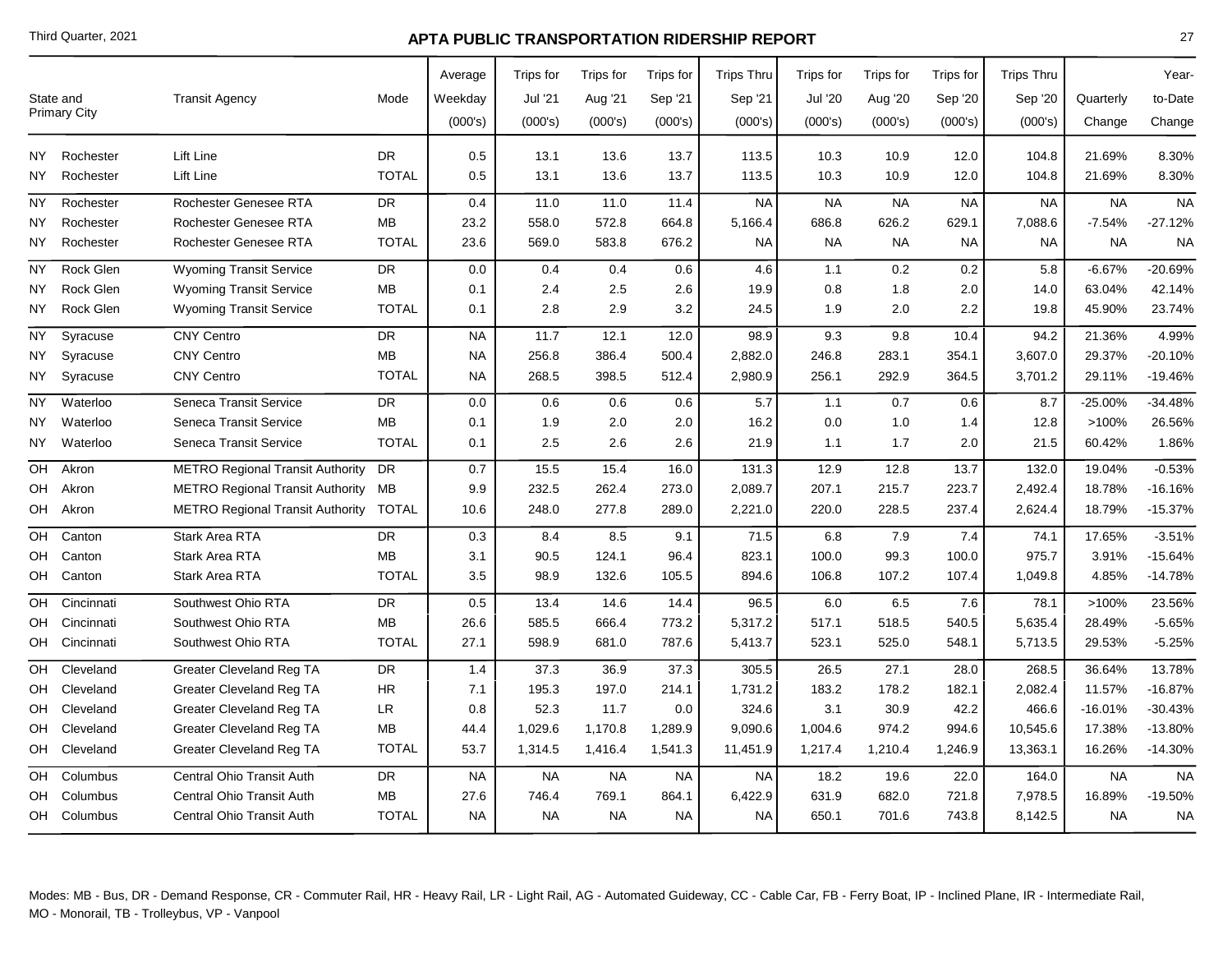| State and<br><b>Transit Agency</b><br>Mode<br>Weekday<br>Jul '21<br>Aug '21<br>Sep '21<br>Sep '21<br>Jul '20<br>Aug '20<br>Sep '20<br>Sep '20<br>Quarterly<br><b>Primary City</b><br>(000's)<br>(000's)<br>(000's)<br>(000's)<br>(000's)<br>(000's)<br>(000's)<br>(000's)<br>(000's)<br>Change<br>Lift Line<br>DR.<br>Rochester<br>0.5<br>13.1<br>13.6<br>13.7<br>113.5<br>10.3<br>10.9<br>12.0<br>104.8<br>21.69%<br>NY I<br>Lift Line<br><b>TOTAL</b><br>13.1<br>13.6<br>10.3<br>21.69%<br>Rochester<br>0.5<br>13.7<br>113.5<br>10.9<br>12.0<br>104.8<br>NY.<br>Rochester Genesee RTA<br><b>DR</b><br>11.0<br>11.0<br><b>NA</b><br><b>NA</b><br><b>NA</b><br><b>NA</b><br><b>NA</b><br><b>NY</b><br>Rochester<br>0.4<br>11.4<br><b>NA</b><br><b>Rochester Genesee RTA</b><br>MВ<br>558.0<br>572.8<br>664.8<br>5,166.4<br>686.8<br>626.2<br>629.1<br>7,088.6<br>$-7.54%$<br>Rochester<br>23.2<br>NY<br><b>TOTAL</b><br>676.2<br><b>NA</b><br><b>NA</b><br>Rochester Genesee RTA<br>569.0<br>583.8<br>NA<br><b>NA</b><br>NY.<br>Rochester<br>23.6<br>NA.<br><b>NA</b><br>Rock Glen<br><b>Wyoming Transit Service</b><br><b>DR</b><br>0.0<br>0.4<br>0.4<br>4.6<br>1.1<br>0.2<br>0.2<br>$-6.67%$<br>NY.<br>0.6<br>5.8<br>MB<br>2.4<br>2.5<br>0.8<br>1.8<br>63.04%<br>Rock Glen<br><b>Wyoming Transit Service</b><br>2.6<br>19.9<br>2.0<br>14.0<br>NY<br>0.1<br><b>TOTAL</b><br>2.8<br>2.9<br>3.2<br>24.5<br>1.9<br>2.0<br>2.2<br>45.90%<br>NY<br>Rock Glen<br><b>Wyoming Transit Service</b><br>0.1<br>19.8<br><b>CNY Centro</b><br><b>DR</b><br><b>NA</b><br>11.7<br>12.1<br>12.0<br>98.9<br>9.3<br>9.8<br>94.2<br>21.36%<br>NΥ<br>Syracuse<br>10.4<br><b>CNY Centro</b><br><b>MB</b><br>256.8<br>386.4<br>500.4<br>2,882.0<br>246.8<br>283.1<br>3,607.0<br>29.37%<br>NΥ<br>Syracuse<br><b>NA</b><br>354.1<br><b>CNY Centro</b><br><b>TOTAL</b><br>268.5<br>398.5<br>256.1<br>292.9<br>29.11%<br>NY<br>Syracuse<br><b>NA</b><br>512.4<br>2,980.9<br>364.5<br>3,701.2<br><b>NY</b><br>Waterloo<br>Seneca Transit Service<br><b>DR</b><br>0.6<br>0.6<br>5.7<br>1.1<br>0.7<br>$-25.00%$<br>0.0<br>0.6<br>0.6<br>8.7<br>Seneca Transit Service<br>MВ<br>1.9<br>2.0<br>2.0<br>16.2<br>0.0<br>1.0<br>>100%<br>NY<br>Waterloo<br>0.1<br>1.4<br>12.8<br><b>TOTAL</b><br>1.7<br>Seneca Transit Service<br>2.5<br>2.6<br>2.6<br>21.9<br>2.0<br>21.5<br>60.42%<br>NY<br>Waterloo<br>0.1<br>1.1<br>15.4<br>15.5<br>16.0<br>131.3<br>12.9<br>12.8<br>13.7<br>132.0<br>19.04%<br>OН<br>Akron<br><b>METRO Regional Transit Authority</b><br><b>DR</b><br>0.7<br>232.5<br>262.4<br>273.0<br>207.1<br>215.7<br>223.7<br>18.78%<br>Akron<br>METRO Regional Transit Authority MB<br>9.9<br>2,089.7<br>2,492.4<br>OH<br><b>METRO Regional Transit Authority</b><br>248.0<br>277.8<br>289.0<br>2,221.0<br>220.0<br>228.5<br>2,624.4<br>18.79%<br>OH Akron<br><b>TOTAL</b><br>10.6<br>237.4<br>7.9<br>17.65%<br>Stark Area RTA<br><b>DR</b><br>0.3<br>8.4<br>8.5<br>9.1<br>71.5<br>6.8<br>7.4<br>OH<br>Canton<br>74.1<br><b>Stark Area RTA</b><br><b>MB</b><br>90.5<br>124.1<br>96.4<br>823.1<br>100.0<br>99.3<br>100.0<br>975.7<br>3.91%<br>OH<br>Canton<br>3.1<br><b>Stark Area RTA</b><br><b>TOTAL</b><br>3.5<br>98.9<br>132.6<br>105.5<br>894.6<br>106.8<br>107.2<br>107.4<br>1,049.8<br>4.85%<br>OH<br>Canton<br>Southwest Ohio RTA<br><b>DR</b><br>13.4<br>14.6<br>96.5<br>>100%<br>OH<br>Cincinnati<br>0.5<br>14.4<br>6.0<br>6.5<br>7.6<br>78.1<br>28.49%<br>Southwest Ohio RTA<br>MB<br>26.6<br>585.5<br>666.4<br>773.2<br>5,317.2<br>517.1<br>518.5<br>540.5<br>5,635.4<br>OН<br>Cincinnati<br><b>TOTAL</b><br>Southwest Ohio RTA<br>27.1<br>598.9<br>681.0<br>787.6<br>5,413.7<br>523.1<br>525.0<br>548.1<br>5,713.5<br>29.53%<br>OH<br>Cincinnati<br>27.1<br>36.64%<br>Cleveland<br><b>Greater Cleveland Reg TA</b><br>DR<br>1.4<br>37.3<br>36.9<br>37.3<br>305.5<br>26.5<br>28.0<br>268.5<br>OH<br><b>Greater Cleveland Reg TA</b><br>HR.<br>195.3<br>197.0<br>183.2<br>178.2<br>Cleveland<br>7.1<br>214.1<br>1,731.2<br>182.1<br>2,082.4<br>11.57%<br>OH<br>LR<br>52.3<br>3.1<br>30.9<br>$-16.01%$<br><b>Greater Cleveland Reg TA</b><br>11.7<br>0.0<br>324.6<br>42.2<br>466.6<br>Cleveland<br>0.8<br>OН<br><b>Greater Cleveland Reg TA</b><br>MB<br>1,029.6<br>1,170.8<br>1,289.9<br>974.2<br>17.38%<br>Cleveland<br>44.4<br>9,090.6<br>1,004.6<br>994.6<br>10,545.6<br>OH<br><b>Greater Cleveland Reg TA</b><br><b>TOTAL</b><br>16.26%<br>Cleveland<br>53.7<br>1,314.5<br>1,416.4<br>1,541.3<br>11,451.9<br>1,217.4<br>1,210.4<br>1,246.9<br>13,363.1<br>OH<br>Central Ohio Transit Auth<br><b>DR</b><br><b>NA</b><br><b>NA</b><br><b>NA</b><br>18.2<br>19.6<br><b>NA</b><br>OH<br>Columbus<br><b>NA</b><br><b>NA</b><br>22.0<br>164.0<br>Central Ohio Transit Auth<br>MВ<br>27.6<br>746.4<br>769.1<br>864.1<br>631.9<br>682.0<br>721.8<br>7,978.5<br>16.89%<br>Columbus<br>6,422.9<br>OH<br>8,142.5<br>Central Ohio Transit Auth<br><b>TOTAL</b><br><b>NA</b><br><b>NA</b><br><b>NA</b><br><b>NA</b><br>650.1<br>701.6<br>743.8<br>OH Columbus<br><b>NA</b><br><b>NA</b> |  |  | Average | Trips for | Trips for | Trips for | <b>Trips Thru</b> | Trips for | Trips for | Trips for | <b>Trips Thru</b> | Year-     |
|-------------------------------------------------------------------------------------------------------------------------------------------------------------------------------------------------------------------------------------------------------------------------------------------------------------------------------------------------------------------------------------------------------------------------------------------------------------------------------------------------------------------------------------------------------------------------------------------------------------------------------------------------------------------------------------------------------------------------------------------------------------------------------------------------------------------------------------------------------------------------------------------------------------------------------------------------------------------------------------------------------------------------------------------------------------------------------------------------------------------------------------------------------------------------------------------------------------------------------------------------------------------------------------------------------------------------------------------------------------------------------------------------------------------------------------------------------------------------------------------------------------------------------------------------------------------------------------------------------------------------------------------------------------------------------------------------------------------------------------------------------------------------------------------------------------------------------------------------------------------------------------------------------------------------------------------------------------------------------------------------------------------------------------------------------------------------------------------------------------------------------------------------------------------------------------------------------------------------------------------------------------------------------------------------------------------------------------------------------------------------------------------------------------------------------------------------------------------------------------------------------------------------------------------------------------------------------------------------------------------------------------------------------------------------------------------------------------------------------------------------------------------------------------------------------------------------------------------------------------------------------------------------------------------------------------------------------------------------------------------------------------------------------------------------------------------------------------------------------------------------------------------------------------------------------------------------------------------------------------------------------------------------------------------------------------------------------------------------------------------------------------------------------------------------------------------------------------------------------------------------------------------------------------------------------------------------------------------------------------------------------------------------------------------------------------------------------------------------------------------------------------------------------------------------------------------------------------------------------------------------------------------------------------------------------------------------------------------------------------------------------------------------------------------------------------------------------------------------------------------------------------------------------------------------------------------------------------------------------------------------------------------------------------------------------------------------------------------------------------------------------------------------------------------------------------------------------------------------------------------------------------------------------------------------------------------------------------------------------------------------------------------------------------------------------------------------------------------------------------------------------------------------------------------------------------------------------------------------------------------------------------------------------------------------------------------------------------------------------------------------------------------------------------------------------------------|--|--|---------|-----------|-----------|-----------|-------------------|-----------|-----------|-----------|-------------------|-----------|
|                                                                                                                                                                                                                                                                                                                                                                                                                                                                                                                                                                                                                                                                                                                                                                                                                                                                                                                                                                                                                                                                                                                                                                                                                                                                                                                                                                                                                                                                                                                                                                                                                                                                                                                                                                                                                                                                                                                                                                                                                                                                                                                                                                                                                                                                                                                                                                                                                                                                                                                                                                                                                                                                                                                                                                                                                                                                                                                                                                                                                                                                                                                                                                                                                                                                                                                                                                                                                                                                                                                                                                                                                                                                                                                                                                                                                                                                                                                                                                                                                                                                                                                                                                                                                                                                                                                                                                                                                                                                                                                                                                                                                                                                                                                                                                                                                                                                                                                                                                                                                                                                   |  |  |         |           |           |           |                   |           |           |           |                   | to-Date   |
|                                                                                                                                                                                                                                                                                                                                                                                                                                                                                                                                                                                                                                                                                                                                                                                                                                                                                                                                                                                                                                                                                                                                                                                                                                                                                                                                                                                                                                                                                                                                                                                                                                                                                                                                                                                                                                                                                                                                                                                                                                                                                                                                                                                                                                                                                                                                                                                                                                                                                                                                                                                                                                                                                                                                                                                                                                                                                                                                                                                                                                                                                                                                                                                                                                                                                                                                                                                                                                                                                                                                                                                                                                                                                                                                                                                                                                                                                                                                                                                                                                                                                                                                                                                                                                                                                                                                                                                                                                                                                                                                                                                                                                                                                                                                                                                                                                                                                                                                                                                                                                                                   |  |  |         |           |           |           |                   |           |           |           |                   | Change    |
|                                                                                                                                                                                                                                                                                                                                                                                                                                                                                                                                                                                                                                                                                                                                                                                                                                                                                                                                                                                                                                                                                                                                                                                                                                                                                                                                                                                                                                                                                                                                                                                                                                                                                                                                                                                                                                                                                                                                                                                                                                                                                                                                                                                                                                                                                                                                                                                                                                                                                                                                                                                                                                                                                                                                                                                                                                                                                                                                                                                                                                                                                                                                                                                                                                                                                                                                                                                                                                                                                                                                                                                                                                                                                                                                                                                                                                                                                                                                                                                                                                                                                                                                                                                                                                                                                                                                                                                                                                                                                                                                                                                                                                                                                                                                                                                                                                                                                                                                                                                                                                                                   |  |  |         |           |           |           |                   |           |           |           |                   | 8.30%     |
|                                                                                                                                                                                                                                                                                                                                                                                                                                                                                                                                                                                                                                                                                                                                                                                                                                                                                                                                                                                                                                                                                                                                                                                                                                                                                                                                                                                                                                                                                                                                                                                                                                                                                                                                                                                                                                                                                                                                                                                                                                                                                                                                                                                                                                                                                                                                                                                                                                                                                                                                                                                                                                                                                                                                                                                                                                                                                                                                                                                                                                                                                                                                                                                                                                                                                                                                                                                                                                                                                                                                                                                                                                                                                                                                                                                                                                                                                                                                                                                                                                                                                                                                                                                                                                                                                                                                                                                                                                                                                                                                                                                                                                                                                                                                                                                                                                                                                                                                                                                                                                                                   |  |  |         |           |           |           |                   |           |           |           |                   | 8.30%     |
|                                                                                                                                                                                                                                                                                                                                                                                                                                                                                                                                                                                                                                                                                                                                                                                                                                                                                                                                                                                                                                                                                                                                                                                                                                                                                                                                                                                                                                                                                                                                                                                                                                                                                                                                                                                                                                                                                                                                                                                                                                                                                                                                                                                                                                                                                                                                                                                                                                                                                                                                                                                                                                                                                                                                                                                                                                                                                                                                                                                                                                                                                                                                                                                                                                                                                                                                                                                                                                                                                                                                                                                                                                                                                                                                                                                                                                                                                                                                                                                                                                                                                                                                                                                                                                                                                                                                                                                                                                                                                                                                                                                                                                                                                                                                                                                                                                                                                                                                                                                                                                                                   |  |  |         |           |           |           |                   |           |           |           |                   | <b>NA</b> |
|                                                                                                                                                                                                                                                                                                                                                                                                                                                                                                                                                                                                                                                                                                                                                                                                                                                                                                                                                                                                                                                                                                                                                                                                                                                                                                                                                                                                                                                                                                                                                                                                                                                                                                                                                                                                                                                                                                                                                                                                                                                                                                                                                                                                                                                                                                                                                                                                                                                                                                                                                                                                                                                                                                                                                                                                                                                                                                                                                                                                                                                                                                                                                                                                                                                                                                                                                                                                                                                                                                                                                                                                                                                                                                                                                                                                                                                                                                                                                                                                                                                                                                                                                                                                                                                                                                                                                                                                                                                                                                                                                                                                                                                                                                                                                                                                                                                                                                                                                                                                                                                                   |  |  |         |           |           |           |                   |           |           |           |                   | $-27.12%$ |
|                                                                                                                                                                                                                                                                                                                                                                                                                                                                                                                                                                                                                                                                                                                                                                                                                                                                                                                                                                                                                                                                                                                                                                                                                                                                                                                                                                                                                                                                                                                                                                                                                                                                                                                                                                                                                                                                                                                                                                                                                                                                                                                                                                                                                                                                                                                                                                                                                                                                                                                                                                                                                                                                                                                                                                                                                                                                                                                                                                                                                                                                                                                                                                                                                                                                                                                                                                                                                                                                                                                                                                                                                                                                                                                                                                                                                                                                                                                                                                                                                                                                                                                                                                                                                                                                                                                                                                                                                                                                                                                                                                                                                                                                                                                                                                                                                                                                                                                                                                                                                                                                   |  |  |         |           |           |           |                   |           |           |           |                   | <b>NA</b> |
|                                                                                                                                                                                                                                                                                                                                                                                                                                                                                                                                                                                                                                                                                                                                                                                                                                                                                                                                                                                                                                                                                                                                                                                                                                                                                                                                                                                                                                                                                                                                                                                                                                                                                                                                                                                                                                                                                                                                                                                                                                                                                                                                                                                                                                                                                                                                                                                                                                                                                                                                                                                                                                                                                                                                                                                                                                                                                                                                                                                                                                                                                                                                                                                                                                                                                                                                                                                                                                                                                                                                                                                                                                                                                                                                                                                                                                                                                                                                                                                                                                                                                                                                                                                                                                                                                                                                                                                                                                                                                                                                                                                                                                                                                                                                                                                                                                                                                                                                                                                                                                                                   |  |  |         |           |           |           |                   |           |           |           |                   | -20.69%   |
|                                                                                                                                                                                                                                                                                                                                                                                                                                                                                                                                                                                                                                                                                                                                                                                                                                                                                                                                                                                                                                                                                                                                                                                                                                                                                                                                                                                                                                                                                                                                                                                                                                                                                                                                                                                                                                                                                                                                                                                                                                                                                                                                                                                                                                                                                                                                                                                                                                                                                                                                                                                                                                                                                                                                                                                                                                                                                                                                                                                                                                                                                                                                                                                                                                                                                                                                                                                                                                                                                                                                                                                                                                                                                                                                                                                                                                                                                                                                                                                                                                                                                                                                                                                                                                                                                                                                                                                                                                                                                                                                                                                                                                                                                                                                                                                                                                                                                                                                                                                                                                                                   |  |  |         |           |           |           |                   |           |           |           |                   | 42.14%    |
|                                                                                                                                                                                                                                                                                                                                                                                                                                                                                                                                                                                                                                                                                                                                                                                                                                                                                                                                                                                                                                                                                                                                                                                                                                                                                                                                                                                                                                                                                                                                                                                                                                                                                                                                                                                                                                                                                                                                                                                                                                                                                                                                                                                                                                                                                                                                                                                                                                                                                                                                                                                                                                                                                                                                                                                                                                                                                                                                                                                                                                                                                                                                                                                                                                                                                                                                                                                                                                                                                                                                                                                                                                                                                                                                                                                                                                                                                                                                                                                                                                                                                                                                                                                                                                                                                                                                                                                                                                                                                                                                                                                                                                                                                                                                                                                                                                                                                                                                                                                                                                                                   |  |  |         |           |           |           |                   |           |           |           |                   | 23.74%    |
|                                                                                                                                                                                                                                                                                                                                                                                                                                                                                                                                                                                                                                                                                                                                                                                                                                                                                                                                                                                                                                                                                                                                                                                                                                                                                                                                                                                                                                                                                                                                                                                                                                                                                                                                                                                                                                                                                                                                                                                                                                                                                                                                                                                                                                                                                                                                                                                                                                                                                                                                                                                                                                                                                                                                                                                                                                                                                                                                                                                                                                                                                                                                                                                                                                                                                                                                                                                                                                                                                                                                                                                                                                                                                                                                                                                                                                                                                                                                                                                                                                                                                                                                                                                                                                                                                                                                                                                                                                                                                                                                                                                                                                                                                                                                                                                                                                                                                                                                                                                                                                                                   |  |  |         |           |           |           |                   |           |           |           |                   | 4.99%     |
|                                                                                                                                                                                                                                                                                                                                                                                                                                                                                                                                                                                                                                                                                                                                                                                                                                                                                                                                                                                                                                                                                                                                                                                                                                                                                                                                                                                                                                                                                                                                                                                                                                                                                                                                                                                                                                                                                                                                                                                                                                                                                                                                                                                                                                                                                                                                                                                                                                                                                                                                                                                                                                                                                                                                                                                                                                                                                                                                                                                                                                                                                                                                                                                                                                                                                                                                                                                                                                                                                                                                                                                                                                                                                                                                                                                                                                                                                                                                                                                                                                                                                                                                                                                                                                                                                                                                                                                                                                                                                                                                                                                                                                                                                                                                                                                                                                                                                                                                                                                                                                                                   |  |  |         |           |           |           |                   |           |           |           |                   | $-20.10%$ |
|                                                                                                                                                                                                                                                                                                                                                                                                                                                                                                                                                                                                                                                                                                                                                                                                                                                                                                                                                                                                                                                                                                                                                                                                                                                                                                                                                                                                                                                                                                                                                                                                                                                                                                                                                                                                                                                                                                                                                                                                                                                                                                                                                                                                                                                                                                                                                                                                                                                                                                                                                                                                                                                                                                                                                                                                                                                                                                                                                                                                                                                                                                                                                                                                                                                                                                                                                                                                                                                                                                                                                                                                                                                                                                                                                                                                                                                                                                                                                                                                                                                                                                                                                                                                                                                                                                                                                                                                                                                                                                                                                                                                                                                                                                                                                                                                                                                                                                                                                                                                                                                                   |  |  |         |           |           |           |                   |           |           |           |                   | -19.46%   |
|                                                                                                                                                                                                                                                                                                                                                                                                                                                                                                                                                                                                                                                                                                                                                                                                                                                                                                                                                                                                                                                                                                                                                                                                                                                                                                                                                                                                                                                                                                                                                                                                                                                                                                                                                                                                                                                                                                                                                                                                                                                                                                                                                                                                                                                                                                                                                                                                                                                                                                                                                                                                                                                                                                                                                                                                                                                                                                                                                                                                                                                                                                                                                                                                                                                                                                                                                                                                                                                                                                                                                                                                                                                                                                                                                                                                                                                                                                                                                                                                                                                                                                                                                                                                                                                                                                                                                                                                                                                                                                                                                                                                                                                                                                                                                                                                                                                                                                                                                                                                                                                                   |  |  |         |           |           |           |                   |           |           |           |                   | -34.48%   |
|                                                                                                                                                                                                                                                                                                                                                                                                                                                                                                                                                                                                                                                                                                                                                                                                                                                                                                                                                                                                                                                                                                                                                                                                                                                                                                                                                                                                                                                                                                                                                                                                                                                                                                                                                                                                                                                                                                                                                                                                                                                                                                                                                                                                                                                                                                                                                                                                                                                                                                                                                                                                                                                                                                                                                                                                                                                                                                                                                                                                                                                                                                                                                                                                                                                                                                                                                                                                                                                                                                                                                                                                                                                                                                                                                                                                                                                                                                                                                                                                                                                                                                                                                                                                                                                                                                                                                                                                                                                                                                                                                                                                                                                                                                                                                                                                                                                                                                                                                                                                                                                                   |  |  |         |           |           |           |                   |           |           |           |                   | 26.56%    |
|                                                                                                                                                                                                                                                                                                                                                                                                                                                                                                                                                                                                                                                                                                                                                                                                                                                                                                                                                                                                                                                                                                                                                                                                                                                                                                                                                                                                                                                                                                                                                                                                                                                                                                                                                                                                                                                                                                                                                                                                                                                                                                                                                                                                                                                                                                                                                                                                                                                                                                                                                                                                                                                                                                                                                                                                                                                                                                                                                                                                                                                                                                                                                                                                                                                                                                                                                                                                                                                                                                                                                                                                                                                                                                                                                                                                                                                                                                                                                                                                                                                                                                                                                                                                                                                                                                                                                                                                                                                                                                                                                                                                                                                                                                                                                                                                                                                                                                                                                                                                                                                                   |  |  |         |           |           |           |                   |           |           |           |                   | 1.86%     |
|                                                                                                                                                                                                                                                                                                                                                                                                                                                                                                                                                                                                                                                                                                                                                                                                                                                                                                                                                                                                                                                                                                                                                                                                                                                                                                                                                                                                                                                                                                                                                                                                                                                                                                                                                                                                                                                                                                                                                                                                                                                                                                                                                                                                                                                                                                                                                                                                                                                                                                                                                                                                                                                                                                                                                                                                                                                                                                                                                                                                                                                                                                                                                                                                                                                                                                                                                                                                                                                                                                                                                                                                                                                                                                                                                                                                                                                                                                                                                                                                                                                                                                                                                                                                                                                                                                                                                                                                                                                                                                                                                                                                                                                                                                                                                                                                                                                                                                                                                                                                                                                                   |  |  |         |           |           |           |                   |           |           |           |                   | $-0.53%$  |
|                                                                                                                                                                                                                                                                                                                                                                                                                                                                                                                                                                                                                                                                                                                                                                                                                                                                                                                                                                                                                                                                                                                                                                                                                                                                                                                                                                                                                                                                                                                                                                                                                                                                                                                                                                                                                                                                                                                                                                                                                                                                                                                                                                                                                                                                                                                                                                                                                                                                                                                                                                                                                                                                                                                                                                                                                                                                                                                                                                                                                                                                                                                                                                                                                                                                                                                                                                                                                                                                                                                                                                                                                                                                                                                                                                                                                                                                                                                                                                                                                                                                                                                                                                                                                                                                                                                                                                                                                                                                                                                                                                                                                                                                                                                                                                                                                                                                                                                                                                                                                                                                   |  |  |         |           |           |           |                   |           |           |           |                   | $-16.16%$ |
|                                                                                                                                                                                                                                                                                                                                                                                                                                                                                                                                                                                                                                                                                                                                                                                                                                                                                                                                                                                                                                                                                                                                                                                                                                                                                                                                                                                                                                                                                                                                                                                                                                                                                                                                                                                                                                                                                                                                                                                                                                                                                                                                                                                                                                                                                                                                                                                                                                                                                                                                                                                                                                                                                                                                                                                                                                                                                                                                                                                                                                                                                                                                                                                                                                                                                                                                                                                                                                                                                                                                                                                                                                                                                                                                                                                                                                                                                                                                                                                                                                                                                                                                                                                                                                                                                                                                                                                                                                                                                                                                                                                                                                                                                                                                                                                                                                                                                                                                                                                                                                                                   |  |  |         |           |           |           |                   |           |           |           |                   | $-15.37%$ |
|                                                                                                                                                                                                                                                                                                                                                                                                                                                                                                                                                                                                                                                                                                                                                                                                                                                                                                                                                                                                                                                                                                                                                                                                                                                                                                                                                                                                                                                                                                                                                                                                                                                                                                                                                                                                                                                                                                                                                                                                                                                                                                                                                                                                                                                                                                                                                                                                                                                                                                                                                                                                                                                                                                                                                                                                                                                                                                                                                                                                                                                                                                                                                                                                                                                                                                                                                                                                                                                                                                                                                                                                                                                                                                                                                                                                                                                                                                                                                                                                                                                                                                                                                                                                                                                                                                                                                                                                                                                                                                                                                                                                                                                                                                                                                                                                                                                                                                                                                                                                                                                                   |  |  |         |           |           |           |                   |           |           |           |                   | $-3.51%$  |
|                                                                                                                                                                                                                                                                                                                                                                                                                                                                                                                                                                                                                                                                                                                                                                                                                                                                                                                                                                                                                                                                                                                                                                                                                                                                                                                                                                                                                                                                                                                                                                                                                                                                                                                                                                                                                                                                                                                                                                                                                                                                                                                                                                                                                                                                                                                                                                                                                                                                                                                                                                                                                                                                                                                                                                                                                                                                                                                                                                                                                                                                                                                                                                                                                                                                                                                                                                                                                                                                                                                                                                                                                                                                                                                                                                                                                                                                                                                                                                                                                                                                                                                                                                                                                                                                                                                                                                                                                                                                                                                                                                                                                                                                                                                                                                                                                                                                                                                                                                                                                                                                   |  |  |         |           |           |           |                   |           |           |           |                   | $-15.64%$ |
|                                                                                                                                                                                                                                                                                                                                                                                                                                                                                                                                                                                                                                                                                                                                                                                                                                                                                                                                                                                                                                                                                                                                                                                                                                                                                                                                                                                                                                                                                                                                                                                                                                                                                                                                                                                                                                                                                                                                                                                                                                                                                                                                                                                                                                                                                                                                                                                                                                                                                                                                                                                                                                                                                                                                                                                                                                                                                                                                                                                                                                                                                                                                                                                                                                                                                                                                                                                                                                                                                                                                                                                                                                                                                                                                                                                                                                                                                                                                                                                                                                                                                                                                                                                                                                                                                                                                                                                                                                                                                                                                                                                                                                                                                                                                                                                                                                                                                                                                                                                                                                                                   |  |  |         |           |           |           |                   |           |           |           |                   | $-14.78%$ |
|                                                                                                                                                                                                                                                                                                                                                                                                                                                                                                                                                                                                                                                                                                                                                                                                                                                                                                                                                                                                                                                                                                                                                                                                                                                                                                                                                                                                                                                                                                                                                                                                                                                                                                                                                                                                                                                                                                                                                                                                                                                                                                                                                                                                                                                                                                                                                                                                                                                                                                                                                                                                                                                                                                                                                                                                                                                                                                                                                                                                                                                                                                                                                                                                                                                                                                                                                                                                                                                                                                                                                                                                                                                                                                                                                                                                                                                                                                                                                                                                                                                                                                                                                                                                                                                                                                                                                                                                                                                                                                                                                                                                                                                                                                                                                                                                                                                                                                                                                                                                                                                                   |  |  |         |           |           |           |                   |           |           |           |                   | 23.56%    |
|                                                                                                                                                                                                                                                                                                                                                                                                                                                                                                                                                                                                                                                                                                                                                                                                                                                                                                                                                                                                                                                                                                                                                                                                                                                                                                                                                                                                                                                                                                                                                                                                                                                                                                                                                                                                                                                                                                                                                                                                                                                                                                                                                                                                                                                                                                                                                                                                                                                                                                                                                                                                                                                                                                                                                                                                                                                                                                                                                                                                                                                                                                                                                                                                                                                                                                                                                                                                                                                                                                                                                                                                                                                                                                                                                                                                                                                                                                                                                                                                                                                                                                                                                                                                                                                                                                                                                                                                                                                                                                                                                                                                                                                                                                                                                                                                                                                                                                                                                                                                                                                                   |  |  |         |           |           |           |                   |           |           |           |                   | $-5.65%$  |
|                                                                                                                                                                                                                                                                                                                                                                                                                                                                                                                                                                                                                                                                                                                                                                                                                                                                                                                                                                                                                                                                                                                                                                                                                                                                                                                                                                                                                                                                                                                                                                                                                                                                                                                                                                                                                                                                                                                                                                                                                                                                                                                                                                                                                                                                                                                                                                                                                                                                                                                                                                                                                                                                                                                                                                                                                                                                                                                                                                                                                                                                                                                                                                                                                                                                                                                                                                                                                                                                                                                                                                                                                                                                                                                                                                                                                                                                                                                                                                                                                                                                                                                                                                                                                                                                                                                                                                                                                                                                                                                                                                                                                                                                                                                                                                                                                                                                                                                                                                                                                                                                   |  |  |         |           |           |           |                   |           |           |           |                   | $-5.25%$  |
|                                                                                                                                                                                                                                                                                                                                                                                                                                                                                                                                                                                                                                                                                                                                                                                                                                                                                                                                                                                                                                                                                                                                                                                                                                                                                                                                                                                                                                                                                                                                                                                                                                                                                                                                                                                                                                                                                                                                                                                                                                                                                                                                                                                                                                                                                                                                                                                                                                                                                                                                                                                                                                                                                                                                                                                                                                                                                                                                                                                                                                                                                                                                                                                                                                                                                                                                                                                                                                                                                                                                                                                                                                                                                                                                                                                                                                                                                                                                                                                                                                                                                                                                                                                                                                                                                                                                                                                                                                                                                                                                                                                                                                                                                                                                                                                                                                                                                                                                                                                                                                                                   |  |  |         |           |           |           |                   |           |           |           |                   | 13.78%    |
|                                                                                                                                                                                                                                                                                                                                                                                                                                                                                                                                                                                                                                                                                                                                                                                                                                                                                                                                                                                                                                                                                                                                                                                                                                                                                                                                                                                                                                                                                                                                                                                                                                                                                                                                                                                                                                                                                                                                                                                                                                                                                                                                                                                                                                                                                                                                                                                                                                                                                                                                                                                                                                                                                                                                                                                                                                                                                                                                                                                                                                                                                                                                                                                                                                                                                                                                                                                                                                                                                                                                                                                                                                                                                                                                                                                                                                                                                                                                                                                                                                                                                                                                                                                                                                                                                                                                                                                                                                                                                                                                                                                                                                                                                                                                                                                                                                                                                                                                                                                                                                                                   |  |  |         |           |           |           |                   |           |           |           |                   | -16.87%   |
|                                                                                                                                                                                                                                                                                                                                                                                                                                                                                                                                                                                                                                                                                                                                                                                                                                                                                                                                                                                                                                                                                                                                                                                                                                                                                                                                                                                                                                                                                                                                                                                                                                                                                                                                                                                                                                                                                                                                                                                                                                                                                                                                                                                                                                                                                                                                                                                                                                                                                                                                                                                                                                                                                                                                                                                                                                                                                                                                                                                                                                                                                                                                                                                                                                                                                                                                                                                                                                                                                                                                                                                                                                                                                                                                                                                                                                                                                                                                                                                                                                                                                                                                                                                                                                                                                                                                                                                                                                                                                                                                                                                                                                                                                                                                                                                                                                                                                                                                                                                                                                                                   |  |  |         |           |           |           |                   |           |           |           |                   | $-30.43%$ |
|                                                                                                                                                                                                                                                                                                                                                                                                                                                                                                                                                                                                                                                                                                                                                                                                                                                                                                                                                                                                                                                                                                                                                                                                                                                                                                                                                                                                                                                                                                                                                                                                                                                                                                                                                                                                                                                                                                                                                                                                                                                                                                                                                                                                                                                                                                                                                                                                                                                                                                                                                                                                                                                                                                                                                                                                                                                                                                                                                                                                                                                                                                                                                                                                                                                                                                                                                                                                                                                                                                                                                                                                                                                                                                                                                                                                                                                                                                                                                                                                                                                                                                                                                                                                                                                                                                                                                                                                                                                                                                                                                                                                                                                                                                                                                                                                                                                                                                                                                                                                                                                                   |  |  |         |           |           |           |                   |           |           |           |                   | -13.80%   |
|                                                                                                                                                                                                                                                                                                                                                                                                                                                                                                                                                                                                                                                                                                                                                                                                                                                                                                                                                                                                                                                                                                                                                                                                                                                                                                                                                                                                                                                                                                                                                                                                                                                                                                                                                                                                                                                                                                                                                                                                                                                                                                                                                                                                                                                                                                                                                                                                                                                                                                                                                                                                                                                                                                                                                                                                                                                                                                                                                                                                                                                                                                                                                                                                                                                                                                                                                                                                                                                                                                                                                                                                                                                                                                                                                                                                                                                                                                                                                                                                                                                                                                                                                                                                                                                                                                                                                                                                                                                                                                                                                                                                                                                                                                                                                                                                                                                                                                                                                                                                                                                                   |  |  |         |           |           |           |                   |           |           |           |                   | $-14.30%$ |
|                                                                                                                                                                                                                                                                                                                                                                                                                                                                                                                                                                                                                                                                                                                                                                                                                                                                                                                                                                                                                                                                                                                                                                                                                                                                                                                                                                                                                                                                                                                                                                                                                                                                                                                                                                                                                                                                                                                                                                                                                                                                                                                                                                                                                                                                                                                                                                                                                                                                                                                                                                                                                                                                                                                                                                                                                                                                                                                                                                                                                                                                                                                                                                                                                                                                                                                                                                                                                                                                                                                                                                                                                                                                                                                                                                                                                                                                                                                                                                                                                                                                                                                                                                                                                                                                                                                                                                                                                                                                                                                                                                                                                                                                                                                                                                                                                                                                                                                                                                                                                                                                   |  |  |         |           |           |           |                   |           |           |           |                   | <b>NA</b> |
|                                                                                                                                                                                                                                                                                                                                                                                                                                                                                                                                                                                                                                                                                                                                                                                                                                                                                                                                                                                                                                                                                                                                                                                                                                                                                                                                                                                                                                                                                                                                                                                                                                                                                                                                                                                                                                                                                                                                                                                                                                                                                                                                                                                                                                                                                                                                                                                                                                                                                                                                                                                                                                                                                                                                                                                                                                                                                                                                                                                                                                                                                                                                                                                                                                                                                                                                                                                                                                                                                                                                                                                                                                                                                                                                                                                                                                                                                                                                                                                                                                                                                                                                                                                                                                                                                                                                                                                                                                                                                                                                                                                                                                                                                                                                                                                                                                                                                                                                                                                                                                                                   |  |  |         |           |           |           |                   |           |           |           |                   | -19.50%   |
|                                                                                                                                                                                                                                                                                                                                                                                                                                                                                                                                                                                                                                                                                                                                                                                                                                                                                                                                                                                                                                                                                                                                                                                                                                                                                                                                                                                                                                                                                                                                                                                                                                                                                                                                                                                                                                                                                                                                                                                                                                                                                                                                                                                                                                                                                                                                                                                                                                                                                                                                                                                                                                                                                                                                                                                                                                                                                                                                                                                                                                                                                                                                                                                                                                                                                                                                                                                                                                                                                                                                                                                                                                                                                                                                                                                                                                                                                                                                                                                                                                                                                                                                                                                                                                                                                                                                                                                                                                                                                                                                                                                                                                                                                                                                                                                                                                                                                                                                                                                                                                                                   |  |  |         |           |           |           |                   |           |           |           |                   | <b>NA</b> |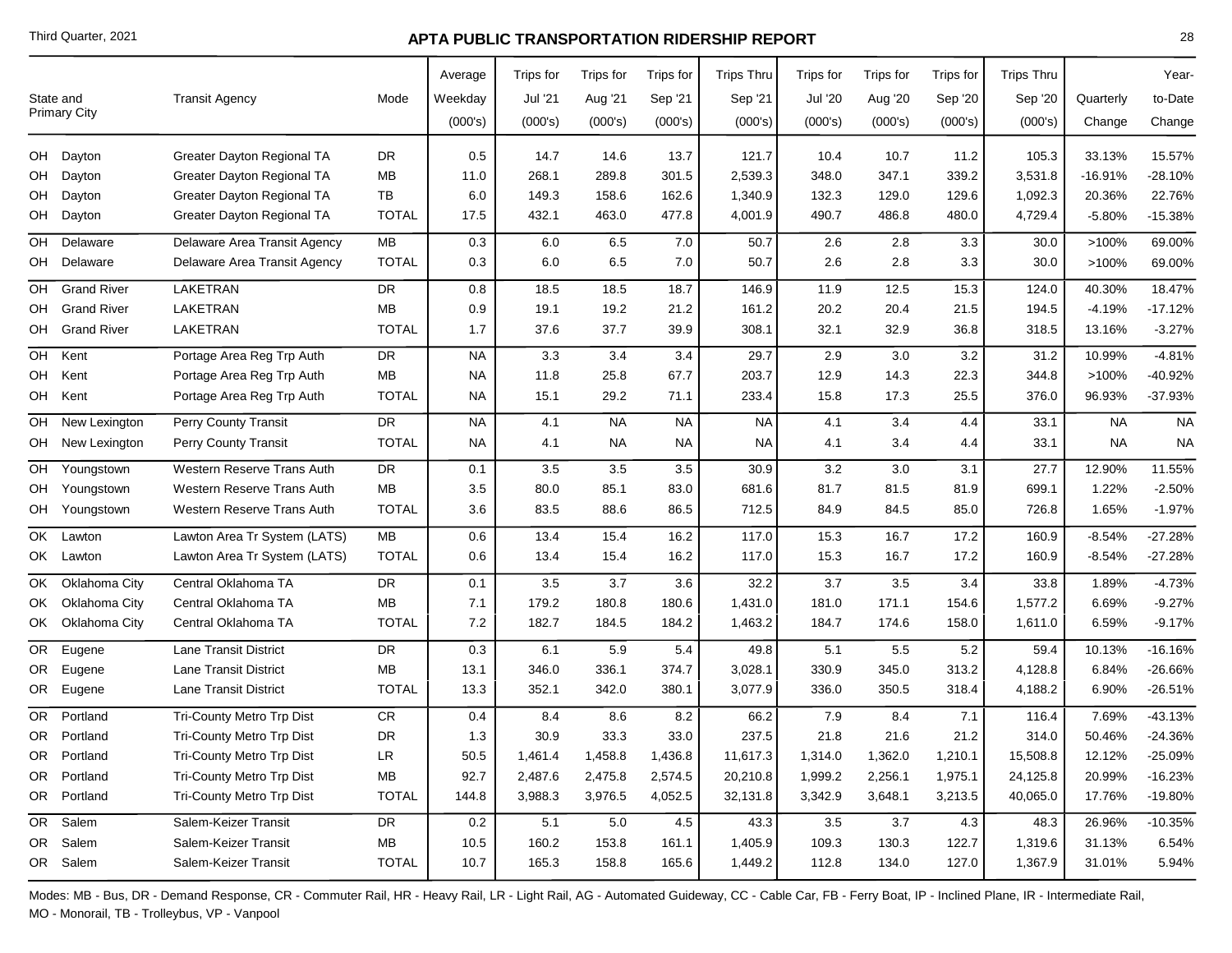|     | State and<br><b>Primary City</b> | <b>Transit Agency</b>        | Mode         | Average<br>Weekday<br>(000's) | Trips for<br>Jul '21<br>(000's) | Trips for<br>Aug '21<br>(000's) | Trips for<br>Sep '21<br>(000's) | <b>Trips Thru</b><br>Sep '21<br>(000's) | Trips for<br><b>Jul '20</b><br>(000's) | Trips for<br>Aug '20<br>(000's) | Trips for<br>Sep '20<br>(000's) | <b>Trips Thru</b><br>Sep '20<br>(000's) | Quarterly<br>Change | Year-<br>to-Date<br>Change |
|-----|----------------------------------|------------------------------|--------------|-------------------------------|---------------------------------|---------------------------------|---------------------------------|-----------------------------------------|----------------------------------------|---------------------------------|---------------------------------|-----------------------------------------|---------------------|----------------------------|
|     | OH Dayton                        |                              | <b>DR</b>    |                               |                                 |                                 | 13.7                            |                                         |                                        |                                 |                                 | 105.3                                   |                     |                            |
|     |                                  | Greater Dayton Regional TA   |              | 0.5                           | 14.7                            | 14.6                            |                                 | 121.7                                   | 10.4                                   | 10.7                            | 11.2                            |                                         | 33.13%<br>$-16.91%$ | 15.57%                     |
|     | OH Dayton                        | Greater Dayton Regional TA   | ΜВ<br>TB     | 11.0                          | 268.1                           | 289.8                           | 301.5                           | 2,539.3                                 | 348.0                                  | 347.1                           | 339.2                           | 3,531.8                                 | 20.36%              | $-28.10%$                  |
|     | OH Dayton                        | Greater Dayton Regional TA   |              | 6.0                           | 149.3                           | 158.6                           | 162.6                           | 1,340.9                                 | 132.3                                  | 129.0                           | 129.6                           | 1,092.3                                 |                     | 22.76%                     |
|     | OH Dayton                        | Greater Dayton Regional TA   | <b>TOTAL</b> | 17.5                          | 432.1                           | 463.0                           | 477.8                           | 4,001.9                                 | 490.7                                  | 486.8                           | 480.0                           | 4,729.4                                 | $-5.80%$            | $-15.38%$                  |
|     | OH Delaware                      | Delaware Area Transit Agency | MB           | 0.3                           | 6.0                             | 6.5                             | 7.0                             | 50.7                                    | 2.6                                    | 2.8                             | 3.3                             | 30.0                                    | >100%               | 69.00%                     |
|     | OH Delaware                      | Delaware Area Transit Agency | <b>TOTAL</b> | 0.3                           | 6.0                             | 6.5                             | 7.0                             | 50.7                                    | 2.6                                    | $2.8\,$                         | 3.3                             | 30.0                                    | >100%               | 69.00%                     |
| OH  | <b>Grand River</b>               | LAKETRAN                     | <b>DR</b>    | 0.8                           | 18.5                            | 18.5                            | 18.7                            | 146.9                                   | 11.9                                   | 12.5                            | 15.3                            | 124.0                                   | 40.30%              | 18.47%                     |
| OH  | <b>Grand River</b>               | LAKETRAN                     | MB           | 0.9                           | 19.1                            | 19.2                            | 21.2                            | 161.2                                   | 20.2                                   | 20.4                            | 21.5                            | 194.5                                   | $-4.19%$            | $-17.12%$                  |
|     | OH Grand River                   | LAKETRAN                     | <b>TOTAL</b> | 1.7                           | 37.6                            | 37.7                            | 39.9                            | 308.1                                   | 32.1                                   | 32.9                            | 36.8                            | 318.5                                   | 13.16%              | $-3.27%$                   |
| OH  | Kent                             | Portage Area Reg Trp Auth    | DR           | <b>NA</b>                     | 3.3                             | 3.4                             | 3.4                             | 29.7                                    | 2.9                                    | 3.0                             | 3.2                             | 31.2                                    | 10.99%              | $-4.81%$                   |
| OH  | Kent                             | Portage Area Reg Trp Auth    | MB           | <b>NA</b>                     | 11.8                            | 25.8                            | 67.7                            | 203.7                                   | 12.9                                   | 14.3                            | 22.3                            | 344.8                                   | >100%               | -40.92%                    |
|     | OH Kent                          | Portage Area Reg Trp Auth    | <b>TOTAL</b> | NA.                           | 15.1                            | 29.2                            | 71.1                            | 233.4                                   | 15.8                                   | 17.3                            | 25.5                            | 376.0                                   | 96.93%              | $-37.93%$                  |
| OH  | New Lexington                    | Perry County Transit         | DR           | <b>NA</b>                     | 4.1                             | <b>NA</b>                       | <b>NA</b>                       | <b>NA</b>                               | 4.1                                    | 3.4                             | 4.4                             | 33.1                                    | <b>NA</b>           | <b>NA</b>                  |
|     | OH New Lexington                 | Perry County Transit         | <b>TOTAL</b> | NA.                           | 4.1                             | <b>NA</b>                       | <b>NA</b>                       | NA.                                     | 4.1                                    | 3.4                             | 4.4                             | 33.1                                    | NA                  | <b>NA</b>                  |
|     | OH Youngstown                    | Western Reserve Trans Auth   | <b>DR</b>    | 0.1                           | 3.5                             | 3.5                             | 3.5                             | 30.9                                    | 3.2                                    | 3.0                             | 3.1                             | 27.7                                    | 12.90%              | 11.55%                     |
|     | OH Youngstown                    | Western Reserve Trans Auth   | MB           | 3.5                           | 80.0                            | 85.1                            | 83.0                            | 681.6                                   | 81.7                                   | 81.5                            | 81.9                            | 699.1                                   | 1.22%               | $-2.50%$                   |
|     | OH Youngstown                    | Western Reserve Trans Auth   | <b>TOTAL</b> | 3.6                           | 83.5                            | 88.6                            | 86.5                            | 712.5                                   | 84.9                                   | 84.5                            | 85.0                            | 726.8                                   | 1.65%               | $-1.97%$                   |
| OK  | Lawton                           | Lawton Area Tr System (LATS) | ${\sf MB}$   | 0.6                           | 13.4                            | 15.4                            | 16.2                            | 117.0                                   | 15.3                                   | 16.7                            | 17.2                            | 160.9                                   | $-8.54%$            | $-27.28%$                  |
|     | OK Lawton                        | Lawton Area Tr System (LATS) | <b>TOTAL</b> | 0.6                           | 13.4                            | 15.4                            | 16.2                            | 117.0                                   | 15.3                                   | 16.7                            | 17.2                            | 160.9                                   | $-8.54%$            | $-27.28%$                  |
|     | OK Oklahoma City                 | Central Oklahoma TA          | DR           | 0.1                           | 3.5                             | 3.7                             | 3.6                             | 32.2                                    | 3.7                                    | 3.5                             | 3.4                             | 33.8                                    | 1.89%               | $-4.73%$                   |
|     | OK Oklahoma City                 | Central Oklahoma TA          | ΜВ           | 7.1                           | 179.2                           | 180.8                           | 180.6                           | 1,431.0                                 | 181.0                                  | 171.1                           | 154.6                           | 1,577.2                                 | 6.69%               | $-9.27%$                   |
|     | OK Oklahoma City                 | Central Oklahoma TA          | <b>TOTAL</b> | 7.2                           | 182.7                           | 184.5                           | 184.2                           | 1,463.2                                 | 184.7                                  | 174.6                           | 158.0                           | 1,611.0                                 | 6.59%               | $-9.17%$                   |
| OR. | Eugene                           | Lane Transit District        | <b>DR</b>    | 0.3                           | 6.1                             | 5.9                             | 5.4                             | 49.8                                    | 5.1                                    | 5.5                             | 5.2                             | 59.4                                    | 10.13%              | $-16.16%$                  |
| OR. | Eugene                           | Lane Transit District        | MB           | 13.1                          | 346.0                           | 336.1                           | 374.7                           | 3,028.1                                 | 330.9                                  | 345.0                           | 313.2                           | 4,128.8                                 | 6.84%               | -26.66%                    |
|     | OR Eugene                        | <b>Lane Transit District</b> | <b>TOTAL</b> | 13.3                          | 352.1                           | 342.0                           | 380.1                           | 3,077.9                                 | 336.0                                  | 350.5                           | 318.4                           | 4,188.2                                 | 6.90%               | $-26.51%$                  |
| OR. | Portland                         | Tri-County Metro Trp Dist    | <b>CR</b>    | 0.4                           | 8.4                             | 8.6                             | 8.2                             | 66.2                                    | 7.9                                    | 8.4                             | 7.1                             | 116.4                                   | 7.69%               | $-43.13%$                  |
|     | OR Portland                      | Tri-County Metro Trp Dist    | <b>DR</b>    | 1.3                           | 30.9                            | 33.3                            | 33.0                            | 237.5                                   | 21.8                                   | 21.6                            | 21.2                            | 314.0                                   | 50.46%              | $-24.36%$                  |
| OR  | Portland                         | Tri-County Metro Trp Dist    | LR           | 50.5                          | 1,461.4                         | 1,458.8                         | 1,436.8                         | 11,617.3                                | 1,314.0                                | 1,362.0                         | 1,210.1                         | 15,508.8                                | 12.12%              | $-25.09%$                  |
|     | OR Portland                      | Tri-County Metro Trp Dist    | MВ           | 92.7                          | 2,487.6                         | 2,475.8                         | 2,574.5                         | 20,210.8                                | 1,999.2                                | 2,256.1                         | 1,975.1                         | 24,125.8                                | 20.99%              | $-16.23%$                  |
|     | OR Portland                      | Tri-County Metro Trp Dist    | <b>TOTAL</b> | 144.8                         | 3,988.3                         | 3,976.5                         | 4,052.5                         | 32,131.8                                | 3,342.9                                | 3,648.1                         | 3,213.5                         | 40,065.0                                | 17.76%              | $-19.80%$                  |
|     | OR Salem                         | Salem-Keizer Transit         | DR           | 0.2                           | 5.1                             | 5.0                             | 4.5                             | 43.3                                    | $3.5\,$                                | 3.7                             | 4.3                             | 48.3                                    | 26.96%              | $-10.35%$                  |
|     | OR Salem                         | Salem-Keizer Transit         | MВ           | 10.5                          | 160.2                           | 153.8                           | 161.1                           | 1,405.9                                 | 109.3                                  | 130.3                           | 122.7                           | 1,319.6                                 | 31.13%              | 6.54%                      |
|     | OR Salem                         | Salem-Keizer Transit         | <b>TOTAL</b> | 10.7                          | 165.3                           | 158.8                           | 165.6                           | 1,449.2                                 | 112.8                                  | 134.0                           | 127.0                           | 1,367.9                                 | 31.01%              | 5.94%                      |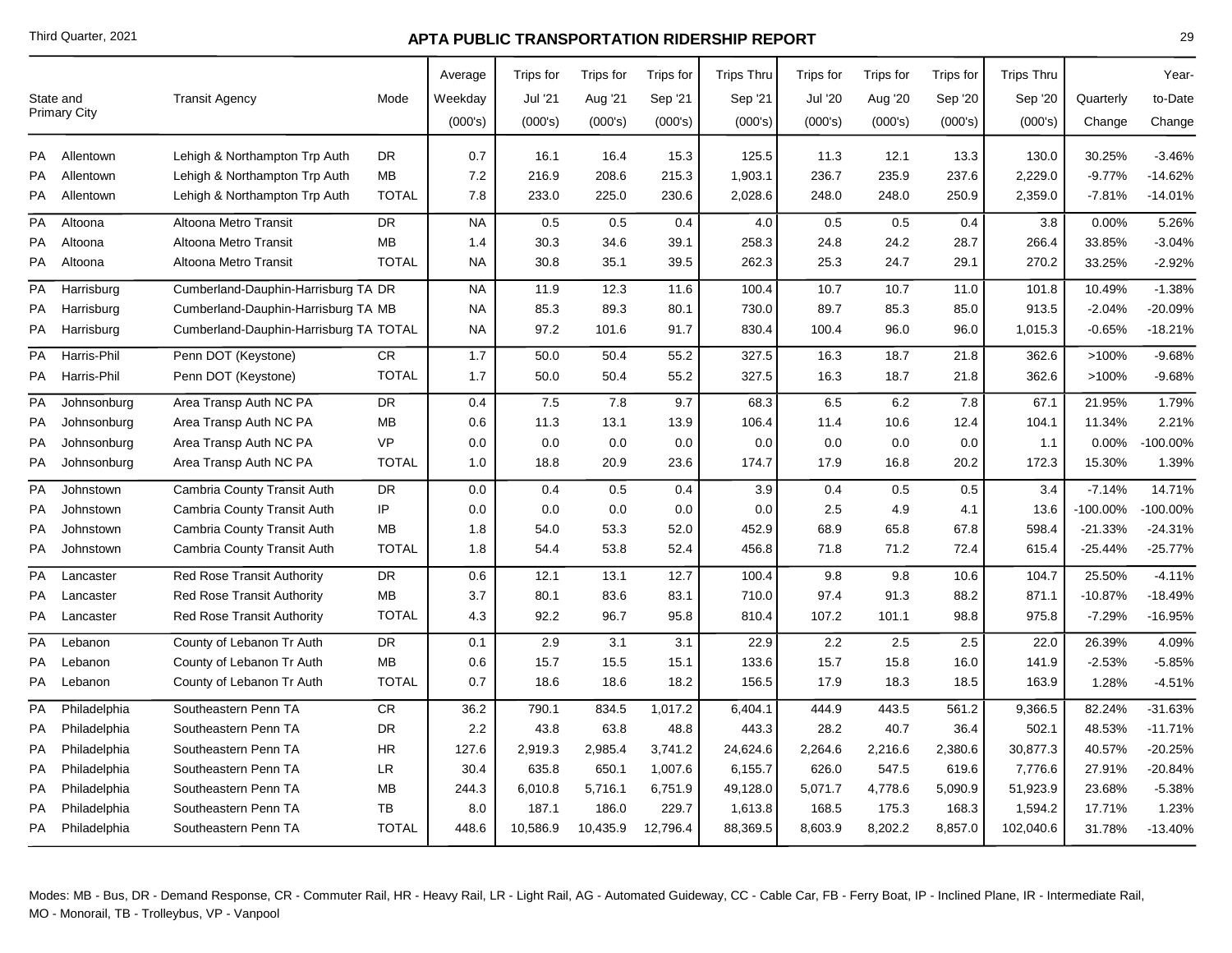| State and<br><b>Primary City</b> |              | <b>Transit Agency</b>                  | Mode         | Average<br>Weekday<br>(000's) | Trips for<br>Jul '21<br>(000's) | Trips for<br>Aug '21<br>(000's) | Trips for<br>Sep '21<br>(000's) | <b>Trips Thru</b><br>Sep '21<br>(000's) | Trips for<br><b>Jul '20</b><br>(000's) | Trips for<br>Aug '20<br>(000's) | Trips for<br>Sep '20<br>(000's) | <b>Trips Thru</b><br>Sep '20<br>(000's) | Quarterly<br>Change | Year-<br>to-Date<br>Change |
|----------------------------------|--------------|----------------------------------------|--------------|-------------------------------|---------------------------------|---------------------------------|---------------------------------|-----------------------------------------|----------------------------------------|---------------------------------|---------------------------------|-----------------------------------------|---------------------|----------------------------|
| <b>PA</b>                        | Allentown    | Lehigh & Northampton Trp Auth          | DR           | 0.7                           | 16.1                            | 16.4                            | 15.3                            | 125.5                                   | 11.3                                   | 12.1                            | 13.3                            | 130.0                                   | 30.25%              | $-3.46%$                   |
| PA                               | Allentown    | Lehigh & Northampton Trp Auth          | <b>MB</b>    | 7.2                           | 216.9                           | 208.6                           | 215.3                           | 1,903.1                                 | 236.7                                  | 235.9                           | 237.6                           | 2,229.0                                 | $-9.77%$            | $-14.62%$                  |
| PA                               | Allentown    | Lehigh & Northampton Trp Auth          | <b>TOTAL</b> | 7.8                           | 233.0                           | 225.0                           | 230.6                           | 2,028.6                                 | 248.0                                  | 248.0                           | 250.9                           | 2,359.0                                 | $-7.81%$            | $-14.01%$                  |
| PA                               | Altoona      | Altoona Metro Transit                  | <b>DR</b>    | <b>NA</b>                     | 0.5                             | 0.5                             | 0.4                             | 4.0                                     | 0.5                                    | 0.5                             | 0.4                             | 3.8                                     | 0.00%               | 5.26%                      |
| PA                               | Altoona      | Altoona Metro Transit                  | MB           | 1.4                           | 30.3                            | 34.6                            | 39.1                            | 258.3                                   | 24.8                                   | 24.2                            | 28.7                            | 266.4                                   | 33.85%              | $-3.04%$                   |
| <b>PA</b>                        | Altoona      | Altoona Metro Transit                  | <b>TOTAL</b> | <b>NA</b>                     | 30.8                            | 35.1                            | 39.5                            | 262.3                                   | 25.3                                   | 24.7                            | 29.1                            | 270.2                                   | 33.25%              | $-2.92%$                   |
| PA                               | Harrisburg   | Cumberland-Dauphin-Harrisburg TA DR    |              | <b>NA</b>                     | 11.9                            | 12.3                            | 11.6                            | 100.4                                   | 10.7                                   | 10.7                            | 11.0                            | 101.8                                   | 10.49%              | $-1.38%$                   |
| PA                               | Harrisburg   | Cumberland-Dauphin-Harrisburg TA MB    |              | <b>NA</b>                     | 85.3                            | 89.3                            | 80.1                            | 730.0                                   | 89.7                                   | 85.3                            | 85.0                            | 913.5                                   | $-2.04%$            | -20.09%                    |
| PA                               | Harrisburg   | Cumberland-Dauphin-Harrisburg TA TOTAL |              | NA.                           | 97.2                            | 101.6                           | 91.7                            | 830.4                                   | 100.4                                  | 96.0                            | 96.0                            | 1,015.3                                 | $-0.65%$            | $-18.21%$                  |
| PA                               | Harris-Phil  | Penn DOT (Keystone)                    | CR           | 1.7                           | 50.0                            | 50.4                            | 55.2                            | 327.5                                   | 16.3                                   | 18.7                            | 21.8                            | 362.6                                   | >100%               | $-9.68%$                   |
| PA                               | Harris-Phil  | Penn DOT (Keystone)                    | <b>TOTAL</b> | 1.7                           | 50.0                            | 50.4                            | 55.2                            | 327.5                                   | 16.3                                   | 18.7                            | 21.8                            | 362.6                                   | >100%               | $-9.68%$                   |
| PA                               | Johnsonburg  | Area Transp Auth NC PA                 | <b>DR</b>    | 0.4                           | 7.5                             | 7.8                             | 9.7                             | 68.3                                    | 6.5                                    | 6.2                             | 7.8                             | 67.1                                    | 21.95%              | 1.79%                      |
| PA                               | Johnsonburg  | Area Transp Auth NC PA                 | MB           | 0.6                           | 11.3                            | 13.1                            | 13.9                            | 106.4                                   | 11.4                                   | 10.6                            | 12.4                            | 104.1                                   | 11.34%              | 2.21%                      |
| PA                               | Johnsonburg  | Area Transp Auth NC PA                 | <b>VP</b>    | 0.0                           | 0.0                             | 0.0                             | 0.0                             | 0.0                                     | 0.0                                    | 0.0                             | 0.0                             | 1.1                                     | $0.00\%$            | $-100.00\%$                |
| PA                               | Johnsonburg  | Area Transp Auth NC PA                 | <b>TOTAL</b> | 1.0                           | 18.8                            | 20.9                            | 23.6                            | 174.7                                   | 17.9                                   | 16.8                            | 20.2                            | 172.3                                   | 15.30%              | 1.39%                      |
| PA                               | Johnstown    | Cambria County Transit Auth            | <b>DR</b>    | 0.0                           | 0.4                             | 0.5                             | 0.4                             | 3.9                                     | 0.4                                    | 0.5                             | 0.5                             | 3.4                                     | $-7.14%$            | 14.71%                     |
| PA                               | Johnstown    | Cambria County Transit Auth            | IP           | 0.0                           | 0.0                             | 0.0                             | 0.0                             | 0.0                                     | 2.5                                    | 4.9                             | 4.1                             | 13.6                                    | $-100.00\%$         | 100.00%                    |
| PA                               | Johnstown    | Cambria County Transit Auth            | <b>MB</b>    | 1.8                           | 54.0                            | 53.3                            | 52.0                            | 452.9                                   | 68.9                                   | 65.8                            | 67.8                            | 598.4                                   | $-21.33%$           | $-24.31%$                  |
| PA                               | Johnstown    | Cambria County Transit Auth            | <b>TOTAL</b> | 1.8                           | 54.4                            | 53.8                            | 52.4                            | 456.8                                   | 71.8                                   | 71.2                            | 72.4                            | 615.4                                   | $-25.44%$           | $-25.77%$                  |
| <b>PA</b>                        | Lancaster    | <b>Red Rose Transit Authority</b>      | DR           | 0.6                           | 12.1                            | 13.1                            | 12.7                            | 100.4                                   | 9.8                                    | 9.8                             | 10.6                            | 104.7                                   | 25.50%              | $-4.11%$                   |
| PA                               | Lancaster    | <b>Red Rose Transit Authority</b>      | MB           | 3.7                           | 80.1                            | 83.6                            | 83.1                            | 710.0                                   | 97.4                                   | 91.3                            | 88.2                            | 871.1                                   | $-10.87%$           | $-18.49%$                  |
| PA                               | Lancaster    | Red Rose Transit Authority             | <b>TOTAL</b> | 4.3                           | 92.2                            | 96.7                            | 95.8                            | 810.4                                   | 107.2                                  | 101.1                           | 98.8                            | 975.8                                   | $-7.29%$            | -16.95%                    |
| PA                               | Lebanon      | County of Lebanon Tr Auth              | <b>DR</b>    | 0.1                           | 2.9                             | 3.1                             | 3.1                             | 22.9                                    | 2.2                                    | 2.5                             | 2.5                             | 22.0                                    | 26.39%              | 4.09%                      |
| PA                               | Lebanon      | County of Lebanon Tr Auth              | <b>MB</b>    | 0.6                           | 15.7                            | 15.5                            | 15.1                            | 133.6                                   | 15.7                                   | 15.8                            | 16.0                            | 141.9                                   | $-2.53%$            | $-5.85%$                   |
| PA                               | Lebanon      | County of Lebanon Tr Auth              | <b>TOTAL</b> | 0.7                           | 18.6                            | 18.6                            | 18.2                            | 156.5                                   | 17.9                                   | 18.3                            | 18.5                            | 163.9                                   | 1.28%               | $-4.51%$                   |
| PA                               | Philadelphia | Southeastern Penn TA                   | ${\sf CR}$   | 36.2                          | 790.1                           | 834.5                           | 1,017.2                         | 6,404.1                                 | 444.9                                  | 443.5                           | 561.2                           | 9,366.5                                 | 82.24%              | $-31.63%$                  |
| PA                               | Philadelphia | Southeastern Penn TA                   | <b>DR</b>    | 2.2                           | 43.8                            | 63.8                            | 48.8                            | 443.3                                   | 28.2                                   | 40.7                            | 36.4                            | 502.1                                   | 48.53%              | $-11.71%$                  |
| PA                               | Philadelphia | Southeastern Penn TA                   | <b>HR</b>    | 127.6                         | 2,919.3                         | 2,985.4                         | 3,741.2                         | 24,624.6                                | 2,264.6                                | 2,216.6                         | 2,380.6                         | 30,877.3                                | 40.57%              | -20.25%                    |
| PA                               | Philadelphia | Southeastern Penn TA                   | <b>LR</b>    | 30.4                          | 635.8                           | 650.1                           | 1,007.6                         | 6,155.7                                 | 626.0                                  | 547.5                           | 619.6                           | 7,776.6                                 | 27.91%              | $-20.84%$                  |
| PA                               | Philadelphia | Southeastern Penn TA                   | <b>MB</b>    | 244.3                         | 6,010.8                         | 5,716.1                         | 6,751.9                         | 49,128.0                                | 5,071.7                                | 4,778.6                         | 5,090.9                         | 51,923.9                                | 23.68%              | $-5.38%$                   |
| PA                               | Philadelphia | Southeastern Penn TA                   | <b>TB</b>    | 8.0                           | 187.1                           | 186.0                           | 229.7                           | 1,613.8                                 | 168.5                                  | 175.3                           | 168.3                           | 1,594.2                                 | 17.71%              | 1.23%                      |
| PA                               | Philadelphia | Southeastern Penn TA                   | <b>TOTAL</b> | 448.6                         | 10,586.9                        | 10,435.9                        | 12,796.4                        | 88,369.5                                | 8,603.9                                | 8,202.2                         | 8,857.0                         | 102,040.6                               | 31.78%              | $-13.40%$                  |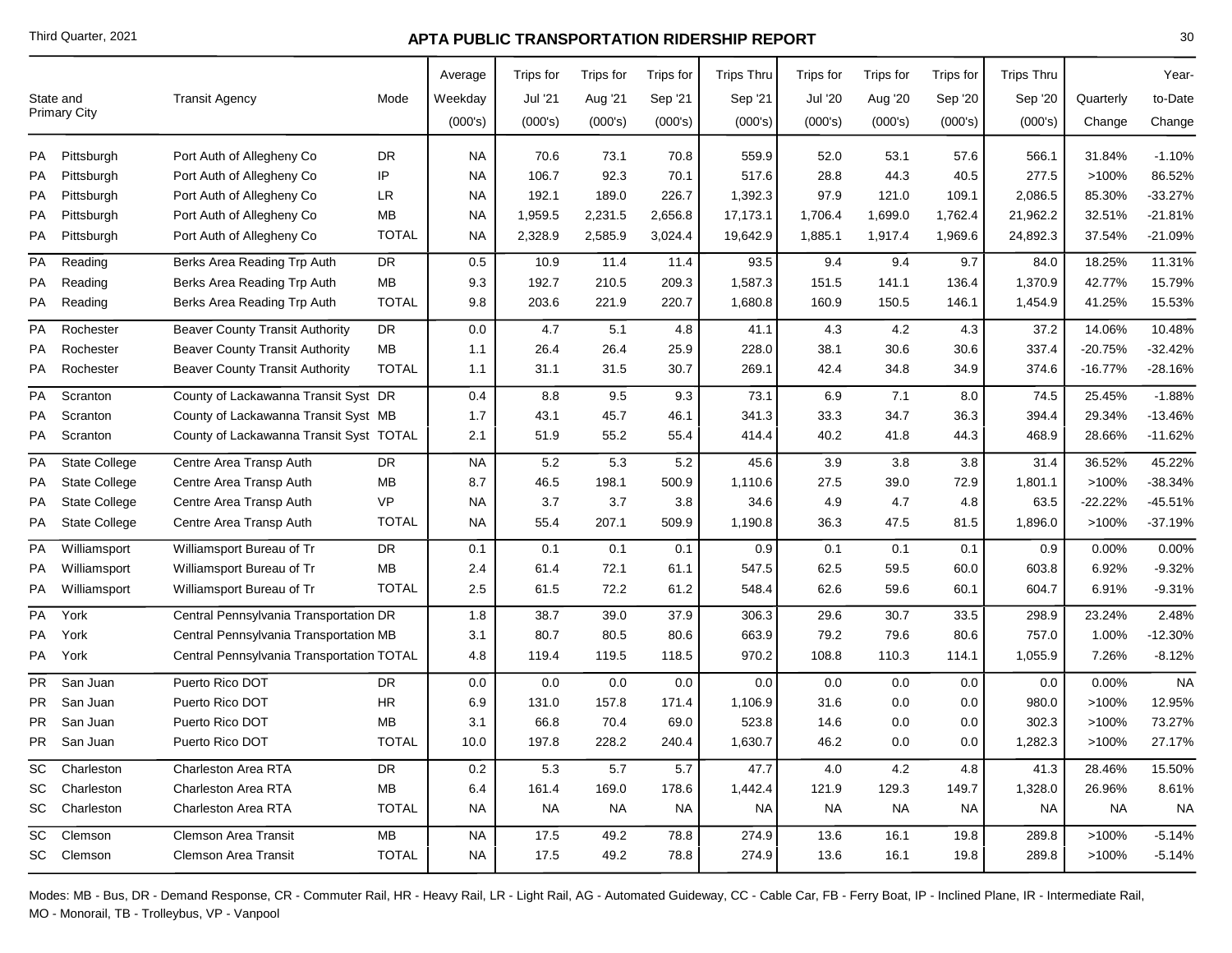|           | State and<br>Primary City | <b>Transit Agency</b>                     | Mode         | Average<br>Weekday<br>(000's) | Trips for<br>Jul '21<br>(000's) | Trips for<br>Aug '21<br>(000's) | Trips for<br>Sep '21<br>(000's) | <b>Trips Thru</b><br>Sep '21<br>(000's) | Trips for<br><b>Jul '20</b><br>(000's) | Trips for<br>Aug '20<br>(000's) | Trips for<br>Sep '20<br>(000's) | <b>Trips Thru</b><br>Sep '20<br>(000's) | Quarterly<br>Change | Year-<br>to-Date<br>Change |
|-----------|---------------------------|-------------------------------------------|--------------|-------------------------------|---------------------------------|---------------------------------|---------------------------------|-----------------------------------------|----------------------------------------|---------------------------------|---------------------------------|-----------------------------------------|---------------------|----------------------------|
| PA        | Pittsburgh                | Port Auth of Allegheny Co                 | <b>DR</b>    | <b>NA</b>                     | 70.6                            | 73.1                            | 70.8                            | 559.9                                   | 52.0                                   | 53.1                            | 57.6                            | 566.1                                   | 31.84%              | $-1.10%$                   |
| PA        | Pittsburgh                | Port Auth of Allegheny Co                 | IP           | <b>NA</b>                     | 106.7                           | 92.3                            | 70.1                            | 517.6                                   | 28.8                                   | 44.3                            | 40.5                            | 277.5                                   | >100%               | 86.52%                     |
| PA        | Pittsburgh                | Port Auth of Allegheny Co                 | LR           | <b>NA</b>                     | 192.1                           | 189.0                           | 226.7                           | 1,392.3                                 | 97.9                                   | 121.0                           | 109.1                           | 2,086.5                                 | 85.30%              | $-33.27%$                  |
| PA        | Pittsburgh                | Port Auth of Allegheny Co                 | MB           | <b>NA</b>                     | 1,959.5                         | 2,231.5                         | 2,656.8                         | 17,173.1                                | 1,706.4                                | 1,699.0                         | 1,762.4                         | 21,962.2                                | 32.51%              | $-21.81%$                  |
| PA        | Pittsburgh                | Port Auth of Allegheny Co                 | <b>TOTAL</b> | <b>NA</b>                     | 2,328.9                         | 2,585.9                         | 3,024.4                         | 19,642.9                                | 1,885.1                                | 1,917.4                         | 1,969.6                         | 24,892.3                                | 37.54%              | -21.09%                    |
| PA        | Reading                   | Berks Area Reading Trp Auth               | <b>DR</b>    | 0.5                           | 10.9                            | 11.4                            | 11.4                            | 93.5                                    | 9.4                                    | 9.4                             | 9.7                             | 84.0                                    | 18.25%              | 11.31%                     |
| PA        | Reading                   | Berks Area Reading Trp Auth               | MB           | 9.3                           | 192.7                           | 210.5                           | 209.3                           | 1,587.3                                 | 151.5                                  | 141.1                           | 136.4                           | 1,370.9                                 | 42.77%              | 15.79%                     |
| PA        | Reading                   | Berks Area Reading Trp Auth               | <b>TOTAL</b> | 9.8                           | 203.6                           | 221.9                           | 220.7                           | 1,680.8                                 | 160.9                                  | 150.5                           | 146.1                           | 1,454.9                                 | 41.25%              | 15.53%                     |
| PA        | Rochester                 | <b>Beaver County Transit Authority</b>    | <b>DR</b>    | 0.0                           | 4.7                             | 5.1                             | 4.8                             | 41.1                                    | 4.3                                    | 4.2                             | 4.3                             | 37.2                                    | 14.06%              | 10.48%                     |
| РA        | Rochester                 | <b>Beaver County Transit Authority</b>    | MB           | 1.1                           | 26.4                            | 26.4                            | 25.9                            | 228.0                                   | 38.1                                   | 30.6                            | 30.6                            | 337.4                                   | -20.75%             | $-32.42%$                  |
| PA        | Rochester                 | <b>Beaver County Transit Authority</b>    | <b>TOTAL</b> | 1.1                           | 31.1                            | 31.5                            | 30.7                            | 269.1                                   | 42.4                                   | 34.8                            | 34.9                            | 374.6                                   | $-16.77%$           | $-28.16%$                  |
| PA        | Scranton                  | County of Lackawanna Transit Syst DR      |              | 0.4                           | 8.8                             | 9.5                             | 9.3                             | 73.1                                    | 6.9                                    | 7.1                             | 8.0                             | 74.5                                    | 25.45%              | $-1.88%$                   |
| PA        | Scranton                  | County of Lackawanna Transit Syst MB      |              | 1.7                           | 43.1                            | 45.7                            | 46.1                            | 341.3                                   | 33.3                                   | 34.7                            | 36.3                            | 394.4                                   | 29.34%              | -13.46%                    |
| PA        | Scranton                  | County of Lackawanna Transit Syst TOTAL   |              | 2.1                           | 51.9                            | 55.2                            | 55.4                            | 414.4                                   | 40.2                                   | 41.8                            | 44.3                            | 468.9                                   | 28.66%              | $-11.62%$                  |
| <b>PA</b> | <b>State College</b>      | Centre Area Transp Auth                   | <b>DR</b>    | <b>NA</b>                     | 5.2                             | 5.3                             | 5.2                             | 45.6                                    | 3.9                                    | 3.8                             | 3.8                             | 31.4                                    | 36.52%              | 45.22%                     |
| PA        | <b>State College</b>      | Centre Area Transp Auth                   | MB           | 8.7                           | 46.5                            | 198.1                           | 500.9                           | 1,110.6                                 | 27.5                                   | 39.0                            | 72.9                            | 1,801.1                                 | >100%               | -38.34%                    |
| PA        | <b>State College</b>      | Centre Area Transp Auth                   | VP           | <b>NA</b>                     | 3.7                             | 3.7                             | 3.8                             | 34.6                                    | 4.9                                    | 4.7                             | 4.8                             | 63.5                                    | $-22.22%$           | $-45.51%$                  |
| PA        | <b>State College</b>      | Centre Area Transp Auth                   | <b>TOTAL</b> | <b>NA</b>                     | 55.4                            | 207.1                           | 509.9                           | 1,190.8                                 | 36.3                                   | 47.5                            | 81.5                            | 1,896.0                                 | >100%               | $-37.19%$                  |
| PA        | Williamsport              | Williamsport Bureau of Tr                 | DR           | 0.1                           | 0.1                             | 0.1                             | 0.1                             | 0.9                                     | 0.1                                    | 0.1                             | 0.1                             | 0.9                                     | 0.00%               | 0.00%                      |
| PA        | Williamsport              | Williamsport Bureau of Tr                 | <b>MB</b>    | 2.4                           | 61.4                            | 72.1                            | 61.1                            | 547.5                                   | 62.5                                   | 59.5                            | 60.0                            | 603.8                                   | 6.92%               | $-9.32%$                   |
| PA        | Williamsport              | Williamsport Bureau of Tr                 | <b>TOTAL</b> | 2.5                           | 61.5                            | 72.2                            | 61.2                            | 548.4                                   | 62.6                                   | 59.6                            | 60.1                            | 604.7                                   | 6.91%               | $-9.31%$                   |
| PA        | York                      | Central Pennsylvania Transportation DR    |              | 1.8                           | 38.7                            | 39.0                            | 37.9                            | 306.3                                   | 29.6                                   | 30.7                            | 33.5                            | 298.9                                   | 23.24%              | 2.48%                      |
| PA        | York                      | Central Pennsylvania Transportation MB    |              | 3.1                           | 80.7                            | 80.5                            | 80.6                            | 663.9                                   | 79.2                                   | 79.6                            | 80.6                            | 757.0                                   | 1.00%               | $-12.30%$                  |
| PA        | York                      | Central Pennsylvania Transportation TOTAL |              | 4.8                           | 119.4                           | 119.5                           | 118.5                           | 970.2                                   | 108.8                                  | 110.3                           | 114.1                           | 1,055.9                                 | 7.26%               | $-8.12%$                   |
| PR.       | San Juan                  | Puerto Rico DOT                           | <b>DR</b>    | 0.0                           | 0.0                             | 0.0                             | 0.0                             | 0.0                                     | 0.0                                    | 0.0                             | 0.0                             | 0.0                                     | 0.00%               | <b>NA</b>                  |
| PR        | San Juan                  | Puerto Rico DOT                           | HR           | 6.9                           | 131.0                           | 157.8                           | 171.4                           | 1,106.9                                 | 31.6                                   | 0.0                             | 0.0                             | 980.0                                   | >100%               | 12.95%                     |
| PR        | San Juan                  | Puerto Rico DOT                           | MB           | 3.1                           | 66.8                            | 70.4                            | 69.0                            | 523.8                                   | 14.6                                   | 0.0                             | 0.0                             | 302.3                                   | >100%               | 73.27%                     |
| PR        | San Juan                  | Puerto Rico DOT                           | <b>TOTAL</b> | 10.0                          | 197.8                           | 228.2                           | 240.4                           | 1,630.7                                 | 46.2                                   | 0.0                             | 0.0                             | 1,282.3                                 | >100%               | 27.17%                     |
| SC        | Charleston                | Charleston Area RTA                       | <b>DR</b>    | 0.2                           | 5.3                             | 5.7                             | 5.7                             | 47.7                                    | 4.0                                    | 4.2                             | 4.8                             | 41.3                                    | 28.46%              | 15.50%                     |
| SC        | Charleston                | <b>Charleston Area RTA</b>                | <b>MB</b>    | 6.4                           | 161.4                           | 169.0                           | 178.6                           | 1,442.4                                 | 121.9                                  | 129.3                           | 149.7                           | 1,328.0                                 | 26.96%              | 8.61%                      |
| SC        | Charleston                | <b>Charleston Area RTA</b>                | <b>TOTAL</b> | NA                            | <b>NA</b>                       | NA                              | <b>NA</b>                       | <b>NA</b>                               | <b>NA</b>                              | <b>NA</b>                       | <b>NA</b>                       | <b>NA</b>                               | <b>NA</b>           | <b>NA</b>                  |
| SC        | Clemson                   | <b>Clemson Area Transit</b>               | MB           | <b>NA</b>                     | 17.5                            | 49.2                            | 78.8                            | 274.9                                   | 13.6                                   | 16.1                            | 19.8                            | 289.8                                   | >100%               | $-5.14%$                   |
| SC        | Clemson                   | <b>Clemson Area Transit</b>               | <b>TOTAL</b> | <b>NA</b>                     | 17.5                            | 49.2                            | 78.8                            | 274.9                                   | 13.6                                   | 16.1                            | 19.8                            | 289.8                                   | >100%               | $-5.14%$                   |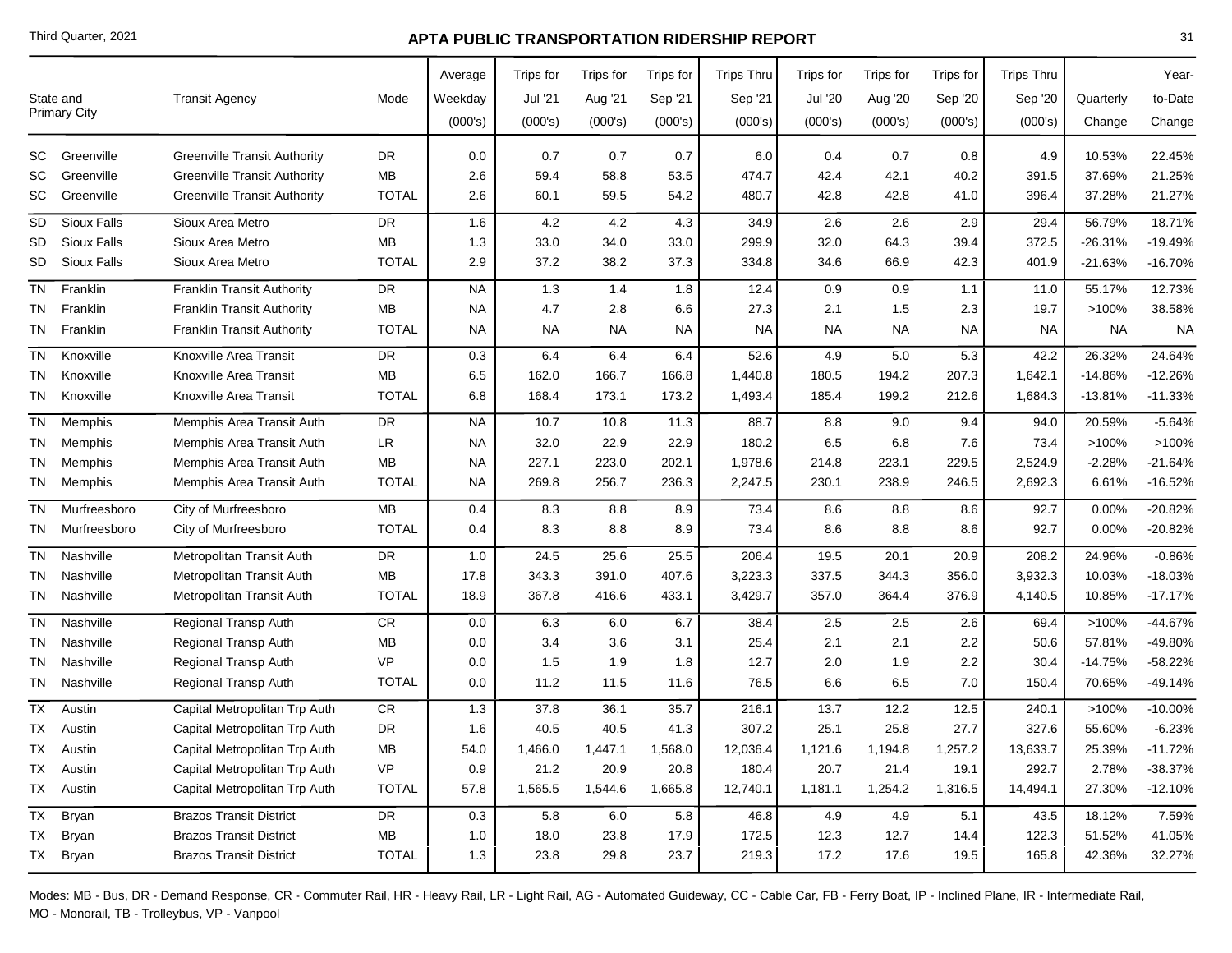|           | State and           | <b>Transit Agency</b>               | Mode         | Average<br>Weekday | Trips for<br>Jul '21 | Trips for<br>Aug '21 | Trips for<br>Sep '21 | <b>Trips Thru</b><br>Sep '21 | Trips for<br><b>Jul '20</b> | Trips for<br>Aug '20 | Trips for<br>Sep '20 | <b>Trips Thru</b><br>Sep '20 | Quarterly | Year-<br>to-Date |
|-----------|---------------------|-------------------------------------|--------------|--------------------|----------------------|----------------------|----------------------|------------------------------|-----------------------------|----------------------|----------------------|------------------------------|-----------|------------------|
|           | <b>Primary City</b> |                                     |              | (000's)            | (000's)              | (000's)              | (000's)              | (000's)                      | (000's)                     | (000's)              | (000's)              | (000's)                      | Change    | Change           |
| SC        | Greenville          | <b>Greenville Transit Authority</b> | <b>DR</b>    | 0.0                | 0.7                  | 0.7                  | 0.7                  | 6.0                          | 0.4                         | 0.7                  | 0.8                  | 4.9                          | 10.53%    | 22.45%           |
| SC        | Greenville          | <b>Greenville Transit Authority</b> | <b>MB</b>    | 2.6                | 59.4                 | 58.8                 | 53.5                 | 474.7                        | 42.4                        | 42.1                 | 40.2                 | 391.5                        | 37.69%    | 21.25%           |
| SC        | Greenville          | <b>Greenville Transit Authority</b> | <b>TOTAL</b> | 2.6                | 60.1                 | 59.5                 | 54.2                 | 480.7                        | 42.8                        | 42.8                 | 41.0                 | 396.4                        | 37.28%    | 21.27%           |
| SD        | Sioux Falls         | Sioux Area Metro                    | <b>DR</b>    | 1.6                | 4.2                  | 4.2                  | 4.3                  | 34.9                         | 2.6                         | 2.6                  | 2.9                  | 29.4                         | 56.79%    | 18.71%           |
| SD        | Sioux Falls         | Sioux Area Metro                    | MB           | 1.3                | 33.0                 | 34.0                 | 33.0                 | 299.9                        | 32.0                        | 64.3                 | 39.4                 | 372.5                        | $-26.31%$ | $-19.49%$        |
| SD        | Sioux Falls         | Sioux Area Metro                    | <b>TOTAL</b> | 2.9                | 37.2                 | 38.2                 | 37.3                 | 334.8                        | 34.6                        | 66.9                 | 42.3                 | 401.9                        | $-21.63%$ | $-16.70%$        |
| <b>TN</b> | Franklin            | Franklin Transit Authority          | <b>DR</b>    | <b>NA</b>          | 1.3                  | 1.4                  | 1.8                  | 12.4                         | 0.9                         | 0.9                  | 1.1                  | 11.0                         | 55.17%    | 12.73%           |
| TN        | Franklin            | <b>Franklin Transit Authority</b>   | <b>MB</b>    | <b>NA</b>          | 4.7                  | 2.8                  | 6.6                  | 27.3                         | 2.1                         | 1.5                  | 2.3                  | 19.7                         | >100%     | 38.58%           |
| TN        | Franklin            | <b>Franklin Transit Authority</b>   | <b>TOTAL</b> | <b>NA</b>          | NA                   | NA                   | NA                   | <b>NA</b>                    | NA.                         | <b>NA</b>            | NA                   | <b>NA</b>                    | NA        | <b>NA</b>        |
| TN        | Knoxville           | Knoxville Area Transit              | <b>DR</b>    | 0.3                | 6.4                  | 6.4                  | 6.4                  | 52.6                         | 4.9                         | $5.0\,$              | 5.3                  | 42.2                         | 26.32%    | 24.64%           |
| TN        | Knoxville           | Knoxville Area Transit              | <b>MB</b>    | 6.5                | 162.0                | 166.7                | 166.8                | 1,440.8                      | 180.5                       | 194.2                | 207.3                | 1,642.1                      | -14.86%   | $-12.26%$        |
| TN        | Knoxville           | Knoxville Area Transit              | <b>TOTAL</b> | 6.8                | 168.4                | 173.1                | 173.2                | 1,493.4                      | 185.4                       | 199.2                | 212.6                | 1,684.3                      | $-13.81%$ | $-11.33%$        |
| <b>TN</b> | Memphis             | Memphis Area Transit Auth           | <b>DR</b>    | <b>NA</b>          | 10.7                 | 10.8                 | 11.3                 | 88.7                         | 8.8                         | 9.0                  | 9.4                  | 94.0                         | 20.59%    | $-5.64%$         |
| TN        | Memphis             | Memphis Area Transit Auth           | <b>LR</b>    | NA                 | 32.0                 | 22.9                 | 22.9                 | 180.2                        | $6.5\,$                     | 6.8                  | 7.6                  | 73.4                         | >100%     | >100%            |
| TN        | Memphis             | Memphis Area Transit Auth           | <b>MB</b>    | <b>NA</b>          | 227.1                | 223.0                | 202.1                | 1,978.6                      | 214.8                       | 223.1                | 229.5                | 2,524.9                      | $-2.28%$  | $-21.64%$        |
| TN        | Memphis             | Memphis Area Transit Auth           | <b>TOTAL</b> | <b>NA</b>          | 269.8                | 256.7                | 236.3                | 2,247.5                      | 230.1                       | 238.9                | 246.5                | 2,692.3                      | 6.61%     | $-16.52%$        |
| <b>TN</b> | Murfreesboro        | City of Murfreesboro                | <b>MB</b>    | 0.4                | 8.3                  | 8.8                  | 8.9                  | 73.4                         | 8.6                         | 8.8                  | 8.6                  | 92.7                         | 0.00%     | $-20.82%$        |
| TN        | Murfreesboro        | City of Murfreesboro                | <b>TOTAL</b> | 0.4                | 8.3                  | 8.8                  | 8.9                  | 73.4                         | 8.6                         | 8.8                  | 8.6                  | 92.7                         | 0.00%     | $-20.82%$        |
| TN        | Nashville           | Metropolitan Transit Auth           | <b>DR</b>    | 1.0                | 24.5                 | 25.6                 | 25.5                 | 206.4                        | 19.5                        | 20.1                 | 20.9                 | 208.2                        | 24.96%    | $-0.86%$         |
| TN        | Nashville           | Metropolitan Transit Auth           | <b>MB</b>    | 17.8               | 343.3                | 391.0                | 407.6                | 3,223.3                      | 337.5                       | 344.3                | 356.0                | 3,932.3                      | 10.03%    | $-18.03%$        |
| TN        | Nashville           | Metropolitan Transit Auth           | <b>TOTAL</b> | 18.9               | 367.8                | 416.6                | 433.1                | 3,429.7                      | 357.0                       | 364.4                | 376.9                | 4,140.5                      | 10.85%    | $-17.17%$        |
| <b>TN</b> | Nashville           | Regional Transp Auth                | <b>CR</b>    | 0.0                | 6.3                  | 6.0                  | 6.7                  | 38.4                         | 2.5                         | 2.5                  | 2.6                  | 69.4                         | >100%     | -44.67%          |
| <b>TN</b> | Nashville           | <b>Regional Transp Auth</b>         | МB           | 0.0                | 3.4                  | 3.6                  | 3.1                  | 25.4                         | 2.1                         | 2.1                  | 2.2                  | 50.6                         | 57.81%    | -49.80%          |
| TN        | Nashville           | <b>Regional Transp Auth</b>         | <b>VP</b>    | 0.0                | 1.5                  | 1.9                  | 1.8                  | 12.7                         | 2.0                         | 1.9                  | 2.2                  | 30.4                         | -14.75%   | $-58.22%$        |
| TN        | Nashville           | Regional Transp Auth                | <b>TOTAL</b> | 0.0                | 11.2                 | 11.5                 | 11.6                 | 76.5                         | 6.6                         | 6.5                  | 7.0                  | 150.4                        | 70.65%    | -49.14%          |
| ТX        | Austin              | Capital Metropolitan Trp Auth       | CR           | 1.3                | 37.8                 | 36.1                 | 35.7                 | 216.1                        | 13.7                        | 12.2                 | 12.5                 | 240.1                        | >100%     | $-10.00%$        |
| TX        | Austin              | Capital Metropolitan Trp Auth       | DR           | 1.6                | 40.5                 | 40.5                 | 41.3                 | 307.2                        | 25.1                        | 25.8                 | 27.7                 | 327.6                        | 55.60%    | $-6.23%$         |
| TX        | Austin              | Capital Metropolitan Trp Auth       | <b>MB</b>    | 54.0               | 1,466.0              | 1,447.1              | 1,568.0              | 12,036.4                     | 1,121.6                     | 1,194.8              | 1,257.2              | 13,633.7                     | 25.39%    | $-11.72%$        |
| TX        | Austin              | Capital Metropolitan Trp Auth       | <b>VP</b>    | 0.9                | 21.2                 | 20.9                 | 20.8                 | 180.4                        | 20.7                        | 21.4                 | 19.1                 | 292.7                        | 2.78%     | $-38.37%$        |
| TX        | Austin              | Capital Metropolitan Trp Auth       | <b>TOTAL</b> | 57.8               | 1,565.5              | 1,544.6              | 1,665.8              | 12,740.1                     | 1,181.1                     | 1,254.2              | 1,316.5              | 14,494.1                     | 27.30%    | $-12.10%$        |
| TX        | <b>Bryan</b>        | <b>Brazos Transit District</b>      | DR           | 0.3                | 5.8                  | 6.0                  | 5.8                  | 46.8                         | 4.9                         | 4.9                  | 5.1                  | 43.5                         | 18.12%    | 7.59%            |
| TX        | <b>Bryan</b>        | <b>Brazos Transit District</b>      | <b>MB</b>    | 1.0                | 18.0                 | 23.8                 | 17.9                 | 172.5                        | 12.3                        | 12.7                 | 14.4                 | 122.3                        | 51.52%    | 41.05%           |
|           | TX Bryan            | <b>Brazos Transit District</b>      | <b>TOTAL</b> | 1.3                | 23.8                 | 29.8                 | 23.7                 | 219.3                        | 17.2                        | 17.6                 | 19.5                 | 165.8                        | 42.36%    | 32.27%           |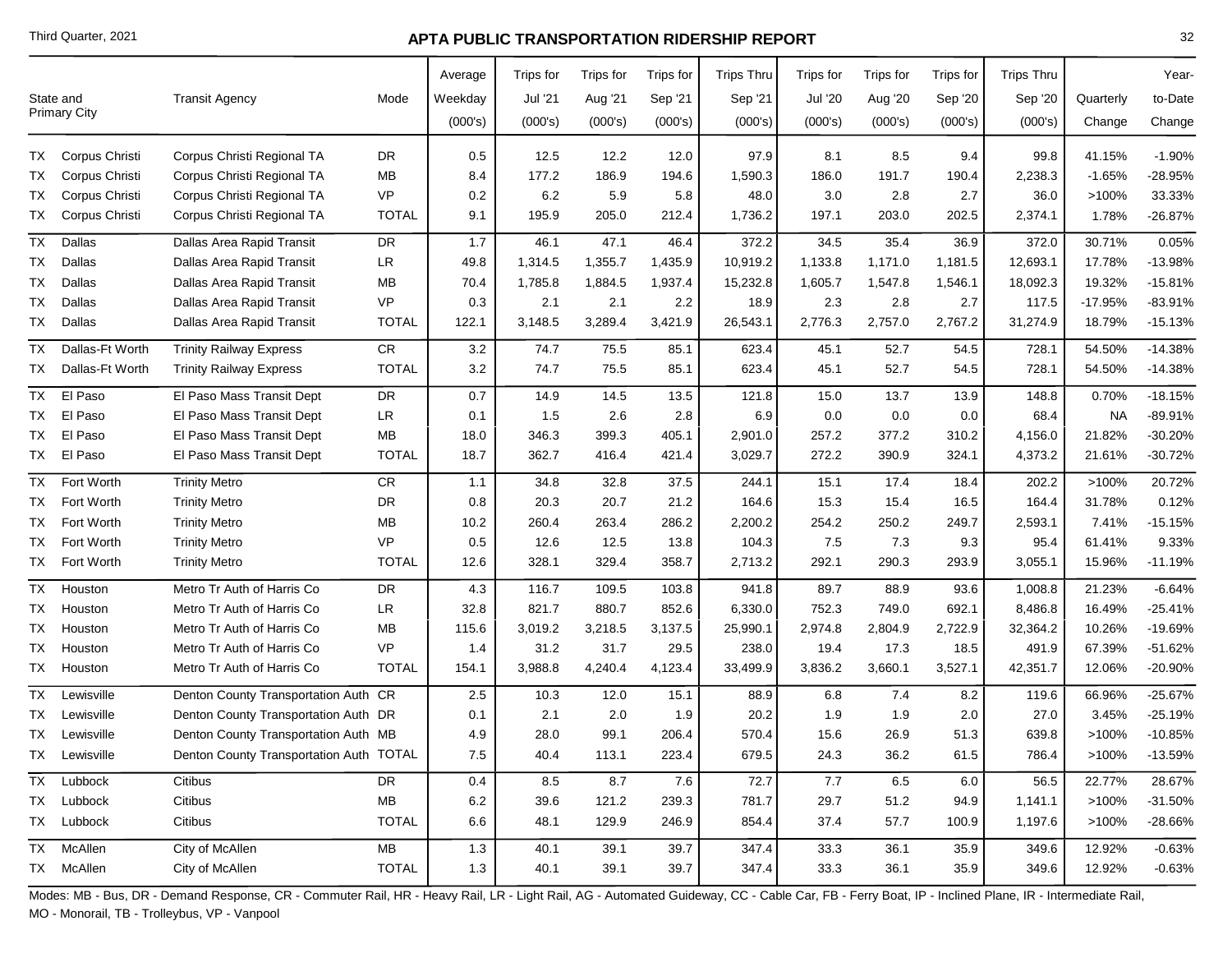|           |                     |                                         |              | Average | Trips for | Trips for | Trips for | <b>Trips Thru</b> | Trips for      | Trips for | Trips for | <b>Trips Thru</b> |           | Year-     |
|-----------|---------------------|-----------------------------------------|--------------|---------|-----------|-----------|-----------|-------------------|----------------|-----------|-----------|-------------------|-----------|-----------|
|           | State and           | <b>Transit Agency</b>                   | Mode         | Weekday | Jul '21   | Aug '21   | Sep '21   | Sep '21           | <b>Jul '20</b> | Aug '20   | Sep '20   | Sep '20           | Quarterly | to-Date   |
|           | <b>Primary City</b> |                                         |              | (000's) | (000's)   | (000's)   | (000's)   | (000's)           | (000's)        | (000's)   | (000's)   | (000's)           | Change    | Change    |
| TX.       | Corpus Christi      | Corpus Christi Regional TA              | <b>DR</b>    | 0.5     | 12.5      | 12.2      | 12.0      | 97.9              | 8.1            | 8.5       | 9.4       | 99.8              | 41.15%    | $-1.90%$  |
| TX        | Corpus Christi      | Corpus Christi Regional TA              | MB           | 8.4     | 177.2     | 186.9     | 194.6     | 1,590.3           | 186.0          | 191.7     | 190.4     | 2,238.3           | $-1.65%$  | -28.95%   |
| TX        | Corpus Christi      | Corpus Christi Regional TA              | <b>VP</b>    | 0.2     | 6.2       | 5.9       | 5.8       | 48.0              | 3.0            | 2.8       | 2.7       | 36.0              | >100%     | 33.33%    |
| ТX        | Corpus Christi      | Corpus Christi Regional TA              | <b>TOTAL</b> | 9.1     | 195.9     | 205.0     | 212.4     | 1,736.2           | 197.1          | 203.0     | 202.5     | 2,374.1           | 1.78%     | $-26.87%$ |
| TX        | Dallas              | Dallas Area Rapid Transit               | DR           | 1.7     | 46.1      | 47.1      | 46.4      | 372.2             | 34.5           | 35.4      | 36.9      | 372.0             | 30.71%    | 0.05%     |
| TX        | Dallas              | Dallas Area Rapid Transit               | <b>LR</b>    | 49.8    | 1,314.5   | 1,355.7   | 1,435.9   | 10,919.2          | 1,133.8        | 1,171.0   | 1,181.5   | 12,693.1          | 17.78%    | $-13.98%$ |
| ТX        | Dallas              | Dallas Area Rapid Transit               | MB           | 70.4    | 1,785.8   | 1,884.5   | 1,937.4   | 15,232.8          | 1,605.7        | 1,547.8   | 1,546.1   | 18,092.3          | 19.32%    | $-15.81%$ |
| ТX        | Dallas              | Dallas Area Rapid Transit               | <b>VP</b>    | 0.3     | 2.1       | 2.1       | 2.2       | 18.9              | 2.3            | 2.8       | 2.7       | 117.5             | $-17.95%$ | $-83.91%$ |
| TX        | Dallas              | Dallas Area Rapid Transit               | <b>TOTAL</b> | 122.1   | 3,148.5   | 3,289.4   | 3,421.9   | 26,543.1          | 2,776.3        | 2,757.0   | 2,767.2   | 31,274.9          | 18.79%    | $-15.13%$ |
| ТX        | Dallas-Ft Worth     | <b>Trinity Railway Express</b>          | <b>CR</b>    | 3.2     | 74.7      | 75.5      | 85.1      | 623.4             | 45.1           | 52.7      | 54.5      | 728.1             | 54.50%    | $-14.38%$ |
| TX        | Dallas-Ft Worth     | <b>Trinity Railway Express</b>          | <b>TOTAL</b> | 3.2     | 74.7      | 75.5      | 85.1      | 623.4             | 45.1           | 52.7      | 54.5      | 728.1             | 54.50%    | $-14.38%$ |
| ТX        | El Paso             | El Paso Mass Transit Dept               | <b>DR</b>    | 0.7     | 14.9      | 14.5      | 13.5      | 121.8             | 15.0           | 13.7      | 13.9      | 148.8             | 0.70%     | $-18.15%$ |
| TX        | El Paso             | El Paso Mass Transit Dept               | LR           | 0.1     | 1.5       | 2.6       | 2.8       | 6.9               | 0.0            | 0.0       | 0.0       | 68.4              | <b>NA</b> | $-89.91%$ |
| ТX        | El Paso             | El Paso Mass Transit Dept               | MB           | 18.0    | 346.3     | 399.3     | 405.1     | 2,901.0           | 257.2          | 377.2     | 310.2     | 4,156.0           | 21.82%    | $-30.20%$ |
| TX .      | El Paso             | El Paso Mass Transit Dept               | <b>TOTAL</b> | 18.7    | 362.7     | 416.4     | 421.4     | 3,029.7           | 272.2          | 390.9     | 324.1     | 4,373.2           | 21.61%    | $-30.72%$ |
| TX        | Fort Worth          | <b>Trinity Metro</b>                    | CR           | 1.1     | 34.8      | 32.8      | 37.5      | 244.1             | 15.1           | 17.4      | 18.4      | 202.2             | >100%     | 20.72%    |
| TX        | Fort Worth          | <b>Trinity Metro</b>                    | DR.          | 0.8     | 20.3      | 20.7      | 21.2      | 164.6             | 15.3           | 15.4      | 16.5      | 164.4             | 31.78%    | 0.12%     |
| TX        | Fort Worth          | <b>Trinity Metro</b>                    | <b>MB</b>    | 10.2    | 260.4     | 263.4     | 286.2     | 2,200.2           | 254.2          | 250.2     | 249.7     | 2,593.1           | 7.41%     | $-15.15%$ |
| ТX        | Fort Worth          | <b>Trinity Metro</b>                    | <b>VP</b>    | 0.5     | 12.6      | 12.5      | 13.8      | 104.3             | 7.5            | 7.3       | 9.3       | 95.4              | 61.41%    | 9.33%     |
| TX        | Fort Worth          | <b>Trinity Metro</b>                    | <b>TOTAL</b> | 12.6    | 328.1     | 329.4     | 358.7     | 2,713.2           | 292.1          | 290.3     | 293.9     | 3,055.1           | 15.96%    | $-11.19%$ |
| <b>TX</b> | Houston             | Metro Tr Auth of Harris Co              | <b>DR</b>    | 4.3     | 116.7     | 109.5     | 103.8     | 941.8             | 89.7           | 88.9      | 93.6      | 1,008.8           | 21.23%    | $-6.64%$  |
| ТX        | Houston             | Metro Tr Auth of Harris Co              | <b>LR</b>    | 32.8    | 821.7     | 880.7     | 852.6     | 6,330.0           | 752.3          | 749.0     | 692.1     | 8,486.8           | 16.49%    | $-25.41%$ |
| ТX        | Houston             | Metro Tr Auth of Harris Co              | МB           | 115.6   | 3,019.2   | 3,218.5   | 3,137.5   | 25,990.1          | 2,974.8        | 2,804.9   | 2,722.9   | 32,364.2          | 10.26%    | $-19.69%$ |
| ТX        | Houston             | Metro Tr Auth of Harris Co              | <b>VP</b>    | 1.4     | 31.2      | 31.7      | 29.5      | 238.0             | 19.4           | 17.3      | 18.5      | 491.9             | 67.39%    | $-51.62%$ |
| TX        | Houston             | Metro Tr Auth of Harris Co              | <b>TOTAL</b> | 154.1   | 3,988.8   | 4,240.4   | 4,123.4   | 33,499.9          | 3,836.2        | 3,660.1   | 3,527.1   | 42,351.7          | 12.06%    | -20.90%   |
| <b>TX</b> | Lewisville          | Denton County Transportation Auth CR    |              | 2.5     | 10.3      | 12.0      | 15.1      | 88.9              | 6.8            | 7.4       | 8.2       | 119.6             | 66.96%    | $-25.67%$ |
| TX        | Lewisville          | Denton County Transportation Auth DR    |              | 0.1     | 2.1       | 2.0       | 1.9       | 20.2              | 1.9            | 1.9       | 2.0       | 27.0              | 3.45%     | $-25.19%$ |
| TX        | Lewisville          | Denton County Transportation Auth MB    |              | 4.9     | 28.0      | 99.1      | 206.4     | 570.4             | 15.6           | 26.9      | 51.3      | 639.8             | >100%     | $-10.85%$ |
| TX        | Lewisville          | Denton County Transportation Auth TOTAL |              | 7.5     | 40.4      | 113.1     | 223.4     | 679.5             | 24.3           | 36.2      | 61.5      | 786.4             | >100%     | $-13.59%$ |
|           | TX Lubbock          | Citibus                                 | DR           | 0.4     | 8.5       | 8.7       | 7.6       | 72.7              | 7.7            | 6.5       | 6.0       | 56.5              | 22.77%    | 28.67%    |
|           | TX Lubbock          | Citibus                                 | MB           | 6.2     | 39.6      | 121.2     | 239.3     | 781.7             | 29.7           | 51.2      | 94.9      | 1,141.1           | >100%     | $-31.50%$ |
|           | TX Lubbock          | Citibus                                 | <b>TOTAL</b> | 6.6     | 48.1      | 129.9     | 246.9     | 854.4             | 37.4           | 57.7      | 100.9     | 1,197.6           | >100%     | $-28.66%$ |
|           | TX McAllen          | City of McAllen                         | MB           | 1.3     | 40.1      | 39.1      | 39.7      | 347.4             | 33.3           | 36.1      | 35.9      | 349.6             | 12.92%    | $-0.63%$  |
|           | TX McAllen          | City of McAllen                         | <b>TOTAL</b> | 1.3     | 40.1      | 39.1      | 39.7      | 347.4             | 33.3           | 36.1      | 35.9      | 349.6             | 12.92%    | $-0.63%$  |
|           |                     |                                         |              |         |           |           |           |                   |                |           |           |                   |           |           |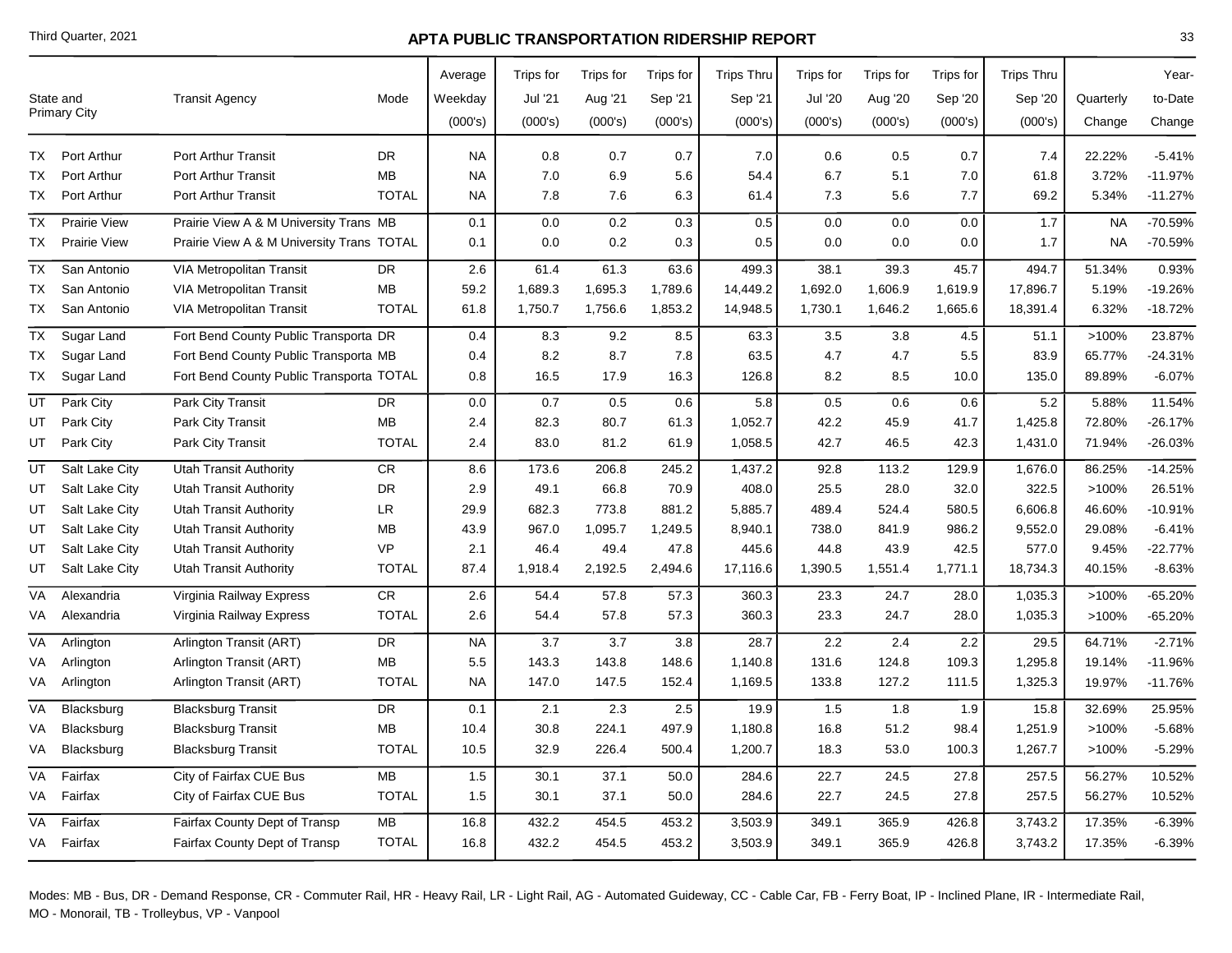|           | State and<br>Primary City | <b>Transit Agency</b>                     | Mode         | Average<br>Weekday<br>(000's) | Trips for<br>Jul '21<br>(000's) | Trips for<br>Aug '21<br>(000's) | Trips for<br>Sep '21<br>(000's) | <b>Trips Thru</b><br>Sep '21<br>(000's) | <b>Trips for</b><br><b>Jul '20</b><br>(000's) | Trips for<br>Aug '20<br>(000's) | Trips for<br>Sep '20<br>(000's) | <b>Trips Thru</b><br>Sep '20<br>(000's) | Quarterly<br>Change | Year-<br>to-Date<br>Change |
|-----------|---------------------------|-------------------------------------------|--------------|-------------------------------|---------------------------------|---------------------------------|---------------------------------|-----------------------------------------|-----------------------------------------------|---------------------------------|---------------------------------|-----------------------------------------|---------------------|----------------------------|
|           |                           |                                           |              |                               |                                 |                                 |                                 |                                         |                                               |                                 |                                 |                                         |                     |                            |
| ТX        | Port Arthur               | <b>Port Arthur Transit</b>                | <b>DR</b>    | <b>NA</b>                     | 0.8                             | 0.7                             | 0.7                             | 7.0                                     | 0.6                                           | 0.5                             | 0.7                             | 7.4                                     | 22.22%              | $-5.41%$                   |
| ТX        | Port Arthur               | <b>Port Arthur Transit</b>                | MB           | <b>NA</b>                     | 7.0                             | 6.9                             | 5.6                             | 54.4                                    | 6.7                                           | 5.1                             | 7.0                             | 61.8                                    | 3.72%               | $-11.97%$                  |
| TX        | Port Arthur               | <b>Port Arthur Transit</b>                | <b>TOTAL</b> | <b>NA</b>                     | 7.8                             | 7.6                             | 6.3                             | 61.4                                    | 7.3                                           | 5.6                             | 7.7                             | 69.2                                    | 5.34%               | $-11.27%$                  |
| TX        | <b>Prairie View</b>       | Prairie View A & M University Trans MB    |              | 0.1                           | 0.0                             | 0.2                             | 0.3                             | 0.5                                     | 0.0                                           | 0.0                             | 0.0                             | 1.7                                     | <b>NA</b>           | -70.59%                    |
| TX        | <b>Prairie View</b>       | Prairie View A & M University Trans TOTAL |              | 0.1                           | 0.0                             | 0.2                             | 0.3                             | 0.5                                     | 0.0                                           | 0.0                             | 0.0                             | 1.7                                     | <b>NA</b>           | -70.59%                    |
| <b>TX</b> | San Antonio               | <b>VIA Metropolitan Transit</b>           | DR           | 2.6                           | 61.4                            | 61.3                            | 63.6                            | 499.3                                   | 38.1                                          | 39.3                            | 45.7                            | 494.7                                   | 51.34%              | 0.93%                      |
| TX        | San Antonio               | VIA Metropolitan Transit                  | MB           | 59.2                          | 1,689.3                         | 1,695.3                         | 1,789.6                         | 14,449.2                                | 1,692.0                                       | 1,606.9                         | 1,619.9                         | 17,896.7                                | 5.19%               | $-19.26%$                  |
| TX I      | San Antonio               | VIA Metropolitan Transit                  | <b>TOTAL</b> | 61.8                          | 1,750.7                         | 1,756.6                         | 1,853.2                         | 14,948.5                                | 1,730.1                                       | 1,646.2                         | 1,665.6                         | 18,391.4                                | 6.32%               | $-18.72%$                  |
| TX        | Sugar Land                | Fort Bend County Public Transporta DR     |              | 0.4                           | 8.3                             | 9.2                             | 8.5                             | 63.3                                    | 3.5                                           | 3.8                             | 4.5                             | 51.1                                    | >100%               | 23.87%                     |
| ТX        | Sugar Land                | Fort Bend County Public Transporta MB     |              | 0.4                           | 8.2                             | 8.7                             | 7.8                             | 63.5                                    | 4.7                                           | 4.7                             | 5.5                             | 83.9                                    | 65.77%              | $-24.31%$                  |
| TX        | Sugar Land                | Fort Bend County Public Transporta TOTAL  |              | 0.8                           | 16.5                            | 17.9                            | 16.3                            | 126.8                                   | 8.2                                           | 8.5                             | 10.0                            | 135.0                                   | 89.89%              | $-6.07%$                   |
| UT        | Park City                 | Park City Transit                         | DR           | 0.0                           | 0.7                             | 0.5                             | 0.6                             | 5.8                                     | 0.5                                           | 0.6                             | 0.6                             | 5.2                                     | 5.88%               | 11.54%                     |
| UT        | Park City                 | Park City Transit                         | MB           | 2.4                           | 82.3                            | 80.7                            | 61.3                            | 1,052.7                                 | 42.2                                          | 45.9                            | 41.7                            | 1,425.8                                 | 72.80%              | $-26.17%$                  |
| UT        | Park City                 | Park City Transit                         | <b>TOTAL</b> | 2.4                           | 83.0                            | 81.2                            | 61.9                            | 1,058.5                                 | 42.7                                          | 46.5                            | 42.3                            | 1,431.0                                 | 71.94%              | -26.03%                    |
| UT        | Salt Lake City            | <b>Utah Transit Authority</b>             | CR           | 8.6                           | 173.6                           | 206.8                           | 245.2                           | 1,437.2                                 | 92.8                                          | 113.2                           | 129.9                           | 1,676.0                                 | 86.25%              | $-14.25%$                  |
| UT        | Salt Lake City            | Utah Transit Authority                    | <b>DR</b>    | 2.9                           | 49.1                            | 66.8                            | 70.9                            | 408.0                                   | 25.5                                          | 28.0                            | 32.0                            | 322.5                                   | >100%               | 26.51%                     |
| UT        | Salt Lake City            | <b>Utah Transit Authority</b>             | <b>LR</b>    | 29.9                          | 682.3                           | 773.8                           | 881.2                           | 5,885.7                                 | 489.4                                         | 524.4                           | 580.5                           | 6,606.8                                 | 46.60%              | $-10.91%$                  |
| UT        | Salt Lake City            | <b>Utah Transit Authority</b>             | MB           | 43.9                          | 967.0                           | 1,095.7                         | 1,249.5                         | 8,940.1                                 | 738.0                                         | 841.9                           | 986.2                           | 9,552.0                                 | 29.08%              | $-6.41%$                   |
| UT        | Salt Lake City            | <b>Utah Transit Authority</b>             | <b>VP</b>    | 2.1                           | 46.4                            | 49.4                            | 47.8                            | 445.6                                   | 44.8                                          | 43.9                            | 42.5                            | 577.0                                   | 9.45%               | $-22.77%$                  |
| UT        | Salt Lake City            | Utah Transit Authority                    | <b>TOTAL</b> | 87.4                          | 1,918.4                         | 2,192.5                         | 2,494.6                         | 17,116.6                                | 1,390.5                                       | 1,551.4                         | 1,771.1                         | 18,734.3                                | 40.15%              | $-8.63%$                   |
| VA        | Alexandria                | Virginia Railway Express                  | ${\sf CR}$   | 2.6                           | 54.4                            | 57.8                            | 57.3                            | 360.3                                   | 23.3                                          | 24.7                            | 28.0                            | 1,035.3                                 | >100%               | $-65.20%$                  |
| VA        | Alexandria                | Virginia Railway Express                  | <b>TOTAL</b> | 2.6                           | 54.4                            | 57.8                            | 57.3                            | 360.3                                   | 23.3                                          | 24.7                            | 28.0                            | 1,035.3                                 | >100%               | $-65.20%$                  |
| VA        | Arlington                 | Arlington Transit (ART)                   | DR           | <b>NA</b>                     | 3.7                             | 3.7                             | 3.8                             | 28.7                                    | 2.2                                           | 2.4                             | 2.2                             | 29.5                                    | 64.71%              | $-2.71%$                   |
| VA        | Arlington                 | Arlington Transit (ART)                   | MB           | 5.5                           | 143.3                           | 143.8                           | 148.6                           | 1,140.8                                 | 131.6                                         | 124.8                           | 109.3                           | 1,295.8                                 | 19.14%              | -11.96%                    |
| VA        | Arlington                 | Arlington Transit (ART)                   | <b>TOTAL</b> | <b>NA</b>                     | 147.0                           | 147.5                           | 152.4                           | 1,169.5                                 | 133.8                                         | 127.2                           | 111.5                           | 1,325.3                                 | 19.97%              | $-11.76%$                  |
| VA        | Blacksburg                | <b>Blacksburg Transit</b>                 | <b>DR</b>    | 0.1                           | 2.1                             | 2.3                             | 2.5                             | 19.9                                    | 1.5                                           | 1.8                             | 1.9                             | 15.8                                    | 32.69%              | 25.95%                     |
| VA        | Blacksburg                | <b>Blacksburg Transit</b>                 | <b>MB</b>    | 10.4                          | 30.8                            | 224.1                           | 497.9                           | 1,180.8                                 | 16.8                                          | 51.2                            | 98.4                            | 1,251.9                                 | >100%               | $-5.68%$                   |
| VA        | Blacksburg                | <b>Blacksburg Transit</b>                 | <b>TOTAL</b> | 10.5                          | 32.9                            | 226.4                           | 500.4                           | 1,200.7                                 | 18.3                                          | 53.0                            | 100.3                           | 1,267.7                                 | >100%               | $-5.29%$                   |
| VA        | Fairfax                   | City of Fairfax CUE Bus                   | <b>MB</b>    | 1.5                           | 30.1                            | 37.1                            | 50.0                            | 284.6                                   | 22.7                                          | 24.5                            | 27.8                            | 257.5                                   | 56.27%              | 10.52%                     |
| VA        | Fairfax                   | City of Fairfax CUE Bus                   | <b>TOTAL</b> | 1.5                           | 30.1                            | 37.1                            | 50.0                            | 284.6                                   | 22.7                                          | 24.5                            | 27.8                            | 257.5                                   | 56.27%              | 10.52%                     |
| VA        | Fairfax                   | Fairfax County Dept of Transp             | MB           | 16.8                          | 432.2                           | 454.5                           | 453.2                           | 3,503.9                                 | 349.1                                         | 365.9                           | 426.8                           | 3,743.2                                 | 17.35%              | $-6.39%$                   |
|           | VA Fairfax                | Fairfax County Dept of Transp             | <b>TOTAL</b> | 16.8                          | 432.2                           | 454.5                           | 453.2                           | 3,503.9                                 | 349.1                                         | 365.9                           | 426.8                           | 3,743.2                                 | 17.35%              | $-6.39%$                   |
|           |                           |                                           |              |                               |                                 |                                 |                                 |                                         |                                               |                                 |                                 |                                         |                     |                            |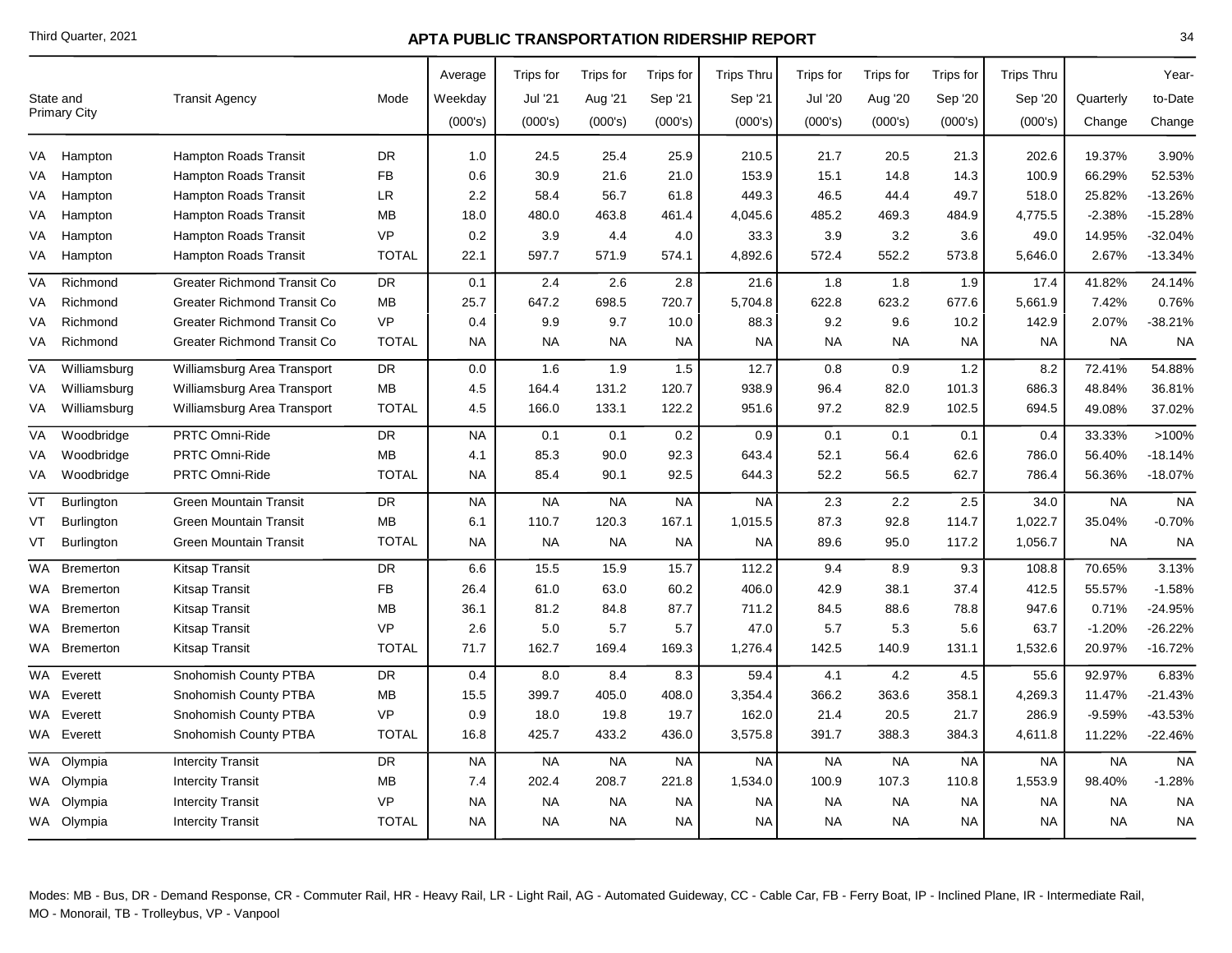|           | State and           | <b>Transit Agency</b>              | Mode         | Average<br>Weekday | Trips for<br>Jul '21 | Trips for<br>Aug '21 | Trips for<br>Sep '21 | <b>Trips Thru</b><br>Sep '21 | Trips for<br><b>Jul '20</b> | Trips for<br>Aug '20 | Trips for<br>Sep '20 | <b>Trips Thru</b><br>Sep '20 | Quarterly | Year-<br>to-Date |
|-----------|---------------------|------------------------------------|--------------|--------------------|----------------------|----------------------|----------------------|------------------------------|-----------------------------|----------------------|----------------------|------------------------------|-----------|------------------|
|           | <b>Primary City</b> |                                    |              | (000's)            | (000's)              | (000's)              | (000's)              | (000's)                      | (000's)                     | (000's)              | (000's)              | (000's)                      | Change    | Change           |
| VA        | Hampton             | <b>Hampton Roads Transit</b>       | DR           | 1.0                | 24.5                 | 25.4                 | 25.9                 | 210.5                        | 21.7                        | 20.5                 | 21.3                 | 202.6                        | 19.37%    | 3.90%            |
| VA        | Hampton             | <b>Hampton Roads Transit</b>       | <b>FB</b>    | 0.6                | 30.9                 | 21.6                 | 21.0                 | 153.9                        | 15.1                        | 14.8                 | 14.3                 | 100.9                        | 66.29%    | 52.53%           |
| VA        | Hampton             | <b>Hampton Roads Transit</b>       | <b>LR</b>    | 2.2                | 58.4                 | 56.7                 | 61.8                 | 449.3                        | 46.5                        | 44.4                 | 49.7                 | 518.0                        | 25.82%    | $-13.26%$        |
| VA        | Hampton             | <b>Hampton Roads Transit</b>       | MВ           | 18.0               | 480.0                | 463.8                | 461.4                | 4,045.6                      | 485.2                       | 469.3                | 484.9                | 4,775.5                      | $-2.38%$  | -15.28%          |
| VA        | Hampton             | Hampton Roads Transit              | <b>VP</b>    | 0.2                | 3.9                  | 4.4                  | 4.0                  | 33.3                         | 3.9                         | 3.2                  | 3.6                  | 49.0                         | 14.95%    | $-32.04%$        |
| VA        | Hampton             | Hampton Roads Transit              | <b>TOTAL</b> | 22.1               | 597.7                | 571.9                | 574.1                | 4,892.6                      | 572.4                       | 552.2                | 573.8                | 5,646.0                      | 2.67%     | $-13.34%$        |
| <b>VA</b> | Richmond            | <b>Greater Richmond Transit Co</b> | <b>DR</b>    | 0.1                | 2.4                  | 2.6                  | 2.8                  | 21.6                         | 1.8                         | 1.8                  | 1.9                  | 17.4                         | 41.82%    | 24.14%           |
| VA        | Richmond            | <b>Greater Richmond Transit Co</b> | <b>MB</b>    | 25.7               | 647.2                | 698.5                | 720.7                | 5,704.8                      | 622.8                       | 623.2                | 677.6                | 5,661.9                      | 7.42%     | 0.76%            |
| VA        | Richmond            | <b>Greater Richmond Transit Co</b> | <b>VP</b>    | 0.4                | 9.9                  | 9.7                  | 10.0                 | 88.3                         | 9.2                         | 9.6                  | 10.2                 | 142.9                        | 2.07%     | $-38.21%$        |
| VA        | Richmond            | <b>Greater Richmond Transit Co</b> | <b>TOTAL</b> | <b>NA</b>          | <b>NA</b>            | NA.                  | NA                   | <b>NA</b>                    | <b>NA</b>                   | NA                   | <b>NA</b>            | <b>NA</b>                    | <b>NA</b> | <b>NA</b>        |
| VA        | Williamsburg        | Williamsburg Area Transport        | <b>DR</b>    | 0.0                | 1.6                  | 1.9                  | 1.5                  | 12.7                         | 0.8                         | 0.9                  | 1.2                  | 8.2                          | 72.41%    | 54.88%           |
| VA        | Williamsburg        | Williamsburg Area Transport        | <b>MB</b>    | 4.5                | 164.4                | 131.2                | 120.7                | 938.9                        | 96.4                        | 82.0                 | 101.3                | 686.3                        | 48.84%    | 36.81%           |
| VA        | Williamsburg        | Williamsburg Area Transport        | <b>TOTAL</b> | 4.5                | 166.0                | 133.1                | 122.2                | 951.6                        | 97.2                        | 82.9                 | 102.5                | 694.5                        | 49.08%    | 37.02%           |
| VA        | Woodbridge          | <b>PRTC Omni-Ride</b>              | <b>DR</b>    | <b>NA</b>          | 0.1                  | 0.1                  | 0.2                  | 0.9                          | 0.1                         | 0.1                  | 0.1                  | 0.4                          | 33.33%    | >100%            |
| VA        | Woodbridge          | PRTC Omni-Ride                     | <b>MB</b>    | 4.1                | 85.3                 | 90.0                 | 92.3                 | 643.4                        | 52.1                        | 56.4                 | 62.6                 | 786.0                        | 56.40%    | $-18.14%$        |
| VA        | Woodbridge          | PRTC Omni-Ride                     | <b>TOTAL</b> | <b>NA</b>          | 85.4                 | 90.1                 | 92.5                 | 644.3                        | 52.2                        | 56.5                 | 62.7                 | 786.4                        | 56.36%    | $-18.07%$        |
| VT        | Burlington          | <b>Green Mountain Transit</b>      | <b>DR</b>    | <b>NA</b>          | <b>NA</b>            | <b>NA</b>            | <b>NA</b>            | <b>NA</b>                    | 2.3                         | 2.2                  | 2.5                  | 34.0                         | <b>NA</b> | <b>NA</b>        |
| VT        | <b>Burlington</b>   | <b>Green Mountain Transit</b>      | MВ           | 6.1                | 110.7                | 120.3                | 167.1                | 1,015.5                      | 87.3                        | 92.8                 | 114.7                | 1,022.7                      | 35.04%    | $-0.70%$         |
| VT        | <b>Burlington</b>   | <b>Green Mountain Transit</b>      | <b>TOTAL</b> | <b>NA</b>          | <b>NA</b>            | <b>NA</b>            | <b>NA</b>            | <b>NA</b>                    | 89.6                        | 95.0                 | 117.2                | 1,056.7                      | <b>NA</b> | <b>NA</b>        |
| WA        | <b>Bremerton</b>    | Kitsap Transit                     | <b>DR</b>    | 6.6                | 15.5                 | 15.9                 | 15.7                 | 112.2                        | 9.4                         | 8.9                  | 9.3                  | 108.8                        | 70.65%    | 3.13%            |
|           | WA Bremerton        | Kitsap Transit                     | <b>FB</b>    | 26.4               | 61.0                 | 63.0                 | 60.2                 | 406.0                        | 42.9                        | 38.1                 | 37.4                 | 412.5                        | 55.57%    | $-1.58%$         |
|           | WA Bremerton        | Kitsap Transit                     | MВ           | 36.1               | 81.2                 | 84.8                 | 87.7                 | 711.2                        | 84.5                        | 88.6                 | 78.8                 | 947.6                        | 0.71%     | $-24.95%$        |
|           | WA Bremerton        | <b>Kitsap Transit</b>              | <b>VP</b>    | 2.6                | 5.0                  | 5.7                  | 5.7                  | 47.0                         | 5.7                         | 5.3                  | 5.6                  | 63.7                         | $-1.20%$  | -26.22%          |
|           | WA Bremerton        | <b>Kitsap Transit</b>              | <b>TOTAL</b> | 71.7               | 162.7                | 169.4                | 169.3                | 1,276.4                      | 142.5                       | 140.9                | 131.1                | 1,532.6                      | 20.97%    | $-16.72%$        |
| WA        | Everett             | Snohomish County PTBA              | <b>DR</b>    | 0.4                | 8.0                  | 8.4                  | 8.3                  | 59.4                         | 4.1                         | 4.2                  | 4.5                  | 55.6                         | 92.97%    | 6.83%            |
|           | WA Everett          | Snohomish County PTBA              | MB           | 15.5               | 399.7                | 405.0                | 408.0                | 3,354.4                      | 366.2                       | 363.6                | 358.1                | 4,269.3                      | 11.47%    | $-21.43%$        |
|           | WA Everett          | Snohomish County PTBA              | <b>VP</b>    | 0.9                | 18.0                 | 19.8                 | 19.7                 | 162.0                        | 21.4                        | 20.5                 | 21.7                 | 286.9                        | $-9.59%$  | -43.53%          |
|           | WA Everett          | Snohomish County PTBA              | <b>TOTAL</b> | 16.8               | 425.7                | 433.2                | 436.0                | 3,575.8                      | 391.7                       | 388.3                | 384.3                | 4,611.8                      | 11.22%    | $-22.46%$        |
| WA        | Olympia             | <b>Intercity Transit</b>           | <b>DR</b>    | <b>NA</b>          | <b>NA</b>            | <b>NA</b>            | <b>NA</b>            | <b>NA</b>                    | <b>NA</b>                   | <b>NA</b>            | <b>NA</b>            | <b>NA</b>                    | <b>NA</b> | <b>NA</b>        |
|           | WA Olympia          | <b>Intercity Transit</b>           | MВ           | 7.4                | 202.4                | 208.7                | 221.8                | 1,534.0                      | 100.9                       | 107.3                | 110.8                | 1,553.9                      | 98.40%    | $-1.28%$         |
|           | WA Olympia          | <b>Intercity Transit</b>           | <b>VP</b>    | <b>NA</b>          | <b>NA</b>            | <b>NA</b>            | <b>NA</b>            | NA.                          | <b>NA</b>                   | <b>NA</b>            | <b>NA</b>            | <b>NA</b>                    | <b>NA</b> | <b>NA</b>        |
|           | WA Olympia          | <b>Intercity Transit</b>           | <b>TOTAL</b> | <b>NA</b>          | <b>NA</b>            | <b>NA</b>            | NA.                  | <b>NA</b>                    | <b>NA</b>                   | <b>NA</b>            | <b>NA</b>            | <b>NA</b>                    | <b>NA</b> | <b>NA</b>        |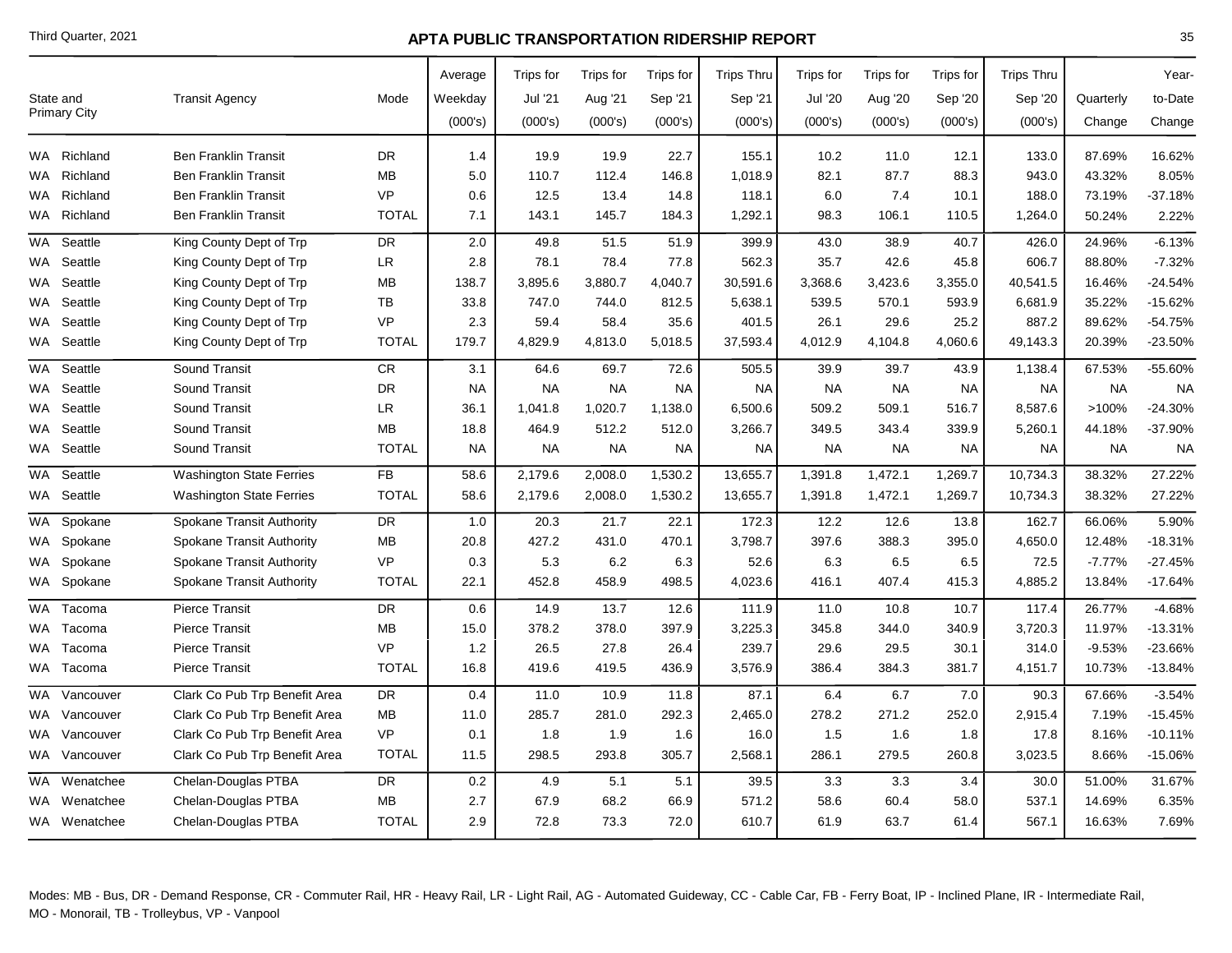|           | State and<br>Primary City | <b>Transit Agency</b>            | Mode         | Average<br>Weekday<br>(000's) | Trips for<br>Jul '21<br>(000's) | Trips for<br>Aug '21<br>(000's) | Trips for<br>Sep '21<br>(000's) | <b>Trips Thru</b><br>Sep '21<br>(000's) | Trips for<br><b>Jul '20</b><br>(000's) | <b>Trips</b> for<br>Aug '20<br>(000's) | Trips for<br>Sep '20<br>(000's) | <b>Trips Thru</b><br>Sep '20<br>(000's) | Quarterly<br>Change | Year-<br>to-Date<br>Change |
|-----------|---------------------------|----------------------------------|--------------|-------------------------------|---------------------------------|---------------------------------|---------------------------------|-----------------------------------------|----------------------------------------|----------------------------------------|---------------------------------|-----------------------------------------|---------------------|----------------------------|
|           | WA Richland               | <b>Ben Franklin Transit</b>      | <b>DR</b>    | 1.4                           | 19.9                            | 19.9                            | 22.7                            | 155.1                                   | 10.2                                   | 11.0                                   | 12.1                            | 133.0                                   | 87.69%              | 16.62%                     |
|           | WA Richland               | <b>Ben Franklin Transit</b>      | <b>MB</b>    | 5.0                           | 110.7                           | 112.4                           | 146.8                           | 1,018.9                                 | 82.1                                   | 87.7                                   | 88.3                            | 943.0                                   | 43.32%              | 8.05%                      |
|           | WA Richland               | <b>Ben Franklin Transit</b>      | <b>VP</b>    | 0.6                           | 12.5                            | 13.4                            | 14.8                            | 118.1                                   | 6.0                                    | 7.4                                    | 10.1                            | 188.0                                   | 73.19%              | 37.18%                     |
|           | WA Richland               | <b>Ben Franklin Transit</b>      | <b>TOTAL</b> | 7.1                           | 143.1                           | 145.7                           | 184.3                           | 1,292.1                                 | 98.3                                   | 106.1                                  | 110.5                           | 1,264.0                                 | 50.24%              | 2.22%                      |
|           | WA Seattle                | King County Dept of Trp          | <b>DR</b>    | 2.0                           | 49.8                            | 51.5                            | 51.9                            | 399.9                                   | 43.0                                   | 38.9                                   | 40.7                            | 426.0                                   | 24.96%              | $-6.13%$                   |
|           | WA Seattle                | King County Dept of Trp          | <b>LR</b>    | 2.8                           | 78.1                            | 78.4                            | 77.8                            | 562.3                                   | 35.7                                   | 42.6                                   | 45.8                            | 606.7                                   | 88.80%              | $-7.32%$                   |
|           | WA Seattle                | King County Dept of Trp          | MB           | 138.7                         | 3,895.6                         | 3,880.7                         | 4,040.7                         | 30,591.6                                | 3,368.6                                | 3,423.6                                | 3,355.0                         | 40,541.5                                | 16.46%              | $-24.54%$                  |
| WA.       | Seattle                   | King County Dept of Trp          | TB           | 33.8                          | 747.0                           | 744.0                           | 812.5                           | 5,638.1                                 | 539.5                                  | 570.1                                  | 593.9                           | 6,681.9                                 | 35.22%              | -15.62%                    |
| WA.       | Seattle                   | King County Dept of Trp          | <b>VP</b>    | 2.3                           | 59.4                            | 58.4                            | 35.6                            | 401.5                                   | 26.1                                   | 29.6                                   | 25.2                            | 887.2                                   | 89.62%              | $-54.75%$                  |
|           | WA Seattle                | King County Dept of Trp          | <b>TOTAL</b> | 179.7                         | 4,829.9                         | 4,813.0                         | 5,018.5                         | 37,593.4                                | 4,012.9                                | 4,104.8                                | 4,060.6                         | 49,143.3                                | 20.39%              | $-23.50%$                  |
| WA        | Seattle                   | Sound Transit                    | ${\sf CR}$   | 3.1                           | 64.6                            | 69.7                            | 72.6                            | 505.5                                   | 39.9                                   | 39.7                                   | 43.9                            | 1,138.4                                 | 67.53%              | -55.60%                    |
|           | WA Seattle                | Sound Transit                    | <b>DR</b>    | <b>NA</b>                     | <b>NA</b>                       | <b>NA</b>                       | <b>NA</b>                       | <b>NA</b>                               | <b>NA</b>                              | <b>NA</b>                              | <b>NA</b>                       | <b>NA</b>                               | <b>NA</b>           | <b>NA</b>                  |
|           | WA Seattle                | Sound Transit                    | <b>LR</b>    | 36.1                          | 1,041.8                         | 1,020.7                         | 1,138.0                         | 6,500.6                                 | 509.2                                  | 509.1                                  | 516.7                           | 8,587.6                                 | >100%               | $-24.30%$                  |
|           | WA Seattle                | Sound Transit                    | MВ           | 18.8                          | 464.9                           | 512.2                           | 512.0                           | 3,266.7                                 | 349.5                                  | 343.4                                  | 339.9                           | 5,260.1                                 | 44.18%              | -37.90%                    |
|           | WA Seattle                | Sound Transit                    | <b>TOTAL</b> | <b>NA</b>                     | <b>NA</b>                       | <b>NA</b>                       | <b>NA</b>                       | <b>NA</b>                               | <b>NA</b>                              | <b>NA</b>                              | <b>NA</b>                       | <b>NA</b>                               | <b>NA</b>           | <b>NA</b>                  |
| <b>WA</b> | Seattle                   | <b>Washington State Ferries</b>  | <b>FB</b>    | 58.6                          | 2,179.6                         | 2,008.0                         | 1,530.2                         | 13,655.7                                | 1,391.8                                | 1,472.1                                | 1,269.7                         | 10,734.3                                | 38.32%              | 27.22%                     |
|           | WA Seattle                | <b>Washington State Ferries</b>  | <b>TOTAL</b> | 58.6                          | 2,179.6                         | 2,008.0                         | 1,530.2                         | 13,655.7                                | 1,391.8                                | 1,472.1                                | 1,269.7                         | 10,734.3                                | 38.32%              | 27.22%                     |
| WA        | Spokane                   | <b>Spokane Transit Authority</b> | DR           | 1.0                           | 20.3                            | 21.7                            | 22.1                            | 172.3                                   | 12.2                                   | 12.6                                   | 13.8                            | 162.7                                   | 66.06%              | 5.90%                      |
|           | WA Spokane                | Spokane Transit Authority        | MВ           | 20.8                          | 427.2                           | 431.0                           | 470.1                           | 3,798.7                                 | 397.6                                  | 388.3                                  | 395.0                           | 4,650.0                                 | 12.48%              | $-18.31%$                  |
|           | WA Spokane                | <b>Spokane Transit Authority</b> | <b>VP</b>    | 0.3                           | 5.3                             | 6.2                             | 6.3                             | 52.6                                    | 6.3                                    | 6.5                                    | 6.5                             | 72.5                                    | $-7.77%$            | $-27.45%$                  |
|           | WA Spokane                | Spokane Transit Authority        | <b>TOTAL</b> | 22.1                          | 452.8                           | 458.9                           | 498.5                           | 4,023.6                                 | 416.1                                  | 407.4                                  | 415.3                           | 4,885.2                                 | 13.84%              | $-17.64%$                  |
|           | WA Tacoma                 | <b>Pierce Transit</b>            | <b>DR</b>    | 0.6                           | 14.9                            | 13.7                            | 12.6                            | 111.9                                   | 11.0                                   | 10.8                                   | 10.7                            | 117.4                                   | 26.77%              | $-4.68%$                   |
|           | WA Tacoma                 | <b>Pierce Transit</b>            | MВ           | 15.0                          | 378.2                           | 378.0                           | 397.9                           | 3,225.3                                 | 345.8                                  | 344.0                                  | 340.9                           | 3,720.3                                 | 11.97%              | $-13.31%$                  |
| WA        | Tacoma                    | <b>Pierce Transit</b>            | <b>VP</b>    | 1.2                           | 26.5                            | 27.8                            | 26.4                            | 239.7                                   | 29.6                                   | 29.5                                   | 30.1                            | 314.0                                   | $-9.53%$            | -23.66%                    |
|           | WA Tacoma                 | <b>Pierce Transit</b>            | <b>TOTAL</b> | 16.8                          | 419.6                           | 419.5                           | 436.9                           | 3,576.9                                 | 386.4                                  | 384.3                                  | 381.7                           | 4,151.7                                 | 10.73%              | $-13.84%$                  |
| <b>WA</b> | Vancouver                 | Clark Co Pub Trp Benefit Area    | <b>DR</b>    | 0.4                           | 11.0                            | 10.9                            | 11.8                            | 87.1                                    | 6.4                                    | 6.7                                    | 7.0                             | 90.3                                    | 67.66%              | $-3.54%$                   |
|           | WA Vancouver              | Clark Co Pub Trp Benefit Area    | MВ           | 11.0                          | 285.7                           | 281.0                           | 292.3                           | 2,465.0                                 | 278.2                                  | 271.2                                  | 252.0                           | 2,915.4                                 | 7.19%               | $-15.45%$                  |
|           | WA Vancouver              | Clark Co Pub Trp Benefit Area    | <b>VP</b>    | 0.1                           | 1.8                             | 1.9                             | 1.6                             | 16.0                                    | 1.5                                    | 1.6                                    | 1.8                             | 17.8                                    | 8.16%               | $-10.11%$                  |
|           | WA Vancouver              | Clark Co Pub Trp Benefit Area    | <b>TOTAL</b> | 11.5                          | 298.5                           | 293.8                           | 305.7                           | 2,568.1                                 | 286.1                                  | 279.5                                  | 260.8                           | 3,023.5                                 | 8.66%               | $-15.06%$                  |
|           | WA Wenatchee              | Chelan-Douglas PTBA              | <b>DR</b>    | 0.2                           | 4.9                             | 5.1                             | 5.1                             | 39.5                                    | 3.3                                    | 3.3                                    | 3.4                             | 30.0                                    | 51.00%              | 31.67%                     |
|           | WA Wenatchee              | Chelan-Douglas PTBA              | MВ           | 2.7                           | 67.9                            | 68.2                            | 66.9                            | 571.2                                   | 58.6                                   | 60.4                                   | 58.0                            | 537.1                                   | 14.69%              | 6.35%                      |
|           | WA Wenatchee              | Chelan-Douglas PTBA              | <b>TOTAL</b> | 2.9                           | 72.8                            | 73.3                            | 72.0                            | 610.7                                   | 61.9                                   | 63.7                                   | 61.4                            | 567.1                                   | 16.63%              | 7.69%                      |
|           |                           |                                  |              |                               |                                 |                                 |                                 |                                         |                                        |                                        |                                 |                                         |                     |                            |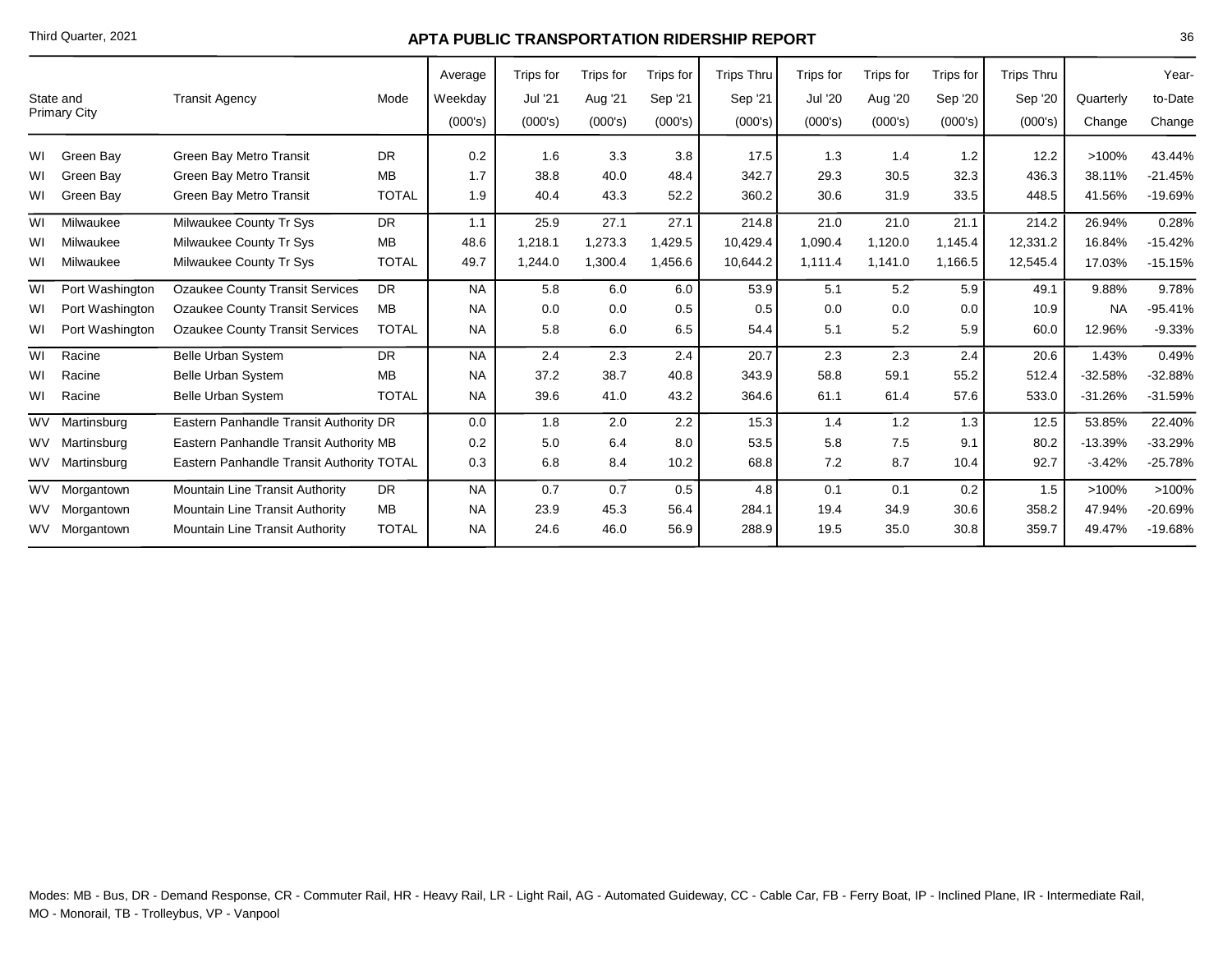|                                  |                 |                                           |              | Average   | Trips for | Trips for | Trips for | <b>Trips Thru</b> | Trips for      | Trips for | Trips for | <b>Trips Thru</b> |           | Year-     |
|----------------------------------|-----------------|-------------------------------------------|--------------|-----------|-----------|-----------|-----------|-------------------|----------------|-----------|-----------|-------------------|-----------|-----------|
| State and<br><b>Primary City</b> |                 | <b>Transit Agency</b>                     | Mode         | Weekday   | Jul '21   | Aug '21   | Sep '21   | Sep '21           | <b>Jul '20</b> | Aug '20   | Sep '20   | Sep '20           | Quarterly | to-Date   |
|                                  |                 |                                           |              | (000's)   | (000's)   | (000's)   | (000's)   | (000's)           | (000's)        | (000's)   | (000's)   | (000's)           | Change    | Change    |
| W١                               | Green Bav       | Green Bay Metro Transit                   | <b>DR</b>    | 0.2       | 1.6       | 3.3       | 3.8       | 17.5              | 1.3            | 1.4       | 1.2       | 12.2              | >100%     | 43.44%    |
| WI                               | Green Bay       | Green Bay Metro Transit                   | <b>MB</b>    | 1.7       | 38.8      | 40.0      | 48.4      | 342.7             | 29.3           | 30.5      | 32.3      | 436.3             | 38.11%    | $-21.45%$ |
| WI                               | Green Bay       | Green Bay Metro Transit                   | <b>TOTAL</b> | 1.9       | 40.4      | 43.3      | 52.2      | 360.2             | 30.6           | 31.9      | 33.5      | 448.5             | 41.56%    | -19.69%   |
| WI                               | Milwaukee       | Milwaukee County Tr Sys                   | <b>DR</b>    | 1.1       | 25.9      | 27.1      | 27.1      | 214.8             | 21.0           | 21.0      | 21.1      | 214.2             | 26.94%    | 0.28%     |
| WI                               | Milwaukee       | Milwaukee County Tr Sys                   | MB           | 48.6      | 1,218.1   | 1,273.3   | 1,429.5   | 10,429.4          | 1,090.4        | 1,120.0   | 1,145.4   | 12,331.2          | 16.84%    | $-15.42%$ |
| WI                               | Milwaukee       | Milwaukee County Tr Sys                   | <b>TOTAL</b> | 49.7      | 1,244.0   | 1,300.4   | 1,456.6   | 10,644.2          | 1,111.4        | 1,141.0   | 1,166.5   | 12,545.4          | 17.03%    | $-15.15%$ |
| WI                               | Port Washington | <b>Ozaukee County Transit Services</b>    | <b>DR</b>    | <b>NA</b> | 5.8       | 6.0       | 6.0       | 53.9              | 5.1            | 5.2       | 5.9       | 49.1              | 9.88%     | 9.78%     |
| WI                               | Port Washington | <b>Ozaukee County Transit Services</b>    | MB           | <b>NA</b> | 0.0       | 0.0       | 0.5       | 0.5               | 0.0            | 0.0       | 0.0       | 10.9              | <b>NA</b> | $-95.41%$ |
| WI                               | Port Washington | <b>Ozaukee County Transit Services</b>    | <b>TOTAL</b> | <b>NA</b> | 5.8       | 6.0       | 6.5       | 54.4              | 5.1            | 5.2       | 5.9       | 60.0              | 12.96%    | $-9.33%$  |
| WI                               | Racine          | <b>Belle Urban System</b>                 | DR.          | <b>NA</b> | 2.4       | 2.3       | 2.4       | 20.7              | 2.3            | 2.3       | 2.4       | 20.6              | 1.43%     | 0.49%     |
| W١                               | Racine          | <b>Belle Urban System</b>                 | <b>MB</b>    | <b>NA</b> | 37.2      | 38.7      | 40.8      | 343.9             | 58.8           | 59.1      | 55.2      | 512.4             | $-32.58%$ | $-32.88%$ |
| W١                               | Racine          | <b>Belle Urban System</b>                 | <b>TOTAL</b> | <b>NA</b> | 39.6      | 41.0      | 43.2      | 364.6             | 61.1           | 61.4      | 57.6      | 533.0             | $-31.26%$ | $-31.59%$ |
| WV                               | Martinsburg     | Eastern Panhandle Transit Authority DR    |              | 0.0       | 1.8       | 2.0       | 2.2       | 15.3              | 1.4            | 1.2       | 1.3       | 12.5              | 53.85%    | 22.40%    |
|                                  | WV Martinsburg  | Eastern Panhandle Transit Authority MB    |              | 0.2       | 5.0       | 6.4       | 8.0       | 53.5              | 5.8            | 7.5       | 9.1       | 80.2              | $-13.39%$ | $-33.29%$ |
|                                  | WV Martinsburg  | Eastern Panhandle Transit Authority TOTAL | 0.3          | 6.8       | 8.4       | 10.2      | 68.8      | 7.2               | 8.7            | 10.4      | 92.7      | $-3.42%$          | $-25.78%$ |           |
|                                  | WV Morgantown   | Mountain Line Transit Authority           | <b>DR</b>    | <b>NA</b> | 0.7       | 0.7       | 0.5       | 4.8               | 0.1            | 0.1       | 0.2       | 1.5               | $>100\%$  | >100%     |
|                                  | WV Morgantown   | Mountain Line Transit Authority           | <b>MB</b>    | <b>NA</b> | 23.9      | 45.3      | 56.4      | 284.1             | 19.4           | 34.9      | 30.6      | 358.2             | 47.94%    | -20.69%   |
|                                  | WV Morgantown   | Mountain Line Transit Authority           | <b>TOTAL</b> | NA.       | 24.6      | 46.0      | 56.9      | 288.9             | 19.5           | 35.0      | 30.8      | 359.7             | 49.47%    | -19.68%   |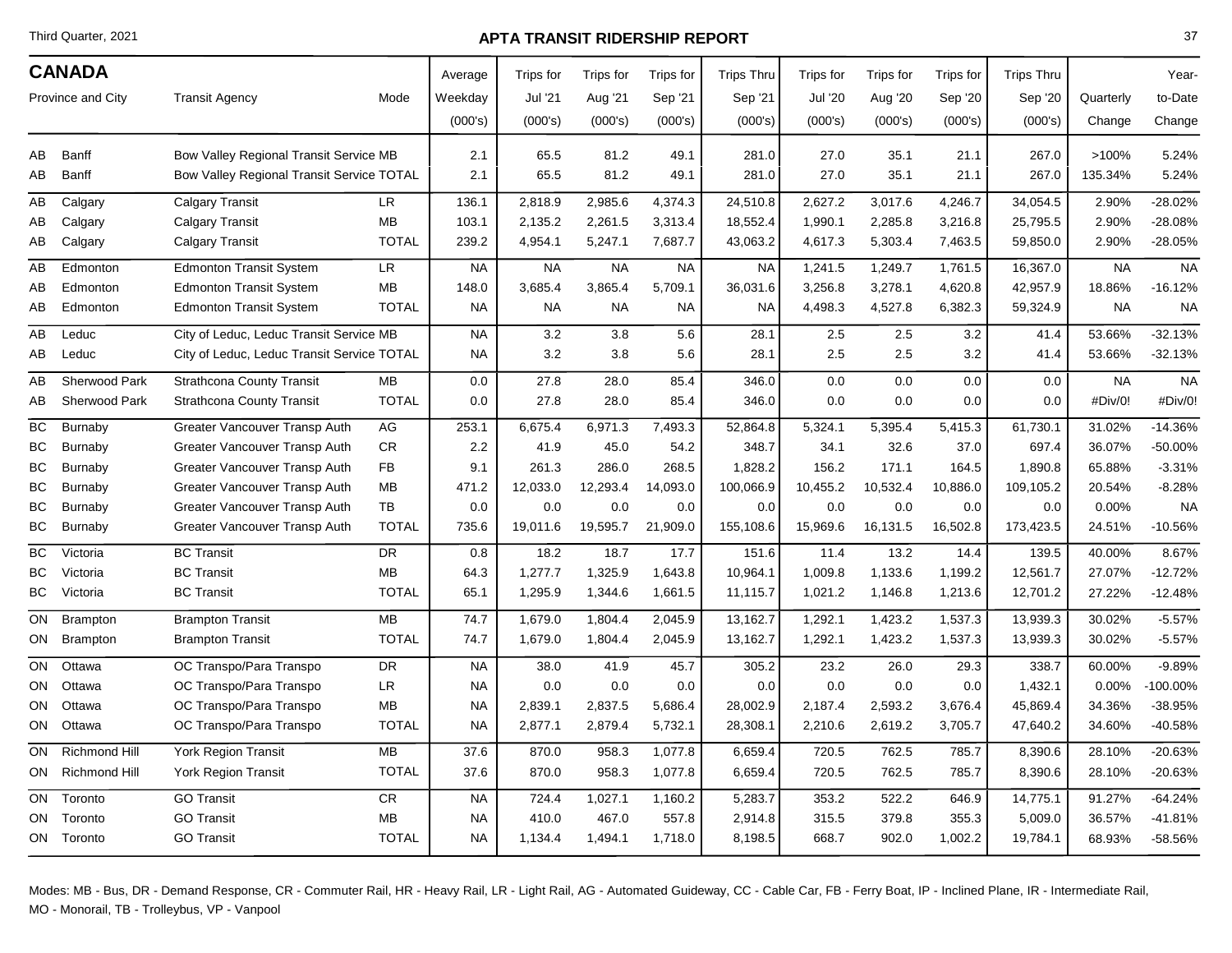Third Quarter, 2021

### **APTA TRANSIT RIDERSHIP REPORT**

| <b>CANADA</b>     |                      |                                            | Average      | Trips for | Trips for | Trips for | <b>Trips Thru</b> | Trips for | Trips for      | Trips for | <b>Trips Thru</b> |           | Year-     |           |
|-------------------|----------------------|--------------------------------------------|--------------|-----------|-----------|-----------|-------------------|-----------|----------------|-----------|-------------------|-----------|-----------|-----------|
| Province and City |                      | <b>Transit Agency</b>                      | Mode         | Weekday   | Jul '21   | Aug '21   | Sep '21           | Sep '21   | <b>Jul '20</b> | Aug '20   | Sep '20           | Sep '20   | Quarterly | to-Date   |
|                   |                      |                                            |              | (000's)   | (000's)   | (000's)   | (000's)           | (000's)   | (000's)        | (000's)   | (000's)           | (000's)   |           |           |
|                   |                      |                                            |              |           |           |           |                   |           |                |           |                   |           | Change    | Change    |
| AВ                | Banff                | Bow Valley Regional Transit Service MB     |              | 2.1       | 65.5      | 81.2      | 49.1              | 281.0     | 27.0           | 35.1      | 21.1              | 267.0     | >100%     | 5.24%     |
| AВ                | <b>Banff</b>         | Bow Valley Regional Transit Service TOTAL  |              | 2.1       | 65.5      | 81.2      | 49.1              | 281.0     | 27.0           | 35.1      | 21.1              | 267.0     | 135.34%   | 5.24%     |
| AВ                | Calgary              | <b>Calgary Transit</b>                     | <b>LR</b>    | 136.1     | 2,818.9   | 2,985.6   | 4,374.3           | 24,510.8  | 2,627.2        | 3,017.6   | 4,246.7           | 34,054.5  | 2.90%     | $-28.02%$ |
| AВ                | Calgary              | <b>Calgary Transit</b>                     | MB           | 103.1     | 2,135.2   | 2,261.5   | 3,313.4           | 18,552.4  | 1,990.1        | 2,285.8   | 3,216.8           | 25,795.5  | 2.90%     | $-28.08%$ |
| AВ                | Calgary              | <b>Calgary Transit</b>                     | <b>TOTAL</b> | 239.2     | 4,954.1   | 5,247.1   | 7,687.7           | 43,063.2  | 4,617.3        | 5,303.4   | 7,463.5           | 59,850.0  | 2.90%     | $-28.05%$ |
| AВ                | Edmonton             | <b>Edmonton Transit System</b>             | LR           | <b>NA</b> | <b>NA</b> | <b>NA</b> | <b>NA</b>         | <b>NA</b> | 1,241.5        | 1,249.7   | 1,761.5           | 16,367.0  | <b>NA</b> | <b>NA</b> |
| AВ                | Edmonton             | <b>Edmonton Transit System</b>             | <b>MB</b>    | 148.0     | 3,685.4   | 3,865.4   | 5,709.1           | 36,031.6  | 3,256.8        | 3,278.1   | 4,620.8           | 42,957.9  | 18.86%    | $-16.12%$ |
| AВ                | Edmonton             | <b>Edmonton Transit System</b>             | <b>TOTAL</b> | <b>NA</b> | <b>NA</b> | <b>NA</b> | <b>NA</b>         | <b>NA</b> | 4,498.3        | 4,527.8   | 6,382.3           | 59,324.9  | <b>NA</b> | <b>NA</b> |
| AВ                | Leduc                | City of Leduc, Leduc Transit Service MB    |              | <b>NA</b> | 3.2       | 3.8       | 5.6               | 28.1      | 2.5            | 2.5       | 3.2               | 41.4      | 53.66%    | $-32.13%$ |
| AВ                | Leduc                | City of Leduc, Leduc Transit Service TOTAL |              | <b>NA</b> | 3.2       | 3.8       | 5.6               | 28.1      | 2.5            | 2.5       | 3.2               | 41.4      | 53.66%    | $-32.13%$ |
| AВ                | Sherwood Park        | <b>Strathcona County Transit</b>           | <b>MB</b>    | 0.0       | 27.8      | 28.0      | 85.4              | 346.0     | 0.0            | 0.0       | 0.0               | 0.0       | <b>NA</b> | <b>NA</b> |
| AВ                | Sherwood Park        | <b>Strathcona County Transit</b>           | <b>TOTAL</b> | 0.0       | 27.8      | 28.0      | 85.4              | 346.0     | 0.0            | 0.0       | 0.0               | 0.0       | #Div/0!   | #Div/0!   |
| BC                | <b>Burnaby</b>       | Greater Vancouver Transp Auth              | AG           | 253.1     | 6,675.4   | 6,971.3   | 7,493.3           | 52,864.8  | 5,324.1        | 5,395.4   | 5,415.3           | 61,730.1  | 31.02%    | $-14.36%$ |
| ВC                | Burnaby              | Greater Vancouver Transp Auth              | <b>CR</b>    | 2.2       | 41.9      | 45.0      | 54.2              | 348.7     | 34.1           | 32.6      | 37.0              | 697.4     | 36.07%    | $-50.00%$ |
| ВC                | Burnaby              | Greater Vancouver Transp Auth              | <b>FB</b>    | 9.1       | 261.3     | 286.0     | 268.5             | 1,828.2   | 156.2          | 171.1     | 164.5             | 1,890.8   | 65.88%    | $-3.31%$  |
| BС                | Burnaby              | Greater Vancouver Transp Auth              | <b>MB</b>    | 471.2     | 12,033.0  | 12,293.4  | 14,093.0          | 100,066.9 | 10,455.2       | 10,532.4  | 10,886.0          | 109,105.2 | 20.54%    | $-8.28%$  |
| ВC                | Burnaby              | Greater Vancouver Transp Auth              | TB           | 0.0       | 0.0       | 0.0       | 0.0               | 0.0       | 0.0            | 0.0       | 0.0               | 0.0       | 0.00%     | <b>NA</b> |
| ВC                | Burnaby              | Greater Vancouver Transp Auth              | <b>TOTAL</b> | 735.6     | 19,011.6  | 19,595.7  | 21,909.0          | 155,108.6 | 15,969.6       | 16,131.5  | 16,502.8          | 173,423.5 | 24.51%    | $-10.56%$ |
| ВC                | Victoria             | <b>BC Transit</b>                          | <b>DR</b>    | 0.8       | 18.2      | 18.7      | 17.7              | 151.6     | 11.4           | 13.2      | 14.4              | 139.5     | 40.00%    | 8.67%     |
| ВC                | Victoria             | <b>BC Transit</b>                          | <b>MB</b>    | 64.3      | 1,277.7   | 1,325.9   | 1,643.8           | 10,964.1  | 1,009.8        | 1,133.6   | 1,199.2           | 12,561.7  | 27.07%    | $-12.72%$ |
| BС                | Victoria             | <b>BC</b> Transit                          | <b>TOTAL</b> | 65.1      | 1,295.9   | 1,344.6   | 1,661.5           | 11,115.7  | 1,021.2        | 1,146.8   | 1,213.6           | 12,701.2  | 27.22%    | $-12.48%$ |
| ON                | <b>Brampton</b>      | <b>Brampton Transit</b>                    | <b>MB</b>    | 74.7      | 1,679.0   | 1,804.4   | 2,045.9           | 13,162.7  | 1,292.1        | 1,423.2   | 1,537.3           | 13,939.3  | 30.02%    | $-5.57%$  |
| ON                | <b>Brampton</b>      | <b>Brampton Transit</b>                    | <b>TOTAL</b> | 74.7      | 1,679.0   | 1,804.4   | 2,045.9           | 13,162.7  | 1,292.1        | 1,423.2   | 1,537.3           | 13,939.3  | 30.02%    | $-5.57%$  |
| ON                | Ottawa               | OC Transpo/Para Transpo                    | <b>DR</b>    | <b>NA</b> | 38.0      | 41.9      | 45.7              | 305.2     | 23.2           | 26.0      | 29.3              | 338.7     | 60.00%    | $-9.89%$  |
| ON                | Ottawa               | OC Transpo/Para Transpo                    | LR           | NA        | 0.0       | 0.0       | 0.0               | 0.0       | 0.0            | 0.0       | 0.0               | 1,432.1   | 0.00%     | -100.00%  |
| ON.               | Ottawa               | OC Transpo/Para Transpo                    | <b>MB</b>    | <b>NA</b> | 2,839.1   | 2,837.5   | 5,686.4           | 28,002.9  | 2,187.4        | 2,593.2   | 3,676.4           | 45,869.4  | 34.36%    | -38.95%   |
| ON                | Ottawa               | OC Transpo/Para Transpo                    | <b>TOTAL</b> | NA        | 2,877.1   | 2,879.4   | 5,732.1           | 28,308.1  | 2,210.6        | 2,619.2   | 3,705.7           | 47,640.2  | 34.60%    | -40.58%   |
| ON.               | <b>Richmond Hill</b> | York Region Transit                        | <b>MB</b>    | 37.6      | 870.0     | 958.3     | 1,077.8           | 6,659.4   | 720.5          | 762.5     | 785.7             | 8,390.6   | 28.10%    | $-20.63%$ |
|                   | ON Richmond Hill     | York Region Transit                        | <b>TOTAL</b> | 37.6      | 870.0     | 958.3     | 1,077.8           | 6,659.4   | 720.5          | 762.5     | 785.7             | 8,390.6   | 28.10%    | $-20.63%$ |
| ON                | Toronto              | <b>GO Transit</b>                          | <b>CR</b>    | <b>NA</b> | 724.4     | 1,027.1   | 1,160.2           | 5,283.7   | 353.2          | 522.2     | 646.9             | 14,775.1  | 91.27%    | $-64.24%$ |
| ON                | Toronto              | <b>GO Transit</b>                          | MB           | NA        | 410.0     | 467.0     | 557.8             | 2,914.8   | 315.5          | 379.8     | 355.3             | 5,009.0   | 36.57%    | $-41.81%$ |
|                   | ON Toronto           | <b>GO Transit</b>                          | <b>TOTAL</b> | <b>NA</b> | 1,134.4   | 1,494.1   | 1,718.0           | 8,198.5   | 668.7          | 902.0     | 1,002.2           | 19,784.1  | 68.93%    | -58.56%   |